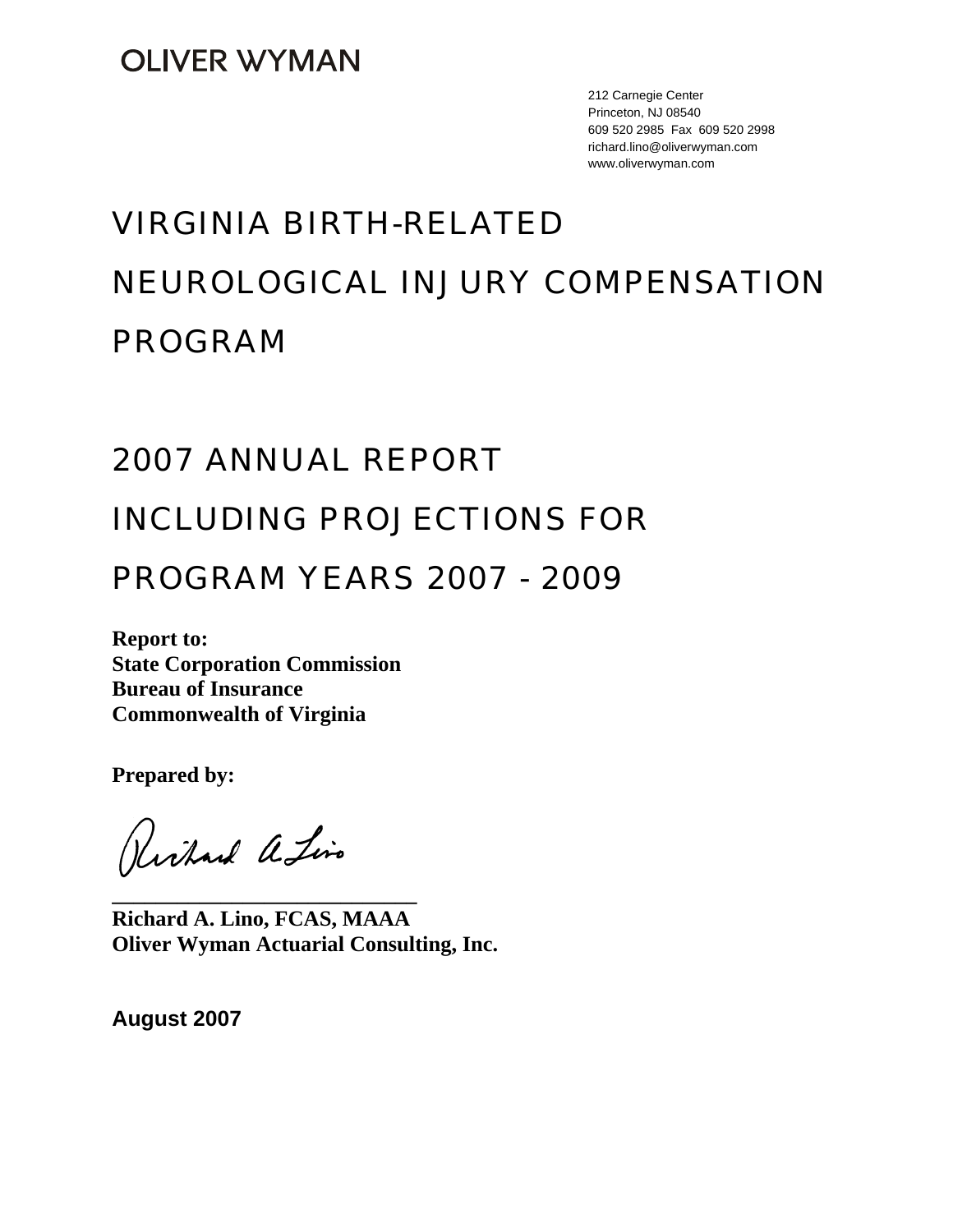212 Carnegie Center Princeton, NJ 08540 609 520 2985 Fax 609 520 2998 richard.lino@oliverwyman.com www.oliverwyman.com

# VIRGINIA BIRTH-RELATED NEUROLOGICAL INJURY COMPENSATION PROGRAM

# 2007 ANNUAL REPORT

# INCLUDING PROJECTIONS FOR

# PROGRAM YEARS 2007 - 2009

**Report to: State Corporation Commission Bureau of Insurance Commonwealth of Virginia** 

**Prepared by:** 

Richard a Lino

**Richard A. Lino, FCAS, MAAA Oliver Wyman Actuarial Consulting, Inc.** 

**\_\_\_\_\_\_\_\_\_\_\_\_\_\_\_\_\_\_\_\_\_\_\_\_\_\_\_\_** 

**August 2007**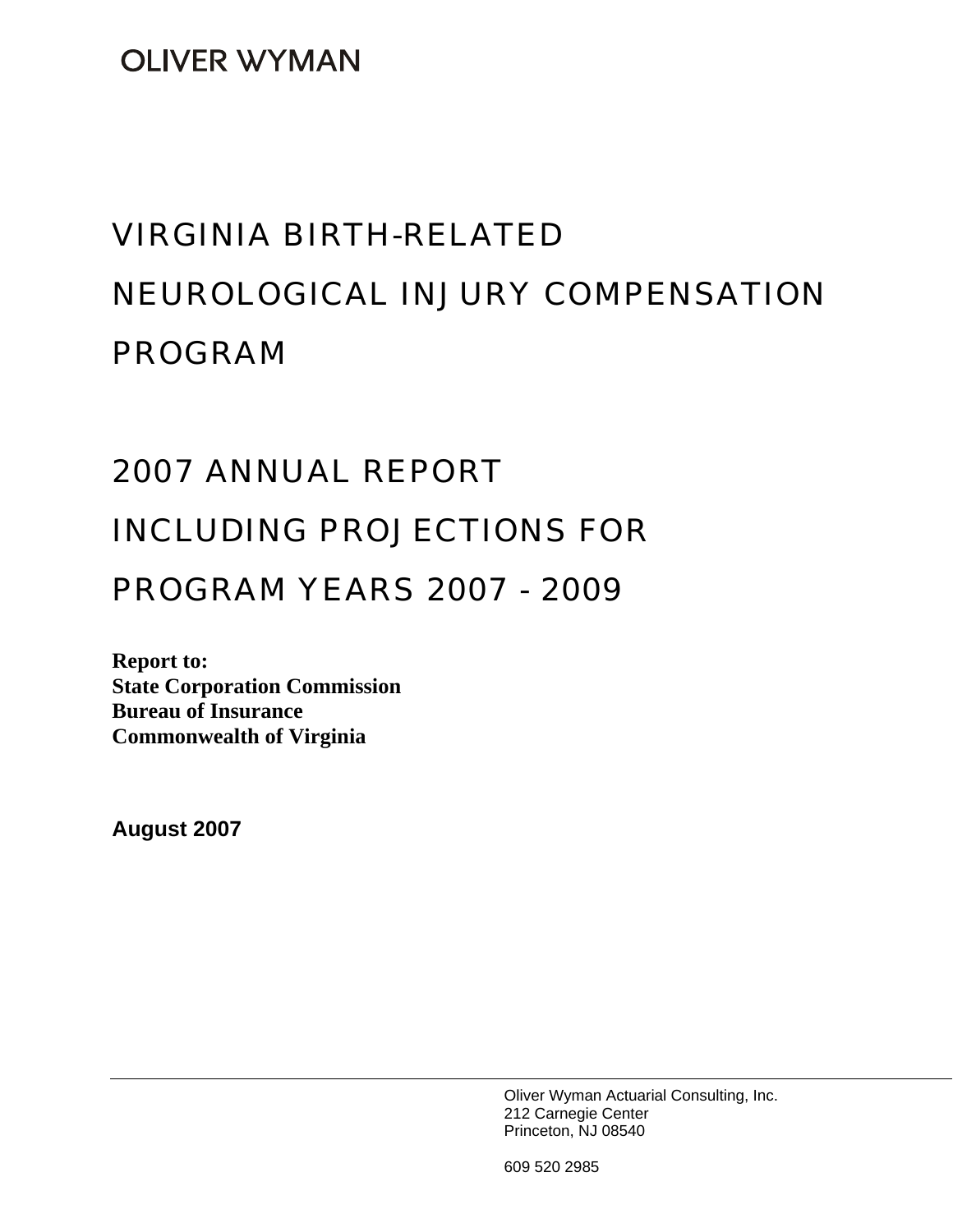**OLIVER WYMAN** 

# VIRGINIA BIRTH-RELATED NEUROLOGICAL INJURY COMPENSATION PROGRAM

# 2007 ANNUAL REPORT INCLUDING PROJECTIONS FOR

# PROGRAM YEARS 2007 - 2009

**Report to: State Corporation Commission Bureau of Insurance Commonwealth of Virginia** 

**August 2007** 

Oliver Wyman Actuarial Consulting, Inc. 212 Carnegie Center Princeton, NJ 08540

609 520 2985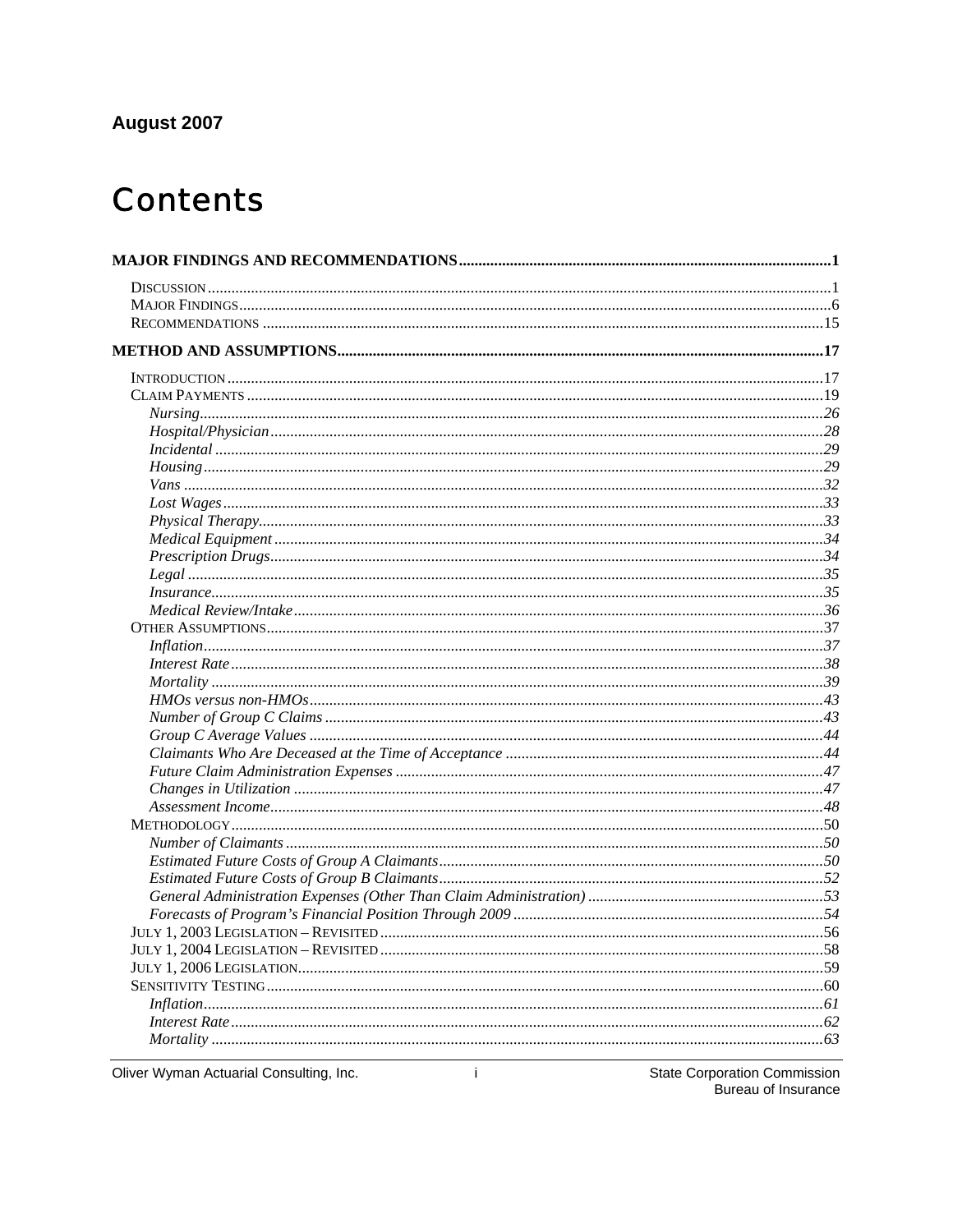## August 2007

# **Contents**

| In surface 35                                   |                                     |
|-------------------------------------------------|-------------------------------------|
|                                                 |                                     |
|                                                 |                                     |
|                                                 |                                     |
|                                                 |                                     |
|                                                 |                                     |
|                                                 |                                     |
|                                                 |                                     |
|                                                 |                                     |
|                                                 |                                     |
|                                                 |                                     |
|                                                 |                                     |
|                                                 |                                     |
|                                                 |                                     |
|                                                 |                                     |
|                                                 |                                     |
|                                                 |                                     |
|                                                 |                                     |
|                                                 |                                     |
|                                                 |                                     |
|                                                 |                                     |
|                                                 |                                     |
|                                                 |                                     |
|                                                 |                                     |
|                                                 |                                     |
|                                                 |                                     |
|                                                 |                                     |
| Oliver Wyman Actuarial Consulting, Inc.<br>-i - | <b>State Corporation Commission</b> |

**State Corporation Commission** Bureau of Insurance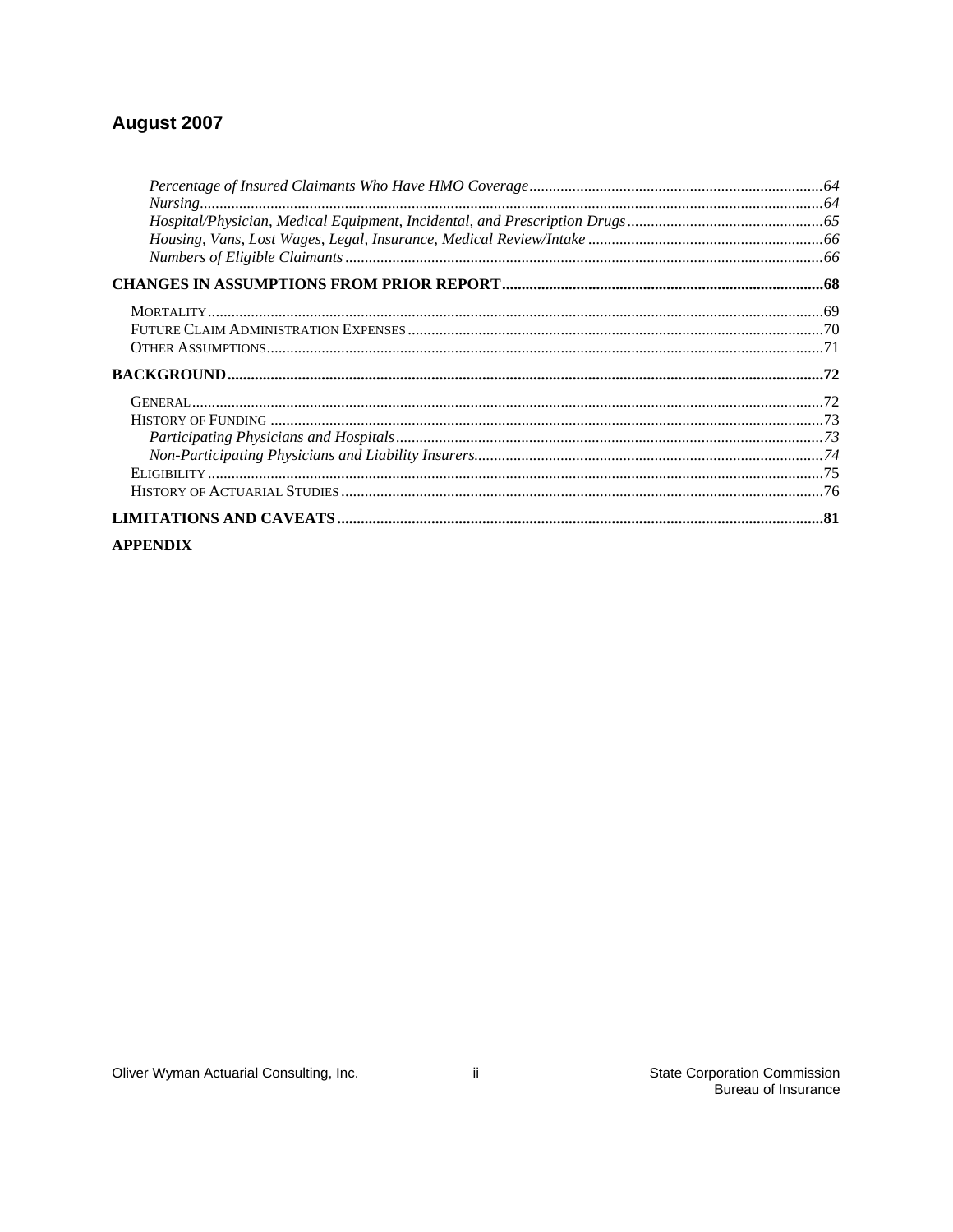### August 2007

| <b>APPENDIX</b> |  |
|-----------------|--|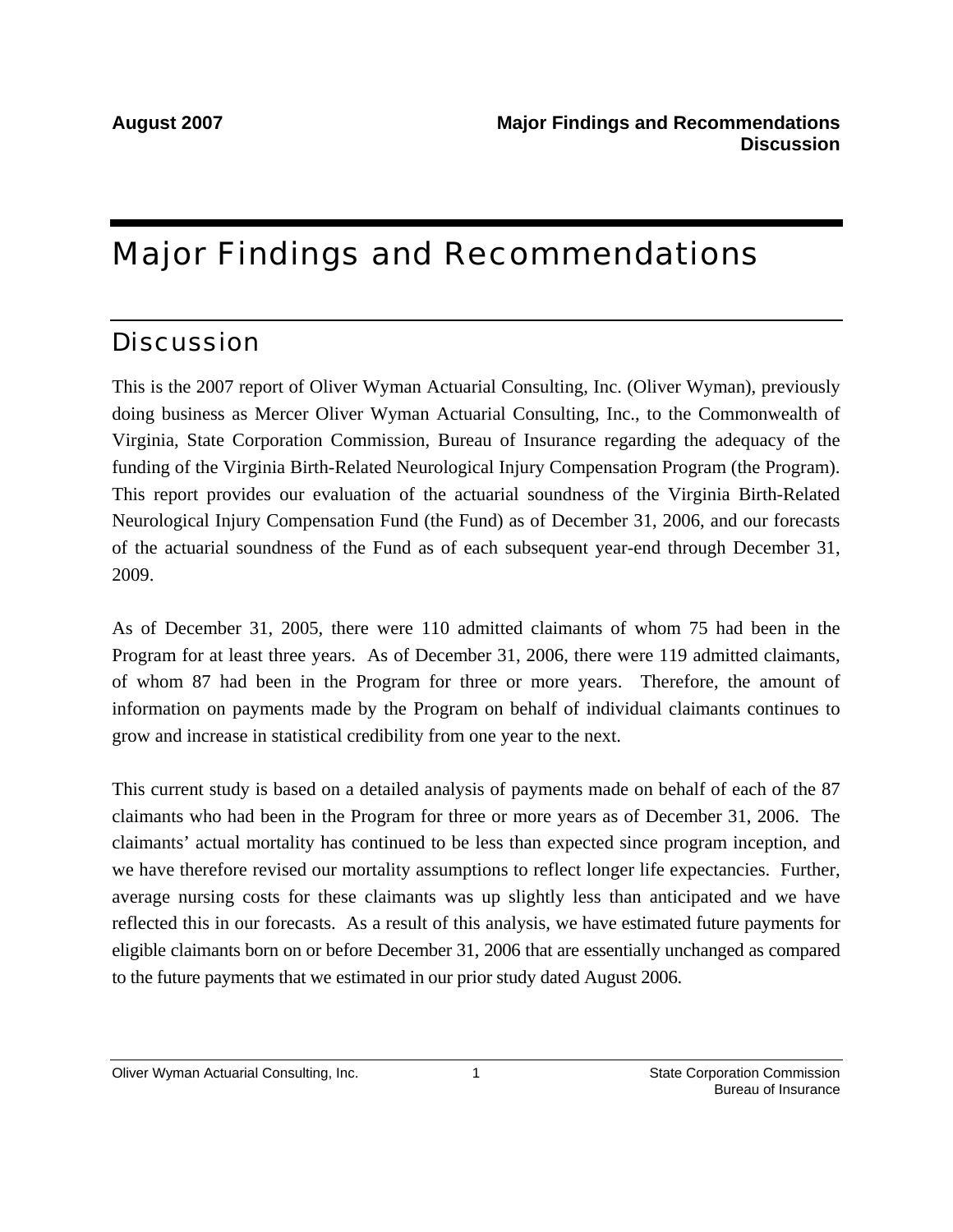# Major Findings and Recommendations

# **Discussion**

This is the 2007 report of Oliver Wyman Actuarial Consulting, Inc. (Oliver Wyman), previously doing business as Mercer Oliver Wyman Actuarial Consulting, Inc., to the Commonwealth of Virginia, State Corporation Commission, Bureau of Insurance regarding the adequacy of the funding of the Virginia Birth-Related Neurological Injury Compensation Program (the Program). This report provides our evaluation of the actuarial soundness of the Virginia Birth-Related Neurological Injury Compensation Fund (the Fund) as of December 31, 2006, and our forecasts of the actuarial soundness of the Fund as of each subsequent year-end through December 31, 2009.

As of December 31, 2005, there were 110 admitted claimants of whom 75 had been in the Program for at least three years. As of December 31, 2006, there were 119 admitted claimants, of whom 87 had been in the Program for three or more years. Therefore, the amount of information on payments made by the Program on behalf of individual claimants continues to grow and increase in statistical credibility from one year to the next.

This current study is based on a detailed analysis of payments made on behalf of each of the 87 claimants who had been in the Program for three or more years as of December 31, 2006. The claimants' actual mortality has continued to be less than expected since program inception, and we have therefore revised our mortality assumptions to reflect longer life expectancies. Further, average nursing costs for these claimants was up slightly less than anticipated and we have reflected this in our forecasts. As a result of this analysis, we have estimated future payments for eligible claimants born on or before December 31, 2006 that are essentially unchanged as compared to the future payments that we estimated in our prior study dated August 2006.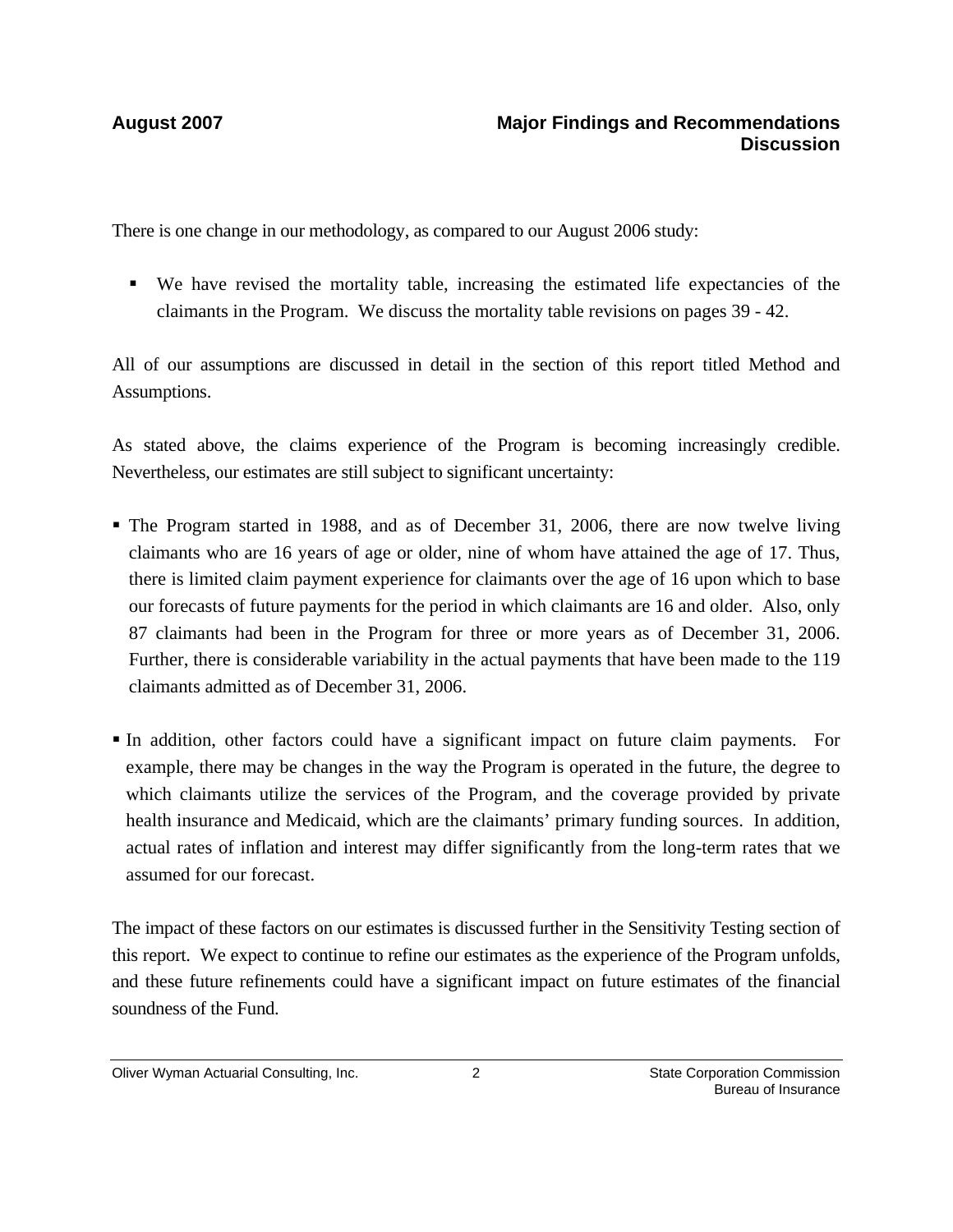There is one change in our methodology, as compared to our August 2006 study:

 We have revised the mortality table, increasing the estimated life expectancies of the claimants in the Program. We discuss the mortality table revisions on pages 39 - 42.

All of our assumptions are discussed in detail in the section of this report titled Method and Assumptions.

As stated above, the claims experience of the Program is becoming increasingly credible. Nevertheless, our estimates are still subject to significant uncertainty:

- The Program started in 1988, and as of December 31, 2006, there are now twelve living claimants who are 16 years of age or older, nine of whom have attained the age of 17. Thus, there is limited claim payment experience for claimants over the age of 16 upon which to base our forecasts of future payments for the period in which claimants are 16 and older. Also, only 87 claimants had been in the Program for three or more years as of December 31, 2006. Further, there is considerable variability in the actual payments that have been made to the 119 claimants admitted as of December 31, 2006.
- In addition, other factors could have a significant impact on future claim payments. For example, there may be changes in the way the Program is operated in the future, the degree to which claimants utilize the services of the Program, and the coverage provided by private health insurance and Medicaid, which are the claimants' primary funding sources. In addition, actual rates of inflation and interest may differ significantly from the long-term rates that we assumed for our forecast.

The impact of these factors on our estimates is discussed further in the Sensitivity Testing section of this report. We expect to continue to refine our estimates as the experience of the Program unfolds, and these future refinements could have a significant impact on future estimates of the financial soundness of the Fund.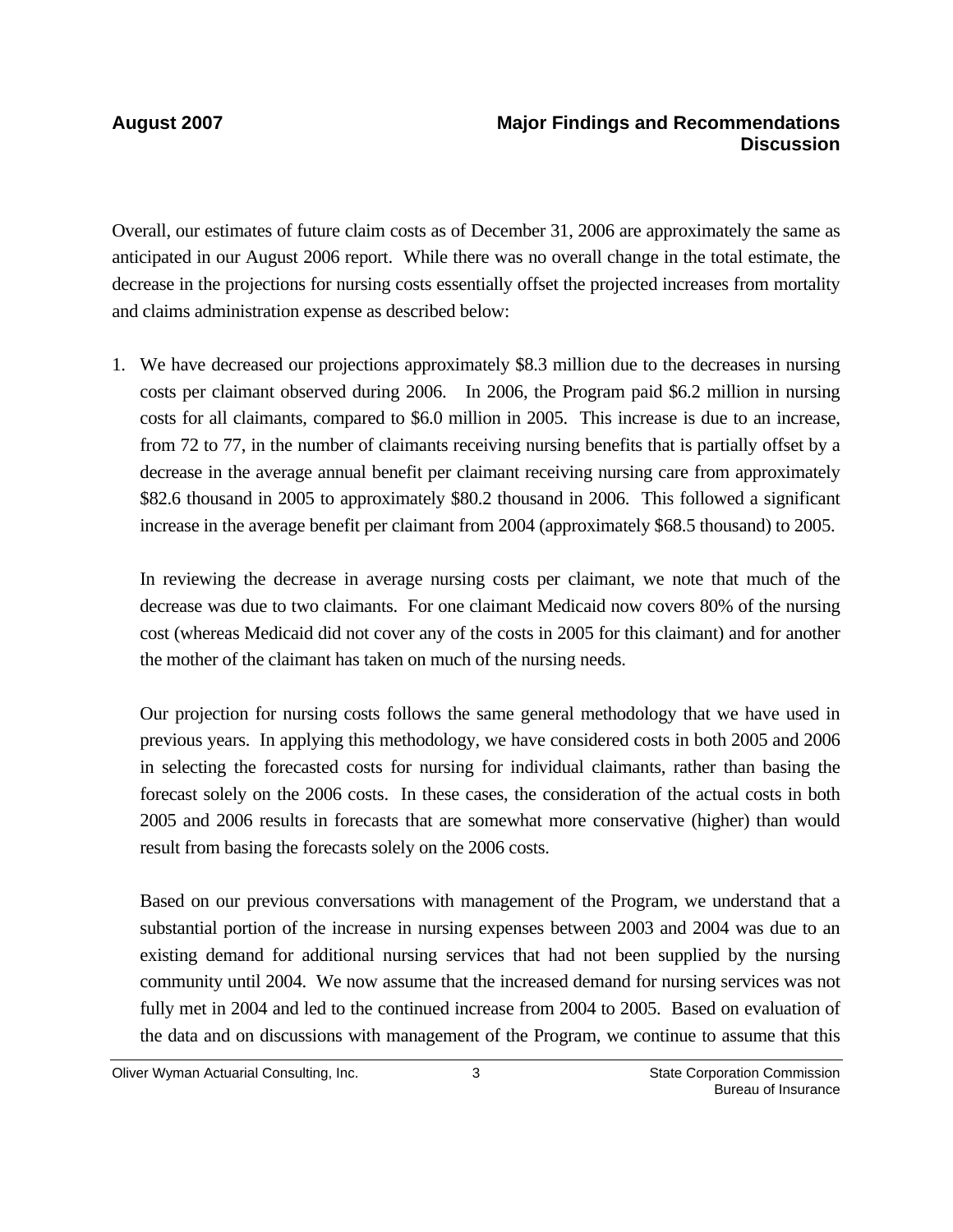Overall, our estimates of future claim costs as of December 31, 2006 are approximately the same as anticipated in our August 2006 report. While there was no overall change in the total estimate, the decrease in the projections for nursing costs essentially offset the projected increases from mortality and claims administration expense as described below:

1. We have decreased our projections approximately \$8.3 million due to the decreases in nursing costs per claimant observed during 2006. In 2006, the Program paid \$6.2 million in nursing costs for all claimants, compared to \$6.0 million in 2005. This increase is due to an increase, from 72 to 77, in the number of claimants receiving nursing benefits that is partially offset by a decrease in the average annual benefit per claimant receiving nursing care from approximately \$82.6 thousand in 2005 to approximately \$80.2 thousand in 2006. This followed a significant increase in the average benefit per claimant from 2004 (approximately \$68.5 thousand) to 2005.

In reviewing the decrease in average nursing costs per claimant, we note that much of the decrease was due to two claimants. For one claimant Medicaid now covers 80% of the nursing cost (whereas Medicaid did not cover any of the costs in 2005 for this claimant) and for another the mother of the claimant has taken on much of the nursing needs.

Our projection for nursing costs follows the same general methodology that we have used in previous years. In applying this methodology, we have considered costs in both 2005 and 2006 in selecting the forecasted costs for nursing for individual claimants, rather than basing the forecast solely on the 2006 costs. In these cases, the consideration of the actual costs in both 2005 and 2006 results in forecasts that are somewhat more conservative (higher) than would result from basing the forecasts solely on the 2006 costs.

Based on our previous conversations with management of the Program, we understand that a substantial portion of the increase in nursing expenses between 2003 and 2004 was due to an existing demand for additional nursing services that had not been supplied by the nursing community until 2004. We now assume that the increased demand for nursing services was not fully met in 2004 and led to the continued increase from 2004 to 2005. Based on evaluation of the data and on discussions with management of the Program, we continue to assume that this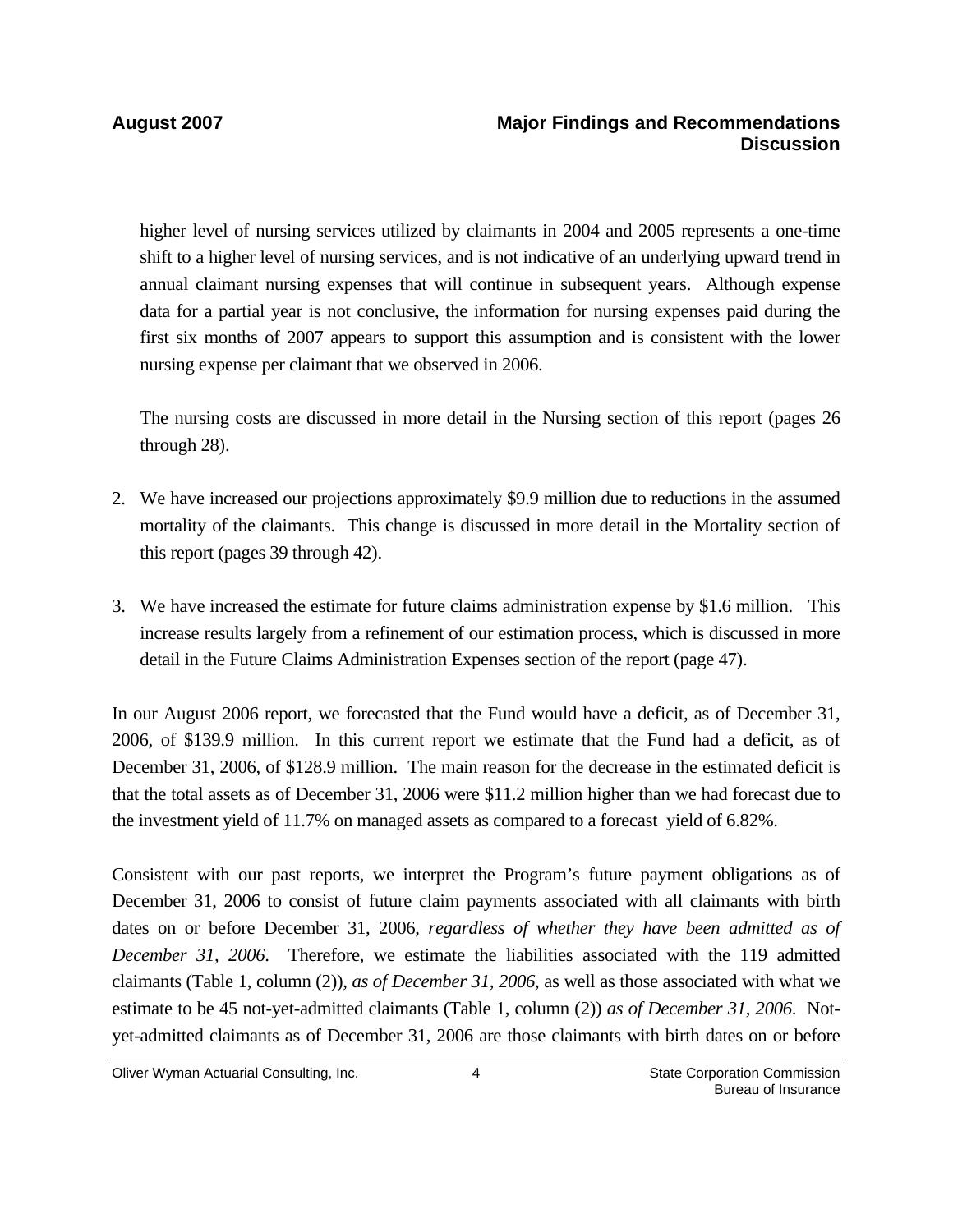higher level of nursing services utilized by claimants in 2004 and 2005 represents a one-time shift to a higher level of nursing services, and is not indicative of an underlying upward trend in annual claimant nursing expenses that will continue in subsequent years. Although expense data for a partial year is not conclusive, the information for nursing expenses paid during the first six months of 2007 appears to support this assumption and is consistent with the lower nursing expense per claimant that we observed in 2006.

The nursing costs are discussed in more detail in the Nursing section of this report (pages 26 through 28).

- 2. We have increased our projections approximately \$9.9 million due to reductions in the assumed mortality of the claimants. This change is discussed in more detail in the Mortality section of this report (pages 39 through 42).
- 3. We have increased the estimate for future claims administration expense by \$1.6 million. This increase results largely from a refinement of our estimation process, which is discussed in more detail in the Future Claims Administration Expenses section of the report (page 47).

In our August 2006 report, we forecasted that the Fund would have a deficit, as of December 31, 2006, of \$139.9 million. In this current report we estimate that the Fund had a deficit, as of December 31, 2006, of \$128.9 million. The main reason for the decrease in the estimated deficit is that the total assets as of December 31, 2006 were \$11.2 million higher than we had forecast due to the investment yield of 11.7% on managed assets as compared to a forecast yield of 6.82%.

Consistent with our past reports, we interpret the Program's future payment obligations as of December 31, 2006 to consist of future claim payments associated with all claimants with birth dates on or before December 31, 2006, *regardless of whether they have been admitted as of December 31, 2006*. Therefore, we estimate the liabilities associated with the 119 admitted claimants (Table 1, column (2)), *as of December 31, 2006,* as well as those associated with what we estimate to be 45 not-yet-admitted claimants (Table 1, column (2)) *as of December 31, 2006*. Notyet-admitted claimants as of December 31, 2006 are those claimants with birth dates on or before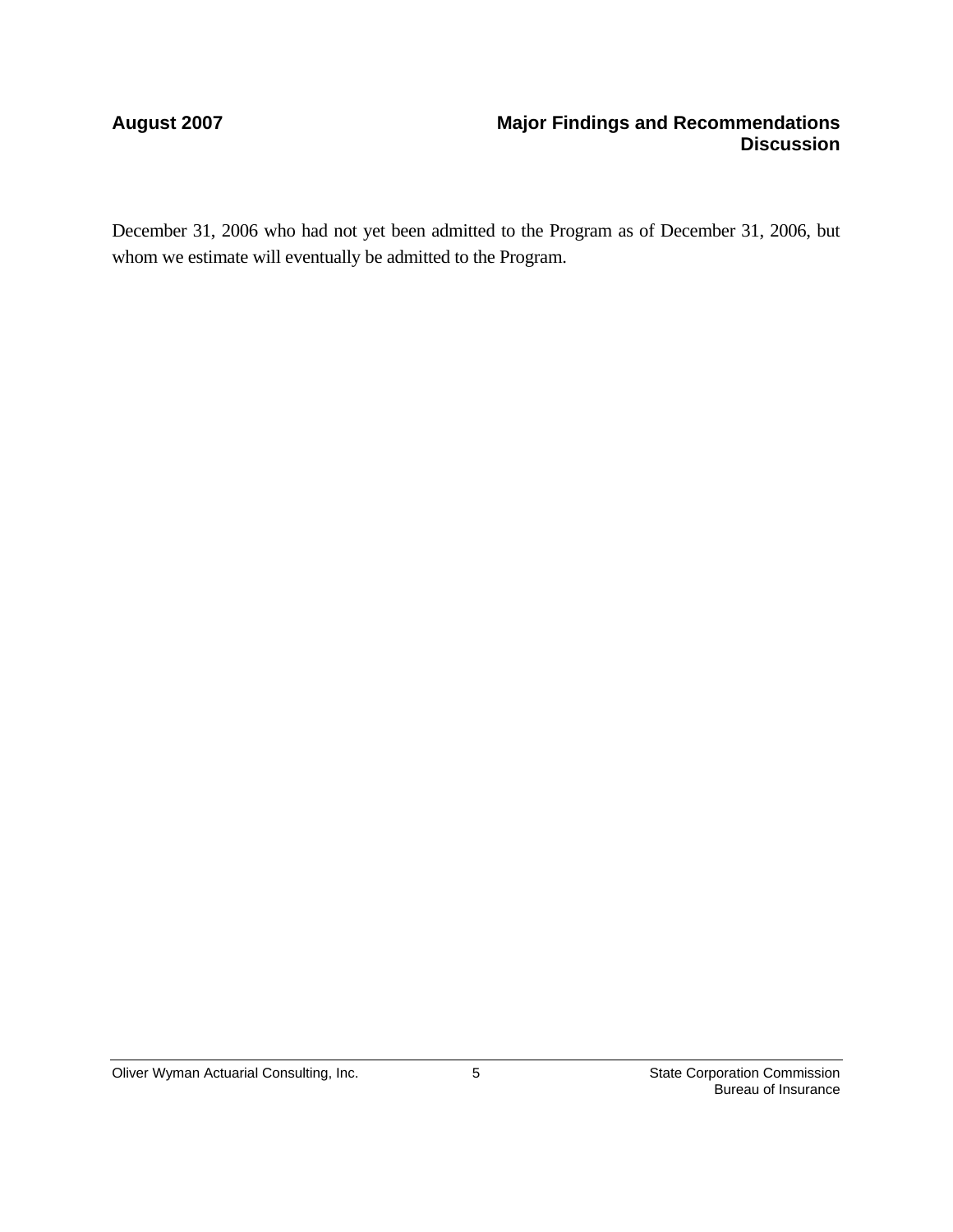### **August 2007 Major Findings and Recommendations Discussion**

December 31, 2006 who had not yet been admitted to the Program as of December 31, 2006, but whom we estimate will eventually be admitted to the Program.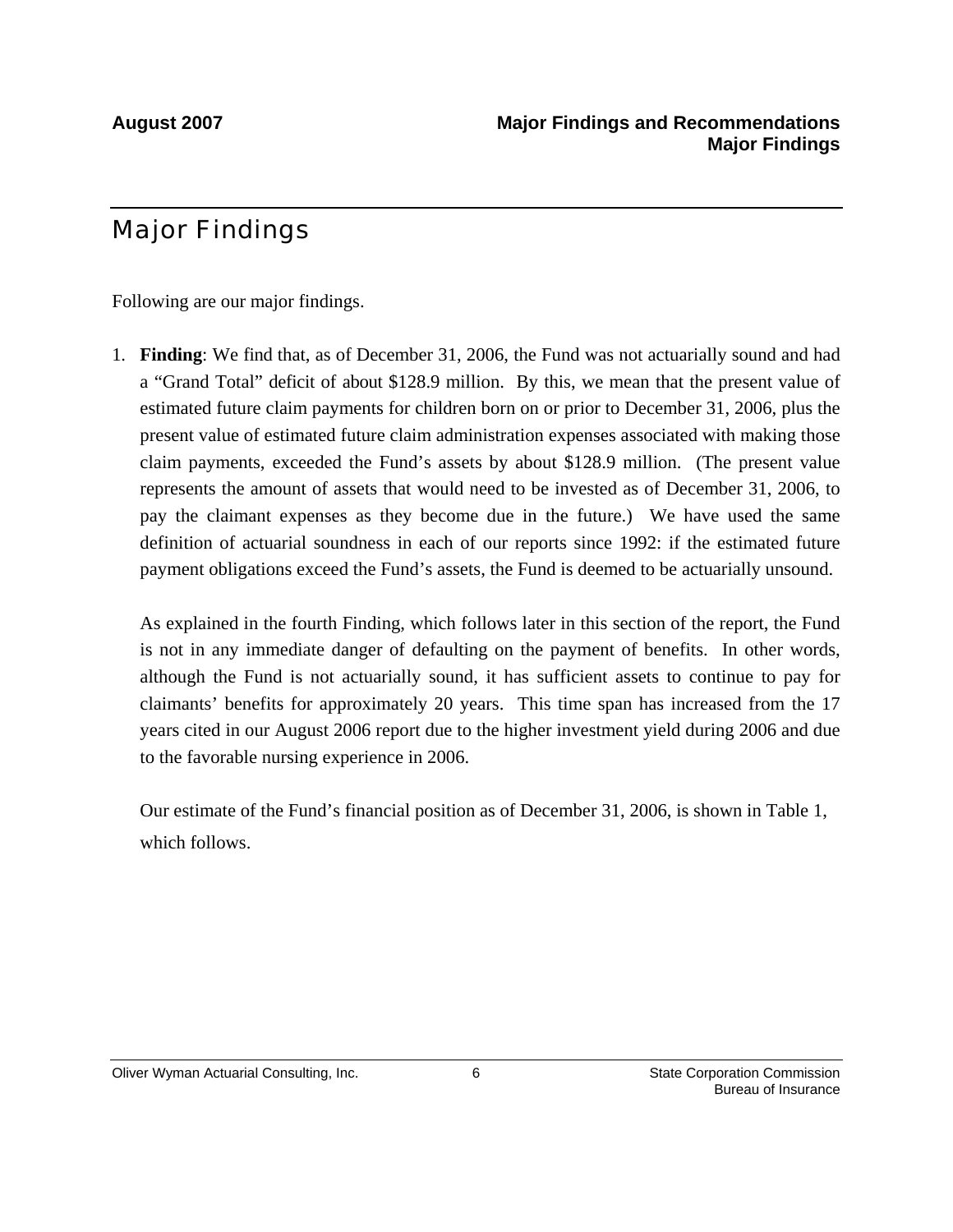# Major Findings

Following are our major findings.

1. **Finding**: We find that, as of December 31, 2006, the Fund was not actuarially sound and had a "Grand Total" deficit of about \$128.9 million. By this, we mean that the present value of estimated future claim payments for children born on or prior to December 31, 2006, plus the present value of estimated future claim administration expenses associated with making those claim payments, exceeded the Fund's assets by about \$128.9 million. (The present value represents the amount of assets that would need to be invested as of December 31, 2006, to pay the claimant expenses as they become due in the future.) We have used the same definition of actuarial soundness in each of our reports since 1992: if the estimated future payment obligations exceed the Fund's assets, the Fund is deemed to be actuarially unsound.

As explained in the fourth Finding, which follows later in this section of the report, the Fund is not in any immediate danger of defaulting on the payment of benefits. In other words, although the Fund is not actuarially sound, it has sufficient assets to continue to pay for claimants' benefits for approximately 20 years. This time span has increased from the 17 years cited in our August 2006 report due to the higher investment yield during 2006 and due to the favorable nursing experience in 2006.

Our estimate of the Fund's financial position as of December 31, 2006, is shown in Table 1, which follows.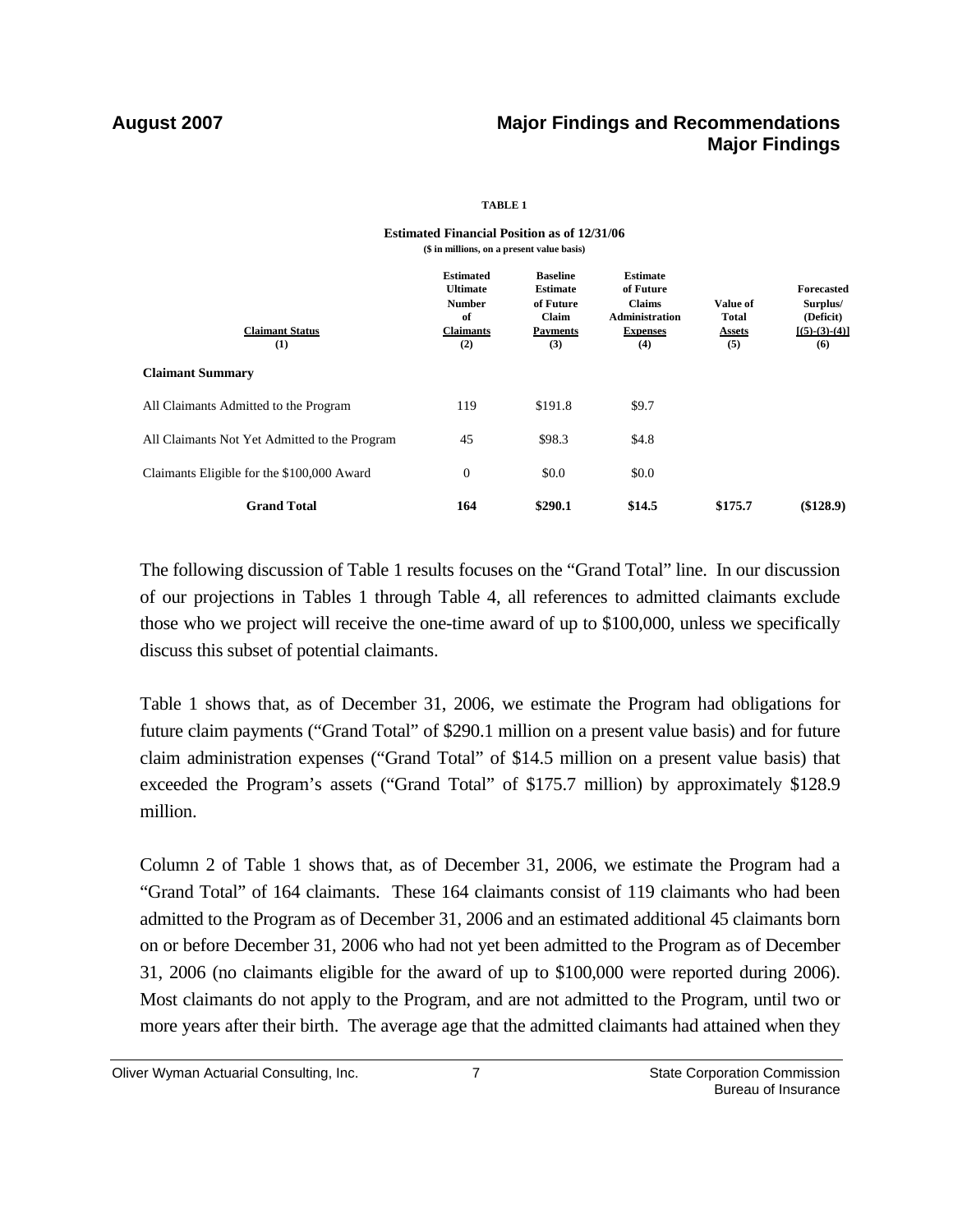### **August 2007 Major Findings and Recommendations Major Findings**

### **TABLE 1**

| <b>Estimated</b><br><b>Ultimate</b><br><b>Number</b><br>of<br><b>Claimants</b><br>(2) | <b>Baseline</b><br><b>Estimate</b><br>of Future<br>Claim<br><b>Payments</b><br>(3) | <b>Estimate</b><br>of Future<br><b>Claims</b><br><b>Administration</b><br><b>Expenses</b><br>(4) | Value of<br><b>Total</b><br><b>Assets</b><br>(5) | <b>Forecasted</b><br>Surplus/<br>(Deficit)<br>$[(5)-(3)-(4)]$<br>(6) |
|---------------------------------------------------------------------------------------|------------------------------------------------------------------------------------|--------------------------------------------------------------------------------------------------|--------------------------------------------------|----------------------------------------------------------------------|
|                                                                                       |                                                                                    |                                                                                                  |                                                  |                                                                      |
| 119                                                                                   | \$191.8                                                                            | \$9.7                                                                                            |                                                  |                                                                      |
| 45                                                                                    | \$98.3                                                                             | \$4.8                                                                                            |                                                  |                                                                      |
| $\boldsymbol{0}$                                                                      | \$0.0                                                                              | \$0.0                                                                                            |                                                  |                                                                      |
| 164                                                                                   | \$290.1                                                                            | \$14.5                                                                                           | \$175.7                                          | (\$128.9)                                                            |
|                                                                                       |                                                                                    |                                                                                                  |                                                  |                                                                      |

### **Estimated Financial Position as of 12/31/06 (\$ in millions, on a present value basis)**

 The following discussion of Table 1 results focuses on the "Grand Total" line. In our discussion of our projections in Tables 1 through Table 4, all references to admitted claimants exclude those who we project will receive the one-time award of up to \$100,000, unless we specifically discuss this subset of potential claimants.

Table 1 shows that, as of December 31, 2006, we estimate the Program had obligations for future claim payments ("Grand Total" of \$290.1 million on a present value basis) and for future claim administration expenses ("Grand Total" of \$14.5 million on a present value basis) that exceeded the Program's assets ("Grand Total" of \$175.7 million) by approximately \$128.9 million.

Column 2 of Table 1 shows that, as of December 31, 2006, we estimate the Program had a "Grand Total" of 164 claimants. These 164 claimants consist of 119 claimants who had been admitted to the Program as of December 31, 2006 and an estimated additional 45 claimants born on or before December 31, 2006 who had not yet been admitted to the Program as of December 31, 2006 (no claimants eligible for the award of up to \$100,000 were reported during 2006). Most claimants do not apply to the Program, and are not admitted to the Program, until two or more years after their birth. The average age that the admitted claimants had attained when they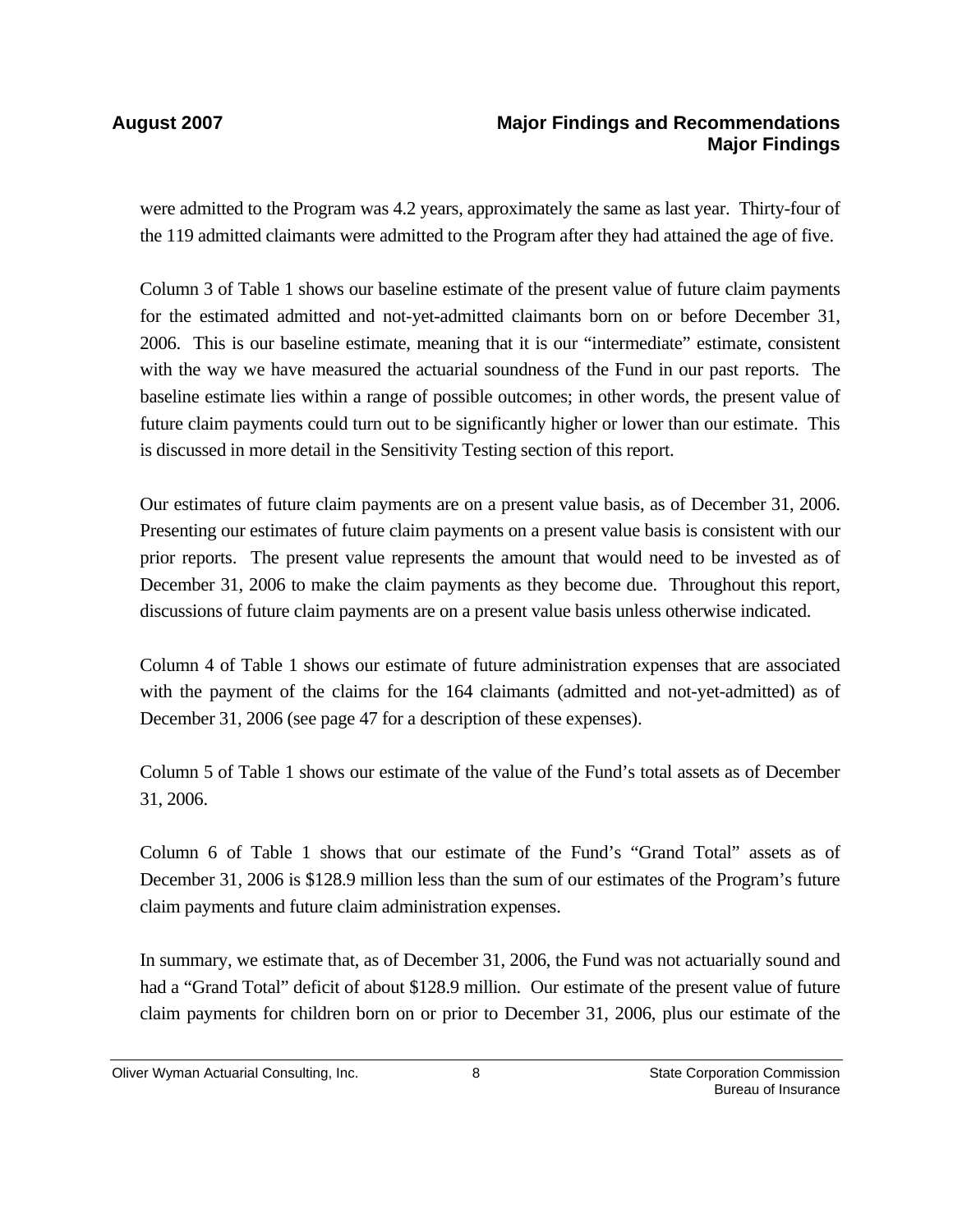### **August 2007 Major Findings and Recommendations Major Findings**

were admitted to the Program was 4.2 years, approximately the same as last year. Thirty-four of the 119 admitted claimants were admitted to the Program after they had attained the age of five.

Column 3 of Table 1 shows our baseline estimate of the present value of future claim payments for the estimated admitted and not-yet-admitted claimants born on or before December 31, 2006. This is our baseline estimate, meaning that it is our "intermediate" estimate, consistent with the way we have measured the actuarial soundness of the Fund in our past reports. The baseline estimate lies within a range of possible outcomes; in other words, the present value of future claim payments could turn out to be significantly higher or lower than our estimate. This is discussed in more detail in the Sensitivity Testing section of this report.

Our estimates of future claim payments are on a present value basis, as of December 31, 2006. Presenting our estimates of future claim payments on a present value basis is consistent with our prior reports. The present value represents the amount that would need to be invested as of December 31, 2006 to make the claim payments as they become due. Throughout this report, discussions of future claim payments are on a present value basis unless otherwise indicated.

Column 4 of Table 1 shows our estimate of future administration expenses that are associated with the payment of the claims for the 164 claimants (admitted and not-yet-admitted) as of December 31, 2006 (see page 47 for a description of these expenses).

Column 5 of Table 1 shows our estimate of the value of the Fund's total assets as of December 31, 2006.

Column 6 of Table 1 shows that our estimate of the Fund's "Grand Total" assets as of December 31, 2006 is \$128.9 million less than the sum of our estimates of the Program's future claim payments and future claim administration expenses.

In summary, we estimate that, as of December 31, 2006, the Fund was not actuarially sound and had a "Grand Total" deficit of about \$128.9 million. Our estimate of the present value of future claim payments for children born on or prior to December 31, 2006, plus our estimate of the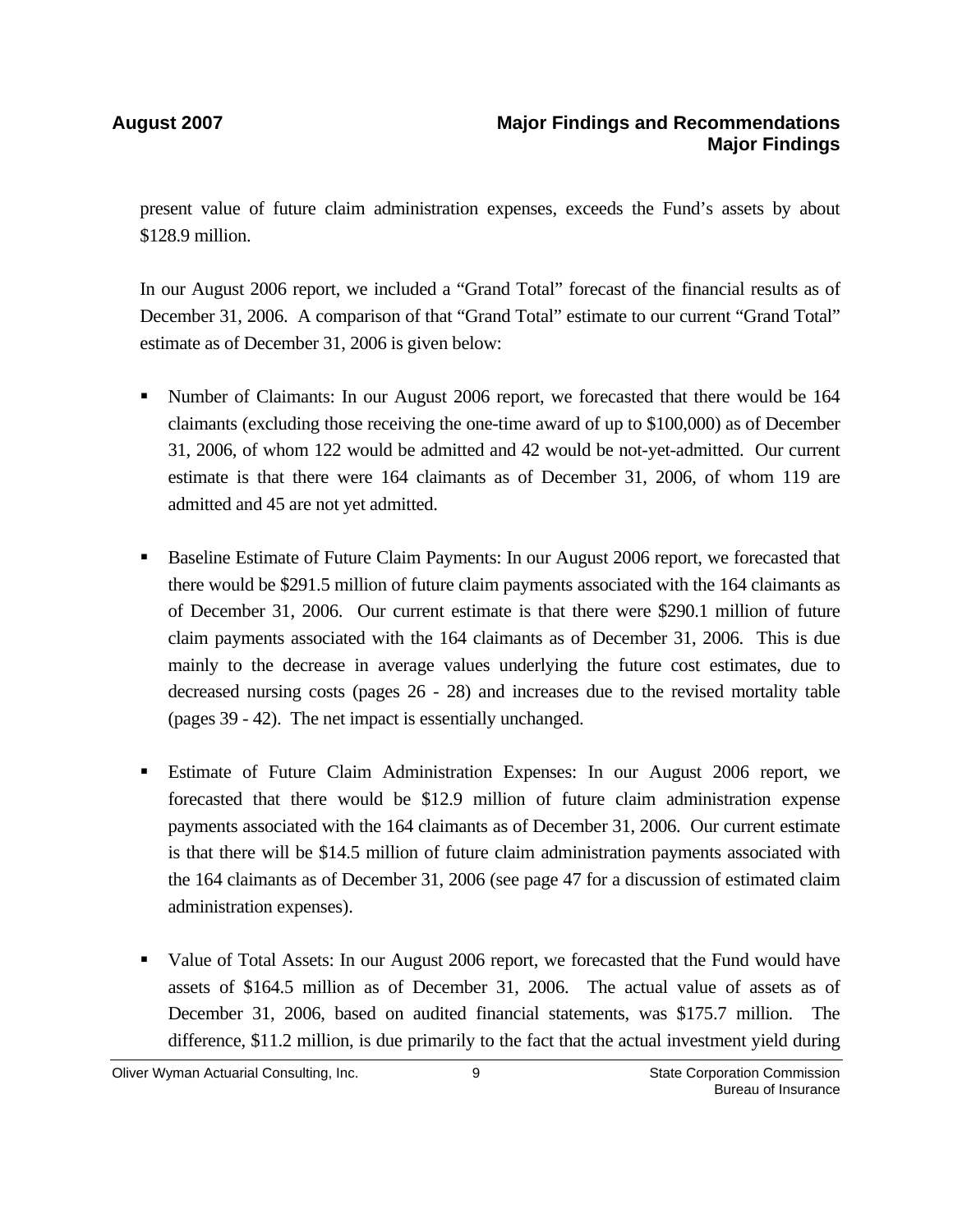present value of future claim administration expenses, exceeds the Fund's assets by about \$128.9 million.

In our August 2006 report, we included a "Grand Total" forecast of the financial results as of December 31, 2006. A comparison of that "Grand Total" estimate to our current "Grand Total" estimate as of December 31, 2006 is given below:

- Number of Claimants: In our August 2006 report, we forecasted that there would be 164 claimants (excluding those receiving the one-time award of up to \$100,000) as of December 31, 2006, of whom 122 would be admitted and 42 would be not-yet-admitted. Our current estimate is that there were 164 claimants as of December 31, 2006, of whom 119 are admitted and 45 are not yet admitted.
- **Baseline Estimate of Future Claim Payments: In our August 2006 report, we forecasted that** there would be \$291.5 million of future claim payments associated with the 164 claimants as of December 31, 2006. Our current estimate is that there were \$290.1 million of future claim payments associated with the 164 claimants as of December 31, 2006. This is due mainly to the decrease in average values underlying the future cost estimates, due to decreased nursing costs (pages 26 - 28) and increases due to the revised mortality table (pages 39 - 42). The net impact is essentially unchanged.
- Estimate of Future Claim Administration Expenses: In our August 2006 report, we forecasted that there would be \$12.9 million of future claim administration expense payments associated with the 164 claimants as of December 31, 2006. Our current estimate is that there will be \$14.5 million of future claim administration payments associated with the 164 claimants as of December 31, 2006 (see page 47 for a discussion of estimated claim administration expenses).
- Value of Total Assets: In our August 2006 report, we forecasted that the Fund would have assets of \$164.5 million as of December 31, 2006. The actual value of assets as of December 31, 2006, based on audited financial statements, was \$175.7 million. The difference, \$11.2 million, is due primarily to the fact that the actual investment yield during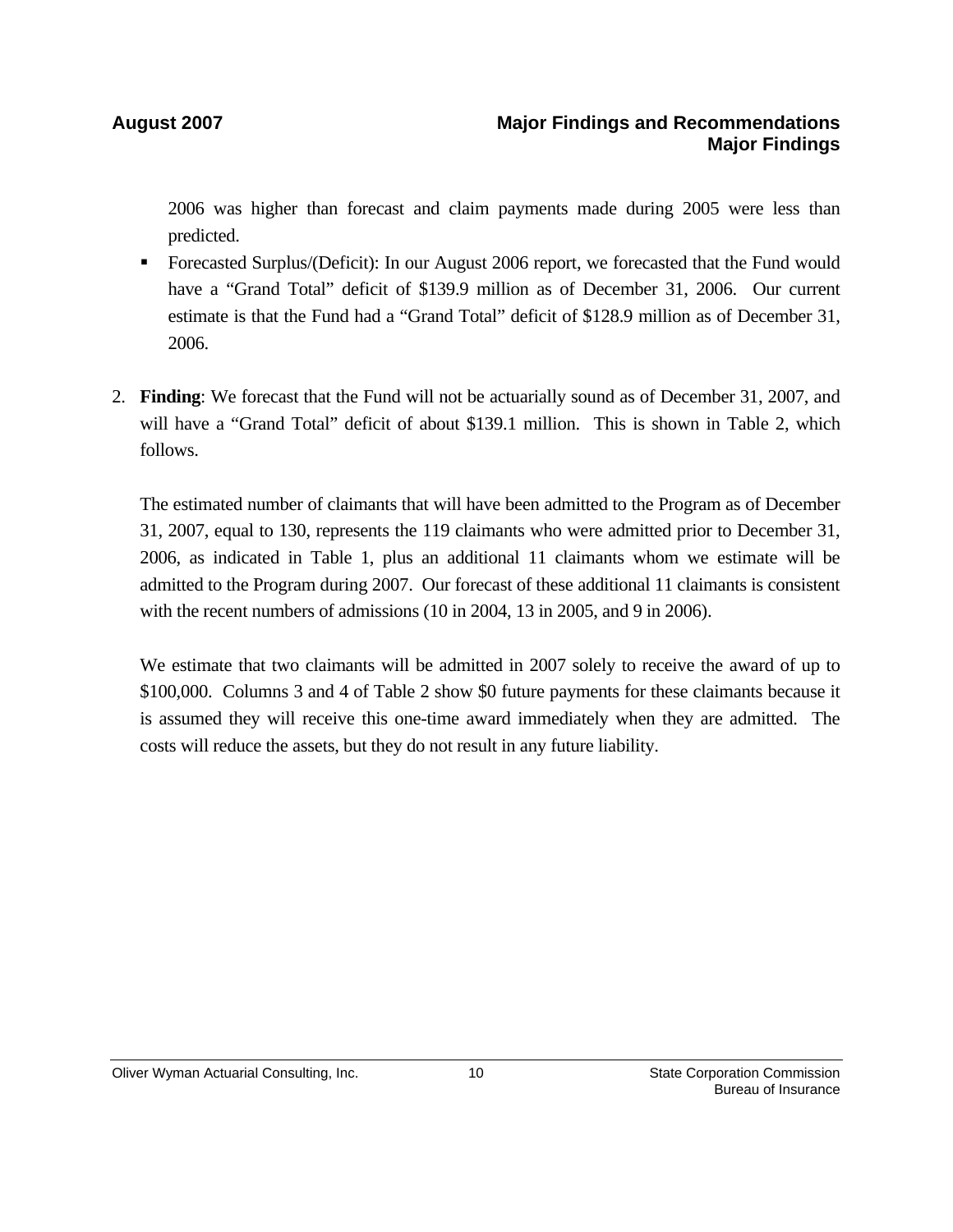2006 was higher than forecast and claim payments made during 2005 were less than predicted.

- Forecasted Surplus/(Deficit): In our August 2006 report, we forecasted that the Fund would have a "Grand Total" deficit of \$139.9 million as of December 31, 2006. Our current estimate is that the Fund had a "Grand Total" deficit of \$128.9 million as of December 31, 2006.
- 2. **Finding**: We forecast that the Fund will not be actuarially sound as of December 31, 2007, and will have a "Grand Total" deficit of about \$139.1 million. This is shown in Table 2, which follows.

The estimated number of claimants that will have been admitted to the Program as of December 31, 2007, equal to 130, represents the 119 claimants who were admitted prior to December 31, 2006, as indicated in Table 1, plus an additional 11 claimants whom we estimate will be admitted to the Program during 2007. Our forecast of these additional 11 claimants is consistent with the recent numbers of admissions (10 in 2004, 13 in 2005, and 9 in 2006).

We estimate that two claimants will be admitted in 2007 solely to receive the award of up to \$100,000. Columns 3 and 4 of Table 2 show \$0 future payments for these claimants because it is assumed they will receive this one-time award immediately when they are admitted. The costs will reduce the assets, but they do not result in any future liability.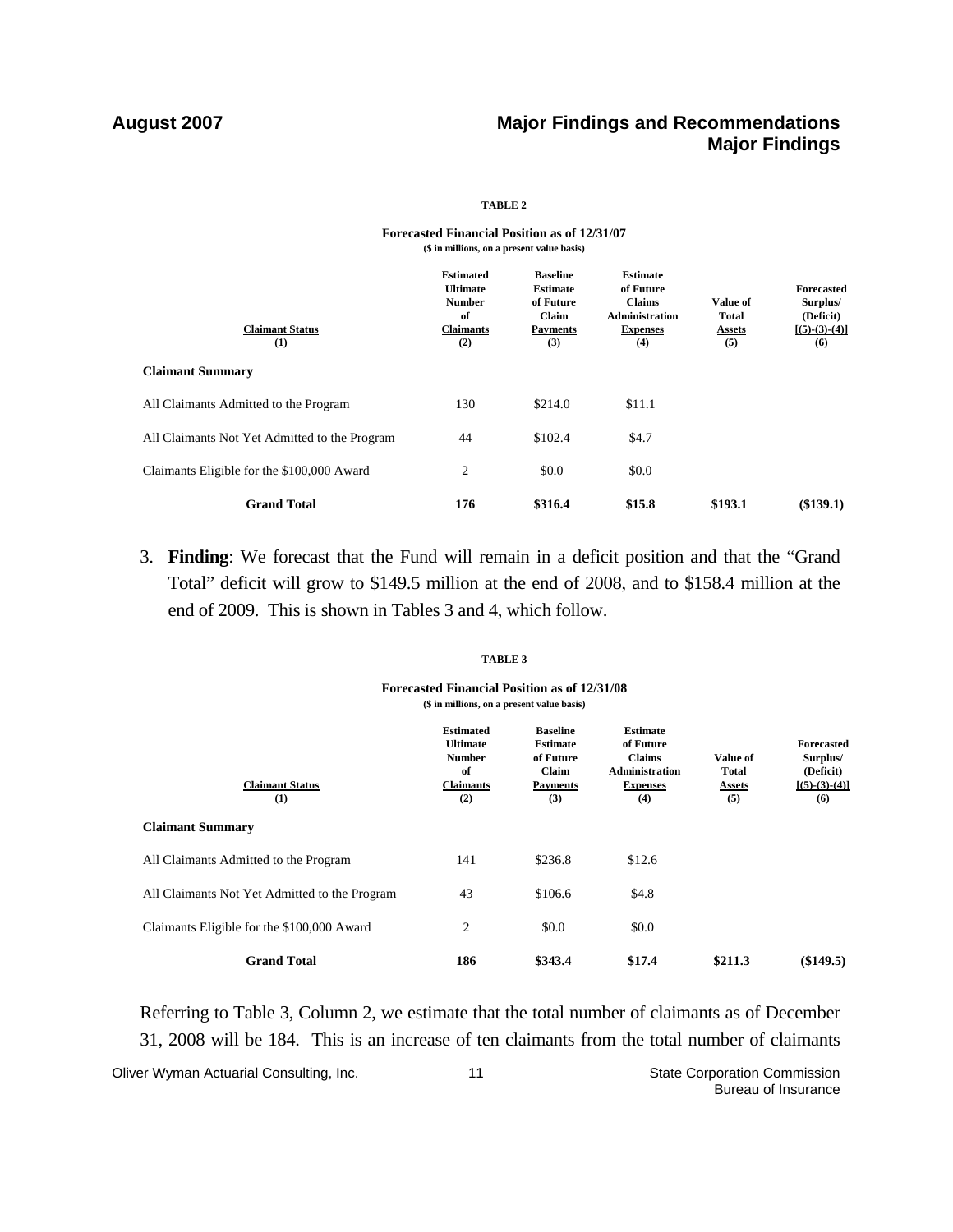### **August 2007 Major Findings and Recommendations Major Findings**

### **TABLE 2**

### **Forecasted Financial Position as of 12/31/07 (\$ in millions, on a present value basis)**

| <b>Claimant Status</b><br>(1)                 | <b>Estimated</b><br><b>Ultimate</b><br><b>Number</b><br>of<br><b>Claimants</b><br>(2) | <b>Baseline</b><br><b>Estimate</b><br>of Future<br>Claim<br><b>Payments</b><br>(3) | <b>Estimate</b><br>of Future<br><b>Claims</b><br><b>Administration</b><br><b>Expenses</b><br>(4) | Value of<br><b>Total</b><br><b>Assets</b><br>(5) | <b>Forecasted</b><br>Surplus/<br>(Deficit)<br>$[(5)-(3)-(4)]$<br>(6) |
|-----------------------------------------------|---------------------------------------------------------------------------------------|------------------------------------------------------------------------------------|--------------------------------------------------------------------------------------------------|--------------------------------------------------|----------------------------------------------------------------------|
| <b>Claimant Summary</b>                       |                                                                                       |                                                                                    |                                                                                                  |                                                  |                                                                      |
| All Claimants Admitted to the Program         | 130                                                                                   | \$214.0                                                                            | \$11.1                                                                                           |                                                  |                                                                      |
| All Claimants Not Yet Admitted to the Program | 44                                                                                    | \$102.4                                                                            | \$4.7                                                                                            |                                                  |                                                                      |
| Claimants Eligible for the \$100,000 Award    | 2                                                                                     | \$0.0                                                                              | \$0.0                                                                                            |                                                  |                                                                      |
| <b>Grand Total</b>                            | 176                                                                                   | \$316.4                                                                            | \$15.8                                                                                           | \$193.1                                          | (\$139.1)                                                            |

3. **Finding**: We forecast that the Fund will remain in a deficit position and that the "Grand Total" deficit will grow to \$149.5 million at the end of 2008, and to \$158.4 million at the end of 2009. This is shown in Tables 3 and 4, which follow.

### **TABLE 3**

### **Forecasted Financial Position as of 12/31/08 (\$ in millions, on a present value basis)**

| <b>Claimant Status</b><br>(1)                 | <b>Estimated</b><br><b>Ultimate</b><br><b>Number</b><br>of<br><b>Claimants</b><br>(2) | <b>Baseline</b><br><b>Estimate</b><br>of Future<br>Claim<br><b>Payments</b><br>(3) | <b>Estimate</b><br>of Future<br><b>Claims</b><br><b>Administration</b><br><b>Expenses</b><br>(4) | Value of<br>Total<br><b>Assets</b><br>(5) | <b>Forecasted</b><br>Surplus/<br>(Deficit)<br>$[(5)-(3)-(4)]$<br>(6) |
|-----------------------------------------------|---------------------------------------------------------------------------------------|------------------------------------------------------------------------------------|--------------------------------------------------------------------------------------------------|-------------------------------------------|----------------------------------------------------------------------|
| <b>Claimant Summary</b>                       |                                                                                       |                                                                                    |                                                                                                  |                                           |                                                                      |
| All Claimants Admitted to the Program         | 141                                                                                   | \$236.8                                                                            | \$12.6                                                                                           |                                           |                                                                      |
| All Claimants Not Yet Admitted to the Program | 43                                                                                    | \$106.6                                                                            | \$4.8                                                                                            |                                           |                                                                      |
| Claimants Eligible for the \$100,000 Award    | 2                                                                                     | \$0.0                                                                              | \$0.0                                                                                            |                                           |                                                                      |
| <b>Grand Total</b>                            | 186                                                                                   | \$343.4                                                                            | \$17.4                                                                                           | \$211.3                                   | (\$149.5)                                                            |

Referring to Table 3, Column 2, we estimate that the total number of claimants as of December 31, 2008 will be 184. This is an increase of ten claimants from the total number of claimants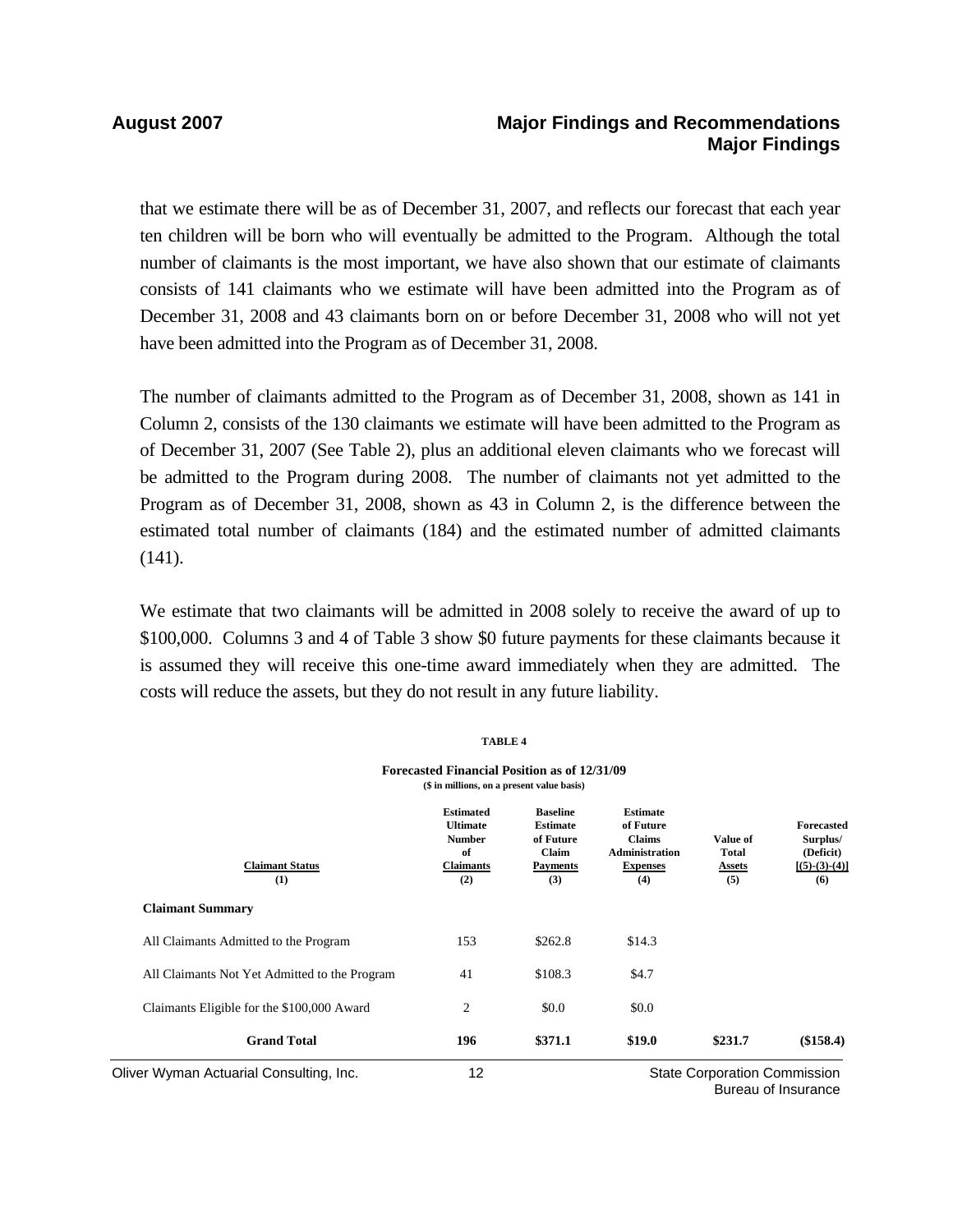### **August 2007 Major Findings and Recommendations Major Findings**

that we estimate there will be as of December 31, 2007, and reflects our forecast that each year ten children will be born who will eventually be admitted to the Program. Although the total number of claimants is the most important, we have also shown that our estimate of claimants consists of 141 claimants who we estimate will have been admitted into the Program as of December 31, 2008 and 43 claimants born on or before December 31, 2008 who will not yet have been admitted into the Program as of December 31, 2008.

The number of claimants admitted to the Program as of December 31, 2008, shown as 141 in Column 2, consists of the 130 claimants we estimate will have been admitted to the Program as of December 31, 2007 (See Table 2), plus an additional eleven claimants who we forecast will be admitted to the Program during 2008. The number of claimants not yet admitted to the Program as of December 31, 2008, shown as 43 in Column 2, is the difference between the estimated total number of claimants (184) and the estimated number of admitted claimants (141).

We estimate that two claimants will be admitted in 2008 solely to receive the award of up to \$100,000. Columns 3 and 4 of Table 3 show \$0 future payments for these claimants because it is assumed they will receive this one-time award immediately when they are admitted. The costs will reduce the assets, but they do not result in any future liability.

**TABLE 4** 

|                                               | TABLE 4                                                                                           |                                                                                    |                                                                                                  |                                                  |                                                                      |
|-----------------------------------------------|---------------------------------------------------------------------------------------------------|------------------------------------------------------------------------------------|--------------------------------------------------------------------------------------------------|--------------------------------------------------|----------------------------------------------------------------------|
|                                               | <b>Forecasted Financial Position as of 12/31/09</b><br>(\$ in millions, on a present value basis) |                                                                                    |                                                                                                  |                                                  |                                                                      |
| <b>Claimant Status</b><br>(1)                 | <b>Estimated</b><br><b>Ultimate</b><br><b>Number</b><br>of<br><b>Claimants</b><br>(2)             | <b>Baseline</b><br><b>Estimate</b><br>of Future<br>Claim<br><b>Payments</b><br>(3) | <b>Estimate</b><br>of Future<br><b>Claims</b><br><b>Administration</b><br><b>Expenses</b><br>(4) | Value of<br><b>Total</b><br><u>Assets</u><br>(5) | <b>Forecasted</b><br>Surplus/<br>(Deficit)<br>$[(5)-(3)-(4)]$<br>(6) |
| <b>Claimant Summary</b>                       |                                                                                                   |                                                                                    |                                                                                                  |                                                  |                                                                      |
| All Claimants Admitted to the Program         | 153                                                                                               | \$262.8                                                                            | \$14.3                                                                                           |                                                  |                                                                      |
| All Claimants Not Yet Admitted to the Program | 41                                                                                                | \$108.3                                                                            | \$4.7                                                                                            |                                                  |                                                                      |
| Claimants Eligible for the \$100,000 Award    | $\overline{2}$                                                                                    | \$0.0                                                                              | \$0.0                                                                                            |                                                  |                                                                      |
| <b>Grand Total</b>                            | 196                                                                                               | \$371.1                                                                            | \$19.0                                                                                           | \$231.7                                          | (\$158.4)                                                            |
| Oliver Wyman Actuarial Consulting, Inc.       | 12                                                                                                |                                                                                    |                                                                                                  | <b>State Corporation Commission</b>              |                                                                      |

Bureau of Insurance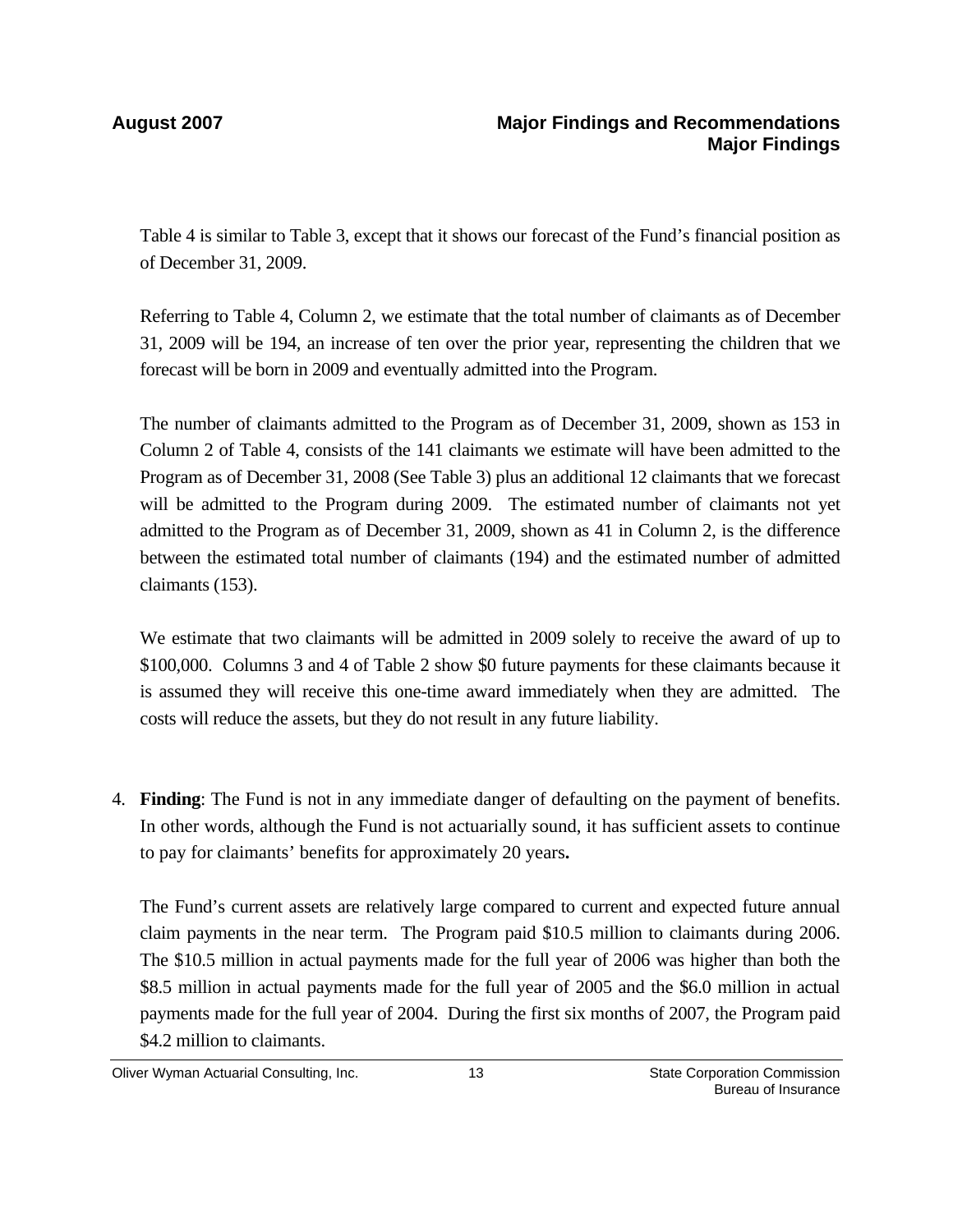Table 4 is similar to Table 3, except that it shows our forecast of the Fund's financial position as of December 31, 2009.

Referring to Table 4, Column 2, we estimate that the total number of claimants as of December 31, 2009 will be 194, an increase of ten over the prior year, representing the children that we forecast will be born in 2009 and eventually admitted into the Program.

The number of claimants admitted to the Program as of December 31, 2009, shown as 153 in Column 2 of Table 4, consists of the 141 claimants we estimate will have been admitted to the Program as of December 31, 2008 (See Table 3) plus an additional 12 claimants that we forecast will be admitted to the Program during 2009. The estimated number of claimants not yet admitted to the Program as of December 31, 2009, shown as 41 in Column 2, is the difference between the estimated total number of claimants (194) and the estimated number of admitted claimants (153).

We estimate that two claimants will be admitted in 2009 solely to receive the award of up to \$100,000. Columns 3 and 4 of Table 2 show \$0 future payments for these claimants because it is assumed they will receive this one-time award immediately when they are admitted. The costs will reduce the assets, but they do not result in any future liability.

4. **Finding**: The Fund is not in any immediate danger of defaulting on the payment of benefits. In other words, although the Fund is not actuarially sound, it has sufficient assets to continue to pay for claimants' benefits for approximately 20 years**.**

The Fund's current assets are relatively large compared to current and expected future annual claim payments in the near term. The Program paid \$10.5 million to claimants during 2006. The \$10.5 million in actual payments made for the full year of 2006 was higher than both the \$8.5 million in actual payments made for the full year of 2005 and the \$6.0 million in actual payments made for the full year of 2004. During the first six months of 2007, the Program paid \$4.2 million to claimants.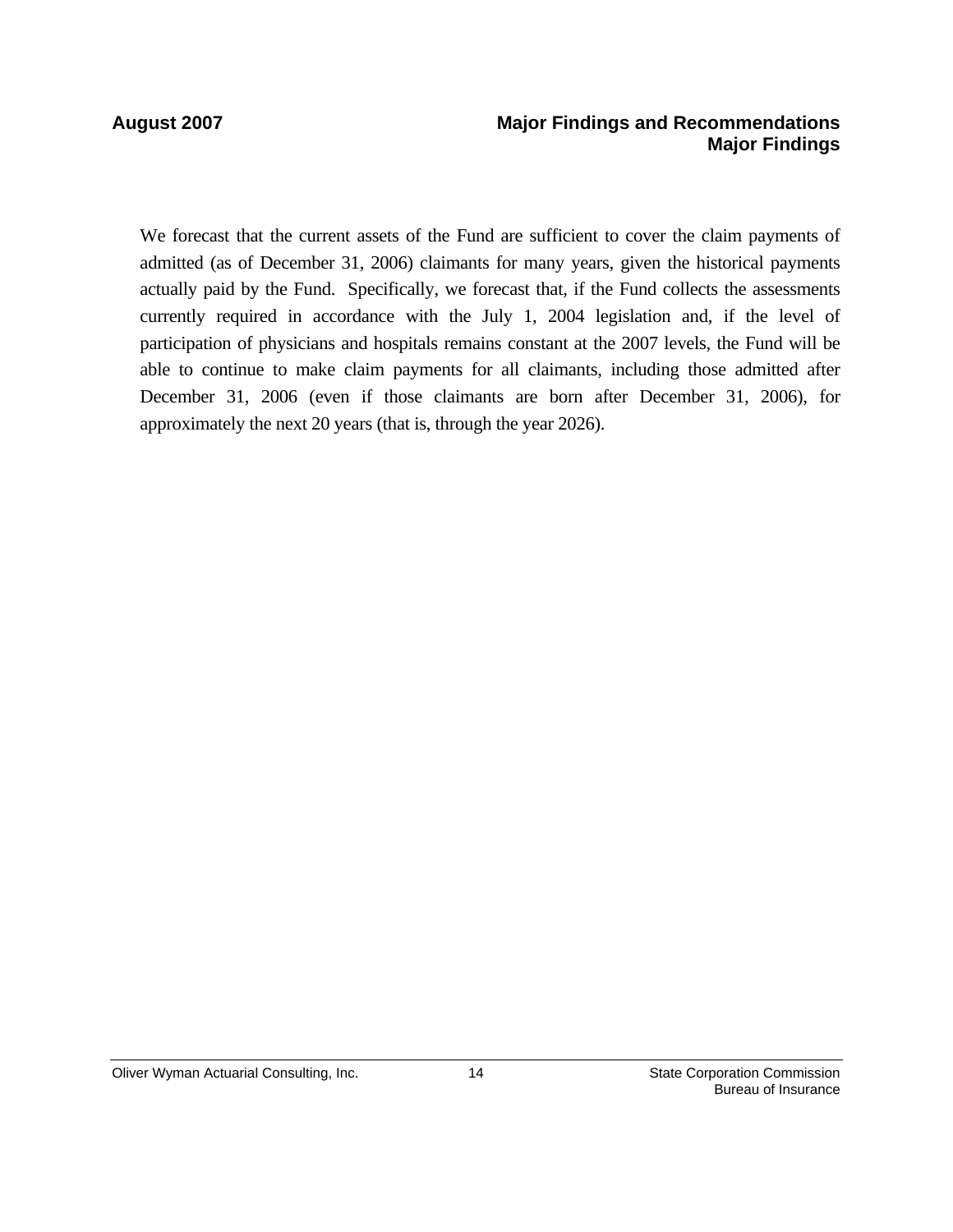### **August 2007 Major Findings and Recommendations Major Findings**

We forecast that the current assets of the Fund are sufficient to cover the claim payments of admitted (as of December 31, 2006) claimants for many years, given the historical payments actually paid by the Fund. Specifically, we forecast that, if the Fund collects the assessments currently required in accordance with the July 1, 2004 legislation and, if the level of participation of physicians and hospitals remains constant at the 2007 levels, the Fund will be able to continue to make claim payments for all claimants, including those admitted after December 31, 2006 (even if those claimants are born after December 31, 2006), for approximately the next 20 years (that is, through the year 2026).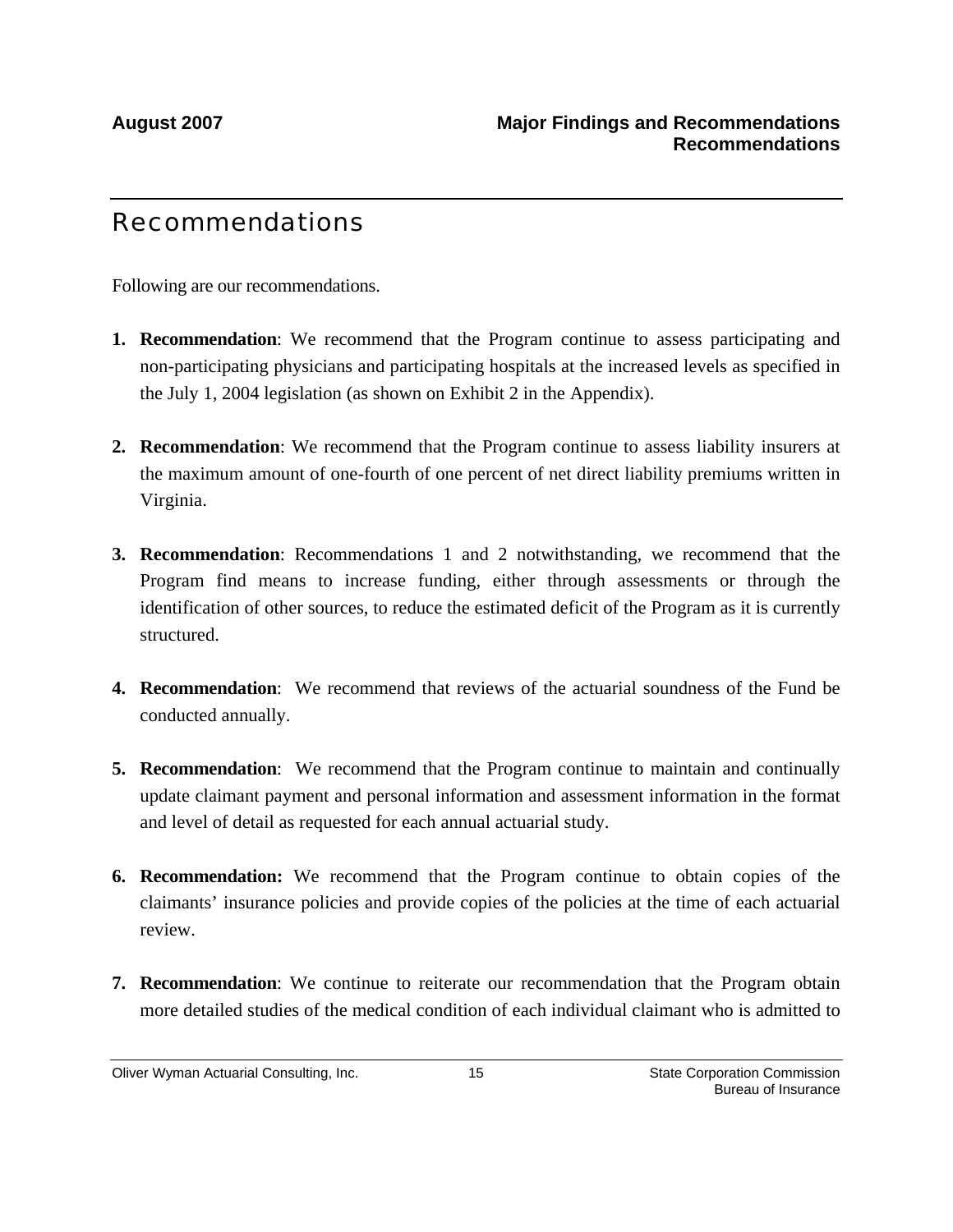# Recommendations

Following are our recommendations.

- **1. Recommendation**: We recommend that the Program continue to assess participating and non-participating physicians and participating hospitals at the increased levels as specified in the July 1, 2004 legislation (as shown on Exhibit 2 in the Appendix).
- **2. Recommendation**: We recommend that the Program continue to assess liability insurers at the maximum amount of one-fourth of one percent of net direct liability premiums written in Virginia.
- **3. Recommendation**: Recommendations 1 and 2 notwithstanding, we recommend that the Program find means to increase funding, either through assessments or through the identification of other sources, to reduce the estimated deficit of the Program as it is currently structured.
- **4. Recommendation**: We recommend that reviews of the actuarial soundness of the Fund be conducted annually.
- **5. Recommendation**: We recommend that the Program continue to maintain and continually update claimant payment and personal information and assessment information in the format and level of detail as requested for each annual actuarial study.
- **6. Recommendation:** We recommend that the Program continue to obtain copies of the claimants' insurance policies and provide copies of the policies at the time of each actuarial review.
- **7. Recommendation**: We continue to reiterate our recommendation that the Program obtain more detailed studies of the medical condition of each individual claimant who is admitted to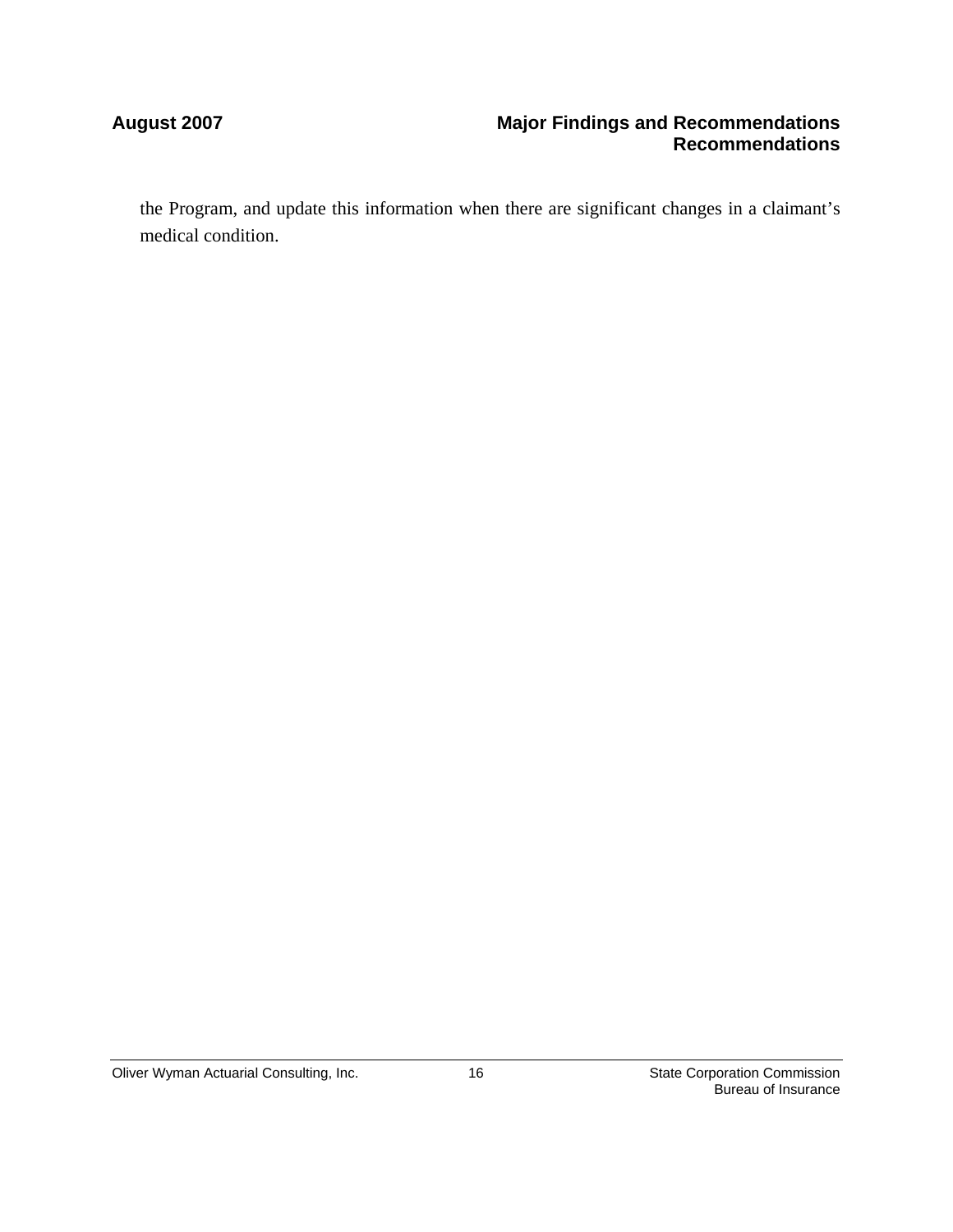### **August 2007 Major Findings and Recommendations Recommendations**

the Program, and update this information when there are significant changes in a claimant's medical condition.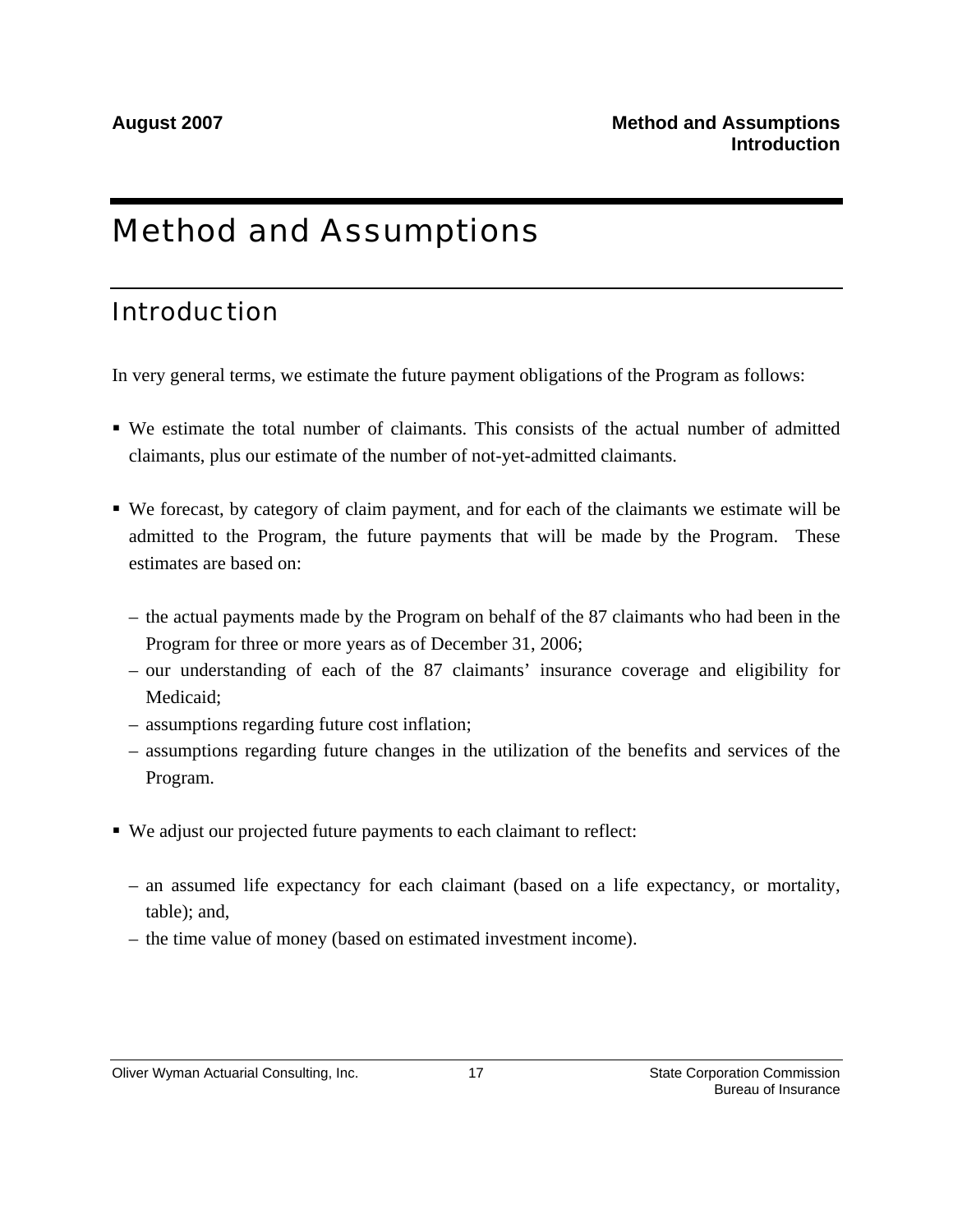# Method and Assumptions

# Introduction

In very general terms, we estimate the future payment obligations of the Program as follows:

- We estimate the total number of claimants. This consists of the actual number of admitted claimants, plus our estimate of the number of not-yet-admitted claimants.
- We forecast, by category of claim payment, and for each of the claimants we estimate will be admitted to the Program, the future payments that will be made by the Program. These estimates are based on:
	- the actual payments made by the Program on behalf of the 87 claimants who had been in the Program for three or more years as of December 31, 2006;
	- our understanding of each of the 87 claimants' insurance coverage and eligibility for Medicaid;
	- assumptions regarding future cost inflation;
	- assumptions regarding future changes in the utilization of the benefits and services of the Program.
- We adjust our projected future payments to each claimant to reflect:
	- an assumed life expectancy for each claimant (based on a life expectancy, or mortality, table); and,
	- the time value of money (based on estimated investment income).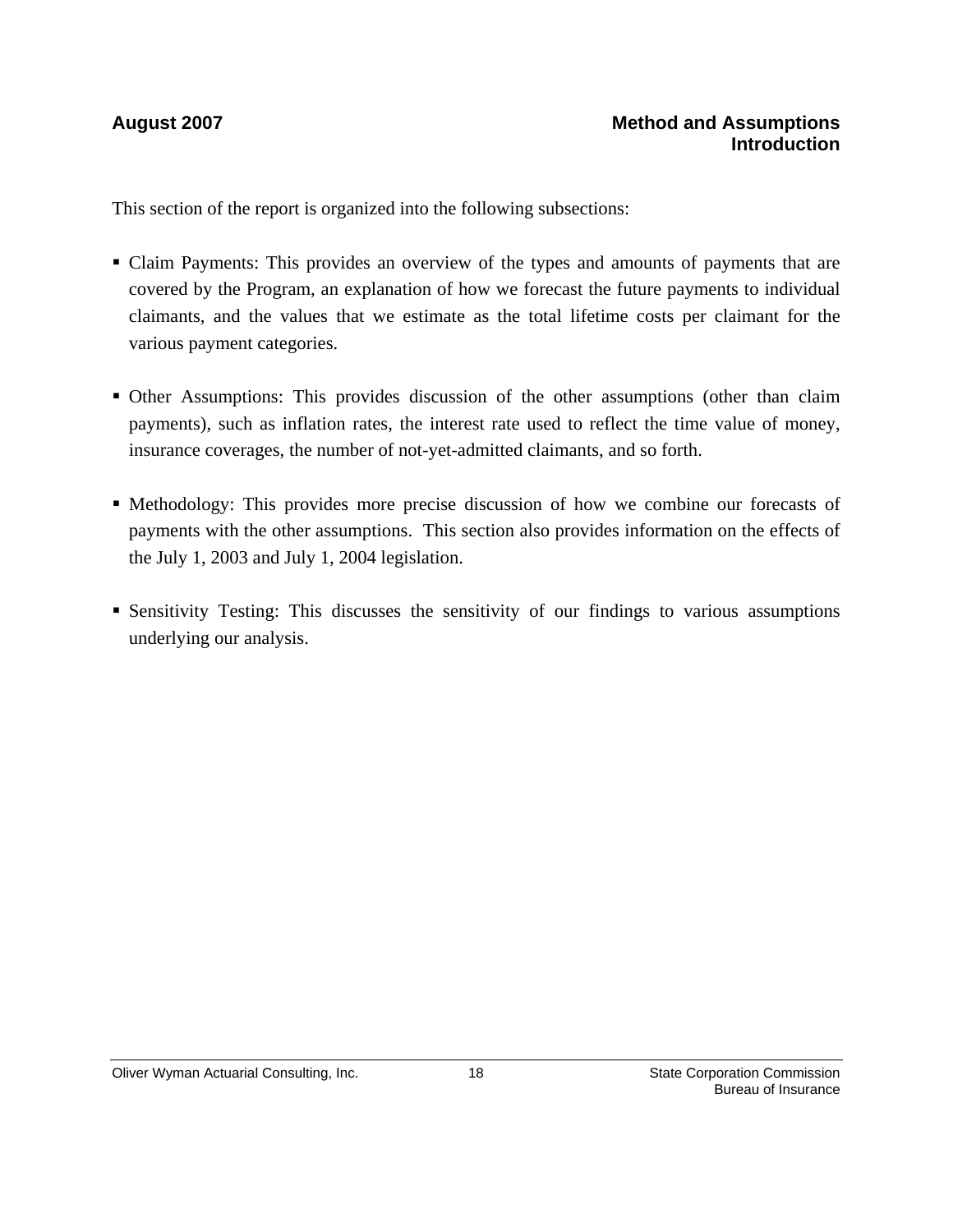This section of the report is organized into the following subsections:

- Claim Payments: This provides an overview of the types and amounts of payments that are covered by the Program, an explanation of how we forecast the future payments to individual claimants, and the values that we estimate as the total lifetime costs per claimant for the various payment categories.
- Other Assumptions: This provides discussion of the other assumptions (other than claim payments), such as inflation rates, the interest rate used to reflect the time value of money, insurance coverages, the number of not-yet-admitted claimants, and so forth.
- Methodology: This provides more precise discussion of how we combine our forecasts of payments with the other assumptions. This section also provides information on the effects of the July 1, 2003 and July 1, 2004 legislation.
- Sensitivity Testing: This discusses the sensitivity of our findings to various assumptions underlying our analysis.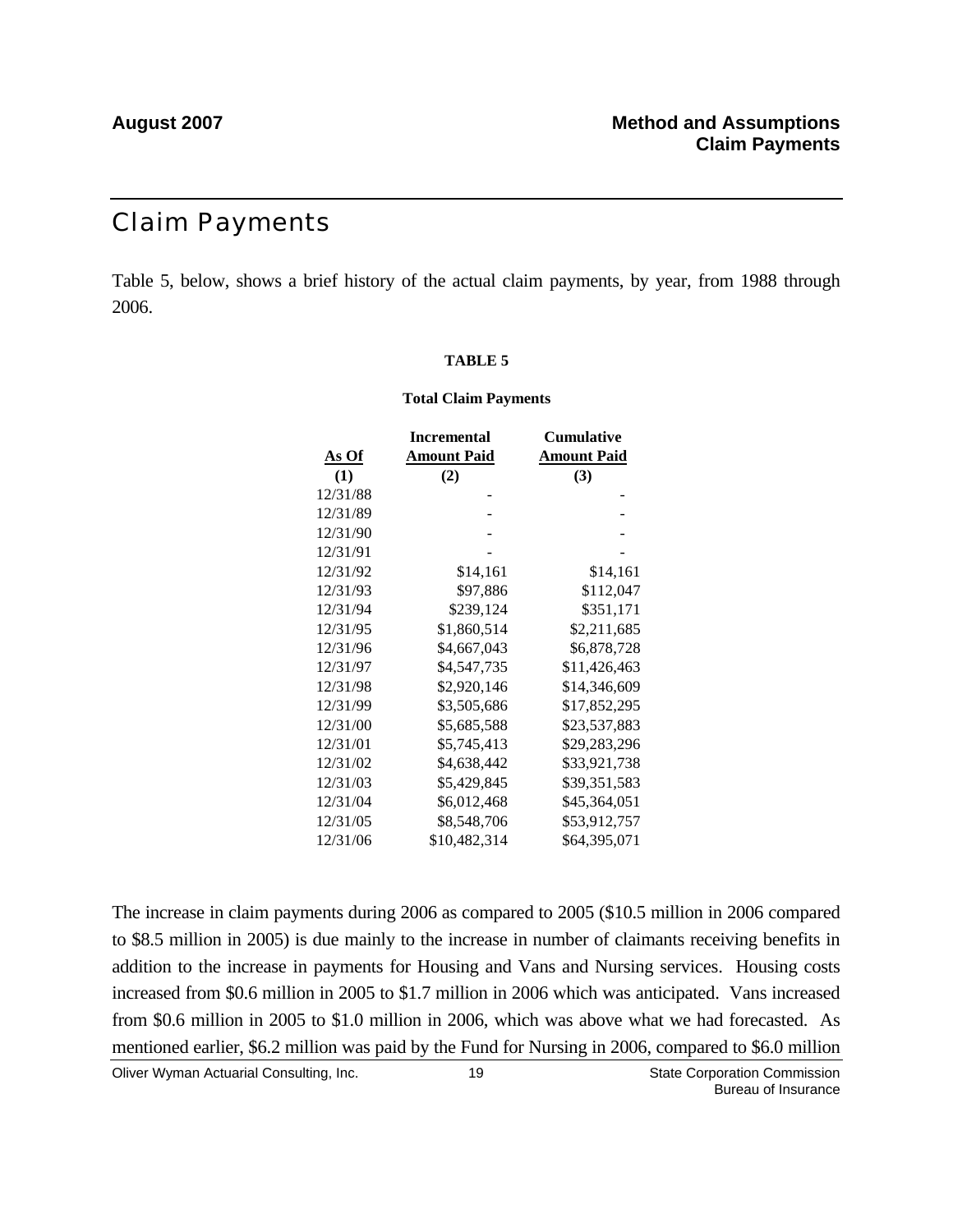### Claim Payments

Table 5, below, shows a brief history of the actual claim payments, by year, from 1988 through 2006.

### **TABLE 5**

### **Total Claim Payments**

|          | <b>Incremental</b> | Cumulative         |
|----------|--------------------|--------------------|
| As Of    | <b>Amount Paid</b> | <b>Amount Paid</b> |
| (1)      | (2)                | (3)                |
| 12/31/88 |                    |                    |
| 12/31/89 |                    |                    |
| 12/31/90 |                    |                    |
| 12/31/91 |                    |                    |
| 12/31/92 | \$14,161           | \$14,161           |
| 12/31/93 | \$97,886           | \$112,047          |
| 12/31/94 | \$239,124          | \$351,171          |
| 12/31/95 | \$1,860,514        | \$2,211,685        |
| 12/31/96 | \$4,667,043        | \$6,878,728        |
| 12/31/97 | \$4,547,735        | \$11,426,463       |
| 12/31/98 | \$2,920,146        | \$14,346,609       |
| 12/31/99 | \$3,505,686        | \$17,852,295       |
| 12/31/00 | \$5,685,588        | \$23,537,883       |
| 12/31/01 | \$5,745,413        | \$29,283,296       |
| 12/31/02 | \$4,638,442        | \$33,921,738       |
| 12/31/03 | \$5,429,845        | \$39,351,583       |
| 12/31/04 | \$6,012,468        | \$45,364,051       |
| 12/31/05 | \$8,548,706        | \$53,912,757       |
| 12/31/06 | \$10,482,314       | \$64,395,071       |

The increase in claim payments during 2006 as compared to 2005 (\$10.5 million in 2006 compared to \$8.5 million in 2005) is due mainly to the increase in number of claimants receiving benefits in addition to the increase in payments for Housing and Vans and Nursing services. Housing costs increased from \$0.6 million in 2005 to \$1.7 million in 2006 which was anticipated. Vans increased from \$0.6 million in 2005 to \$1.0 million in 2006, which was above what we had forecasted. As mentioned earlier, \$6.2 million was paid by the Fund for Nursing in 2006, compared to \$6.0 million

Oliver Wyman Actuarial Consulting, Inc. 6. [19] The State Corporation Commission Commission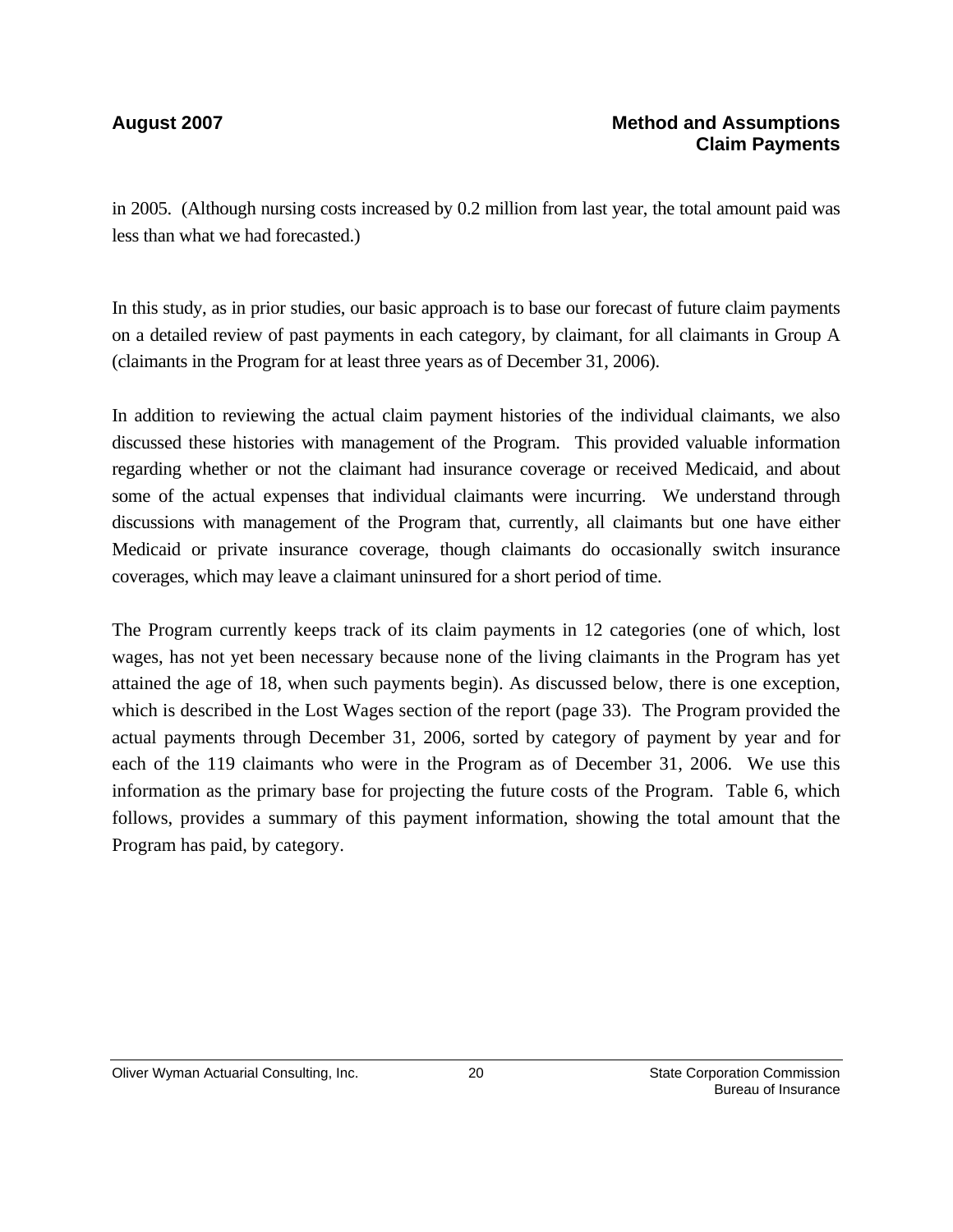in 2005. (Although nursing costs increased by 0.2 million from last year, the total amount paid was less than what we had forecasted.)

In this study, as in prior studies, our basic approach is to base our forecast of future claim payments on a detailed review of past payments in each category, by claimant, for all claimants in Group A (claimants in the Program for at least three years as of December 31, 2006).

In addition to reviewing the actual claim payment histories of the individual claimants, we also discussed these histories with management of the Program. This provided valuable information regarding whether or not the claimant had insurance coverage or received Medicaid, and about some of the actual expenses that individual claimants were incurring. We understand through discussions with management of the Program that, currently, all claimants but one have either Medicaid or private insurance coverage, though claimants do occasionally switch insurance coverages, which may leave a claimant uninsured for a short period of time.

The Program currently keeps track of its claim payments in 12 categories (one of which, lost wages, has not yet been necessary because none of the living claimants in the Program has yet attained the age of 18, when such payments begin). As discussed below, there is one exception, which is described in the Lost Wages section of the report (page 33). The Program provided the actual payments through December 31, 2006, sorted by category of payment by year and for each of the 119 claimants who were in the Program as of December 31, 2006. We use this information as the primary base for projecting the future costs of the Program. Table 6, which follows, provides a summary of this payment information, showing the total amount that the Program has paid, by category.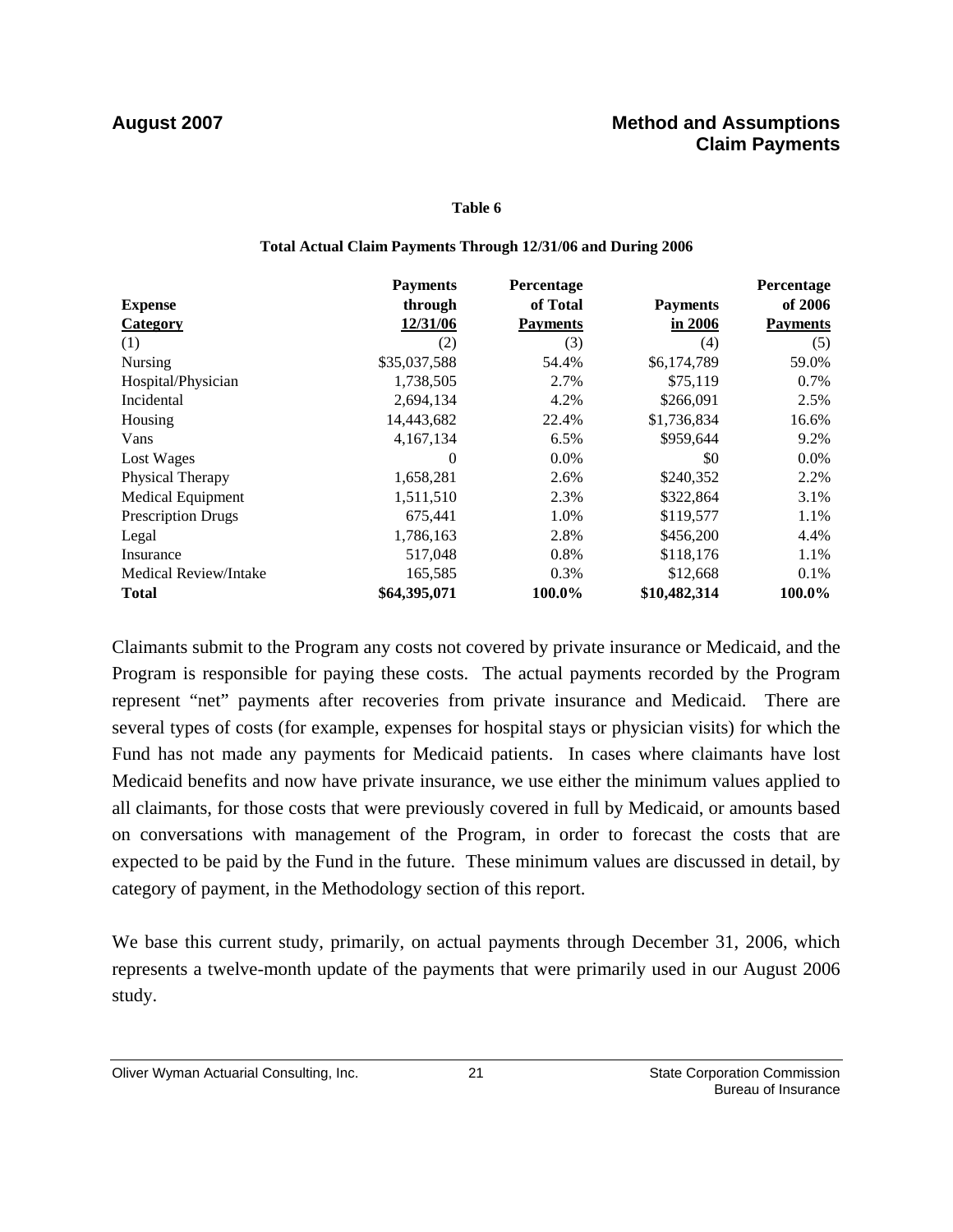### **Table 6**

### **Total Actual Claim Payments Through 12/31/06 and During 2006**

|                           | <b>Payments</b> | Percentage      |                 | Percentage      |
|---------------------------|-----------------|-----------------|-----------------|-----------------|
| <b>Expense</b>            | through         | of Total        | <b>Payments</b> | of 2006         |
| <b>Category</b>           | 12/31/06        | <b>Payments</b> | in 2006         | <b>Payments</b> |
| (1)                       | (2)             | (3)             | (4)             | (5)             |
| Nursing                   | \$35,037,588    | 54.4%           | \$6,174,789     | 59.0%           |
| Hospital/Physician        | 1,738,505       | 2.7%            | \$75,119        | 0.7%            |
| Incidental                | 2,694,134       | 4.2%            | \$266,091       | 2.5%            |
| Housing                   | 14,443,682      | 22.4%           | \$1,736,834     | 16.6%           |
| Vans                      | 4,167,134       | 6.5%            | \$959,644       | 9.2%            |
| Lost Wages                | $\theta$        | $0.0\%$         | \$0             | $0.0\%$         |
| Physical Therapy          | 1,658,281       | 2.6%            | \$240,352       | 2.2%            |
| Medical Equipment         | 1,511,510       | 2.3%            | \$322,864       | 3.1%            |
| <b>Prescription Drugs</b> | 675,441         | 1.0%            | \$119,577       | 1.1%            |
| Legal                     | 1,786,163       | 2.8%            | \$456,200       | 4.4%            |
| Insurance                 | 517,048         | 0.8%            | \$118,176       | 1.1%            |
| Medical Review/Intake     | 165,585         | 0.3%            | \$12,668        | $0.1\%$         |
| <b>Total</b>              | \$64,395,071    | 100.0%          | \$10,482,314    | 100.0%          |

Claimants submit to the Program any costs not covered by private insurance or Medicaid, and the Program is responsible for paying these costs. The actual payments recorded by the Program represent "net" payments after recoveries from private insurance and Medicaid. There are several types of costs (for example, expenses for hospital stays or physician visits) for which the Fund has not made any payments for Medicaid patients. In cases where claimants have lost Medicaid benefits and now have private insurance, we use either the minimum values applied to all claimants, for those costs that were previously covered in full by Medicaid, or amounts based on conversations with management of the Program, in order to forecast the costs that are expected to be paid by the Fund in the future. These minimum values are discussed in detail, by category of payment, in the Methodology section of this report.

We base this current study, primarily, on actual payments through December 31, 2006, which represents a twelve-month update of the payments that were primarily used in our August 2006 study.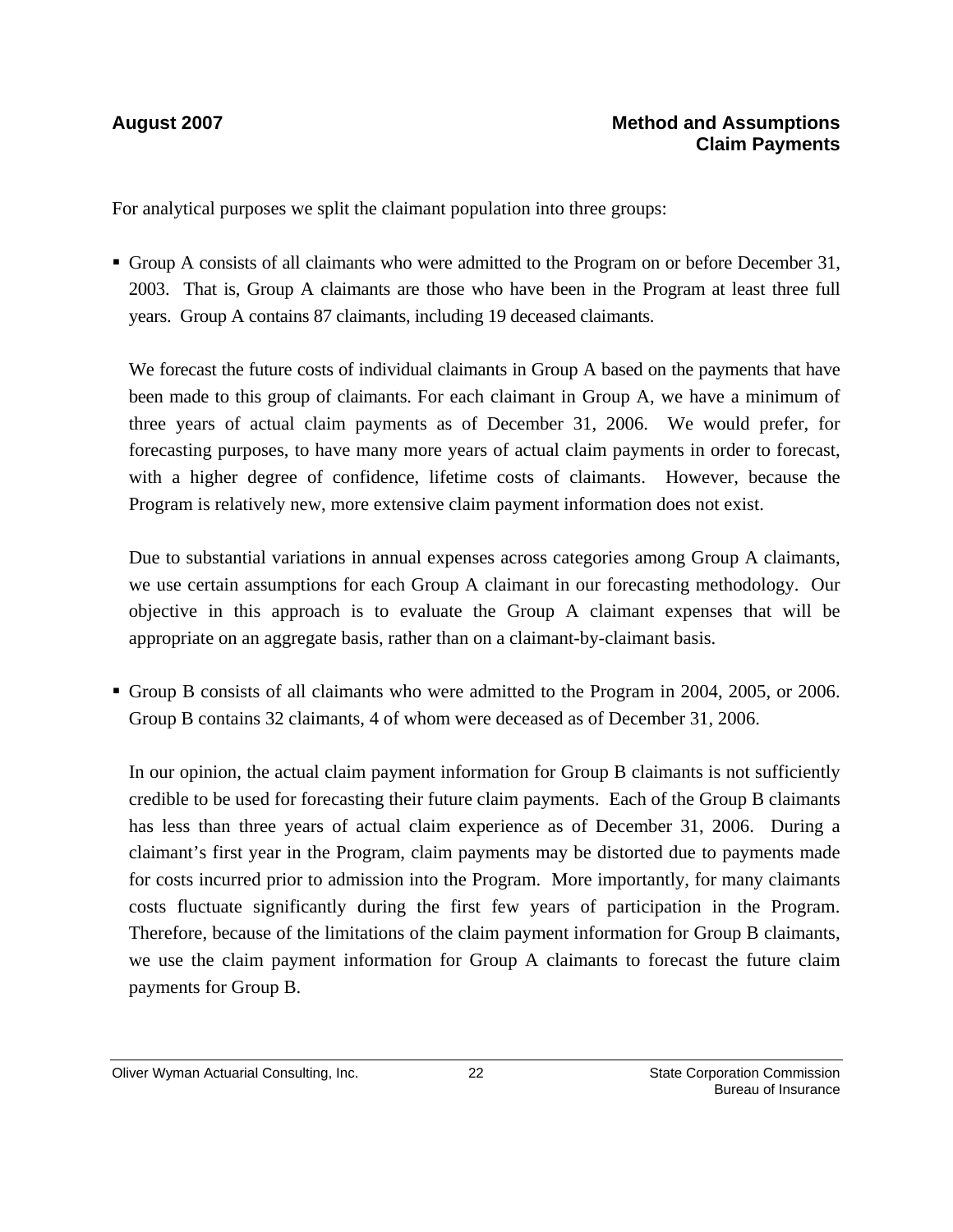### **August 2007 Method and Assumptions Claim Payments**

For analytical purposes we split the claimant population into three groups:

Group A consists of all claimants who were admitted to the Program on or before December 31, 2003. That is, Group A claimants are those who have been in the Program at least three full years. Group A contains 87 claimants, including 19 deceased claimants.

We forecast the future costs of individual claimants in Group A based on the payments that have been made to this group of claimants. For each claimant in Group A, we have a minimum of three years of actual claim payments as of December 31, 2006. We would prefer, for forecasting purposes, to have many more years of actual claim payments in order to forecast, with a higher degree of confidence, lifetime costs of claimants. However, because the Program is relatively new, more extensive claim payment information does not exist.

Due to substantial variations in annual expenses across categories among Group A claimants, we use certain assumptions for each Group A claimant in our forecasting methodology. Our objective in this approach is to evaluate the Group A claimant expenses that will be appropriate on an aggregate basis, rather than on a claimant-by-claimant basis.

Group B consists of all claimants who were admitted to the Program in 2004, 2005, or 2006. Group B contains 32 claimants, 4 of whom were deceased as of December 31, 2006.

In our opinion, the actual claim payment information for Group B claimants is not sufficiently credible to be used for forecasting their future claim payments. Each of the Group B claimants has less than three years of actual claim experience as of December 31, 2006. During a claimant's first year in the Program, claim payments may be distorted due to payments made for costs incurred prior to admission into the Program. More importantly, for many claimants costs fluctuate significantly during the first few years of participation in the Program. Therefore, because of the limitations of the claim payment information for Group B claimants, we use the claim payment information for Group A claimants to forecast the future claim payments for Group B.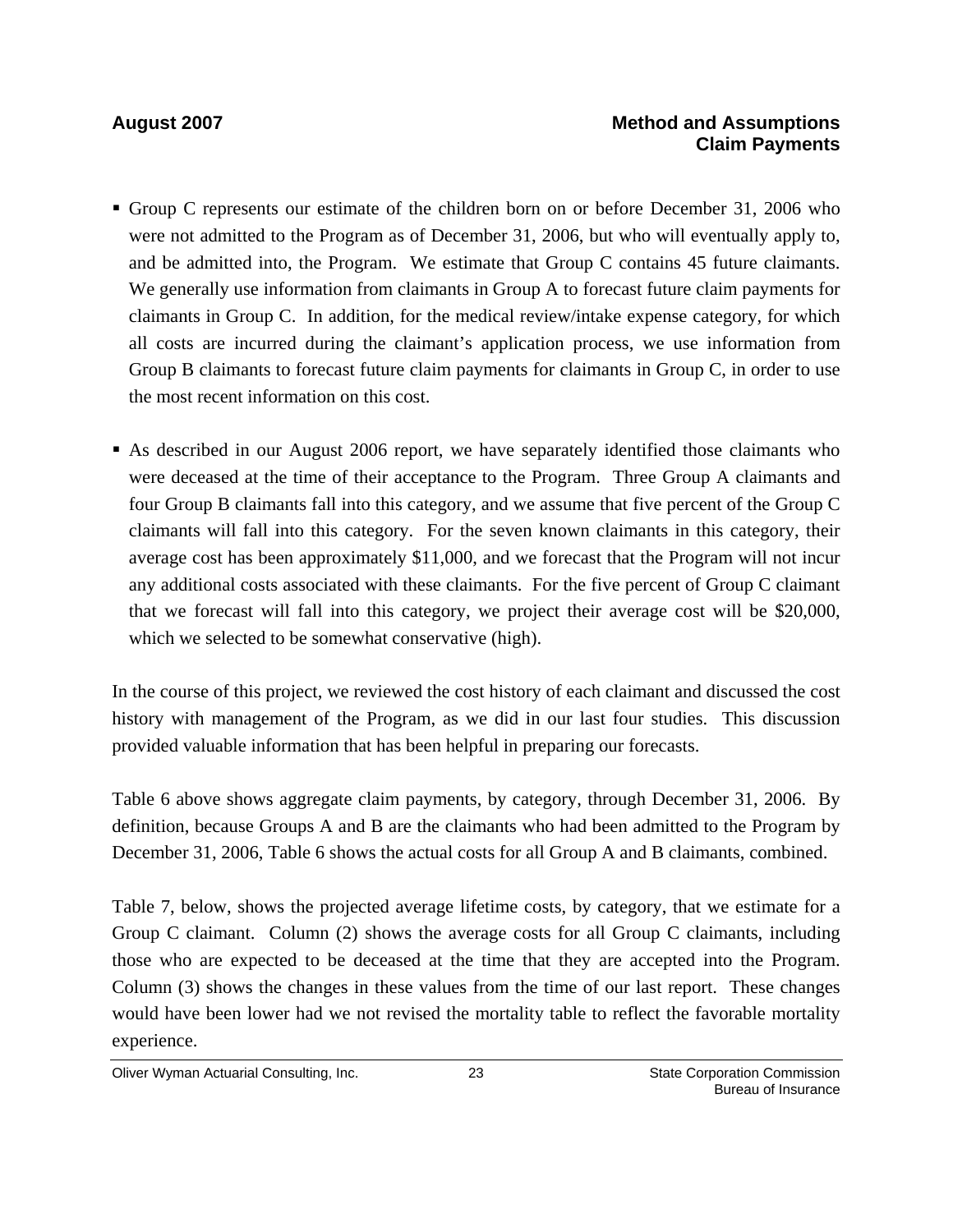- Group C represents our estimate of the children born on or before December 31, 2006 who were not admitted to the Program as of December 31, 2006, but who will eventually apply to, and be admitted into, the Program. We estimate that Group C contains 45 future claimants. We generally use information from claimants in Group A to forecast future claim payments for claimants in Group C. In addition, for the medical review/intake expense category, for which all costs are incurred during the claimant's application process, we use information from Group B claimants to forecast future claim payments for claimants in Group C, in order to use the most recent information on this cost.
- As described in our August 2006 report, we have separately identified those claimants who were deceased at the time of their acceptance to the Program. Three Group A claimants and four Group B claimants fall into this category, and we assume that five percent of the Group C claimants will fall into this category. For the seven known claimants in this category, their average cost has been approximately \$11,000, and we forecast that the Program will not incur any additional costs associated with these claimants. For the five percent of Group C claimant that we forecast will fall into this category, we project their average cost will be \$20,000, which we selected to be somewhat conservative (high).

In the course of this project, we reviewed the cost history of each claimant and discussed the cost history with management of the Program, as we did in our last four studies. This discussion provided valuable information that has been helpful in preparing our forecasts.

Table 6 above shows aggregate claim payments, by category, through December 31, 2006. By definition, because Groups A and B are the claimants who had been admitted to the Program by December 31, 2006, Table 6 shows the actual costs for all Group A and B claimants, combined.

Table 7, below, shows the projected average lifetime costs, by category, that we estimate for a Group C claimant. Column (2) shows the average costs for all Group C claimants, including those who are expected to be deceased at the time that they are accepted into the Program. Column (3) shows the changes in these values from the time of our last report. These changes would have been lower had we not revised the mortality table to reflect the favorable mortality experience.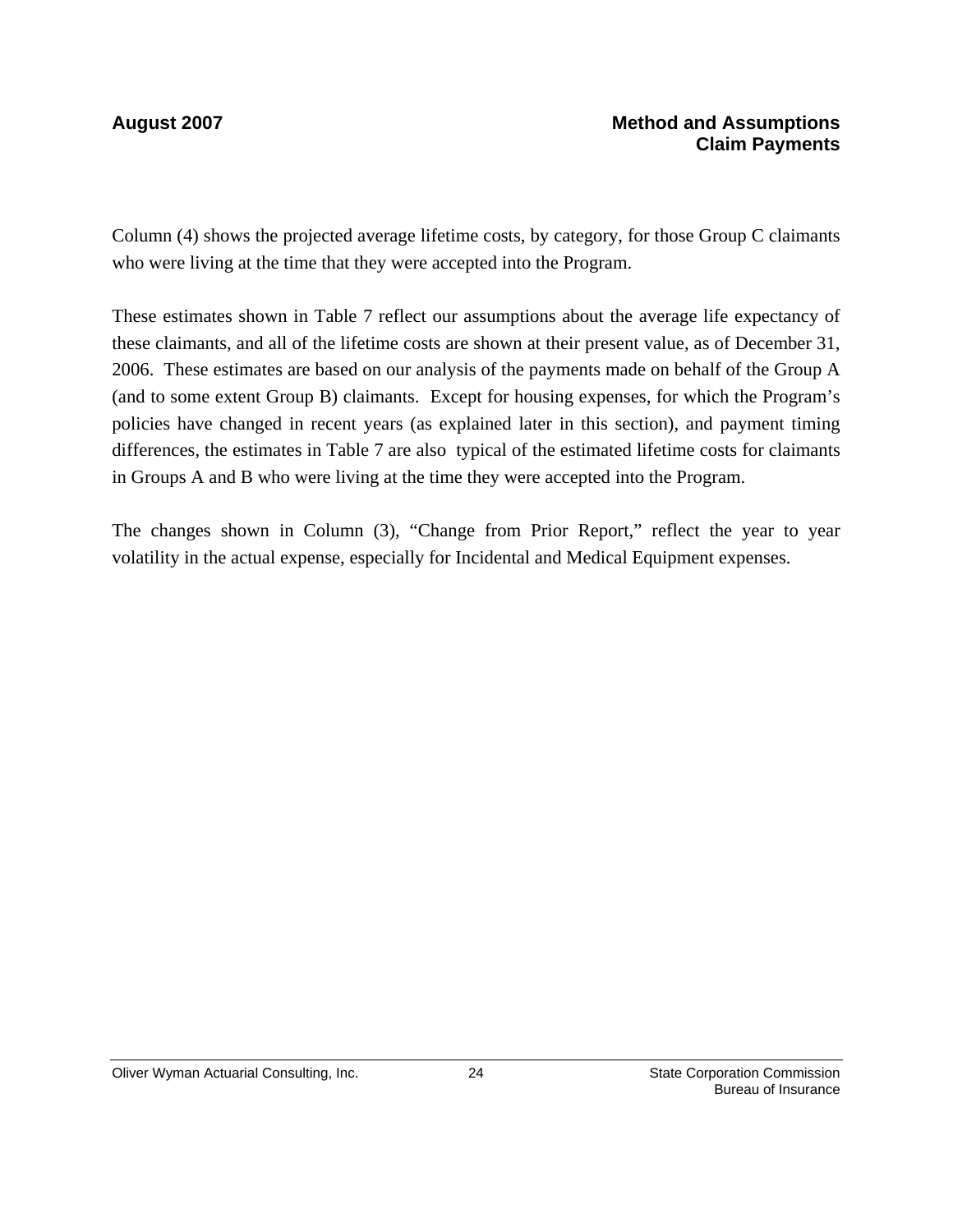Column (4) shows the projected average lifetime costs, by category, for those Group C claimants who were living at the time that they were accepted into the Program.

These estimates shown in Table 7 reflect our assumptions about the average life expectancy of these claimants, and all of the lifetime costs are shown at their present value, as of December 31, 2006. These estimates are based on our analysis of the payments made on behalf of the Group A (and to some extent Group B) claimants. Except for housing expenses, for which the Program's policies have changed in recent years (as explained later in this section), and payment timing differences, the estimates in Table 7 are also typical of the estimated lifetime costs for claimants in Groups A and B who were living at the time they were accepted into the Program.

The changes shown in Column (3), "Change from Prior Report," reflect the year to year volatility in the actual expense, especially for Incidental and Medical Equipment expenses.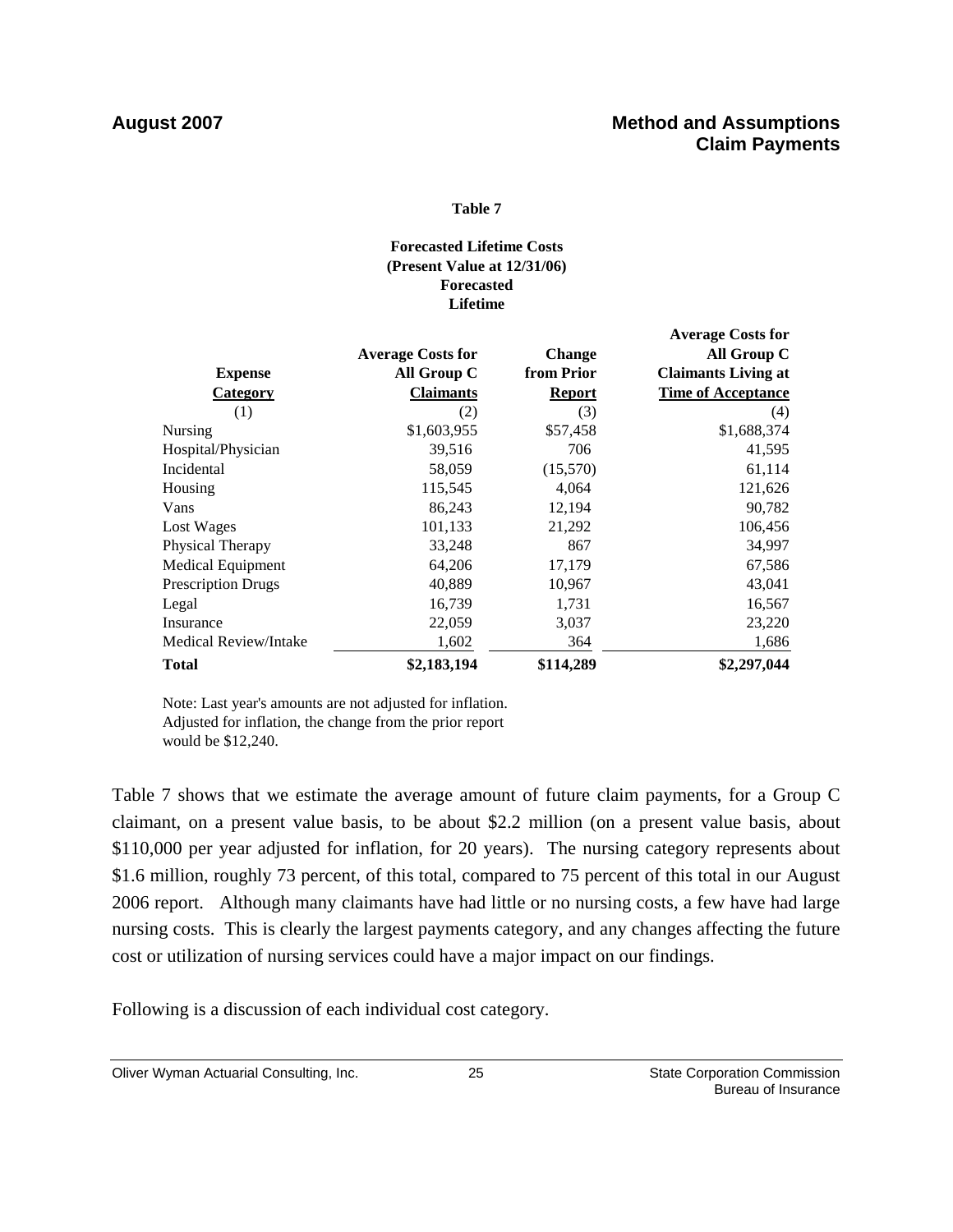### **Table 7**

### **Lifetime Forecasted Lifetime Costs (Present Value at 12/31/06) Forecasted**

|                       |                          |               | <b>Average Costs for</b>   |
|-----------------------|--------------------------|---------------|----------------------------|
|                       | <b>Average Costs for</b> | <b>Change</b> | All Group C                |
| <b>Expense</b>        | All Group C              | from Prior    | <b>Claimants Living at</b> |
| <b>Category</b>       | <b>Claimants</b>         | <b>Report</b> | <b>Time of Acceptance</b>  |
| (1)                   | (2)                      | (3)           | (4)                        |
| <b>Nursing</b>        | \$1,603,955              | \$57,458      | \$1,688,374                |
| Hospital/Physician    | 39,516                   | 706           | 41,595                     |
| Incidental            | 58,059                   | (15,570)      | 61,114                     |
| Housing               | 115,545                  | 4,064         | 121,626                    |
| Vans                  | 86,243                   | 12,194        | 90,782                     |
| Lost Wages            | 101,133                  | 21,292        | 106,456                    |
| Physical Therapy      | 33,248                   | 867           | 34,997                     |
| Medical Equipment     | 64,206                   | 17,179        | 67,586                     |
| Prescription Drugs    | 40,889                   | 10,967        | 43,041                     |
| Legal                 | 16,739                   | 1,731         | 16,567                     |
| Insurance             | 22,059                   | 3,037         | 23,220                     |
| Medical Review/Intake | 1,602                    | 364           | 1,686                      |
| <b>Total</b>          | \$2,183,194              | \$114,289     | \$2,297,044                |

Note: Last year's amounts are not adjusted for inflation. Adjusted for inflation, the change from the prior report would be \$12,240.

Table 7 shows that we estimate the average amount of future claim payments, for a Group C claimant, on a present value basis, to be about \$2.2 million (on a present value basis, about \$110,000 per year adjusted for inflation, for 20 years). The nursing category represents about \$1.6 million, roughly 73 percent, of this total, compared to 75 percent of this total in our August 2006 report. Although many claimants have had little or no nursing costs, a few have had large nursing costs. This is clearly the largest payments category, and any changes affecting the future cost or utilization of nursing services could have a major impact on our findings.

Following is a discussion of each individual cost category.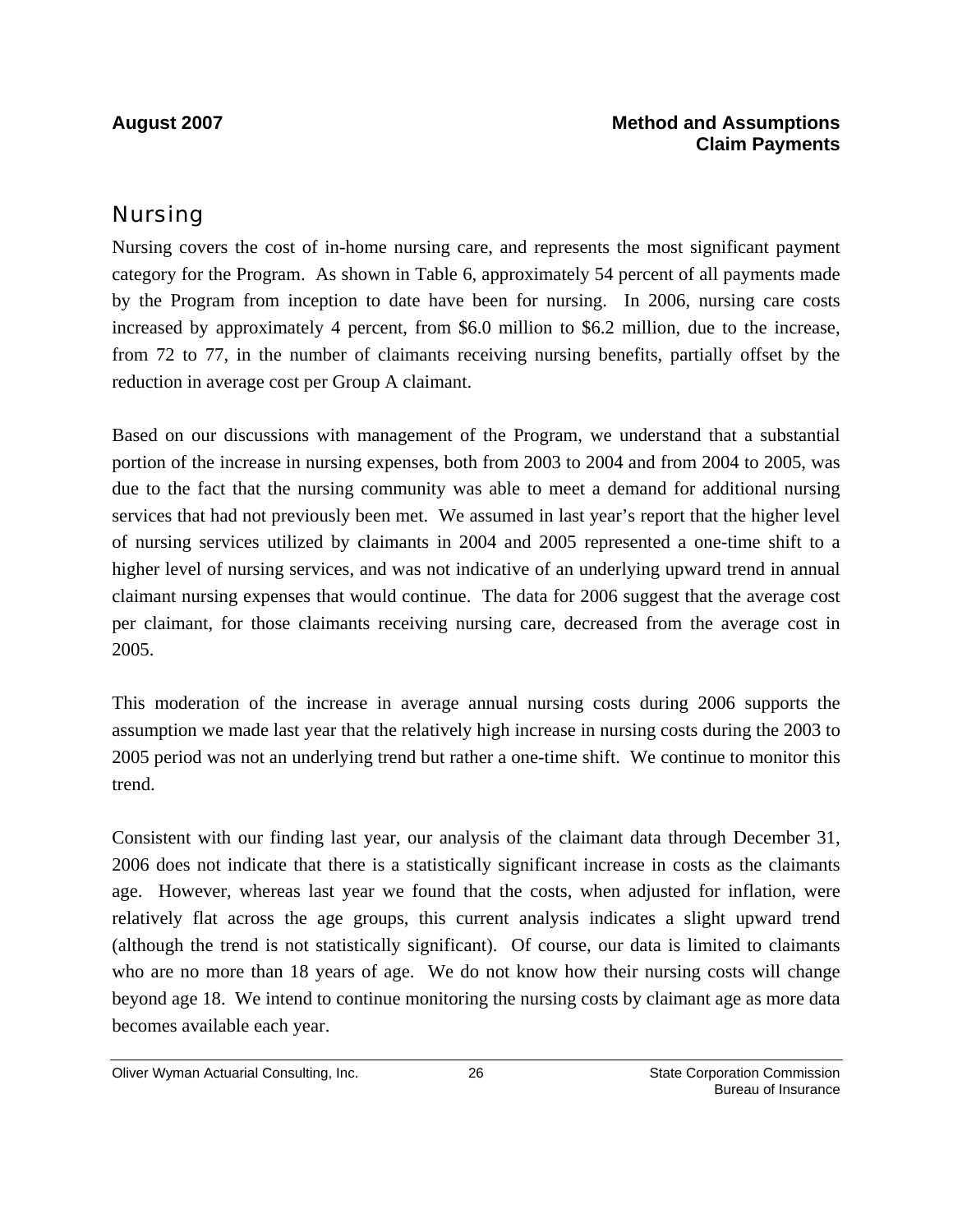### Nursing

Nursing covers the cost of in-home nursing care, and represents the most significant payment category for the Program. As shown in Table 6, approximately 54 percent of all payments made by the Program from inception to date have been for nursing. In 2006, nursing care costs increased by approximately 4 percent, from \$6.0 million to \$6.2 million, due to the increase, from 72 to 77, in the number of claimants receiving nursing benefits, partially offset by the reduction in average cost per Group A claimant.

Based on our discussions with management of the Program, we understand that a substantial portion of the increase in nursing expenses, both from 2003 to 2004 and from 2004 to 2005, was due to the fact that the nursing community was able to meet a demand for additional nursing services that had not previously been met. We assumed in last year's report that the higher level of nursing services utilized by claimants in 2004 and 2005 represented a one-time shift to a higher level of nursing services, and was not indicative of an underlying upward trend in annual claimant nursing expenses that would continue. The data for 2006 suggest that the average cost per claimant, for those claimants receiving nursing care, decreased from the average cost in 2005.

This moderation of the increase in average annual nursing costs during 2006 supports the assumption we made last year that the relatively high increase in nursing costs during the 2003 to 2005 period was not an underlying trend but rather a one-time shift. We continue to monitor this trend.

Consistent with our finding last year, our analysis of the claimant data through December 31, 2006 does not indicate that there is a statistically significant increase in costs as the claimants age. However, whereas last year we found that the costs, when adjusted for inflation, were relatively flat across the age groups, this current analysis indicates a slight upward trend (although the trend is not statistically significant). Of course, our data is limited to claimants who are no more than 18 years of age. We do not know how their nursing costs will change beyond age 18. We intend to continue monitoring the nursing costs by claimant age as more data becomes available each year.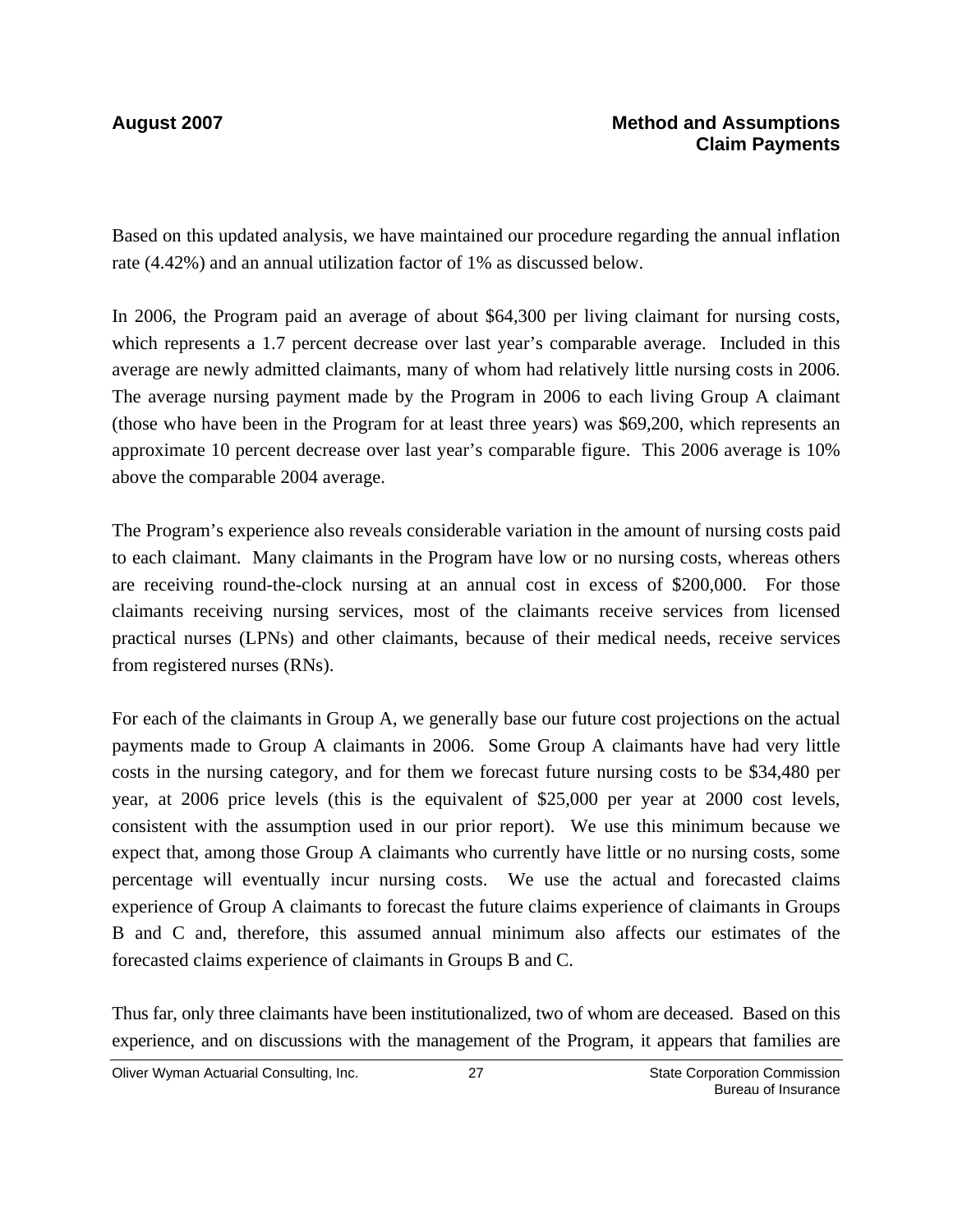Based on this updated analysis, we have maintained our procedure regarding the annual inflation rate (4.42%) and an annual utilization factor of 1% as discussed below.

In 2006, the Program paid an average of about \$64,300 per living claimant for nursing costs, which represents a 1.7 percent decrease over last year's comparable average. Included in this average are newly admitted claimants, many of whom had relatively little nursing costs in 2006. The average nursing payment made by the Program in 2006 to each living Group A claimant (those who have been in the Program for at least three years) was \$69,200, which represents an approximate 10 percent decrease over last year's comparable figure. This 2006 average is 10% above the comparable 2004 average.

The Program's experience also reveals considerable variation in the amount of nursing costs paid to each claimant. Many claimants in the Program have low or no nursing costs, whereas others are receiving round-the-clock nursing at an annual cost in excess of \$200,000. For those claimants receiving nursing services, most of the claimants receive services from licensed practical nurses (LPNs) and other claimants, because of their medical needs, receive services from registered nurses (RNs).

For each of the claimants in Group A, we generally base our future cost projections on the actual payments made to Group A claimants in 2006. Some Group A claimants have had very little costs in the nursing category, and for them we forecast future nursing costs to be \$34,480 per year, at 2006 price levels (this is the equivalent of \$25,000 per year at 2000 cost levels, consistent with the assumption used in our prior report). We use this minimum because we expect that, among those Group A claimants who currently have little or no nursing costs, some percentage will eventually incur nursing costs. We use the actual and forecasted claims experience of Group A claimants to forecast the future claims experience of claimants in Groups B and C and, therefore, this assumed annual minimum also affects our estimates of the forecasted claims experience of claimants in Groups B and C.

Thus far, only three claimants have been institutionalized, two of whom are deceased. Based on this experience, and on discussions with the management of the Program, it appears that families are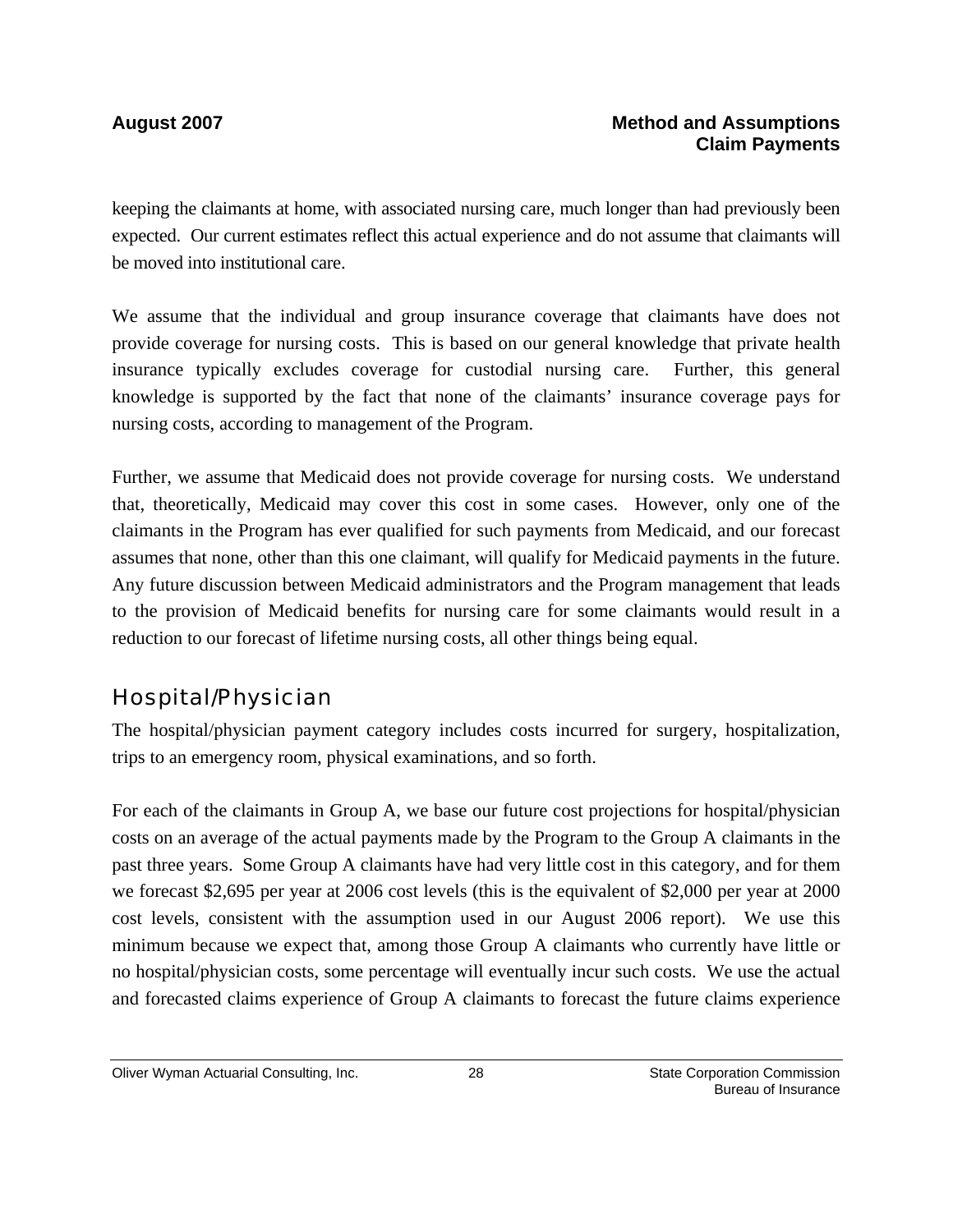keeping the claimants at home, with associated nursing care, much longer than had previously been expected. Our current estimates reflect this actual experience and do not assume that claimants will be moved into institutional care.

We assume that the individual and group insurance coverage that claimants have does not provide coverage for nursing costs. This is based on our general knowledge that private health insurance typically excludes coverage for custodial nursing care. Further, this general knowledge is supported by the fact that none of the claimants' insurance coverage pays for nursing costs, according to management of the Program.

Further, we assume that Medicaid does not provide coverage for nursing costs. We understand that, theoretically, Medicaid may cover this cost in some cases. However, only one of the claimants in the Program has ever qualified for such payments from Medicaid, and our forecast assumes that none, other than this one claimant, will qualify for Medicaid payments in the future. Any future discussion between Medicaid administrators and the Program management that leads to the provision of Medicaid benefits for nursing care for some claimants would result in a reduction to our forecast of lifetime nursing costs, all other things being equal.

## Hospital/Physician

The hospital/physician payment category includes costs incurred for surgery, hospitalization, trips to an emergency room, physical examinations, and so forth.

For each of the claimants in Group A, we base our future cost projections for hospital/physician costs on an average of the actual payments made by the Program to the Group A claimants in the past three years. Some Group A claimants have had very little cost in this category, and for them we forecast \$2,695 per year at 2006 cost levels (this is the equivalent of \$2,000 per year at 2000 cost levels, consistent with the assumption used in our August 2006 report). We use this minimum because we expect that, among those Group A claimants who currently have little or no hospital/physician costs, some percentage will eventually incur such costs. We use the actual and forecasted claims experience of Group A claimants to forecast the future claims experience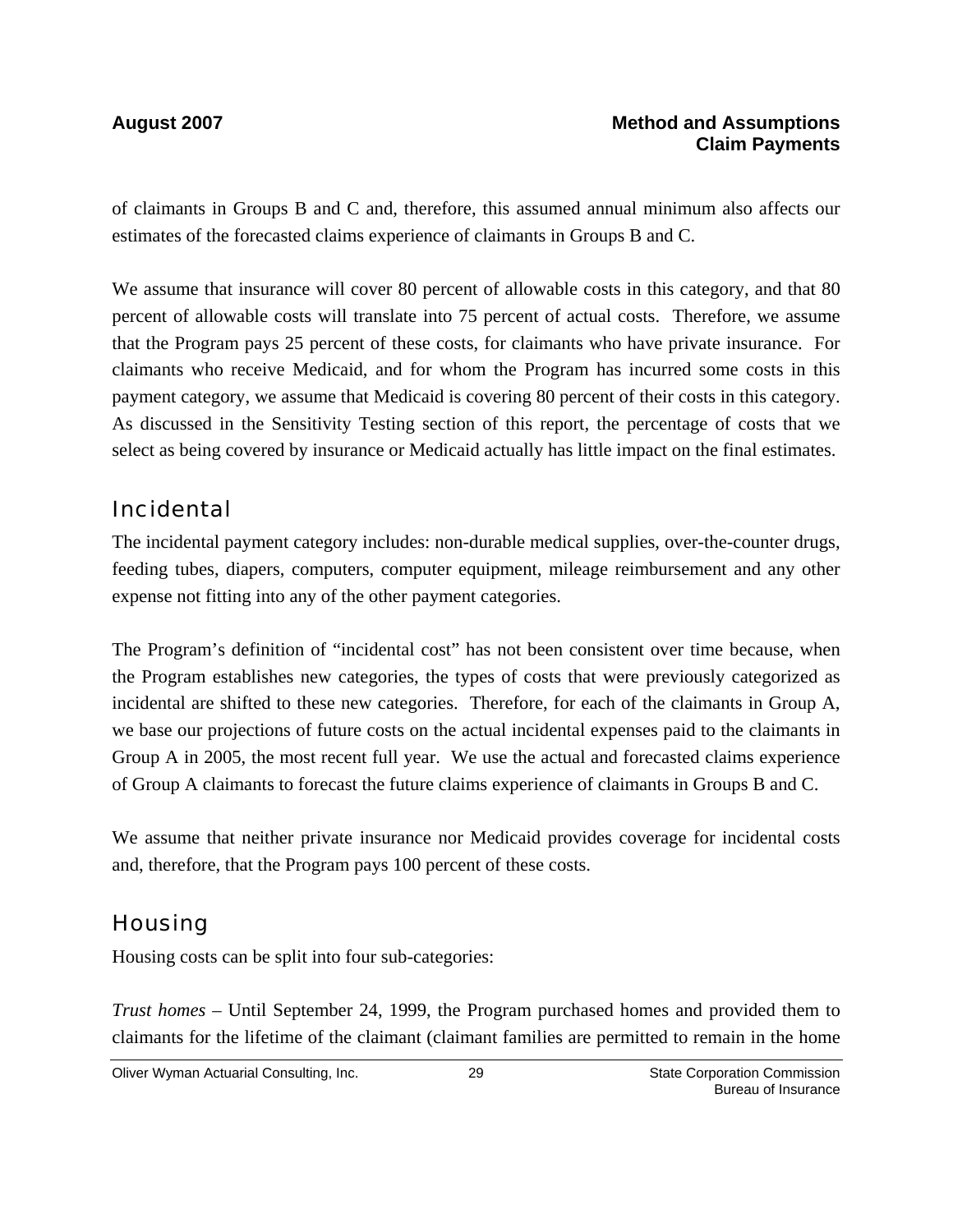of claimants in Groups B and C and, therefore, this assumed annual minimum also affects our estimates of the forecasted claims experience of claimants in Groups B and C.

We assume that insurance will cover 80 percent of allowable costs in this category, and that 80 percent of allowable costs will translate into 75 percent of actual costs. Therefore, we assume that the Program pays 25 percent of these costs, for claimants who have private insurance. For claimants who receive Medicaid, and for whom the Program has incurred some costs in this payment category, we assume that Medicaid is covering 80 percent of their costs in this category. As discussed in the Sensitivity Testing section of this report, the percentage of costs that we select as being covered by insurance or Medicaid actually has little impact on the final estimates.

### Incidental

The incidental payment category includes: non-durable medical supplies, over-the-counter drugs, feeding tubes, diapers, computers, computer equipment, mileage reimbursement and any other expense not fitting into any of the other payment categories.

The Program's definition of "incidental cost" has not been consistent over time because, when the Program establishes new categories, the types of costs that were previously categorized as incidental are shifted to these new categories. Therefore, for each of the claimants in Group A, we base our projections of future costs on the actual incidental expenses paid to the claimants in Group A in 2005, the most recent full year. We use the actual and forecasted claims experience of Group A claimants to forecast the future claims experience of claimants in Groups B and C.

We assume that neither private insurance nor Medicaid provides coverage for incidental costs and, therefore, that the Program pays 100 percent of these costs.

## **Housing**

Housing costs can be split into four sub-categories:

*Trust homes* – Until September 24, 1999, the Program purchased homes and provided them to claimants for the lifetime of the claimant (claimant families are permitted to remain in the home

Oliver Wyman Actuarial Consulting, Inc.  $\qquad \qquad$  29 State Corporation Commission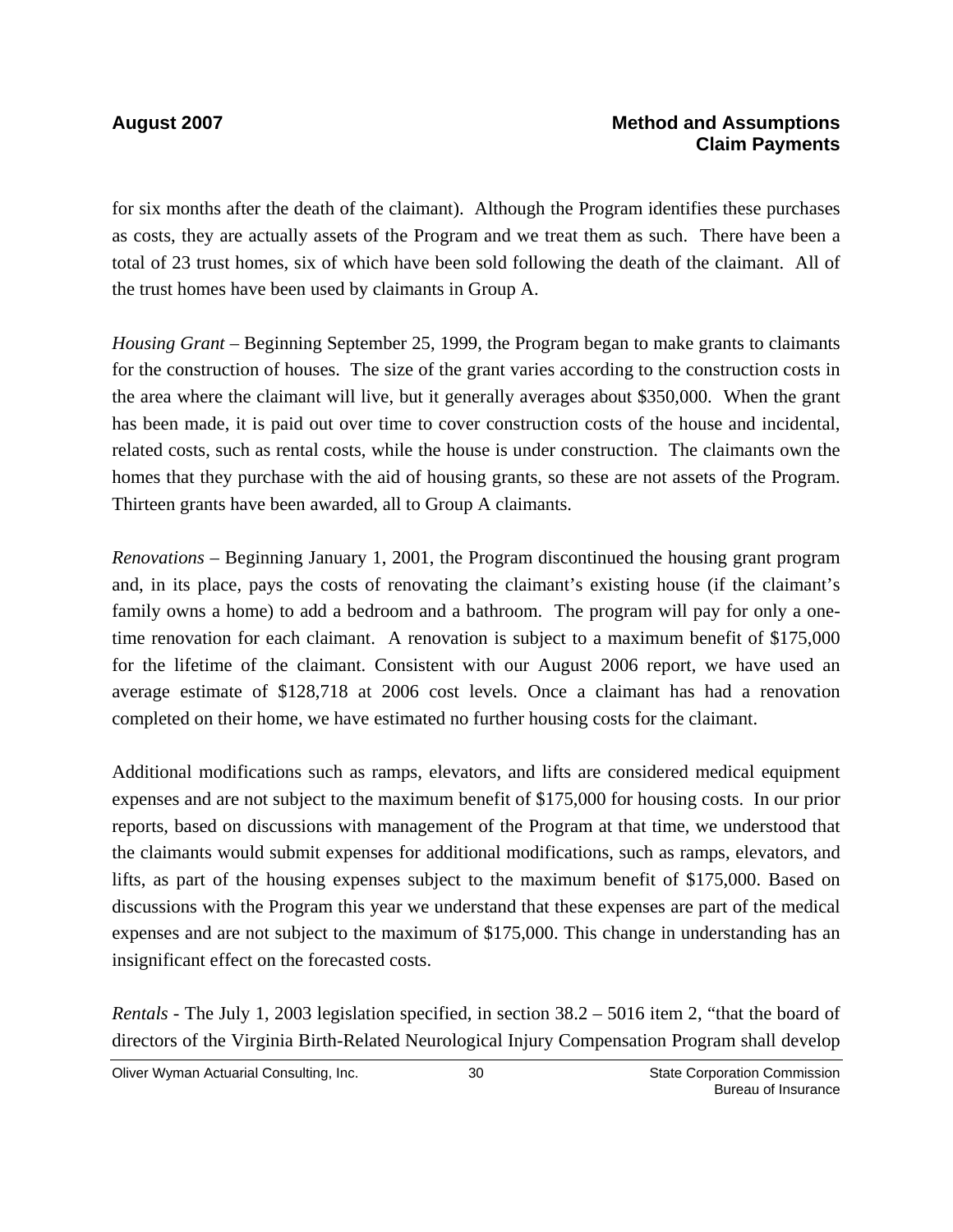for six months after the death of the claimant). Although the Program identifies these purchases as costs, they are actually assets of the Program and we treat them as such. There have been a total of 23 trust homes, six of which have been sold following the death of the claimant. All of the trust homes have been used by claimants in Group A.

*Housing Grant* – Beginning September 25, 1999, the Program began to make grants to claimants for the construction of houses. The size of the grant varies according to the construction costs in the area where the claimant will live, but it generally averages about \$350,000. When the grant has been made, it is paid out over time to cover construction costs of the house and incidental, related costs, such as rental costs, while the house is under construction. The claimants own the homes that they purchase with the aid of housing grants, so these are not assets of the Program. Thirteen grants have been awarded, all to Group A claimants.

*Renovations* – Beginning January 1, 2001, the Program discontinued the housing grant program and, in its place, pays the costs of renovating the claimant's existing house (if the claimant's family owns a home) to add a bedroom and a bathroom. The program will pay for only a onetime renovation for each claimant. A renovation is subject to a maximum benefit of \$175,000 for the lifetime of the claimant. Consistent with our August 2006 report, we have used an average estimate of \$128,718 at 2006 cost levels. Once a claimant has had a renovation completed on their home, we have estimated no further housing costs for the claimant.

Additional modifications such as ramps, elevators, and lifts are considered medical equipment expenses and are not subject to the maximum benefit of \$175,000 for housing costs. In our prior reports, based on discussions with management of the Program at that time, we understood that the claimants would submit expenses for additional modifications, such as ramps, elevators, and lifts, as part of the housing expenses subject to the maximum benefit of \$175,000. Based on discussions with the Program this year we understand that these expenses are part of the medical expenses and are not subject to the maximum of \$175,000. This change in understanding has an insignificant effect on the forecasted costs.

*Rentals -* The July 1, 2003 legislation specified, in section 38.2 – 5016 item 2, "that the board of directors of the Virginia Birth-Related Neurological Injury Compensation Program shall develop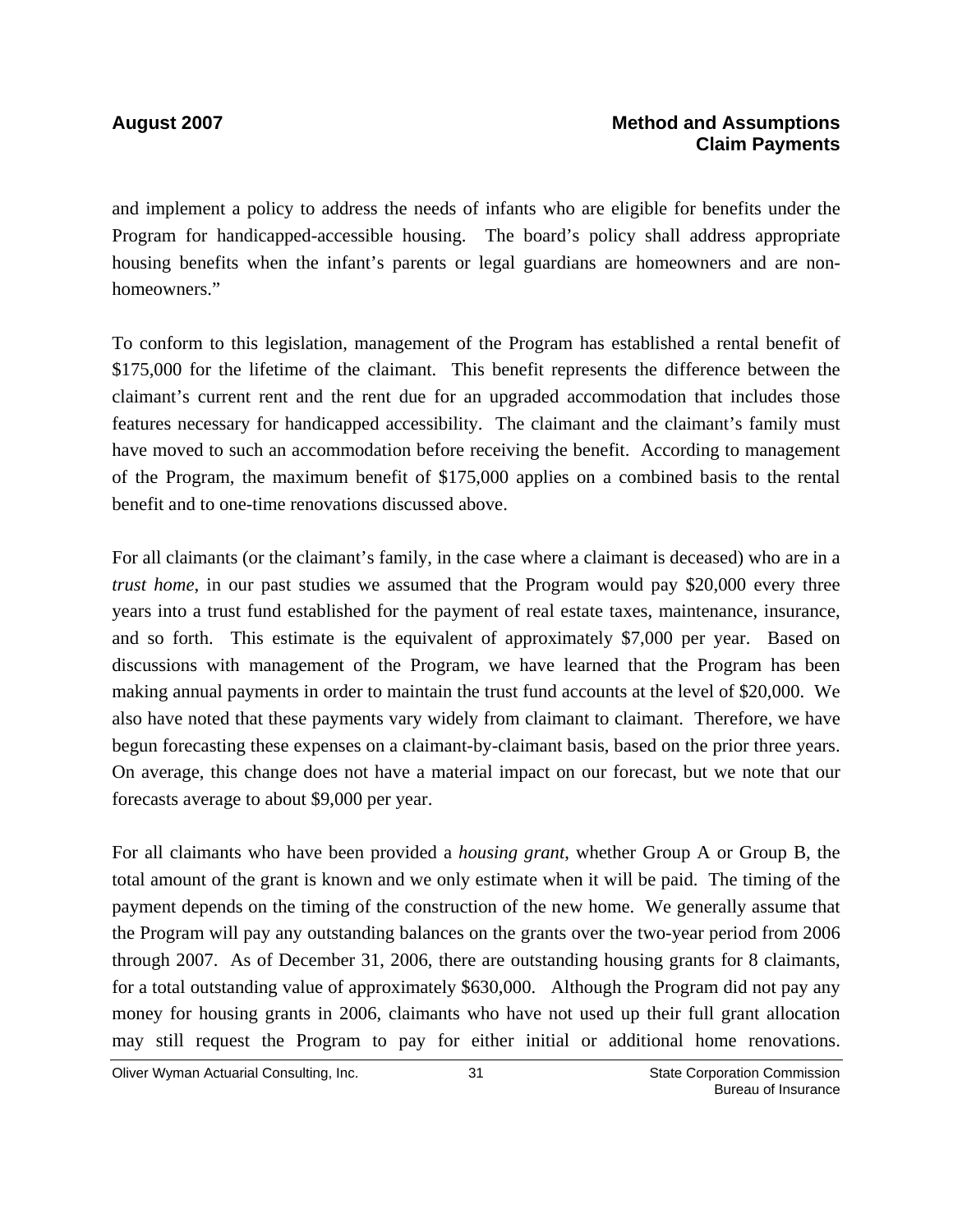### **August 2007 Method and Assumptions Claim Payments**

and implement a policy to address the needs of infants who are eligible for benefits under the Program for handicapped-accessible housing. The board's policy shall address appropriate housing benefits when the infant's parents or legal guardians are homeowners and are nonhomeowners."

To conform to this legislation, management of the Program has established a rental benefit of \$175,000 for the lifetime of the claimant. This benefit represents the difference between the claimant's current rent and the rent due for an upgraded accommodation that includes those features necessary for handicapped accessibility. The claimant and the claimant's family must have moved to such an accommodation before receiving the benefit. According to management of the Program, the maximum benefit of \$175,000 applies on a combined basis to the rental benefit and to one-time renovations discussed above.

For all claimants (or the claimant's family, in the case where a claimant is deceased) who are in a *trust home*, in our past studies we assumed that the Program would pay \$20,000 every three years into a trust fund established for the payment of real estate taxes, maintenance, insurance, and so forth. This estimate is the equivalent of approximately \$7,000 per year. Based on discussions with management of the Program, we have learned that the Program has been making annual payments in order to maintain the trust fund accounts at the level of \$20,000. We also have noted that these payments vary widely from claimant to claimant. Therefore, we have begun forecasting these expenses on a claimant-by-claimant basis, based on the prior three years. On average, this change does not have a material impact on our forecast, but we note that our forecasts average to about \$9,000 per year.

For all claimants who have been provided a *housing grant*, whether Group A or Group B, the total amount of the grant is known and we only estimate when it will be paid. The timing of the payment depends on the timing of the construction of the new home. We generally assume that the Program will pay any outstanding balances on the grants over the two-year period from 2006 through 2007. As of December 31, 2006, there are outstanding housing grants for 8 claimants, for a total outstanding value of approximately \$630,000. Although the Program did not pay any money for housing grants in 2006, claimants who have not used up their full grant allocation may still request the Program to pay for either initial or additional home renovations.

Oliver Wyman Actuarial Consulting, Inc.  $\qquad \qquad$  31 State Corporation Commission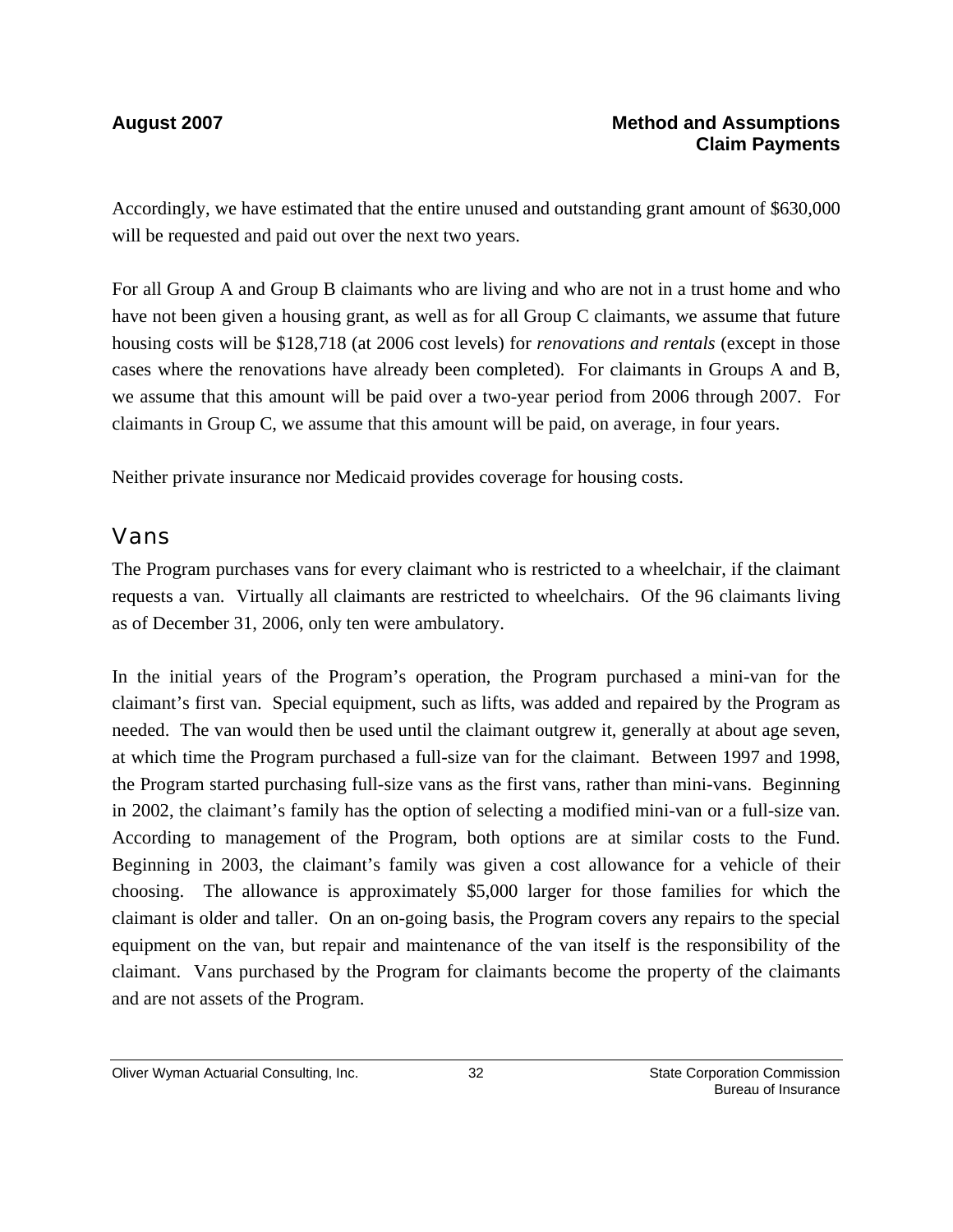Accordingly, we have estimated that the entire unused and outstanding grant amount of \$630,000 will be requested and paid out over the next two years.

For all Group A and Group B claimants who are living and who are not in a trust home and who have not been given a housing grant, as well as for all Group C claimants, we assume that future housing costs will be \$128,718 (at 2006 cost levels) for *renovations and rentals* (except in those cases where the renovations have already been completed)*.* For claimants in Groups A and B, we assume that this amount will be paid over a two-year period from 2006 through 2007. For claimants in Group C, we assume that this amount will be paid, on average, in four years.

Neither private insurance nor Medicaid provides coverage for housing costs.

### Vans

The Program purchases vans for every claimant who is restricted to a wheelchair, if the claimant requests a van. Virtually all claimants are restricted to wheelchairs. Of the 96 claimants living as of December 31, 2006, only ten were ambulatory.

In the initial years of the Program's operation, the Program purchased a mini-van for the claimant's first van. Special equipment, such as lifts, was added and repaired by the Program as needed. The van would then be used until the claimant outgrew it, generally at about age seven, at which time the Program purchased a full-size van for the claimant. Between 1997 and 1998, the Program started purchasing full-size vans as the first vans, rather than mini-vans. Beginning in 2002, the claimant's family has the option of selecting a modified mini-van or a full-size van. According to management of the Program, both options are at similar costs to the Fund. Beginning in 2003, the claimant's family was given a cost allowance for a vehicle of their choosing. The allowance is approximately \$5,000 larger for those families for which the claimant is older and taller. On an on-going basis, the Program covers any repairs to the special equipment on the van, but repair and maintenance of the van itself is the responsibility of the claimant. Vans purchased by the Program for claimants become the property of the claimants and are not assets of the Program.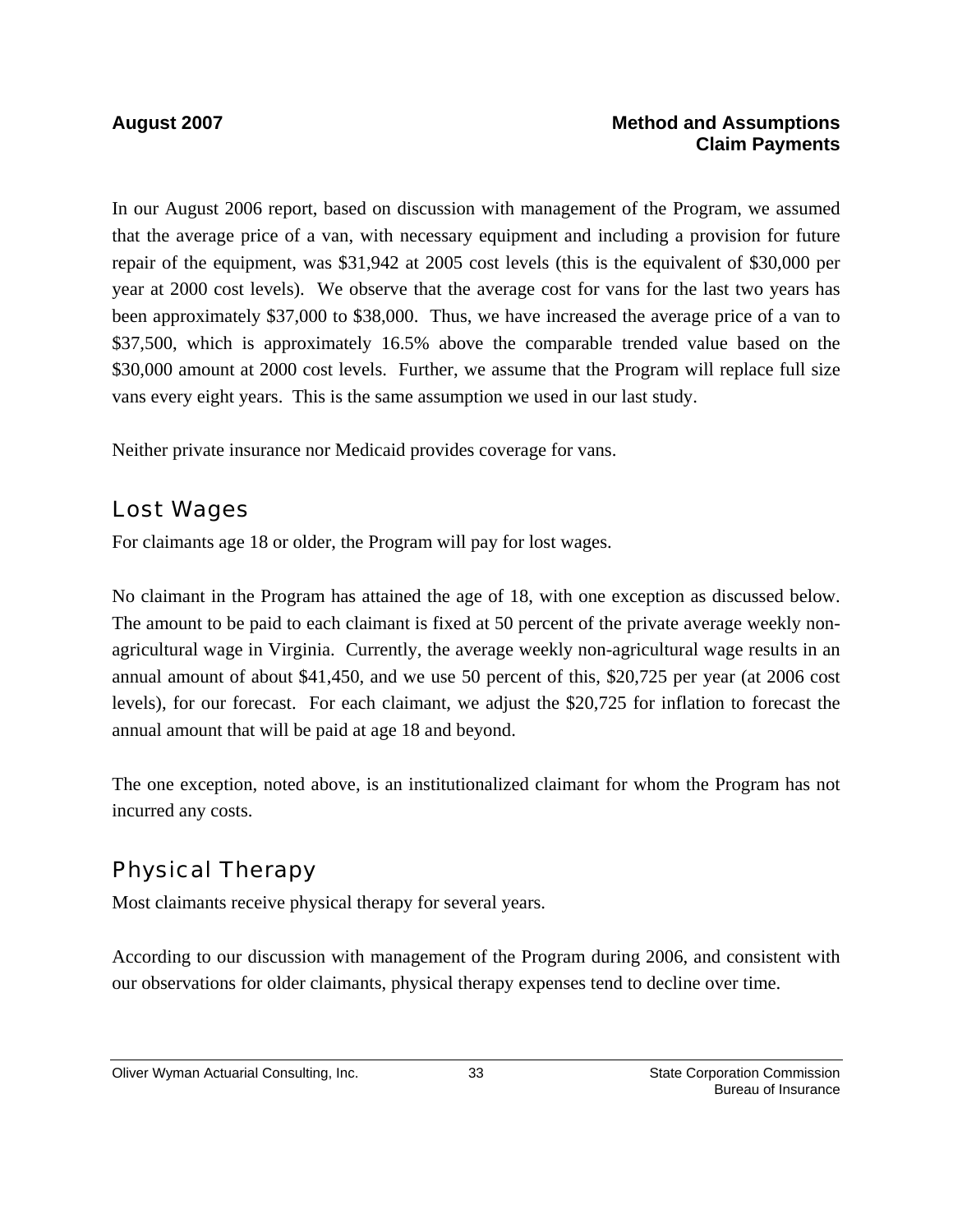#### **August 2007 Method and Assumptions Claim Payments**

In our August 2006 report, based on discussion with management of the Program, we assumed that the average price of a van, with necessary equipment and including a provision for future repair of the equipment, was \$31,942 at 2005 cost levels (this is the equivalent of \$30,000 per year at 2000 cost levels). We observe that the average cost for vans for the last two years has been approximately \$37,000 to \$38,000. Thus, we have increased the average price of a van to \$37,500, which is approximately 16.5% above the comparable trended value based on the \$30,000 amount at 2000 cost levels. Further, we assume that the Program will replace full size vans every eight years. This is the same assumption we used in our last study.

Neither private insurance nor Medicaid provides coverage for vans.

### Lost Wages

For claimants age 18 or older, the Program will pay for lost wages.

No claimant in the Program has attained the age of 18, with one exception as discussed below. The amount to be paid to each claimant is fixed at 50 percent of the private average weekly nonagricultural wage in Virginia. Currently, the average weekly non-agricultural wage results in an annual amount of about \$41,450, and we use 50 percent of this, \$20,725 per year (at 2006 cost levels), for our forecast. For each claimant, we adjust the \$20,725 for inflation to forecast the annual amount that will be paid at age 18 and beyond.

The one exception, noted above, is an institutionalized claimant for whom the Program has not incurred any costs.

# Physical Therapy

Most claimants receive physical therapy for several years.

According to our discussion with management of the Program during 2006, and consistent with our observations for older claimants, physical therapy expenses tend to decline over time.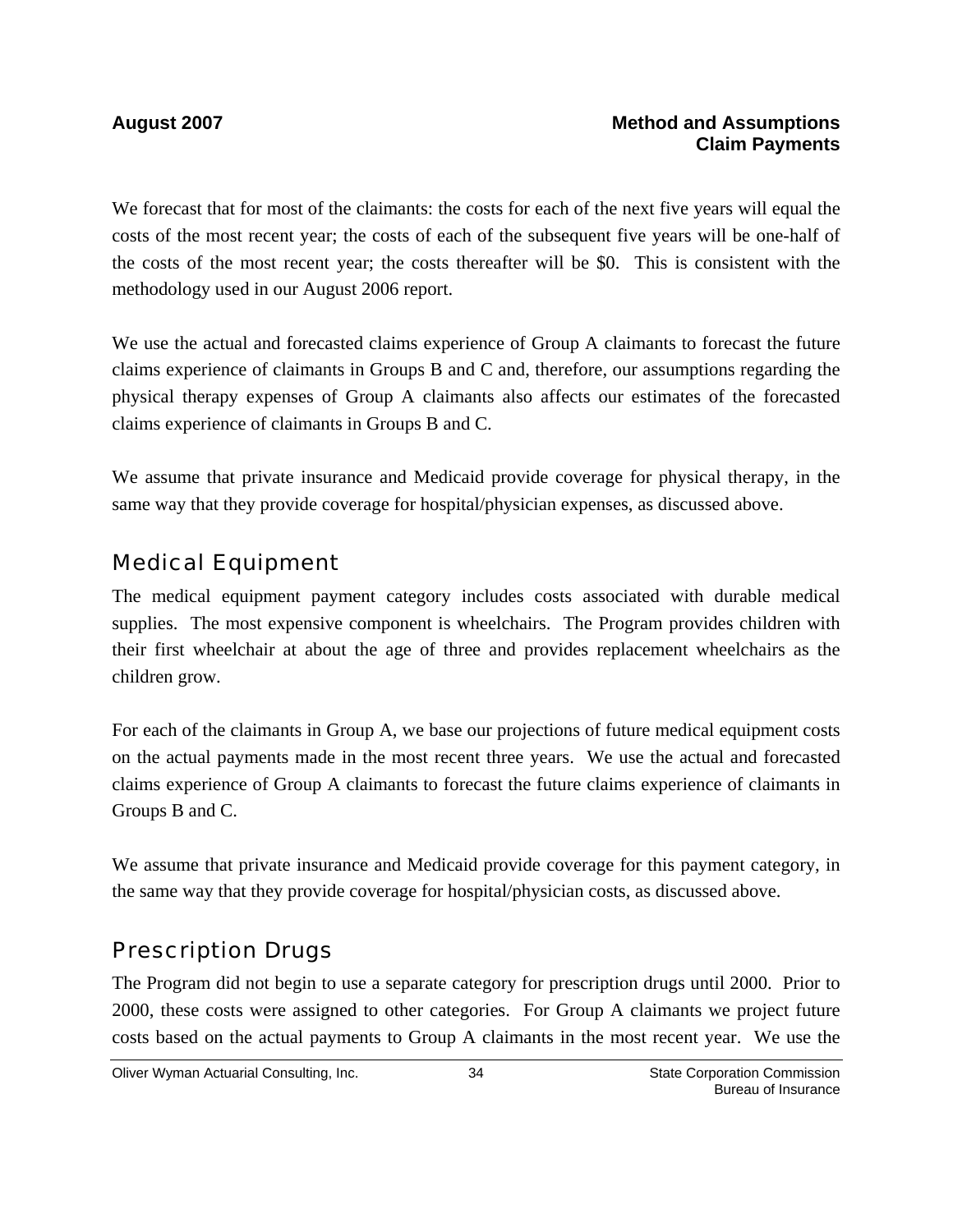We forecast that for most of the claimants: the costs for each of the next five years will equal the costs of the most recent year; the costs of each of the subsequent five years will be one-half of the costs of the most recent year; the costs thereafter will be \$0. This is consistent with the methodology used in our August 2006 report.

We use the actual and forecasted claims experience of Group A claimants to forecast the future claims experience of claimants in Groups B and C and, therefore, our assumptions regarding the physical therapy expenses of Group A claimants also affects our estimates of the forecasted claims experience of claimants in Groups B and C.

We assume that private insurance and Medicaid provide coverage for physical therapy, in the same way that they provide coverage for hospital/physician expenses, as discussed above.

### Medical Equipment

The medical equipment payment category includes costs associated with durable medical supplies. The most expensive component is wheelchairs. The Program provides children with their first wheelchair at about the age of three and provides replacement wheelchairs as the children grow.

For each of the claimants in Group A, we base our projections of future medical equipment costs on the actual payments made in the most recent three years. We use the actual and forecasted claims experience of Group A claimants to forecast the future claims experience of claimants in Groups B and C.

We assume that private insurance and Medicaid provide coverage for this payment category, in the same way that they provide coverage for hospital/physician costs, as discussed above.

### Prescription Drugs

The Program did not begin to use a separate category for prescription drugs until 2000. Prior to 2000, these costs were assigned to other categories. For Group A claimants we project future costs based on the actual payments to Group A claimants in the most recent year. We use the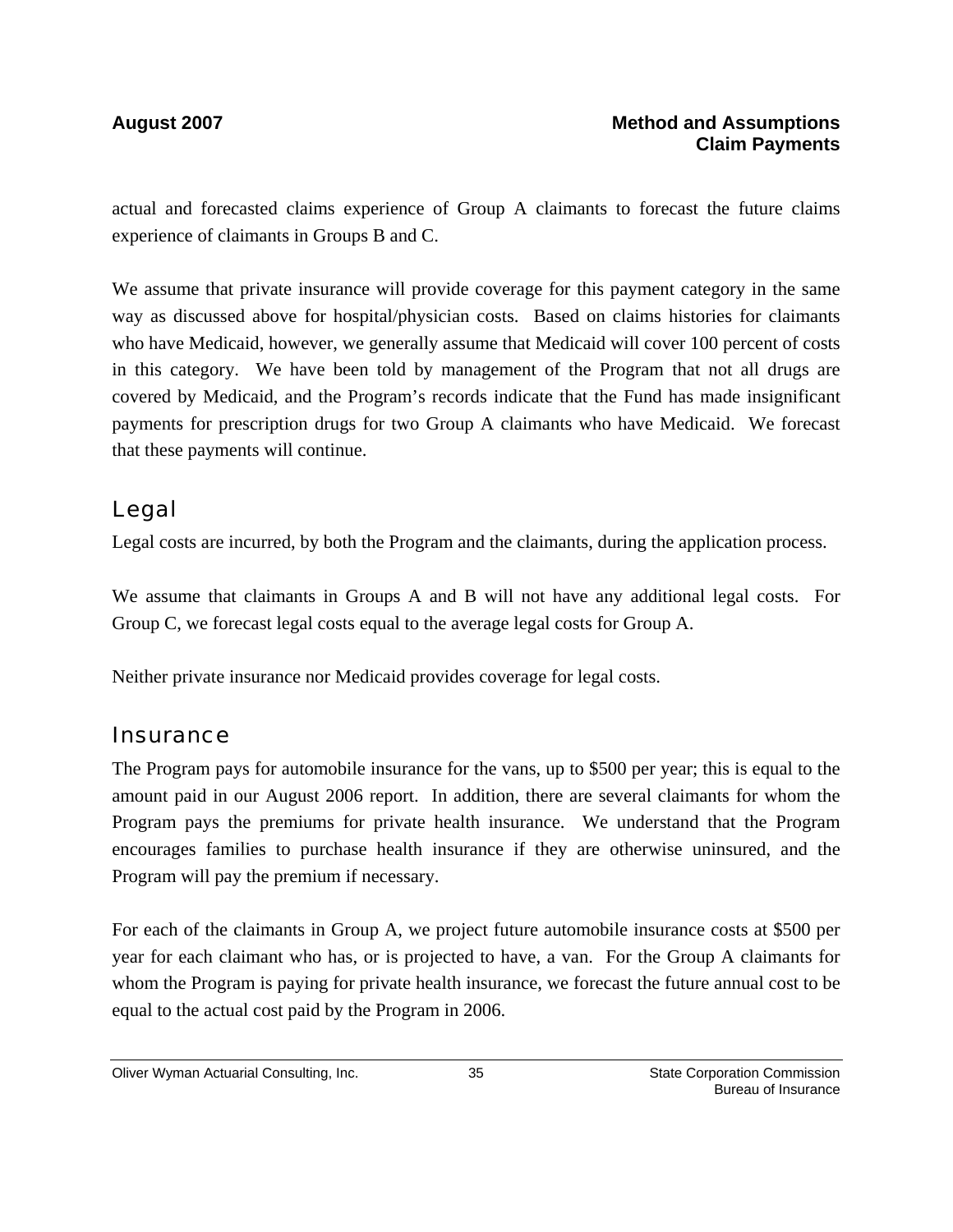actual and forecasted claims experience of Group A claimants to forecast the future claims experience of claimants in Groups B and C.

We assume that private insurance will provide coverage for this payment category in the same way as discussed above for hospital/physician costs. Based on claims histories for claimants who have Medicaid, however, we generally assume that Medicaid will cover 100 percent of costs in this category. We have been told by management of the Program that not all drugs are covered by Medicaid, and the Program's records indicate that the Fund has made insignificant payments for prescription drugs for two Group A claimants who have Medicaid. We forecast that these payments will continue.

### Legal

Legal costs are incurred, by both the Program and the claimants, during the application process.

We assume that claimants in Groups A and B will not have any additional legal costs. For Group C, we forecast legal costs equal to the average legal costs for Group A.

Neither private insurance nor Medicaid provides coverage for legal costs.

### **Insurance**

The Program pays for automobile insurance for the vans, up to \$500 per year; this is equal to the amount paid in our August 2006 report. In addition, there are several claimants for whom the Program pays the premiums for private health insurance. We understand that the Program encourages families to purchase health insurance if they are otherwise uninsured, and the Program will pay the premium if necessary.

For each of the claimants in Group A, we project future automobile insurance costs at \$500 per year for each claimant who has, or is projected to have, a van. For the Group A claimants for whom the Program is paying for private health insurance, we forecast the future annual cost to be equal to the actual cost paid by the Program in 2006.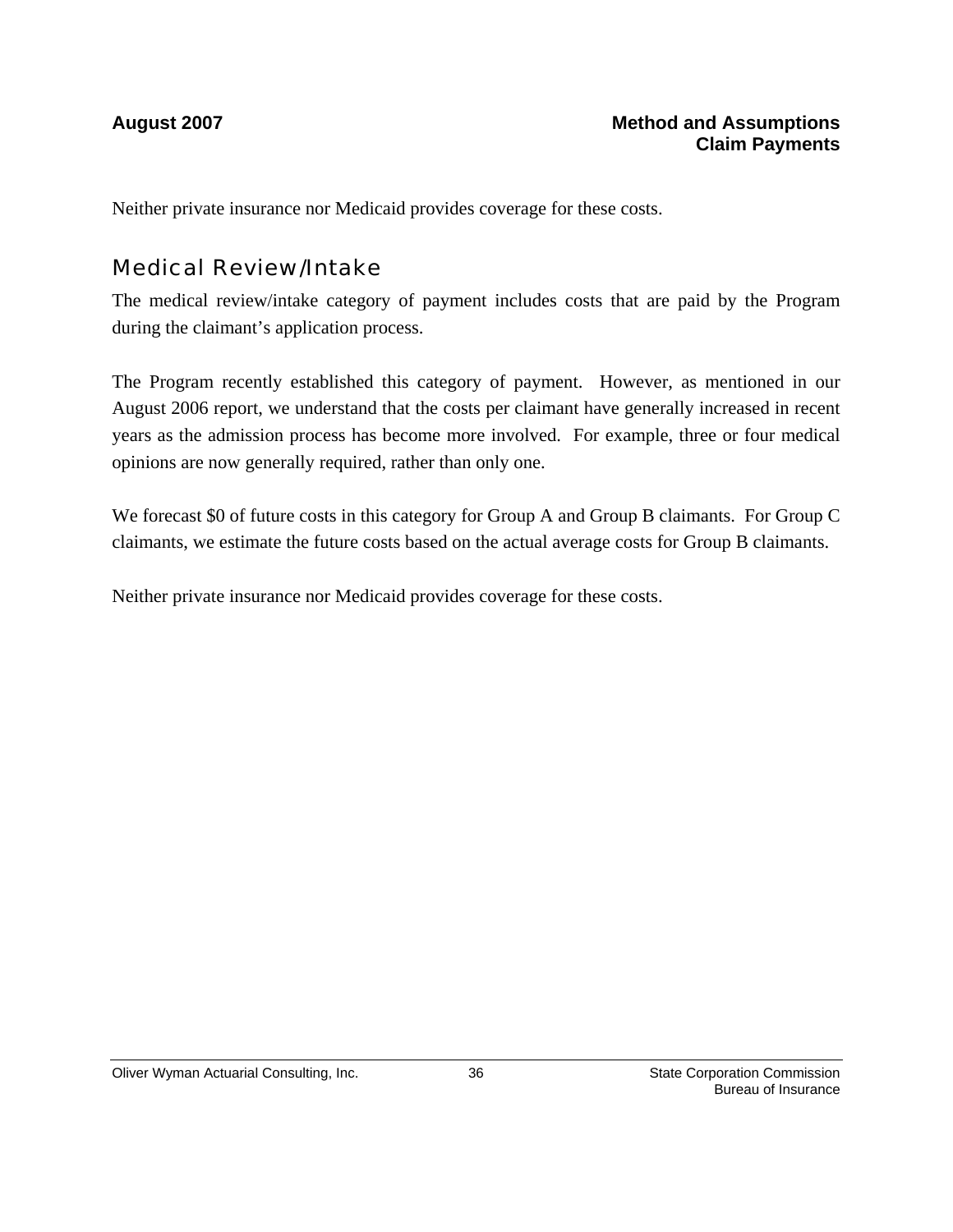Neither private insurance nor Medicaid provides coverage for these costs.

### Medical Review/Intake

The medical review/intake category of payment includes costs that are paid by the Program during the claimant's application process.

The Program recently established this category of payment. However, as mentioned in our August 2006 report, we understand that the costs per claimant have generally increased in recent years as the admission process has become more involved. For example, three or four medical opinions are now generally required, rather than only one.

We forecast \$0 of future costs in this category for Group A and Group B claimants. For Group C claimants, we estimate the future costs based on the actual average costs for Group B claimants.

Neither private insurance nor Medicaid provides coverage for these costs.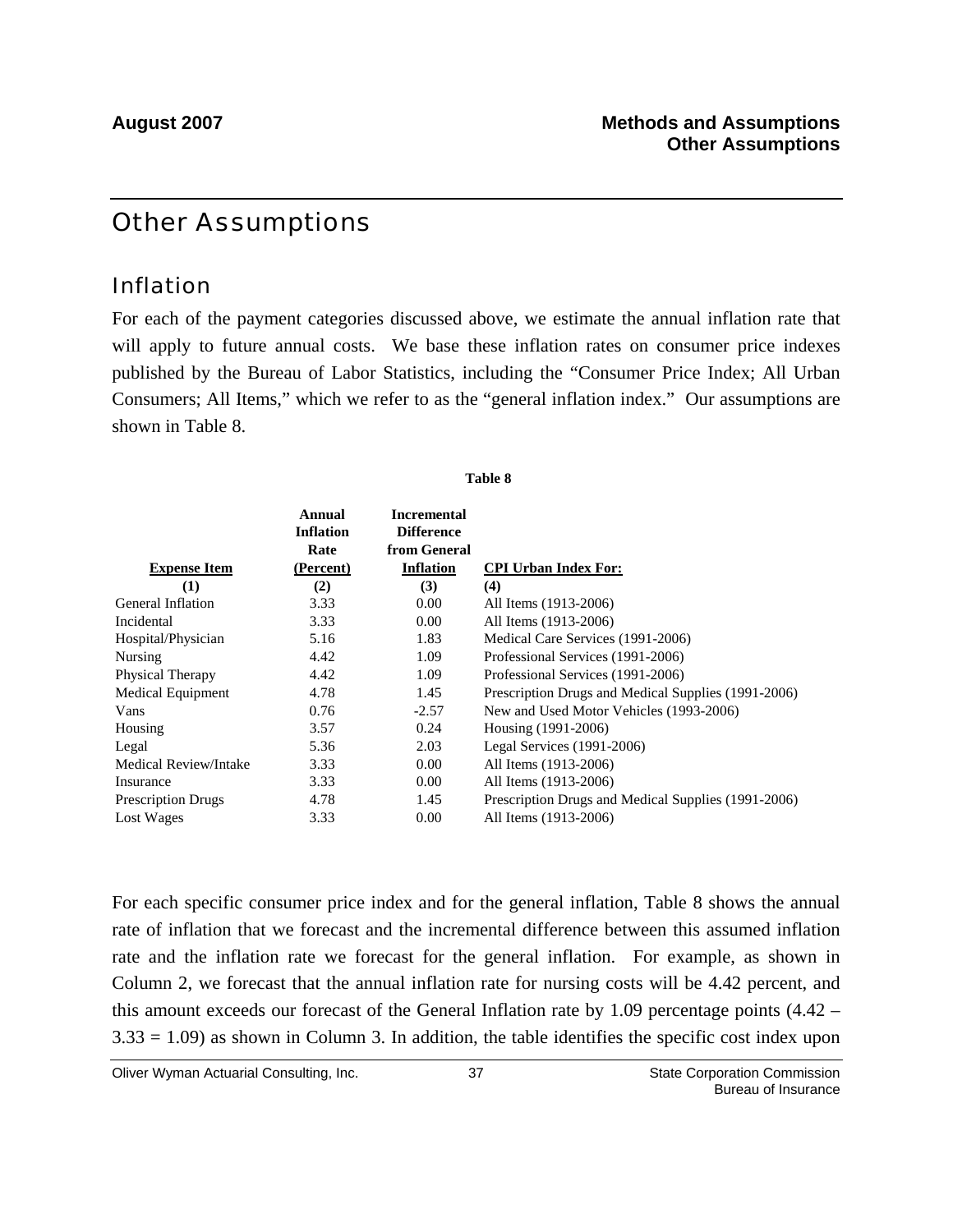# Other Assumptions

### Inflation

For each of the payment categories discussed above, we estimate the annual inflation rate that will apply to future annual costs. We base these inflation rates on consumer price indexes published by the Bureau of Labor Statistics, including the "Consumer Price Index; All Urban Consumers; All Items," which we refer to as the "general inflation index." Our assumptions are shown in Table 8.

**Table 8**

| <b>Expense Item</b>       | Annual<br><b>Inflation</b><br>Rate<br>(Percent) | <b>Incremental</b><br><b>Difference</b><br>from General<br><b>Inflation</b> | <b>CPI Urban Index For:</b>                         |
|---------------------------|-------------------------------------------------|-----------------------------------------------------------------------------|-----------------------------------------------------|
| (1)                       | (2)                                             | (3)                                                                         | (4)                                                 |
| General Inflation         | 3.33                                            | 0.00                                                                        | All Items (1913-2006)                               |
| Incidental                | 3.33                                            | 0.00                                                                        | All Items (1913-2006)                               |
| Hospital/Physician        | 5.16                                            | 1.83                                                                        | Medical Care Services (1991-2006)                   |
| Nursing                   | 4.42                                            | 1.09                                                                        | Professional Services (1991-2006)                   |
| <b>Physical Therapy</b>   | 4.42                                            | 1.09                                                                        | Professional Services (1991-2006)                   |
| Medical Equipment         | 4.78                                            | 1.45                                                                        | Prescription Drugs and Medical Supplies (1991-2006) |
| Vans                      | 0.76                                            | $-2.57$                                                                     | New and Used Motor Vehicles (1993-2006)             |
| Housing                   | 3.57                                            | 0.24                                                                        | Housing (1991-2006)                                 |
| Legal                     | 5.36                                            | 2.03                                                                        | Legal Services (1991-2006)                          |
| Medical Review/Intake     | 3.33                                            | 0.00                                                                        | All Items (1913-2006)                               |
| Insurance                 | 3.33                                            | 0.00                                                                        | All Items (1913-2006)                               |
| <b>Prescription Drugs</b> | 4.78                                            | 1.45                                                                        | Prescription Drugs and Medical Supplies (1991-2006) |
| Lost Wages                | 3.33                                            | 0.00                                                                        | All Items (1913-2006)                               |

For each specific consumer price index and for the general inflation, Table 8 shows the annual rate of inflation that we forecast and the incremental difference between this assumed inflation rate and the inflation rate we forecast for the general inflation. For example, as shown in Column 2, we forecast that the annual inflation rate for nursing costs will be 4.42 percent, and this amount exceeds our forecast of the General Inflation rate by 1.09 percentage points (4.42 –  $3.33 = 1.09$ ) as shown in Column 3. In addition, the table identifies the specific cost index upon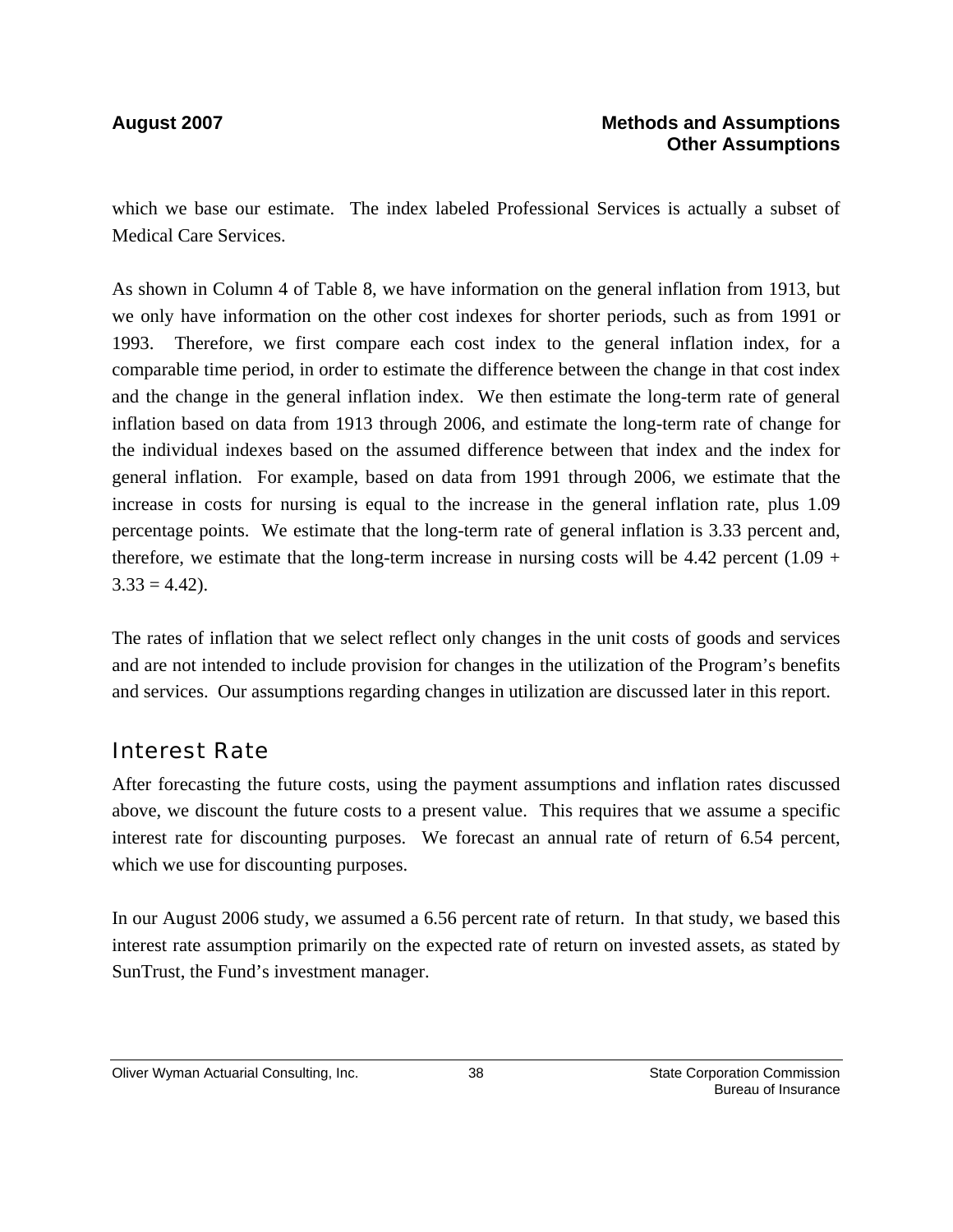which we base our estimate. The index labeled Professional Services is actually a subset of Medical Care Services.

As shown in Column 4 of Table 8, we have information on the general inflation from 1913, but we only have information on the other cost indexes for shorter periods, such as from 1991 or 1993. Therefore, we first compare each cost index to the general inflation index, for a comparable time period, in order to estimate the difference between the change in that cost index and the change in the general inflation index. We then estimate the long-term rate of general inflation based on data from 1913 through 2006, and estimate the long-term rate of change for the individual indexes based on the assumed difference between that index and the index for general inflation. For example, based on data from 1991 through 2006, we estimate that the increase in costs for nursing is equal to the increase in the general inflation rate, plus 1.09 percentage points. We estimate that the long-term rate of general inflation is 3.33 percent and, therefore, we estimate that the long-term increase in nursing costs will be  $4.42$  percent  $(1.09 +$  $3.33 = 4.42$ .

The rates of inflation that we select reflect only changes in the unit costs of goods and services and are not intended to include provision for changes in the utilization of the Program's benefits and services. Our assumptions regarding changes in utilization are discussed later in this report.

### Interest Rate

After forecasting the future costs, using the payment assumptions and inflation rates discussed above, we discount the future costs to a present value. This requires that we assume a specific interest rate for discounting purposes. We forecast an annual rate of return of 6.54 percent, which we use for discounting purposes.

In our August 2006 study, we assumed a 6.56 percent rate of return. In that study, we based this interest rate assumption primarily on the expected rate of return on invested assets, as stated by SunTrust, the Fund's investment manager.

#### Oliver Wyman Actuarial Consulting, Inc.  $\qquad \qquad$  38 State Corporation Commission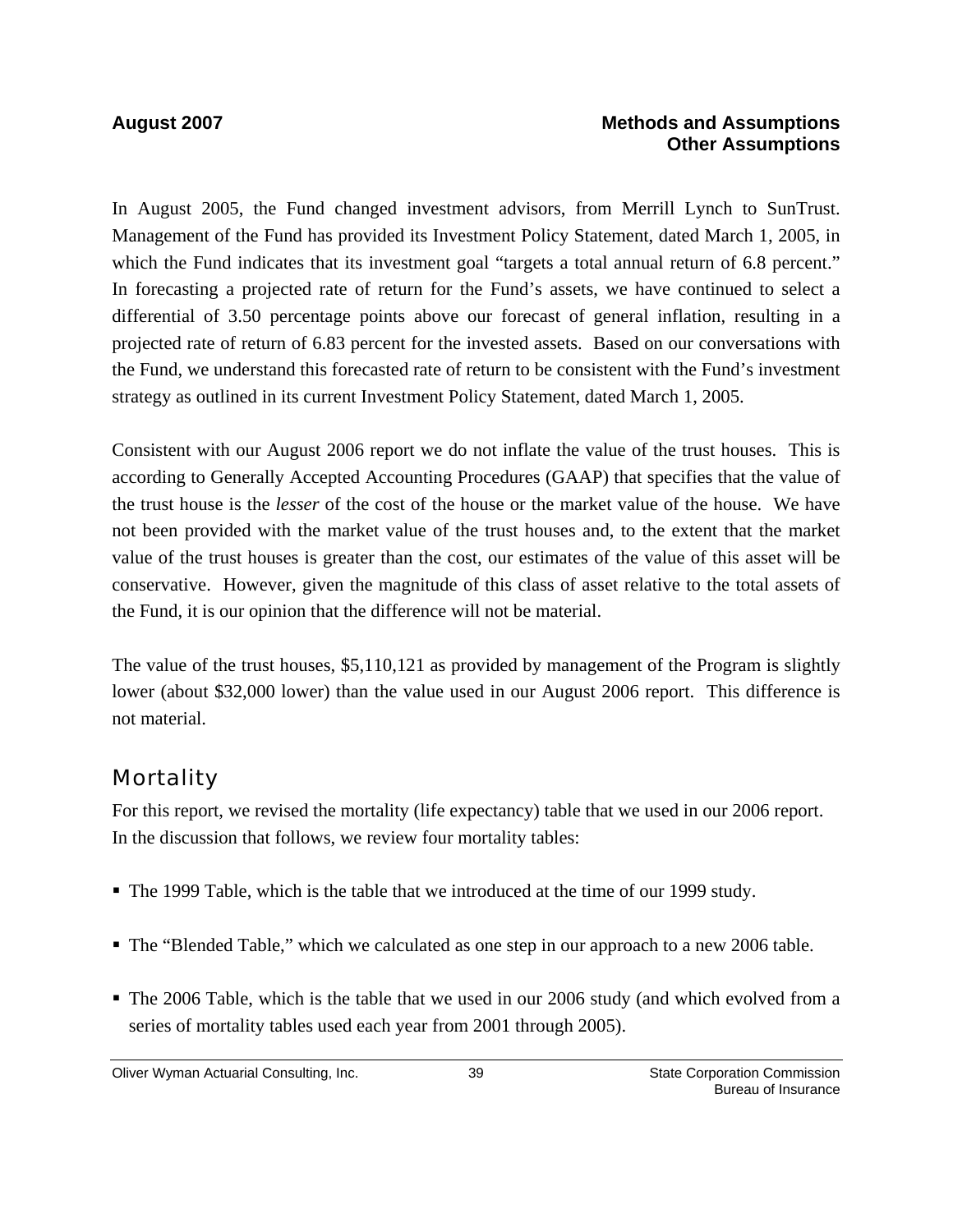#### **August 2007 Methods and Assumptions Other Assumptions**

In August 2005, the Fund changed investment advisors, from Merrill Lynch to SunTrust. Management of the Fund has provided its Investment Policy Statement, dated March 1, 2005, in which the Fund indicates that its investment goal "targets a total annual return of 6.8 percent." In forecasting a projected rate of return for the Fund's assets, we have continued to select a differential of 3.50 percentage points above our forecast of general inflation, resulting in a projected rate of return of 6.83 percent for the invested assets. Based on our conversations with the Fund, we understand this forecasted rate of return to be consistent with the Fund's investment strategy as outlined in its current Investment Policy Statement, dated March 1, 2005.

Consistent with our August 2006 report we do not inflate the value of the trust houses. This is according to Generally Accepted Accounting Procedures (GAAP) that specifies that the value of the trust house is the *lesser* of the cost of the house or the market value of the house. We have not been provided with the market value of the trust houses and, to the extent that the market value of the trust houses is greater than the cost, our estimates of the value of this asset will be conservative. However, given the magnitude of this class of asset relative to the total assets of the Fund, it is our opinion that the difference will not be material.

The value of the trust houses, \$5,110,121 as provided by management of the Program is slightly lower (about \$32,000 lower) than the value used in our August 2006 report. This difference is not material.

# **Mortality**

For this report, we revised the mortality (life expectancy) table that we used in our 2006 report. In the discussion that follows, we review four mortality tables:

- The 1999 Table, which is the table that we introduced at the time of our 1999 study.
- The "Blended Table," which we calculated as one step in our approach to a new 2006 table.
- The 2006 Table, which is the table that we used in our 2006 study (and which evolved from a series of mortality tables used each year from 2001 through 2005).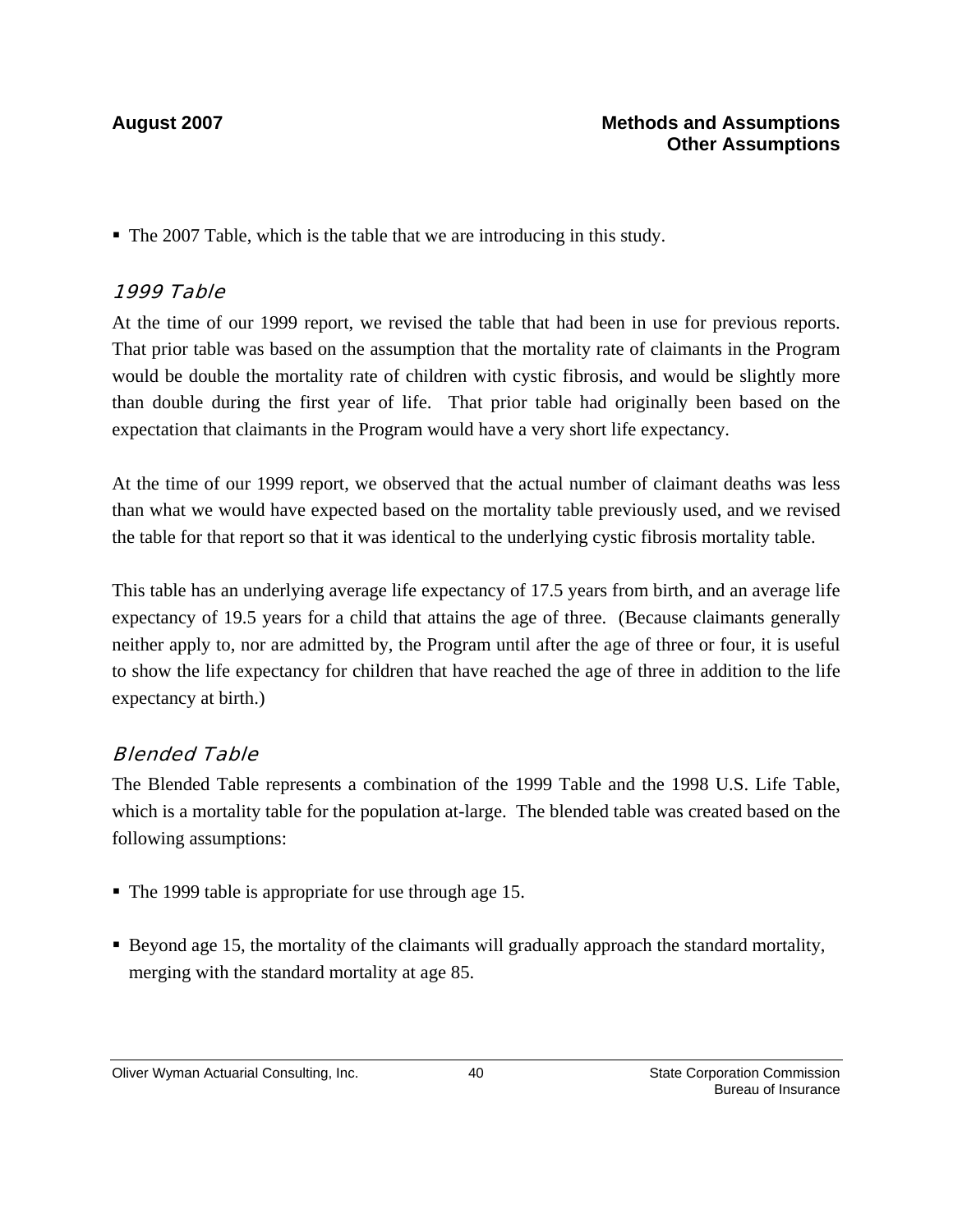The 2007 Table, which is the table that we are introducing in this study.

#### 1999 Table

At the time of our 1999 report, we revised the table that had been in use for previous reports. That prior table was based on the assumption that the mortality rate of claimants in the Program would be double the mortality rate of children with cystic fibrosis, and would be slightly more than double during the first year of life. That prior table had originally been based on the expectation that claimants in the Program would have a very short life expectancy.

At the time of our 1999 report, we observed that the actual number of claimant deaths was less than what we would have expected based on the mortality table previously used, and we revised the table for that report so that it was identical to the underlying cystic fibrosis mortality table.

This table has an underlying average life expectancy of 17.5 years from birth, and an average life expectancy of 19.5 years for a child that attains the age of three. (Because claimants generally neither apply to, nor are admitted by, the Program until after the age of three or four, it is useful to show the life expectancy for children that have reached the age of three in addition to the life expectancy at birth.)

#### Blended Table

The Blended Table represents a combination of the 1999 Table and the 1998 U.S. Life Table, which is a mortality table for the population at-large. The blended table was created based on the following assumptions:

- The 1999 table is appropriate for use through age 15.
- Beyond age 15, the mortality of the claimants will gradually approach the standard mortality, merging with the standard mortality at age 85.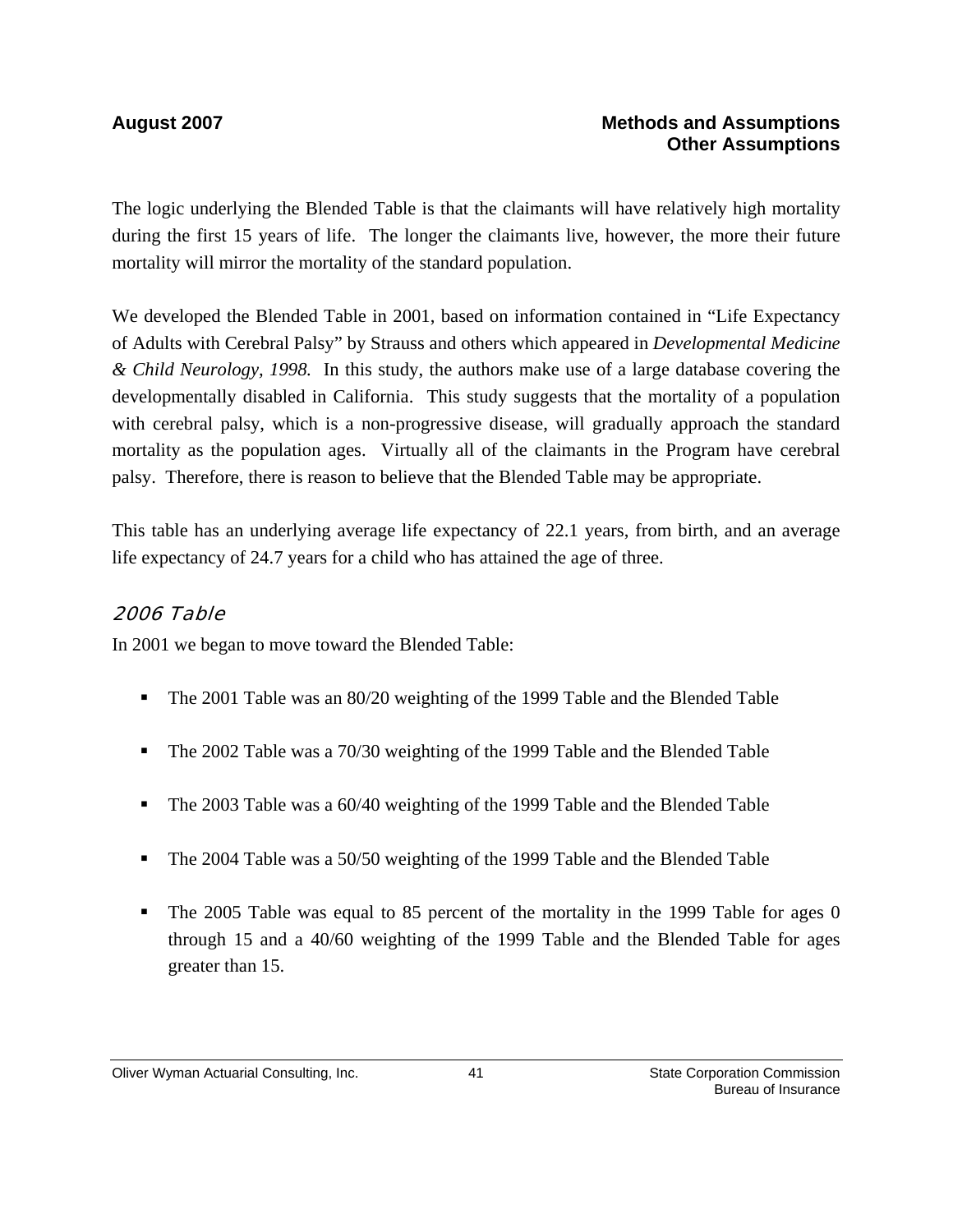The logic underlying the Blended Table is that the claimants will have relatively high mortality during the first 15 years of life. The longer the claimants live, however, the more their future mortality will mirror the mortality of the standard population.

We developed the Blended Table in 2001, based on information contained in "Life Expectancy of Adults with Cerebral Palsy" by Strauss and others which appeared in *Developmental Medicine & Child Neurology, 1998.* In this study, the authors make use of a large database covering the developmentally disabled in California. This study suggests that the mortality of a population with cerebral palsy, which is a non-progressive disease, will gradually approach the standard mortality as the population ages. Virtually all of the claimants in the Program have cerebral palsy. Therefore, there is reason to believe that the Blended Table may be appropriate.

This table has an underlying average life expectancy of 22.1 years, from birth, and an average life expectancy of 24.7 years for a child who has attained the age of three.

#### 2006 Table

In 2001 we began to move toward the Blended Table:

- The 2001 Table was an 80/20 weighting of the 1999 Table and the Blended Table
- The 2002 Table was a 70/30 weighting of the 1999 Table and the Blended Table
- The 2003 Table was a 60/40 weighting of the 1999 Table and the Blended Table
- The 2004 Table was a 50/50 weighting of the 1999 Table and the Blended Table
- The 2005 Table was equal to 85 percent of the mortality in the 1999 Table for ages 0 through 15 and a 40/60 weighting of the 1999 Table and the Blended Table for ages greater than 15.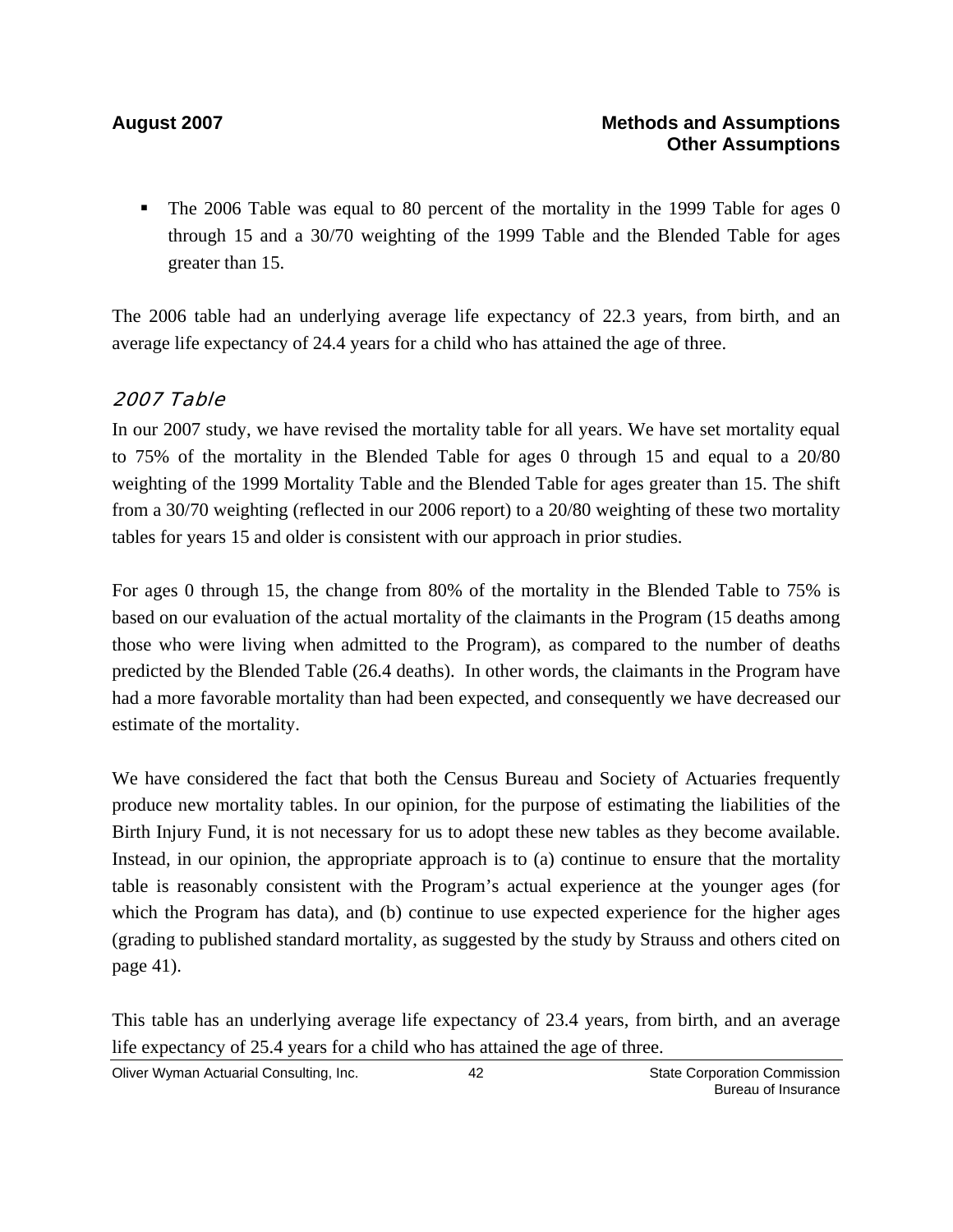The 2006 Table was equal to 80 percent of the mortality in the 1999 Table for ages 0 through 15 and a 30/70 weighting of the 1999 Table and the Blended Table for ages greater than 15.

The 2006 table had an underlying average life expectancy of 22.3 years, from birth, and an average life expectancy of 24.4 years for a child who has attained the age of three.

#### 2007 Table

In our 2007 study, we have revised the mortality table for all years. We have set mortality equal to 75% of the mortality in the Blended Table for ages 0 through 15 and equal to a 20/80 weighting of the 1999 Mortality Table and the Blended Table for ages greater than 15. The shift from a 30/70 weighting (reflected in our 2006 report) to a 20/80 weighting of these two mortality tables for years 15 and older is consistent with our approach in prior studies.

For ages 0 through 15, the change from 80% of the mortality in the Blended Table to 75% is based on our evaluation of the actual mortality of the claimants in the Program (15 deaths among those who were living when admitted to the Program), as compared to the number of deaths predicted by the Blended Table (26.4 deaths). In other words, the claimants in the Program have had a more favorable mortality than had been expected, and consequently we have decreased our estimate of the mortality.

We have considered the fact that both the Census Bureau and Society of Actuaries frequently produce new mortality tables. In our opinion, for the purpose of estimating the liabilities of the Birth Injury Fund, it is not necessary for us to adopt these new tables as they become available. Instead, in our opinion, the appropriate approach is to (a) continue to ensure that the mortality table is reasonably consistent with the Program's actual experience at the younger ages (for which the Program has data), and (b) continue to use expected experience for the higher ages (grading to published standard mortality, as suggested by the study by Strauss and others cited on page 41).

This table has an underlying average life expectancy of 23.4 years, from birth, and an average life expectancy of 25.4 years for a child who has attained the age of three.

Oliver Wyman Actuarial Consulting, Inc. 42 42 State Corporation Commission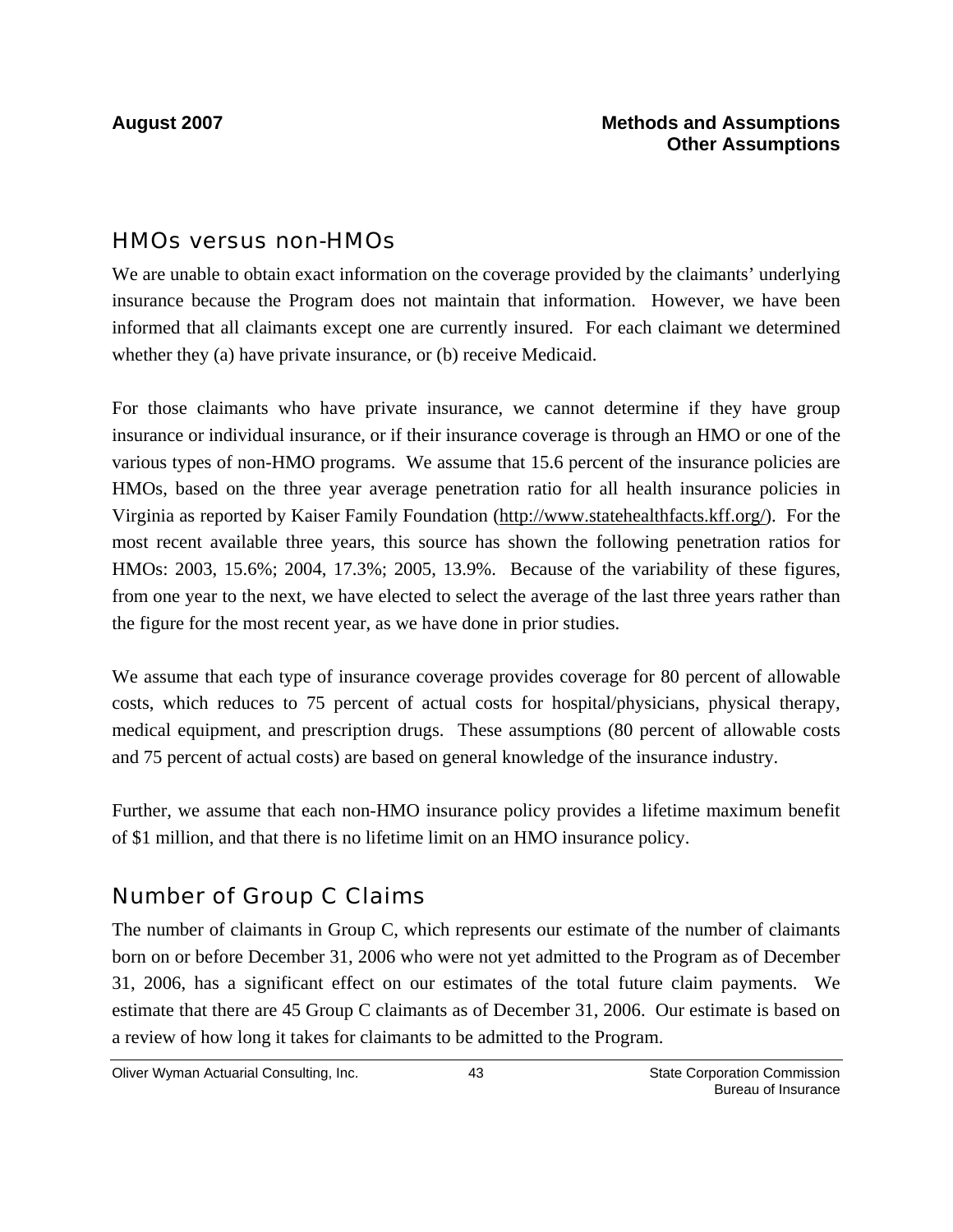#### HMOs versus non-HMOs

We are unable to obtain exact information on the coverage provided by the claimants' underlying insurance because the Program does not maintain that information. However, we have been informed that all claimants except one are currently insured. For each claimant we determined whether they (a) have private insurance, or (b) receive Medicaid.

For those claimants who have private insurance, we cannot determine if they have group insurance or individual insurance, or if their insurance coverage is through an HMO or one of the various types of non-HMO programs. We assume that 15.6 percent of the insurance policies are HMOs, based on the three year average penetration ratio for all health insurance policies in Virginia as reported by Kaiser Family Foundation (http://www.statehealthfacts.kff.org/). For the most recent available three years, this source has shown the following penetration ratios for HMOs: 2003, 15.6%; 2004, 17.3%; 2005, 13.9%. Because of the variability of these figures, from one year to the next, we have elected to select the average of the last three years rather than the figure for the most recent year, as we have done in prior studies.

We assume that each type of insurance coverage provides coverage for 80 percent of allowable costs, which reduces to 75 percent of actual costs for hospital/physicians, physical therapy, medical equipment, and prescription drugs. These assumptions (80 percent of allowable costs and 75 percent of actual costs) are based on general knowledge of the insurance industry.

Further, we assume that each non-HMO insurance policy provides a lifetime maximum benefit of \$1 million, and that there is no lifetime limit on an HMO insurance policy.

### Number of Group C Claims

The number of claimants in Group C, which represents our estimate of the number of claimants born on or before December 31, 2006 who were not yet admitted to the Program as of December 31, 2006, has a significant effect on our estimates of the total future claim payments. We estimate that there are 45 Group C claimants as of December 31, 2006. Our estimate is based on a review of how long it takes for claimants to be admitted to the Program.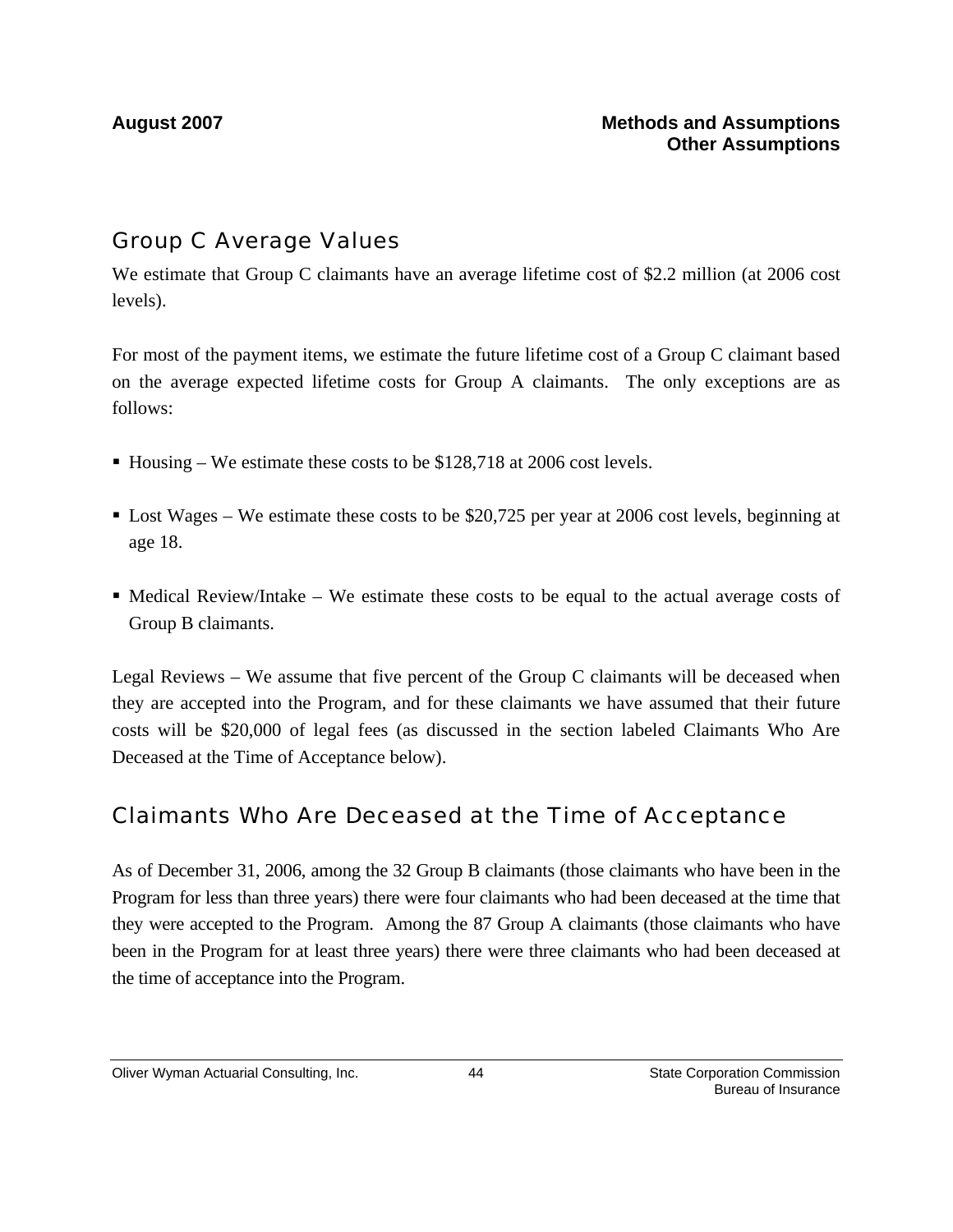### Group C Average Values

We estimate that Group C claimants have an average lifetime cost of \$2.2 million (at 2006 cost levels).

For most of the payment items, we estimate the future lifetime cost of a Group C claimant based on the average expected lifetime costs for Group A claimants. The only exceptions are as follows:

- Housing We estimate these costs to be  $$128,718$  at 2006 cost levels.
- Lost Wages We estimate these costs to be \$20,725 per year at 2006 cost levels, beginning at age 18.
- $\blacksquare$  Medical Review/Intake We estimate these costs to be equal to the actual average costs of Group B claimants.

Legal Reviews – We assume that five percent of the Group C claimants will be deceased when they are accepted into the Program, and for these claimants we have assumed that their future costs will be \$20,000 of legal fees (as discussed in the section labeled Claimants Who Are Deceased at the Time of Acceptance below).

### Claimants Who Are Deceased at the Time of Acceptance

As of December 31, 2006, among the 32 Group B claimants (those claimants who have been in the Program for less than three years) there were four claimants who had been deceased at the time that they were accepted to the Program. Among the 87 Group A claimants (those claimants who have been in the Program for at least three years) there were three claimants who had been deceased at the time of acceptance into the Program.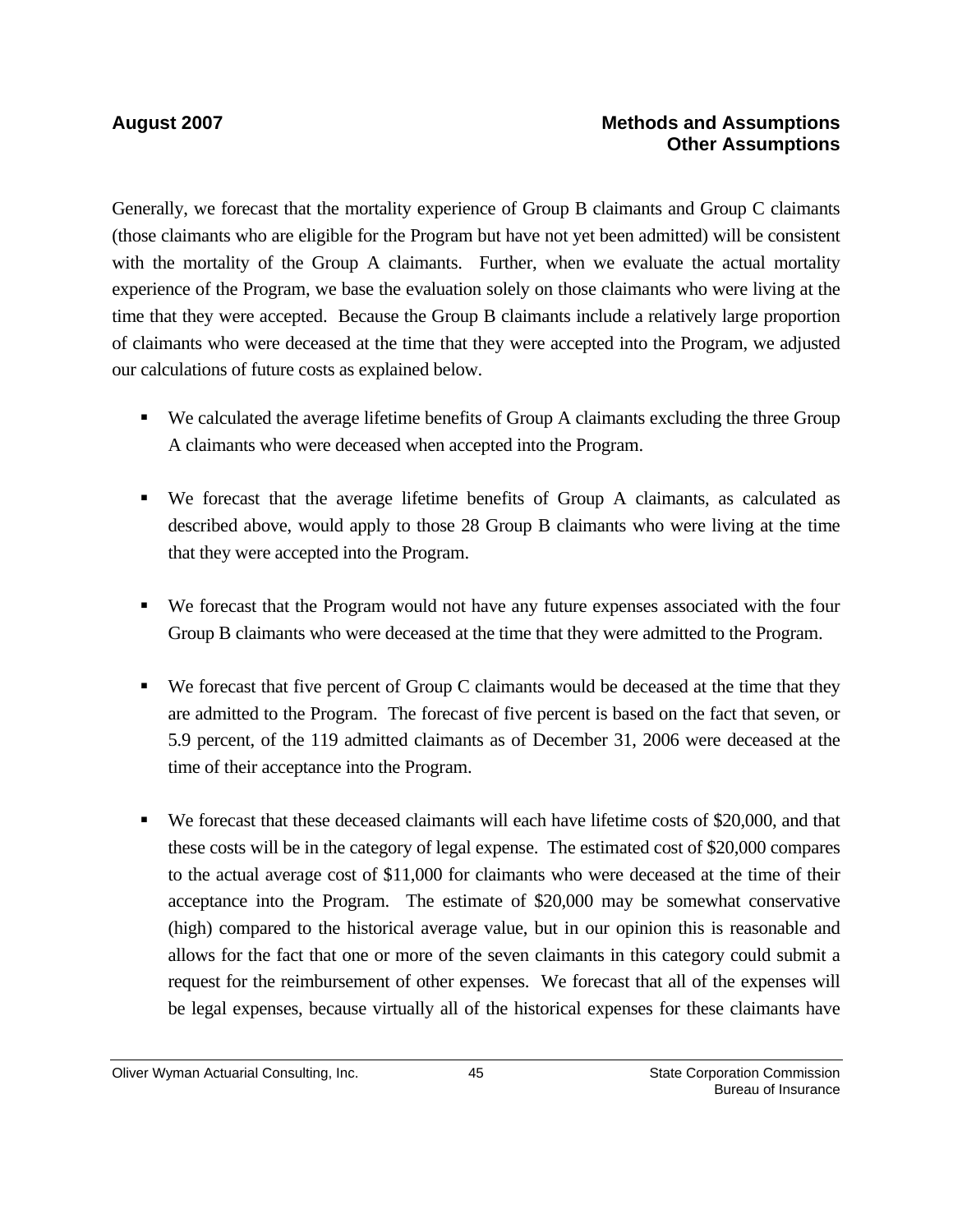Generally, we forecast that the mortality experience of Group B claimants and Group C claimants (those claimants who are eligible for the Program but have not yet been admitted) will be consistent with the mortality of the Group A claimants. Further, when we evaluate the actual mortality experience of the Program, we base the evaluation solely on those claimants who were living at the time that they were accepted. Because the Group B claimants include a relatively large proportion of claimants who were deceased at the time that they were accepted into the Program, we adjusted our calculations of future costs as explained below.

- We calculated the average lifetime benefits of Group A claimants excluding the three Group A claimants who were deceased when accepted into the Program.
- We forecast that the average lifetime benefits of Group A claimants, as calculated as described above, would apply to those 28 Group B claimants who were living at the time that they were accepted into the Program.
- We forecast that the Program would not have any future expenses associated with the four Group B claimants who were deceased at the time that they were admitted to the Program.
- We forecast that five percent of Group C claimants would be deceased at the time that they are admitted to the Program. The forecast of five percent is based on the fact that seven, or 5.9 percent, of the 119 admitted claimants as of December 31, 2006 were deceased at the time of their acceptance into the Program.
- We forecast that these deceased claimants will each have lifetime costs of \$20,000, and that these costs will be in the category of legal expense. The estimated cost of \$20,000 compares to the actual average cost of \$11,000 for claimants who were deceased at the time of their acceptance into the Program. The estimate of \$20,000 may be somewhat conservative (high) compared to the historical average value, but in our opinion this is reasonable and allows for the fact that one or more of the seven claimants in this category could submit a request for the reimbursement of other expenses. We forecast that all of the expenses will be legal expenses, because virtually all of the historical expenses for these claimants have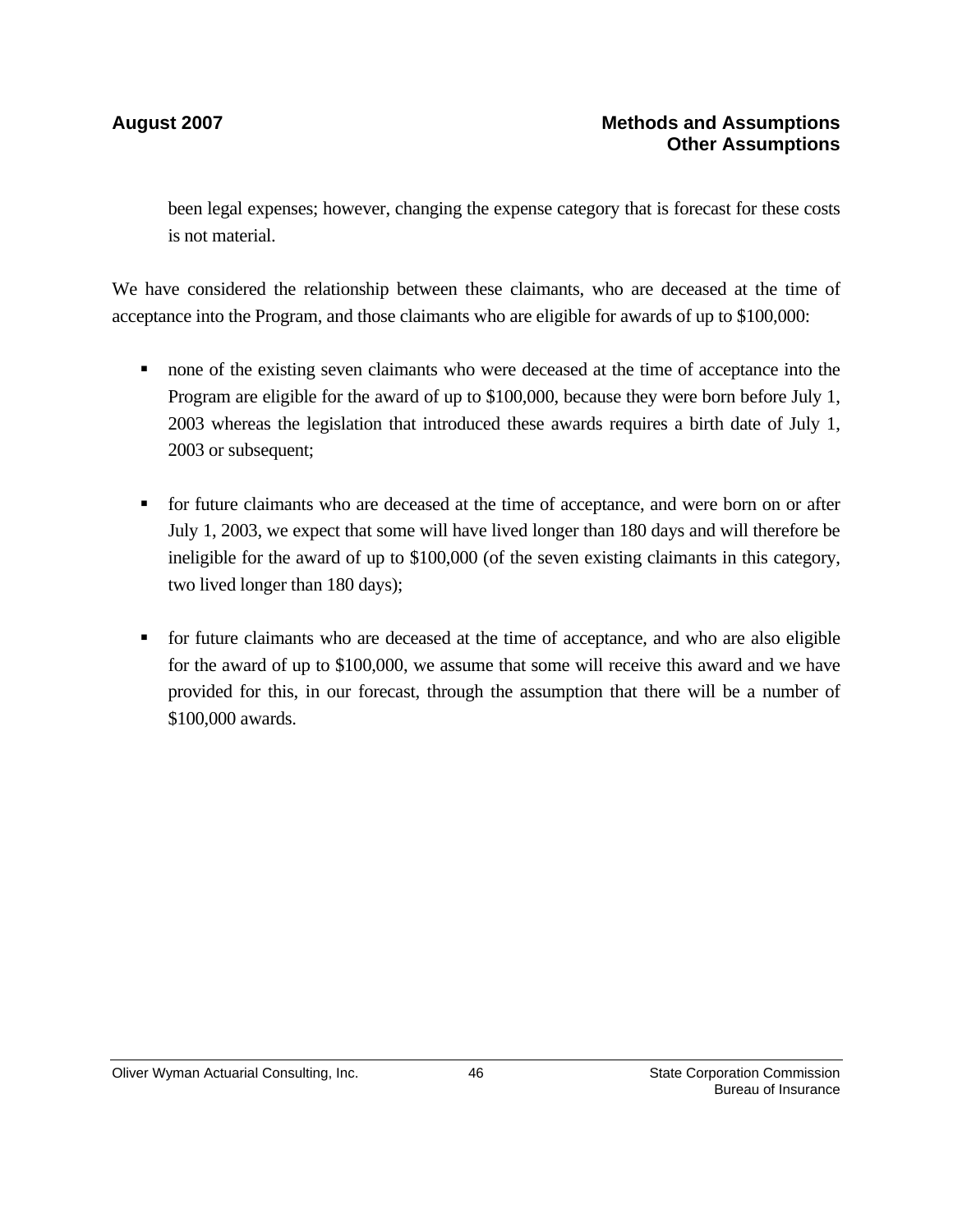been legal expenses; however, changing the expense category that is forecast for these costs is not material.

We have considered the relationship between these claimants, who are deceased at the time of acceptance into the Program, and those claimants who are eligible for awards of up to \$100,000:

- none of the existing seven claimants who were deceased at the time of acceptance into the Program are eligible for the award of up to \$100,000, because they were born before July 1, 2003 whereas the legislation that introduced these awards requires a birth date of July 1, 2003 or subsequent;
- for future claimants who are deceased at the time of acceptance, and were born on or after July 1, 2003, we expect that some will have lived longer than 180 days and will therefore be ineligible for the award of up to \$100,000 (of the seven existing claimants in this category, two lived longer than 180 days);
- for future claimants who are deceased at the time of acceptance, and who are also eligible for the award of up to \$100,000, we assume that some will receive this award and we have provided for this, in our forecast, through the assumption that there will be a number of \$100,000 awards.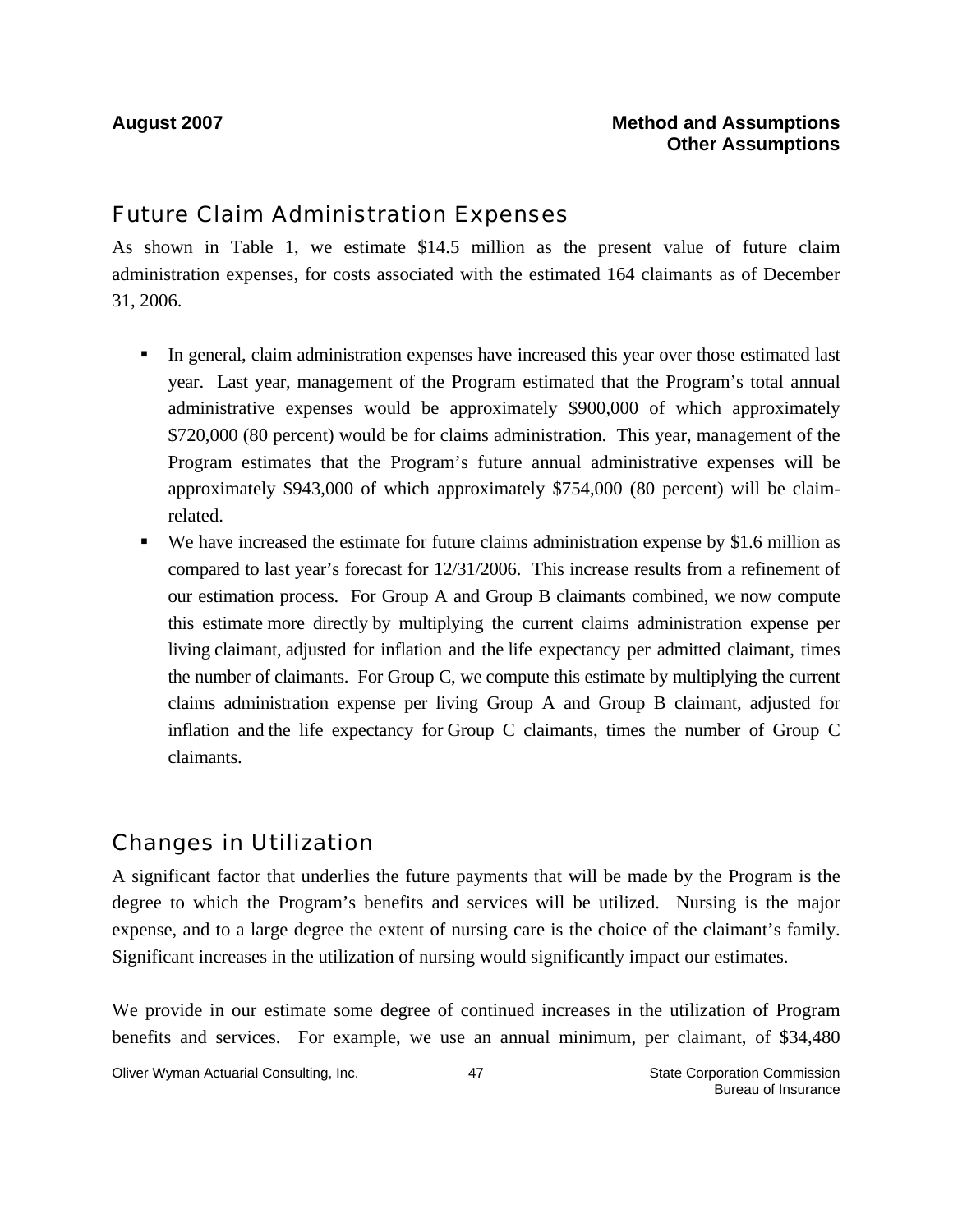### Future Claim Administration Expenses

As shown in Table 1, we estimate \$14.5 million as the present value of future claim administration expenses, for costs associated with the estimated 164 claimants as of December 31, 2006.

- In general, claim administration expenses have increased this year over those estimated last year. Last year, management of the Program estimated that the Program's total annual administrative expenses would be approximately \$900,000 of which approximately \$720,000 (80 percent) would be for claims administration. This year, management of the Program estimates that the Program's future annual administrative expenses will be approximately \$943,000 of which approximately \$754,000 (80 percent) will be claimrelated.
- We have increased the estimate for future claims administration expense by \$1.6 million as compared to last year's forecast for 12/31/2006. This increase results from a refinement of our estimation process. For Group A and Group B claimants combined, we now compute this estimate more directly by multiplying the current claims administration expense per living claimant, adjusted for inflation and the life expectancy per admitted claimant, times the number of claimants. For Group C, we compute this estimate by multiplying the current claims administration expense per living Group A and Group B claimant, adjusted for inflation and the life expectancy for Group C claimants, times the number of Group C claimants.

### Changes in Utilization

A significant factor that underlies the future payments that will be made by the Program is the degree to which the Program's benefits and services will be utilized. Nursing is the major expense, and to a large degree the extent of nursing care is the choice of the claimant's family. Significant increases in the utilization of nursing would significantly impact our estimates.

We provide in our estimate some degree of continued increases in the utilization of Program benefits and services. For example, we use an annual minimum, per claimant, of \$34,480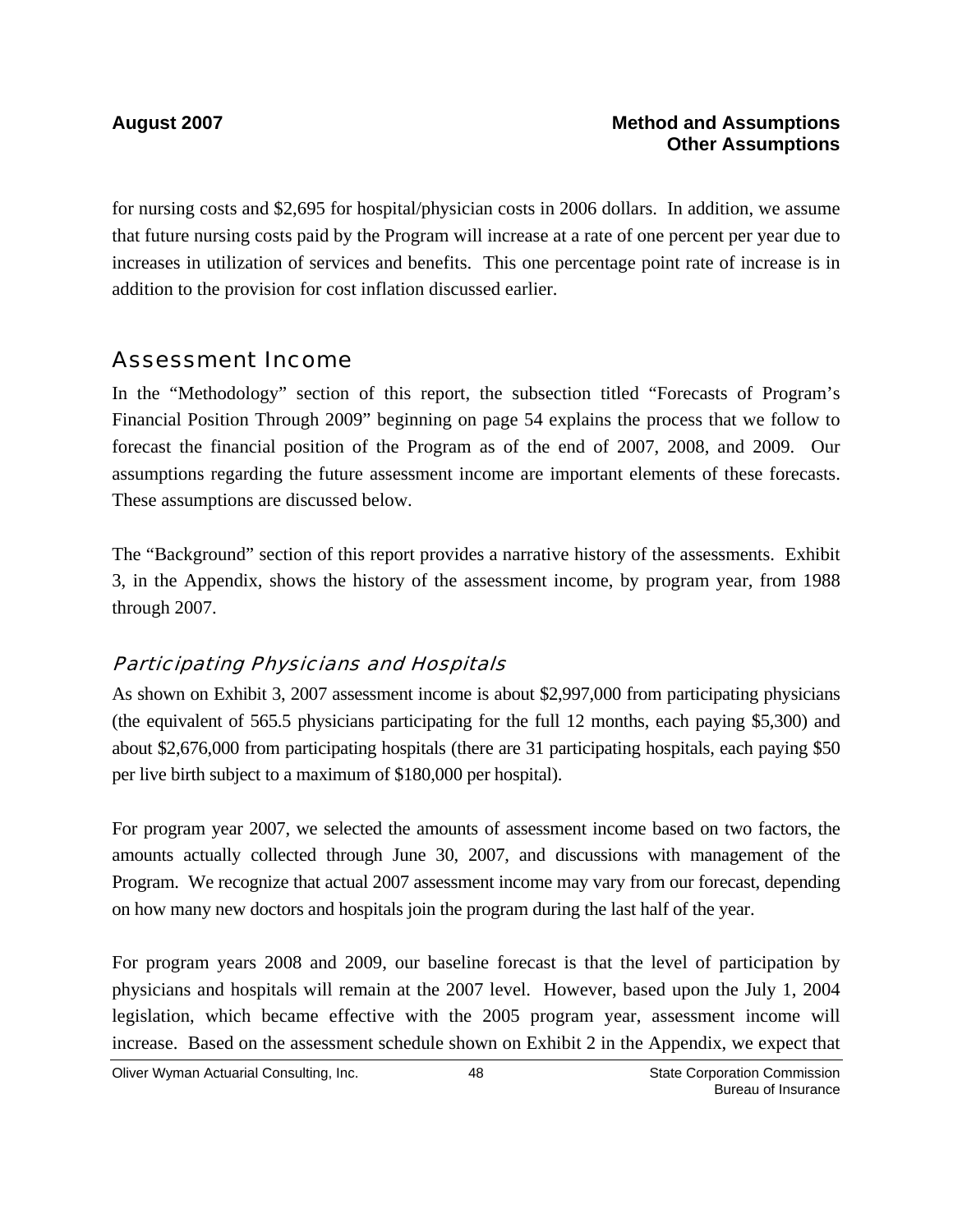for nursing costs and \$2,695 for hospital/physician costs in 2006 dollars. In addition, we assume that future nursing costs paid by the Program will increase at a rate of one percent per year due to increases in utilization of services and benefits. This one percentage point rate of increase is in addition to the provision for cost inflation discussed earlier.

### Assessment Income

In the "Methodology" section of this report, the subsection titled "Forecasts of Program's Financial Position Through 2009" beginning on page 54 explains the process that we follow to forecast the financial position of the Program as of the end of 2007, 2008, and 2009. Our assumptions regarding the future assessment income are important elements of these forecasts. These assumptions are discussed below.

The "Background" section of this report provides a narrative history of the assessments. Exhibit 3, in the Appendix, shows the history of the assessment income, by program year, from 1988 through 2007.

#### Participating Physicians and Hospitals

As shown on Exhibit 3, 2007 assessment income is about \$2,997,000 from participating physicians (the equivalent of 565.5 physicians participating for the full 12 months, each paying \$5,300) and about \$2,676,000 from participating hospitals (there are 31 participating hospitals, each paying \$50 per live birth subject to a maximum of \$180,000 per hospital).

For program year 2007, we selected the amounts of assessment income based on two factors, the amounts actually collected through June 30, 2007, and discussions with management of the Program. We recognize that actual 2007 assessment income may vary from our forecast, depending on how many new doctors and hospitals join the program during the last half of the year.

For program years 2008 and 2009, our baseline forecast is that the level of participation by physicians and hospitals will remain at the 2007 level. However, based upon the July 1, 2004 legislation, which became effective with the 2005 program year, assessment income will increase. Based on the assessment schedule shown on Exhibit 2 in the Appendix, we expect that

Oliver Wyman Actuarial Consulting, Inc.  $\begin{array}{ccc} 48 & 48 & \end{array}$  State Corporation Commission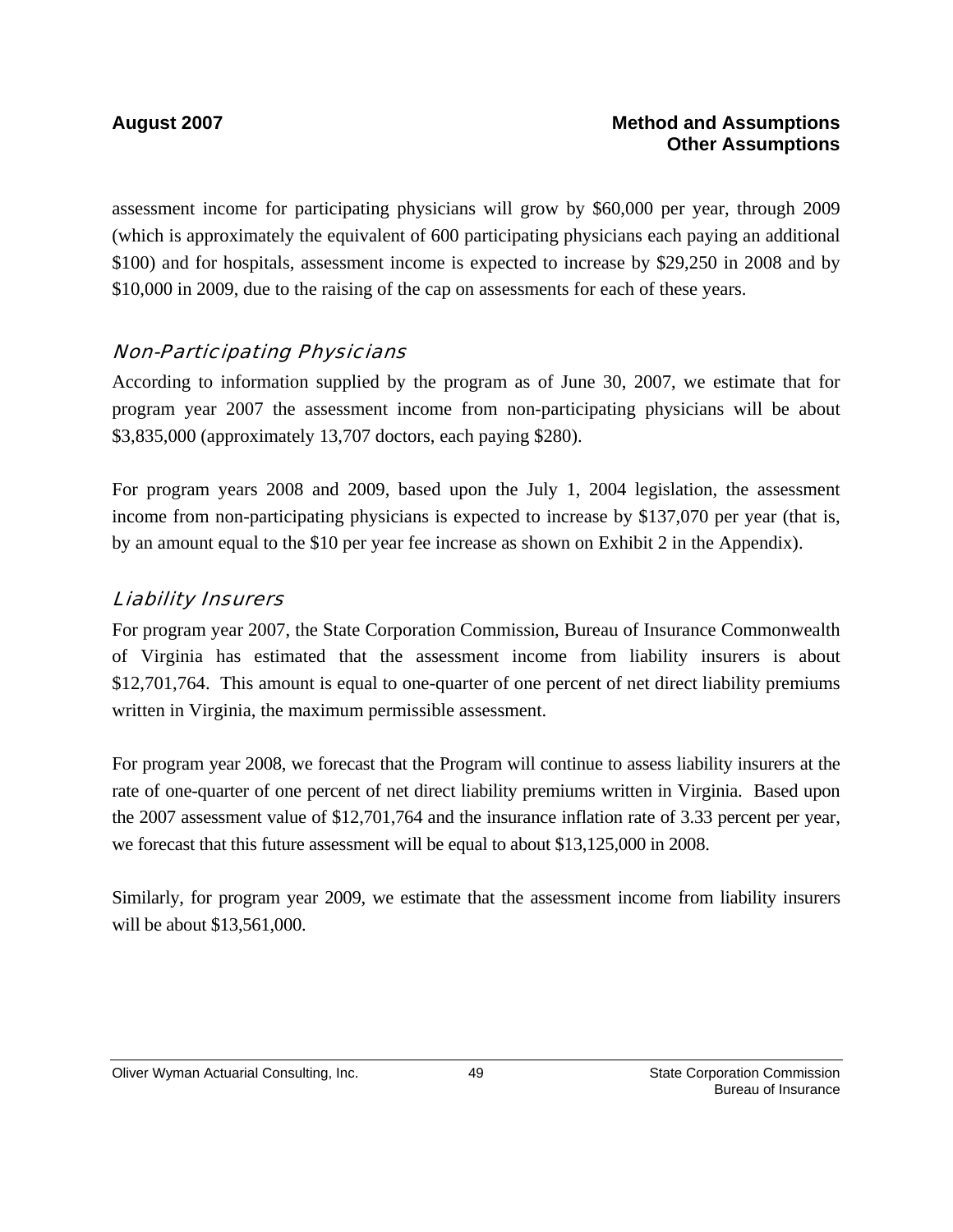assessment income for participating physicians will grow by \$60,000 per year, through 2009 (which is approximately the equivalent of 600 participating physicians each paying an additional \$100) and for hospitals, assessment income is expected to increase by \$29,250 in 2008 and by \$10,000 in 2009, due to the raising of the cap on assessments for each of these years.

#### Non-Participating Physicians

According to information supplied by the program as of June 30, 2007, we estimate that for program year 2007 the assessment income from non-participating physicians will be about \$3,835,000 (approximately 13,707 doctors, each paying \$280).

For program years 2008 and 2009, based upon the July 1, 2004 legislation, the assessment income from non-participating physicians is expected to increase by \$137,070 per year (that is, by an amount equal to the \$10 per year fee increase as shown on Exhibit 2 in the Appendix).

#### Liability Insurers

For program year 2007, the State Corporation Commission, Bureau of Insurance Commonwealth of Virginia has estimated that the assessment income from liability insurers is about \$12,701,764. This amount is equal to one-quarter of one percent of net direct liability premiums written in Virginia, the maximum permissible assessment.

For program year 2008, we forecast that the Program will continue to assess liability insurers at the rate of one-quarter of one percent of net direct liability premiums written in Virginia. Based upon the 2007 assessment value of \$12,701,764 and the insurance inflation rate of 3.33 percent per year, we forecast that this future assessment will be equal to about \$13,125,000 in 2008.

Similarly, for program year 2009, we estimate that the assessment income from liability insurers will be about \$13,561,000.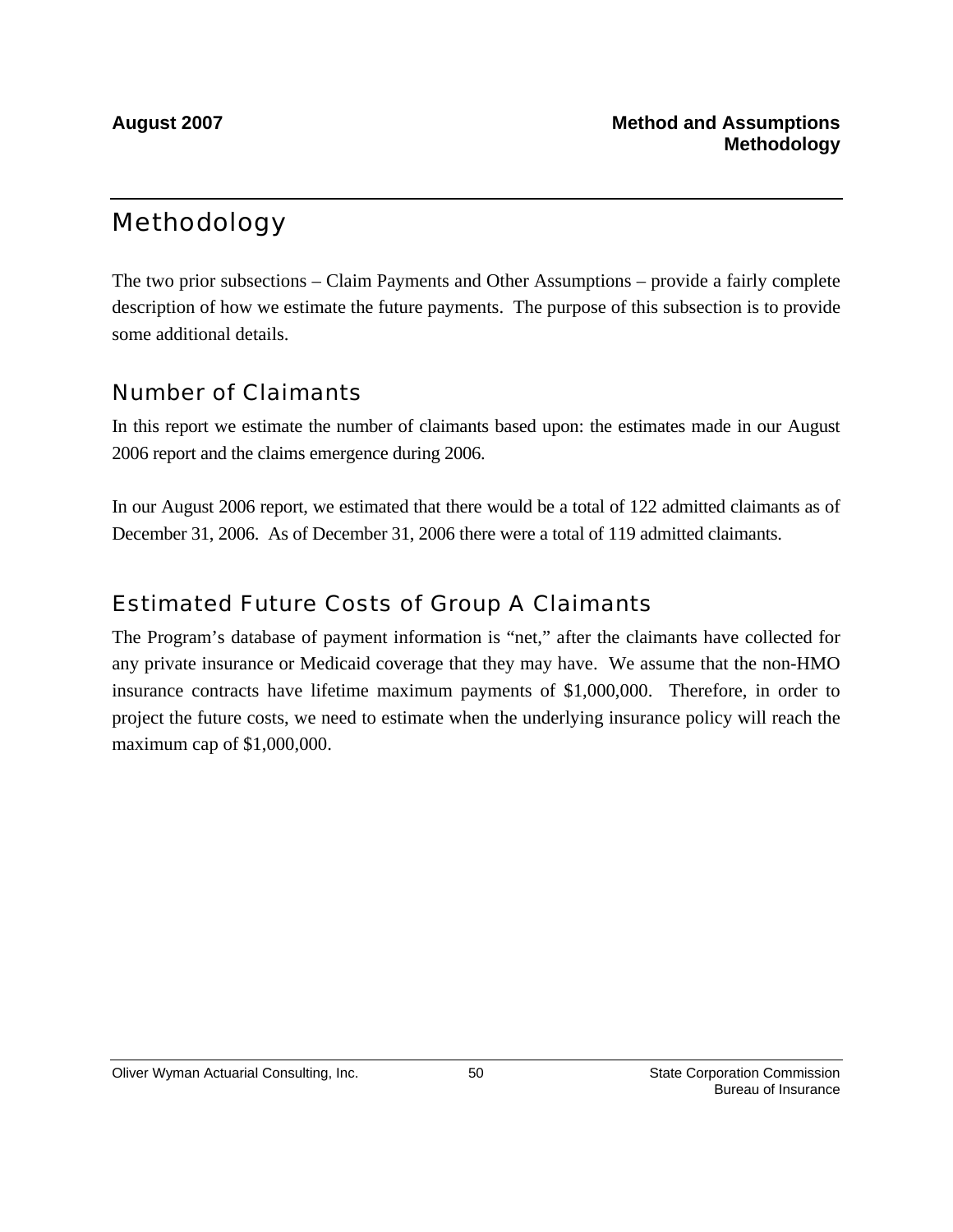# Methodology

The two prior subsections – Claim Payments and Other Assumptions – provide a fairly complete description of how we estimate the future payments. The purpose of this subsection is to provide some additional details.

### Number of Claimants

In this report we estimate the number of claimants based upon: the estimates made in our August 2006 report and the claims emergence during 2006.

In our August 2006 report, we estimated that there would be a total of 122 admitted claimants as of December 31, 2006. As of December 31, 2006 there were a total of 119 admitted claimants.

### Estimated Future Costs of Group A Claimants

The Program's database of payment information is "net," after the claimants have collected for any private insurance or Medicaid coverage that they may have. We assume that the non-HMO insurance contracts have lifetime maximum payments of \$1,000,000. Therefore, in order to project the future costs, we need to estimate when the underlying insurance policy will reach the maximum cap of \$1,000,000.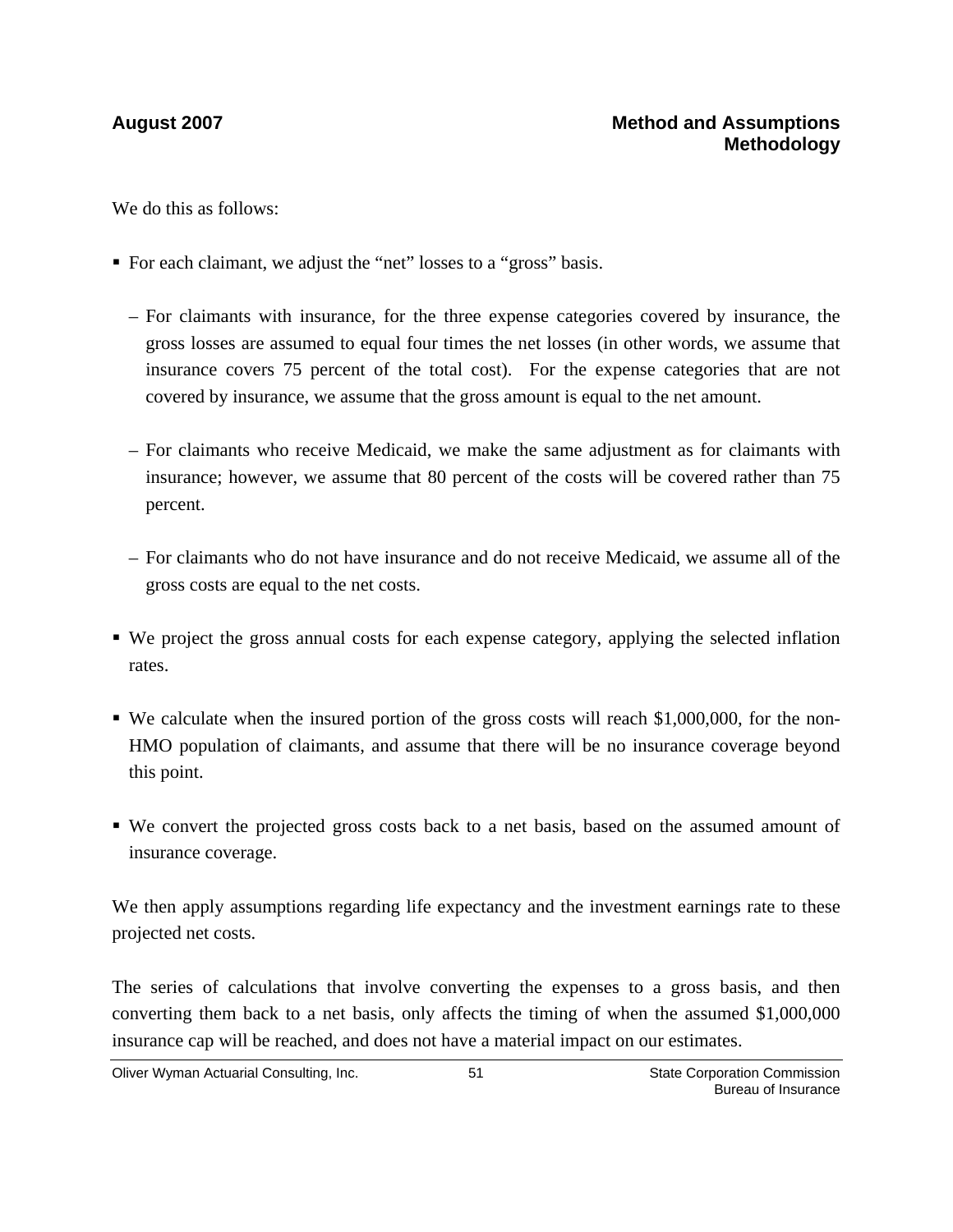We do this as follows:

- For each claimant, we adjust the "net" losses to a "gross" basis.
	- For claimants with insurance, for the three expense categories covered by insurance, the gross losses are assumed to equal four times the net losses (in other words, we assume that insurance covers 75 percent of the total cost). For the expense categories that are not covered by insurance, we assume that the gross amount is equal to the net amount.
	- For claimants who receive Medicaid, we make the same adjustment as for claimants with insurance; however, we assume that 80 percent of the costs will be covered rather than 75 percent.
	- For claimants who do not have insurance and do not receive Medicaid, we assume all of the gross costs are equal to the net costs.
- We project the gross annual costs for each expense category, applying the selected inflation rates.
- We calculate when the insured portion of the gross costs will reach \$1,000,000, for the non-HMO population of claimants, and assume that there will be no insurance coverage beyond this point.
- We convert the projected gross costs back to a net basis, based on the assumed amount of insurance coverage.

We then apply assumptions regarding life expectancy and the investment earnings rate to these projected net costs.

The series of calculations that involve converting the expenses to a gross basis, and then converting them back to a net basis, only affects the timing of when the assumed \$1,000,000 insurance cap will be reached, and does not have a material impact on our estimates.

Oliver Wyman Actuarial Consulting, Inc.  $\qquad \qquad$  51 State Corporation Commission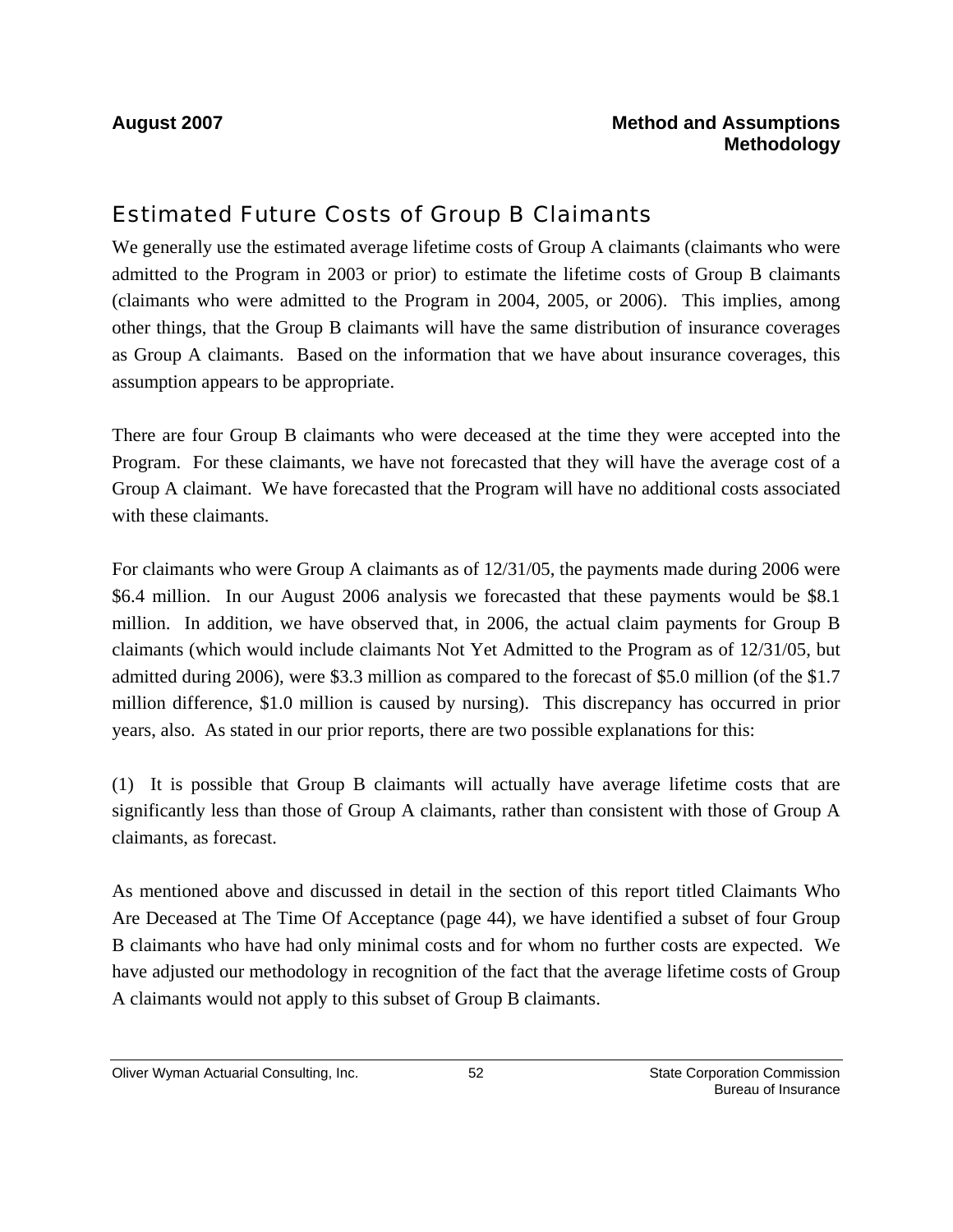### Estimated Future Costs of Group B Claimants

We generally use the estimated average lifetime costs of Group A claimants (claimants who were admitted to the Program in 2003 or prior) to estimate the lifetime costs of Group B claimants (claimants who were admitted to the Program in 2004, 2005, or 2006). This implies, among other things, that the Group B claimants will have the same distribution of insurance coverages as Group A claimants. Based on the information that we have about insurance coverages, this assumption appears to be appropriate.

There are four Group B claimants who were deceased at the time they were accepted into the Program. For these claimants, we have not forecasted that they will have the average cost of a Group A claimant. We have forecasted that the Program will have no additional costs associated with these claimants.

For claimants who were Group A claimants as of 12/31/05, the payments made during 2006 were \$6.4 million. In our August 2006 analysis we forecasted that these payments would be \$8.1 million. In addition, we have observed that, in 2006, the actual claim payments for Group B claimants (which would include claimants Not Yet Admitted to the Program as of 12/31/05, but admitted during 2006), were \$3.3 million as compared to the forecast of \$5.0 million (of the \$1.7 million difference, \$1.0 million is caused by nursing). This discrepancy has occurred in prior years, also. As stated in our prior reports, there are two possible explanations for this:

(1) It is possible that Group B claimants will actually have average lifetime costs that are significantly less than those of Group A claimants, rather than consistent with those of Group A claimants, as forecast.

As mentioned above and discussed in detail in the section of this report titled Claimants Who Are Deceased at The Time Of Acceptance (page 44), we have identified a subset of four Group B claimants who have had only minimal costs and for whom no further costs are expected. We have adjusted our methodology in recognition of the fact that the average lifetime costs of Group A claimants would not apply to this subset of Group B claimants.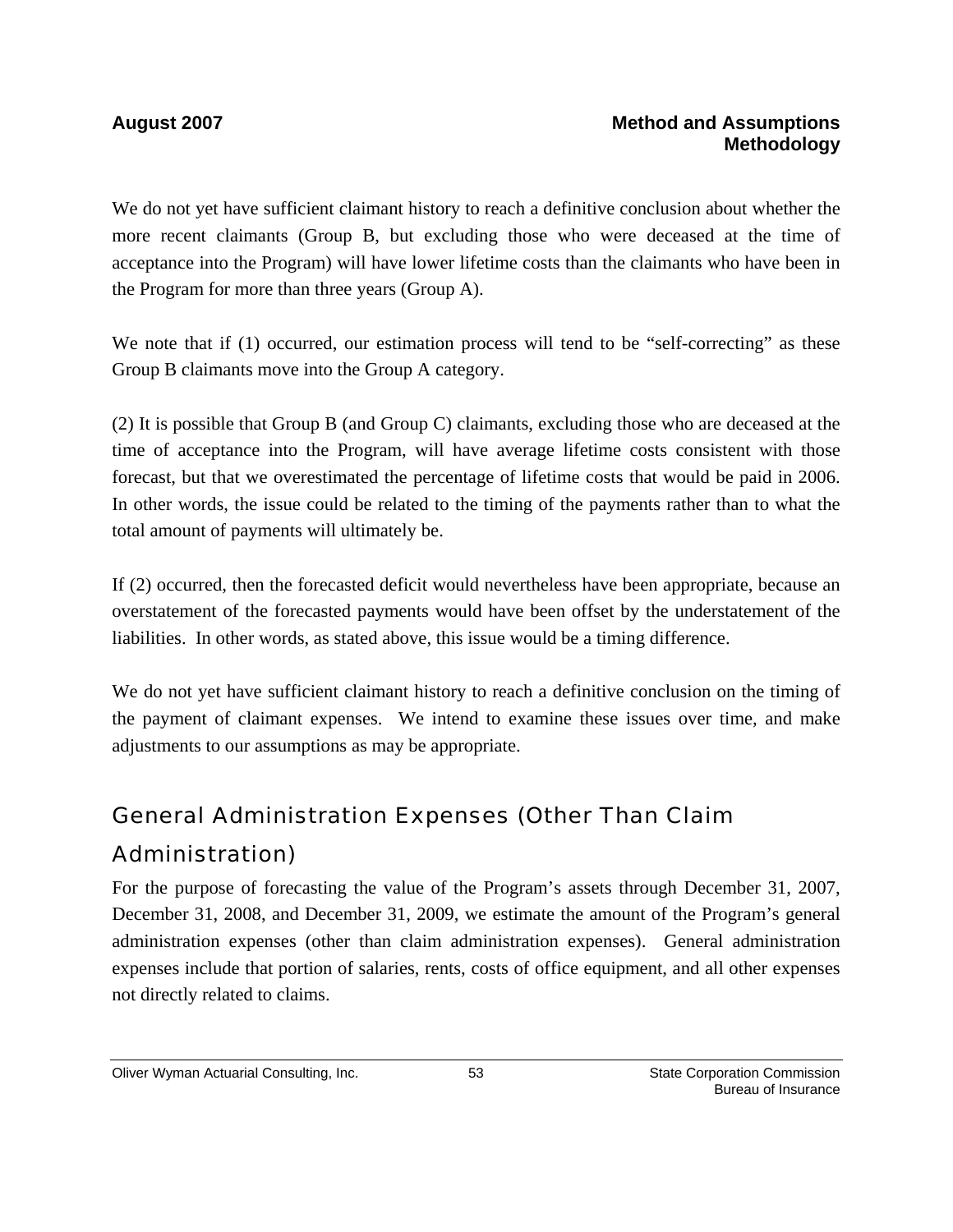We do not yet have sufficient claimant history to reach a definitive conclusion about whether the more recent claimants (Group B, but excluding those who were deceased at the time of acceptance into the Program) will have lower lifetime costs than the claimants who have been in the Program for more than three years (Group A).

We note that if (1) occurred, our estimation process will tend to be "self-correcting" as these Group B claimants move into the Group A category.

(2) It is possible that Group B (and Group C) claimants, excluding those who are deceased at the time of acceptance into the Program, will have average lifetime costs consistent with those forecast, but that we overestimated the percentage of lifetime costs that would be paid in 2006. In other words, the issue could be related to the timing of the payments rather than to what the total amount of payments will ultimately be.

If (2) occurred, then the forecasted deficit would nevertheless have been appropriate, because an overstatement of the forecasted payments would have been offset by the understatement of the liabilities. In other words, as stated above, this issue would be a timing difference.

We do not yet have sufficient claimant history to reach a definitive conclusion on the timing of the payment of claimant expenses. We intend to examine these issues over time, and make adjustments to our assumptions as may be appropriate.

# General Administration Expenses (Other Than Claim Administration)

For the purpose of forecasting the value of the Program's assets through December 31, 2007, December 31, 2008, and December 31, 2009, we estimate the amount of the Program's general administration expenses (other than claim administration expenses). General administration expenses include that portion of salaries, rents, costs of office equipment, and all other expenses not directly related to claims.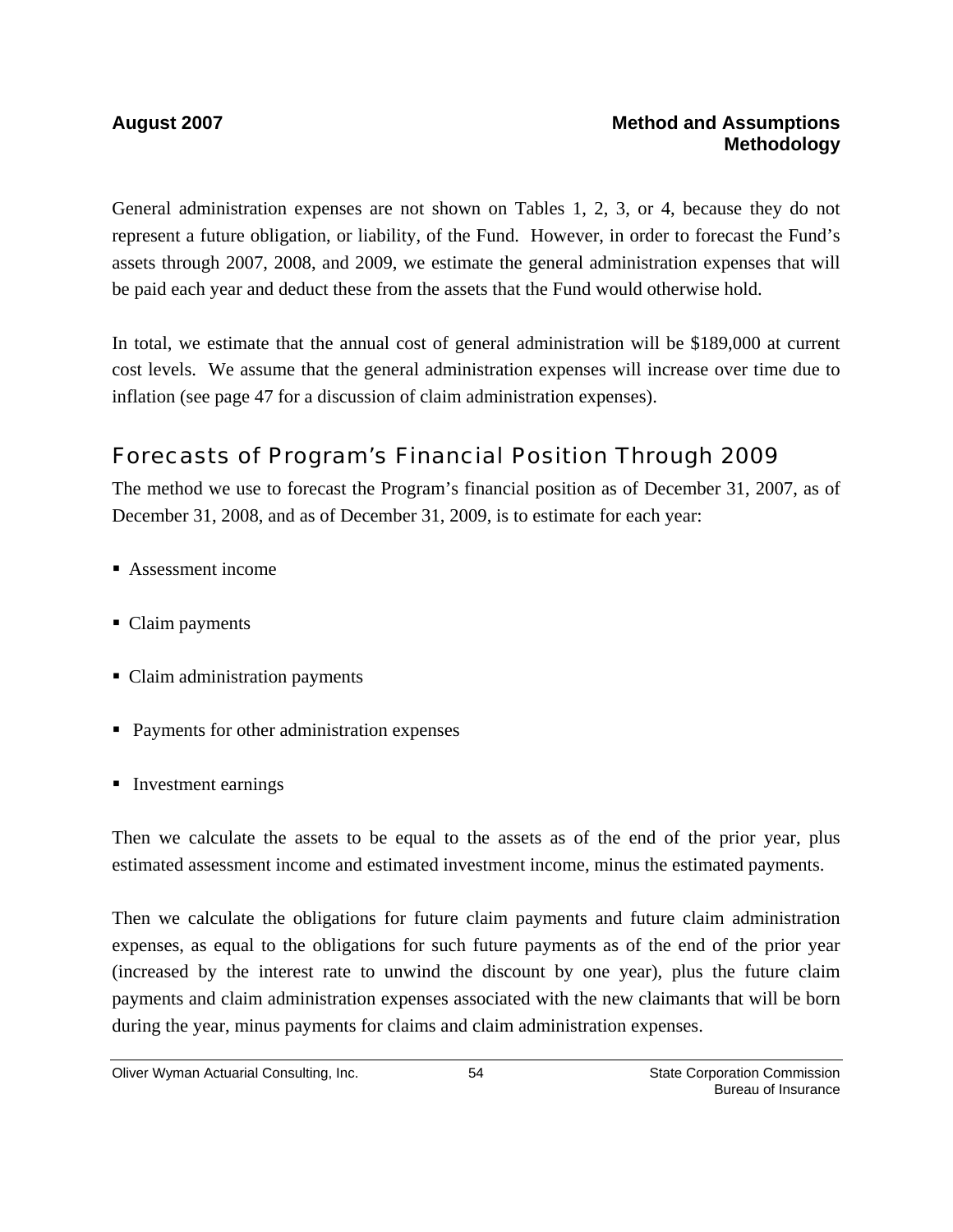General administration expenses are not shown on Tables 1, 2, 3, or 4, because they do not represent a future obligation, or liability, of the Fund. However, in order to forecast the Fund's assets through 2007, 2008, and 2009, we estimate the general administration expenses that will be paid each year and deduct these from the assets that the Fund would otherwise hold.

In total, we estimate that the annual cost of general administration will be \$189,000 at current cost levels. We assume that the general administration expenses will increase over time due to inflation (see page 47 for a discussion of claim administration expenses).

# Forecasts of Program's Financial Position Through 2009

The method we use to forecast the Program's financial position as of December 31, 2007, as of December 31, 2008, and as of December 31, 2009, is to estimate for each year:

- Assessment income
- Claim payments
- Claim administration payments
- Payments for other administration expenses
- Investment earnings

Then we calculate the assets to be equal to the assets as of the end of the prior year, plus estimated assessment income and estimated investment income, minus the estimated payments.

Then we calculate the obligations for future claim payments and future claim administration expenses, as equal to the obligations for such future payments as of the end of the prior year (increased by the interest rate to unwind the discount by one year), plus the future claim payments and claim administration expenses associated with the new claimants that will be born during the year, minus payments for claims and claim administration expenses.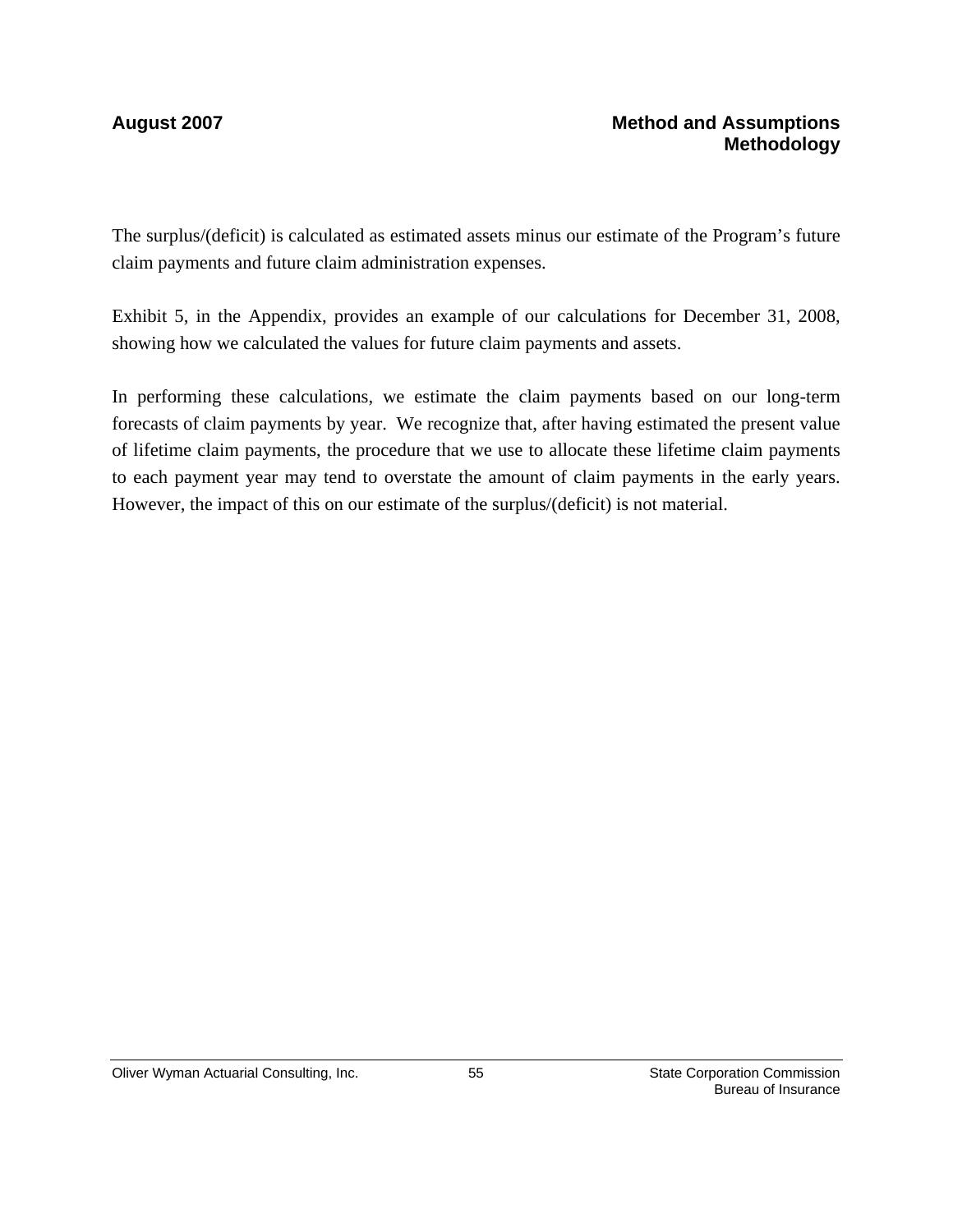The surplus/(deficit) is calculated as estimated assets minus our estimate of the Program's future claim payments and future claim administration expenses.

Exhibit 5, in the Appendix, provides an example of our calculations for December 31, 2008, showing how we calculated the values for future claim payments and assets.

In performing these calculations, we estimate the claim payments based on our long-term forecasts of claim payments by year. We recognize that, after having estimated the present value of lifetime claim payments, the procedure that we use to allocate these lifetime claim payments to each payment year may tend to overstate the amount of claim payments in the early years. However, the impact of this on our estimate of the surplus/(deficit) is not material.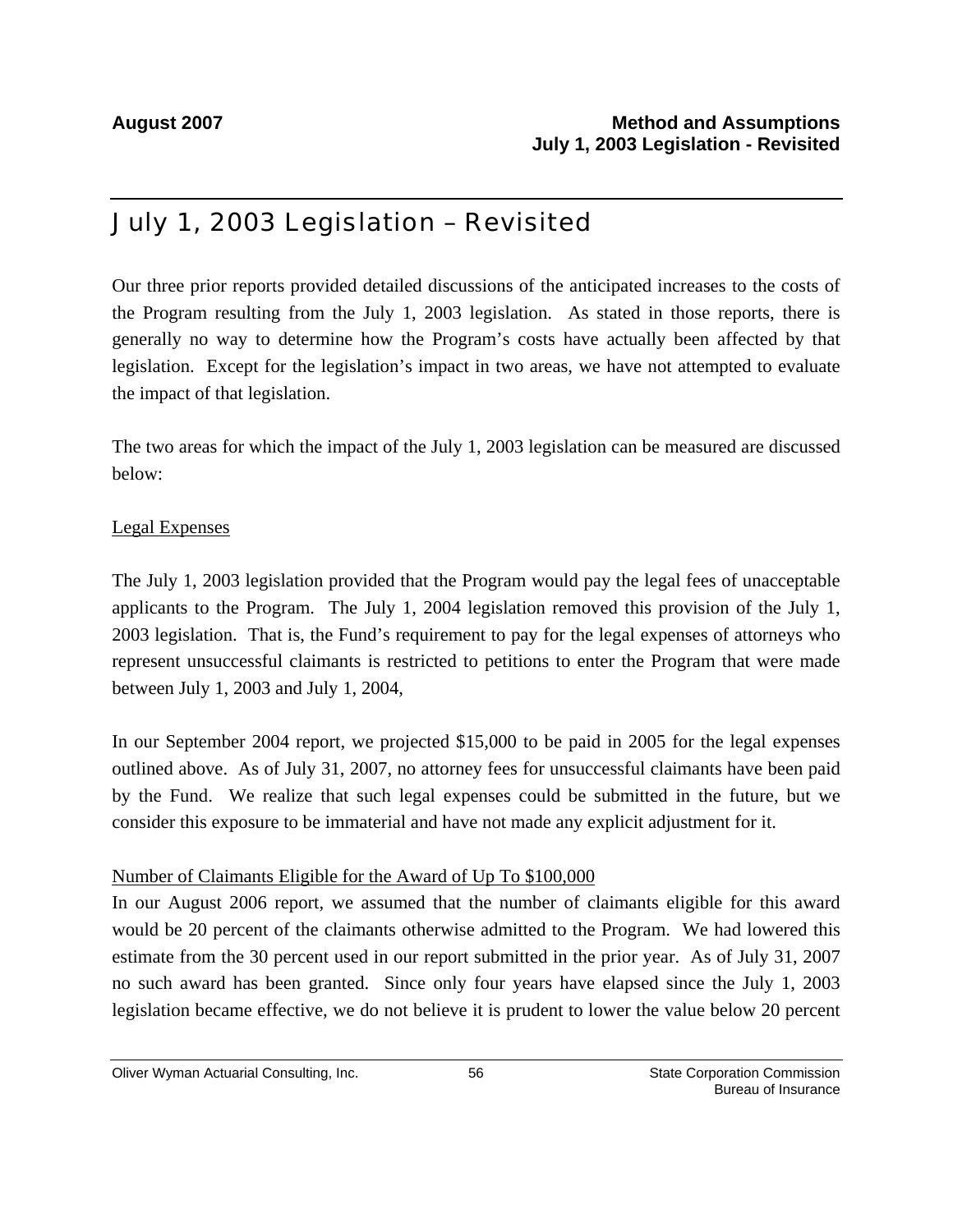# July 1, 2003 Legislation – Revisited

Our three prior reports provided detailed discussions of the anticipated increases to the costs of the Program resulting from the July 1, 2003 legislation. As stated in those reports, there is generally no way to determine how the Program's costs have actually been affected by that legislation. Except for the legislation's impact in two areas, we have not attempted to evaluate the impact of that legislation.

The two areas for which the impact of the July 1, 2003 legislation can be measured are discussed below:

#### Legal Expenses

The July 1, 2003 legislation provided that the Program would pay the legal fees of unacceptable applicants to the Program. The July 1, 2004 legislation removed this provision of the July 1, 2003 legislation. That is, the Fund's requirement to pay for the legal expenses of attorneys who represent unsuccessful claimants is restricted to petitions to enter the Program that were made between July 1, 2003 and July 1, 2004,

In our September 2004 report, we projected \$15,000 to be paid in 2005 for the legal expenses outlined above. As of July 31, 2007, no attorney fees for unsuccessful claimants have been paid by the Fund. We realize that such legal expenses could be submitted in the future, but we consider this exposure to be immaterial and have not made any explicit adjustment for it.

#### Number of Claimants Eligible for the Award of Up To \$100,000

In our August 2006 report, we assumed that the number of claimants eligible for this award would be 20 percent of the claimants otherwise admitted to the Program. We had lowered this estimate from the 30 percent used in our report submitted in the prior year. As of July 31, 2007 no such award has been granted. Since only four years have elapsed since the July 1, 2003 legislation became effective, we do not believe it is prudent to lower the value below 20 percent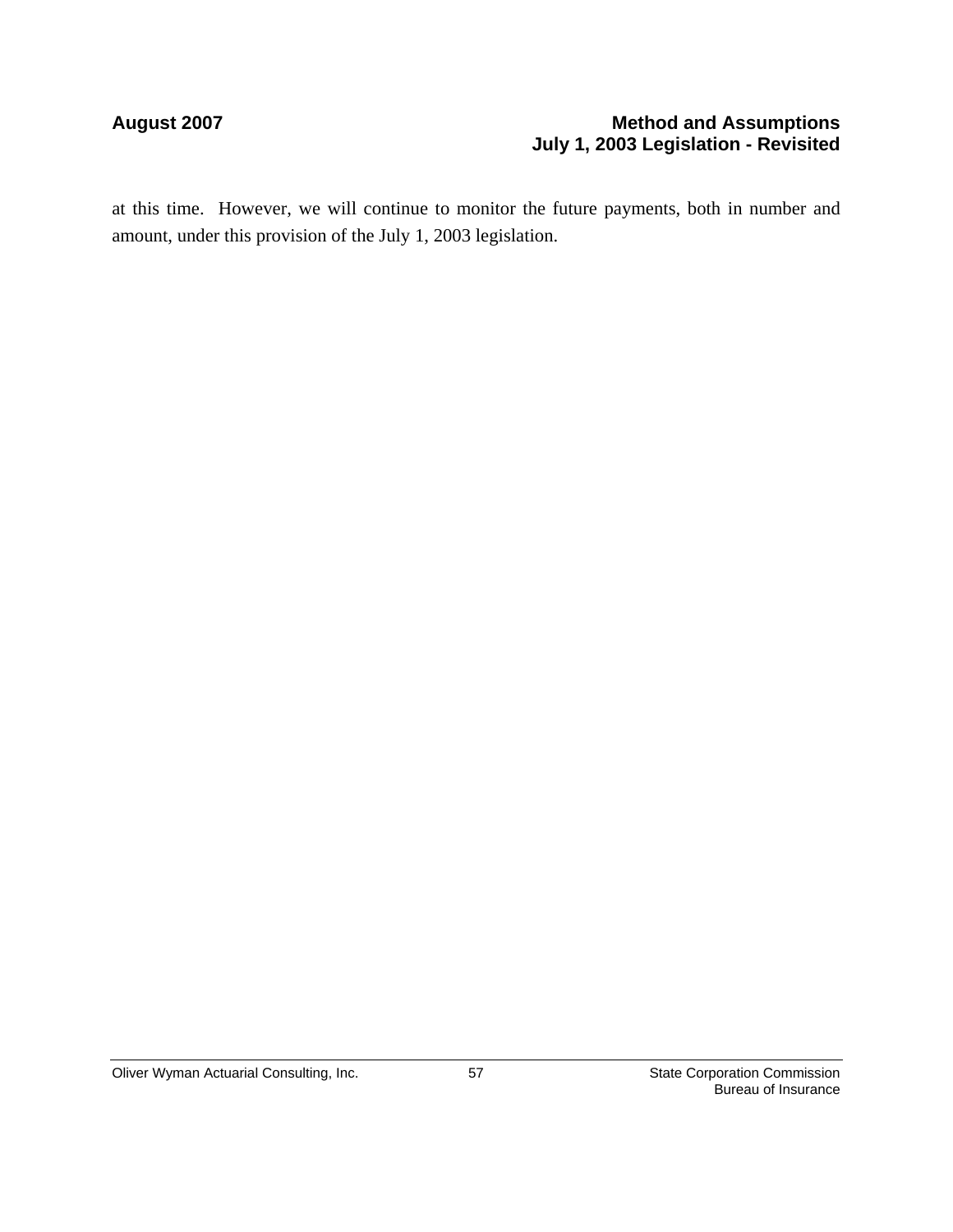#### August 2007 **Method and Assumptions Method and Assumptions July 1, 2003 Legislation - Revisited**

at this time. However, we will continue to monitor the future payments, both in number and amount, under this provision of the July 1, 2003 legislation.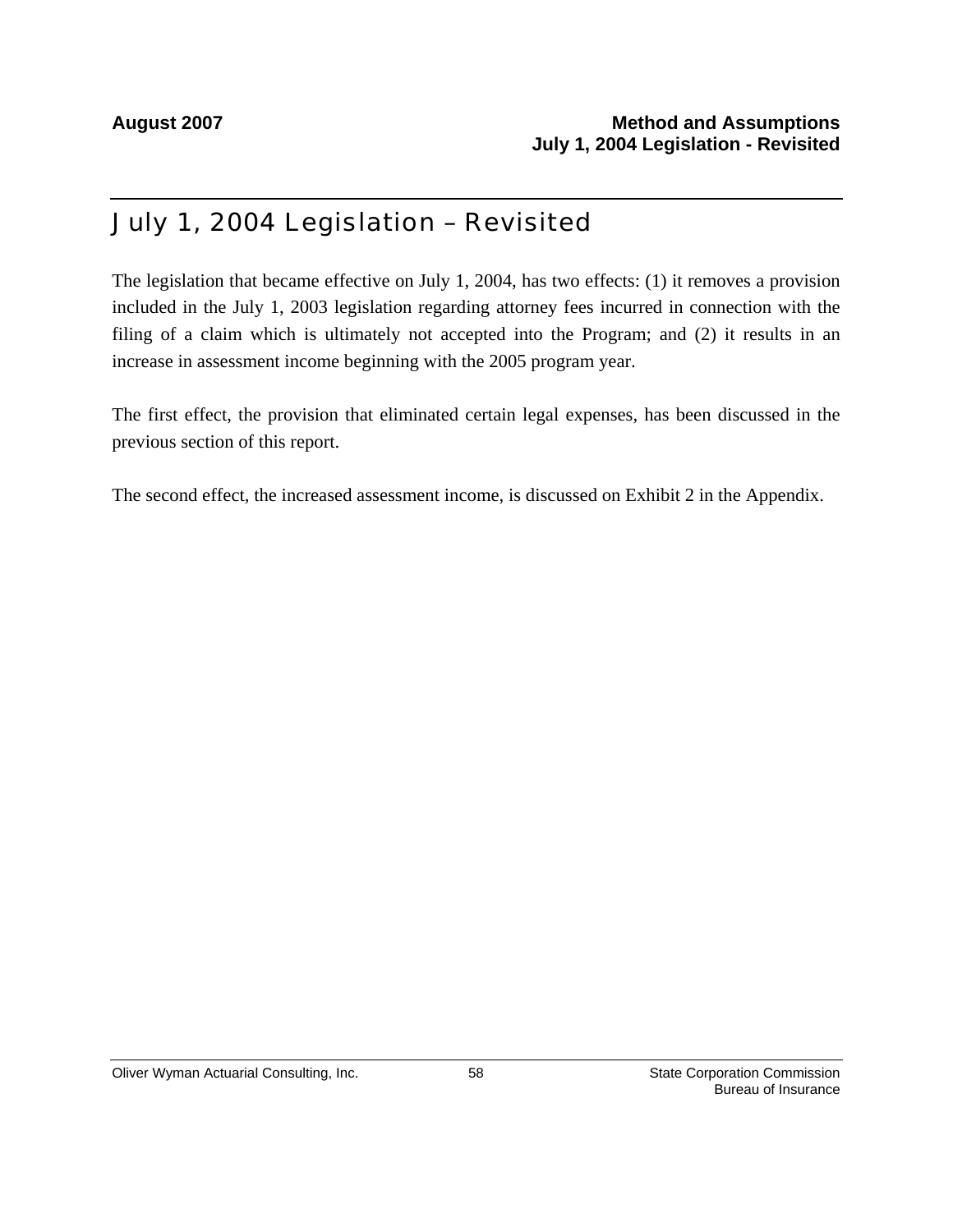# July 1, 2004 Legislation – Revisited

The legislation that became effective on July 1, 2004, has two effects: (1) it removes a provision included in the July 1, 2003 legislation regarding attorney fees incurred in connection with the filing of a claim which is ultimately not accepted into the Program; and (2) it results in an increase in assessment income beginning with the 2005 program year.

The first effect, the provision that eliminated certain legal expenses, has been discussed in the previous section of this report.

The second effect, the increased assessment income, is discussed on Exhibit 2 in the Appendix.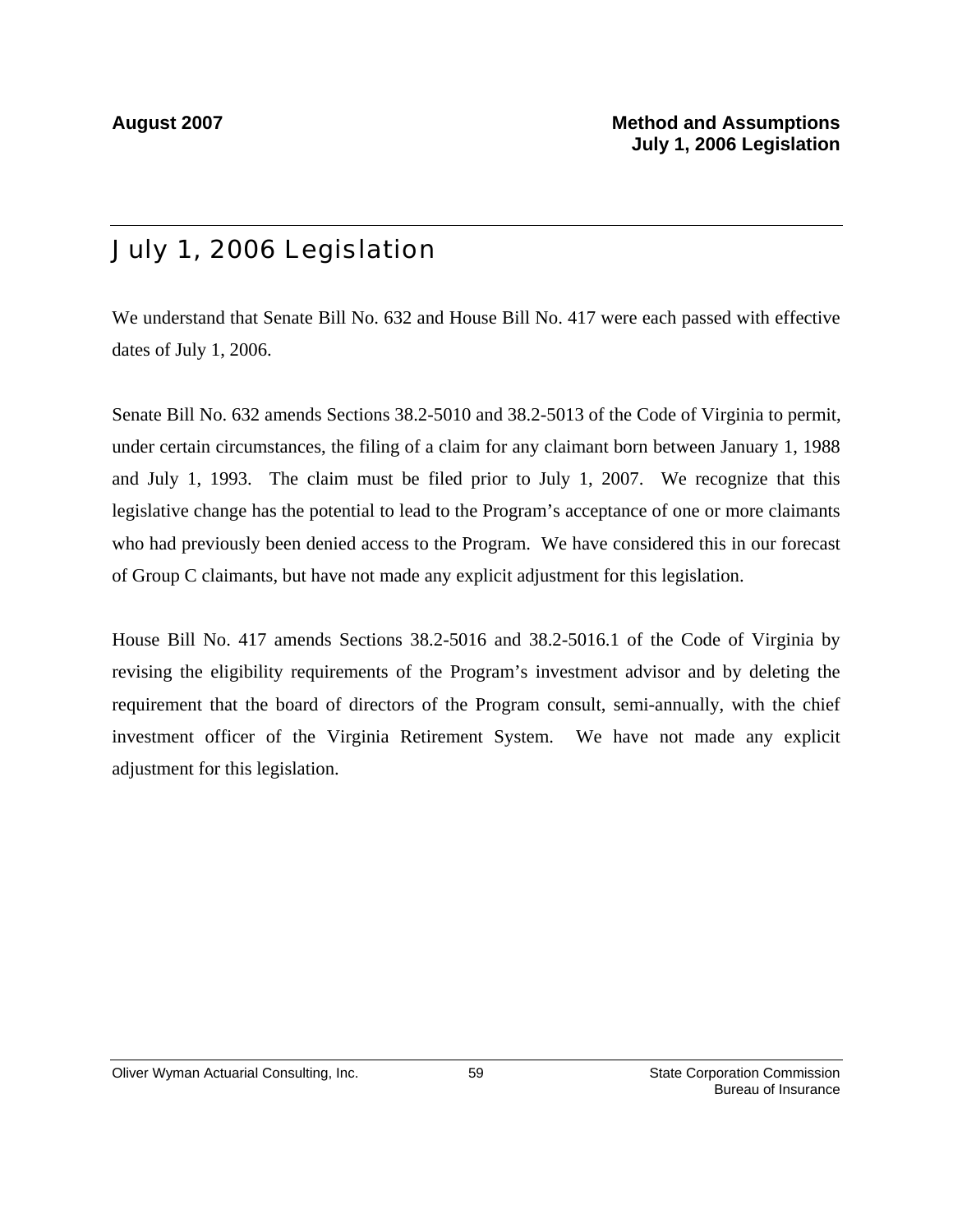# July 1, 2006 Legislation

We understand that Senate Bill No. 632 and House Bill No. 417 were each passed with effective dates of July 1, 2006.

Senate Bill No. 632 amends Sections 38.2-5010 and 38.2-5013 of the Code of Virginia to permit, under certain circumstances, the filing of a claim for any claimant born between January 1, 1988 and July 1, 1993. The claim must be filed prior to July 1, 2007. We recognize that this legislative change has the potential to lead to the Program's acceptance of one or more claimants who had previously been denied access to the Program. We have considered this in our forecast of Group C claimants, but have not made any explicit adjustment for this legislation.

House Bill No. 417 amends Sections 38.2-5016 and 38.2-5016.1 of the Code of Virginia by revising the eligibility requirements of the Program's investment advisor and by deleting the requirement that the board of directors of the Program consult, semi-annually, with the chief investment officer of the Virginia Retirement System. We have not made any explicit adjustment for this legislation.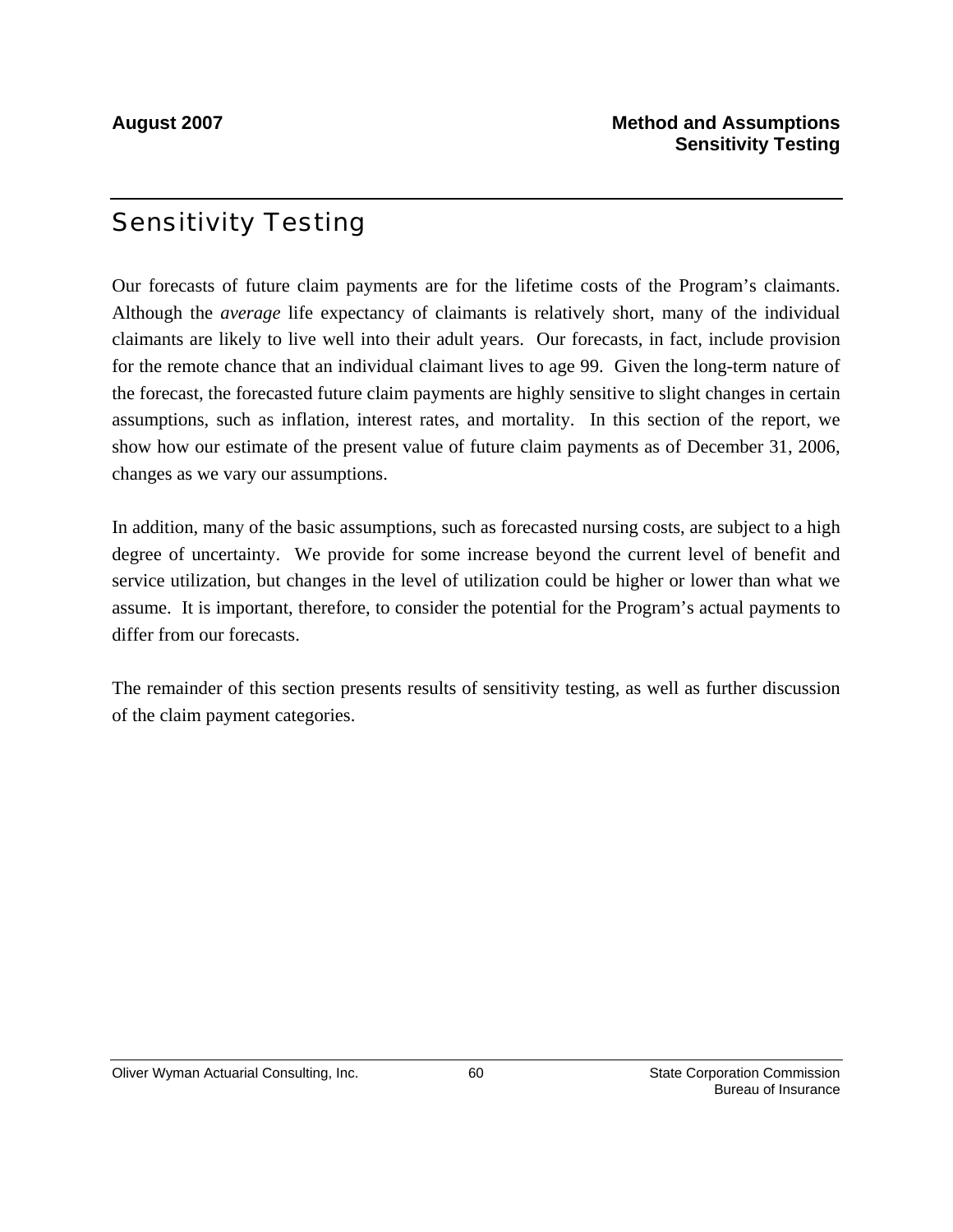# Sensitivity Testing

Our forecasts of future claim payments are for the lifetime costs of the Program's claimants. Although the *average* life expectancy of claimants is relatively short, many of the individual claimants are likely to live well into their adult years. Our forecasts, in fact, include provision for the remote chance that an individual claimant lives to age 99. Given the long-term nature of the forecast, the forecasted future claim payments are highly sensitive to slight changes in certain assumptions, such as inflation, interest rates, and mortality. In this section of the report, we show how our estimate of the present value of future claim payments as of December 31, 2006, changes as we vary our assumptions.

In addition, many of the basic assumptions, such as forecasted nursing costs, are subject to a high degree of uncertainty. We provide for some increase beyond the current level of benefit and service utilization, but changes in the level of utilization could be higher or lower than what we assume. It is important, therefore, to consider the potential for the Program's actual payments to differ from our forecasts.

The remainder of this section presents results of sensitivity testing, as well as further discussion of the claim payment categories.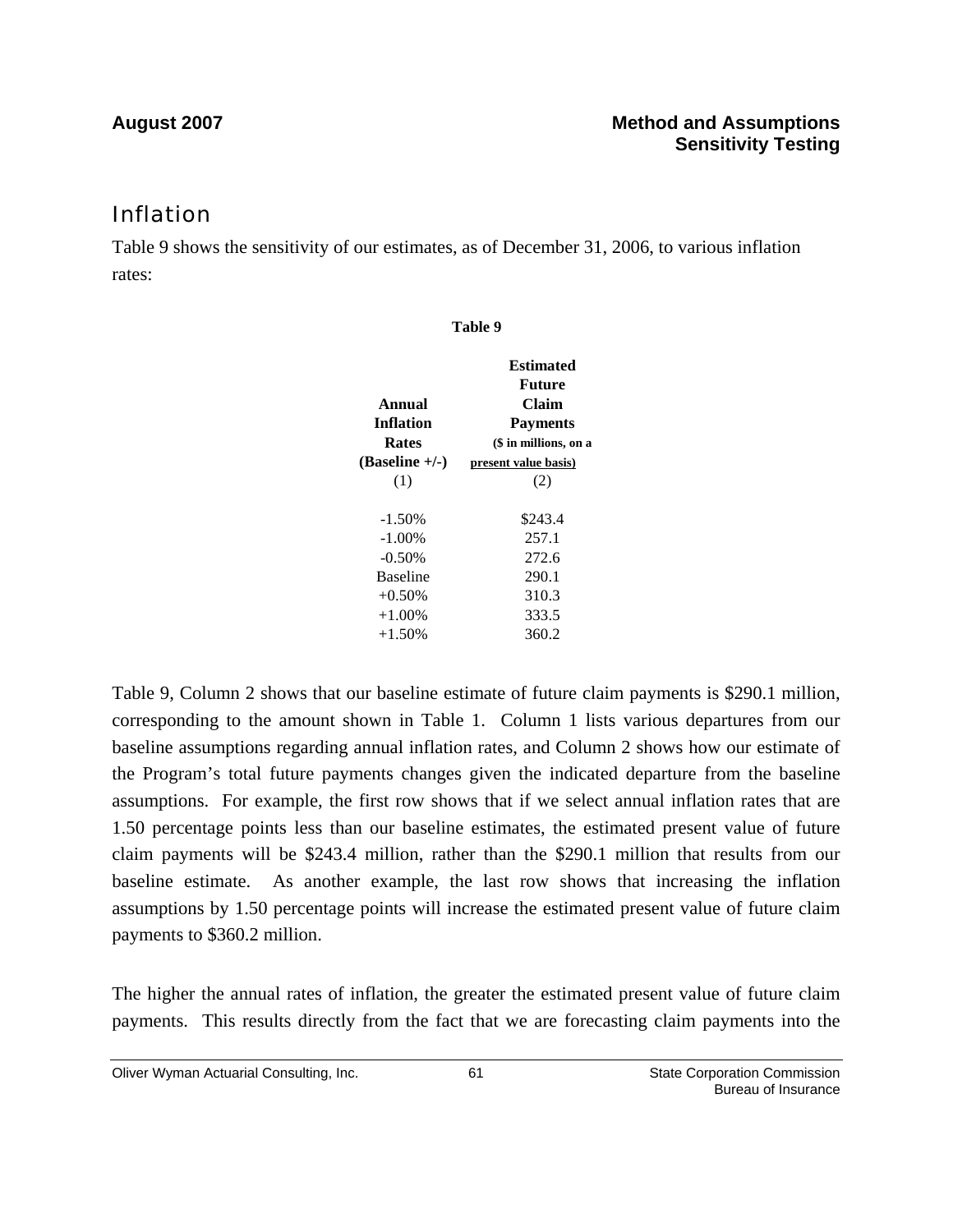### Inflation

Table 9 shows the sensitivity of our estimates, as of December 31, 2006, to various inflation rates:

| Table 9          |                       |  |  |
|------------------|-----------------------|--|--|
|                  | <b>Estimated</b>      |  |  |
|                  | <b>Future</b>         |  |  |
| Annual           | Claim                 |  |  |
| <b>Inflation</b> | <b>Payments</b>       |  |  |
| <b>Rates</b>     | (\$ in millions, on a |  |  |
| $(Baseline +/-)$ | present value basis)  |  |  |
| (1)              | (2)                   |  |  |
|                  |                       |  |  |
| $-1.50%$         | \$243.4               |  |  |
| $-1.00\%$        | 257.1                 |  |  |
| $-0.50%$         | 272.6                 |  |  |
| <b>Baseline</b>  | 290.1                 |  |  |
| $+0.50%$         | 310.3                 |  |  |
| $+1.00\%$        | 333.5                 |  |  |
| $+1.50%$         | 360.2                 |  |  |
|                  |                       |  |  |

Table 9, Column 2 shows that our baseline estimate of future claim payments is \$290.1 million, corresponding to the amount shown in Table 1. Column 1 lists various departures from our baseline assumptions regarding annual inflation rates, and Column 2 shows how our estimate of the Program's total future payments changes given the indicated departure from the baseline assumptions. For example, the first row shows that if we select annual inflation rates that are 1.50 percentage points less than our baseline estimates, the estimated present value of future claim payments will be \$243.4 million, rather than the \$290.1 million that results from our baseline estimate. As another example, the last row shows that increasing the inflation assumptions by 1.50 percentage points will increase the estimated present value of future claim payments to \$360.2 million.

The higher the annual rates of inflation, the greater the estimated present value of future claim payments. This results directly from the fact that we are forecasting claim payments into the

61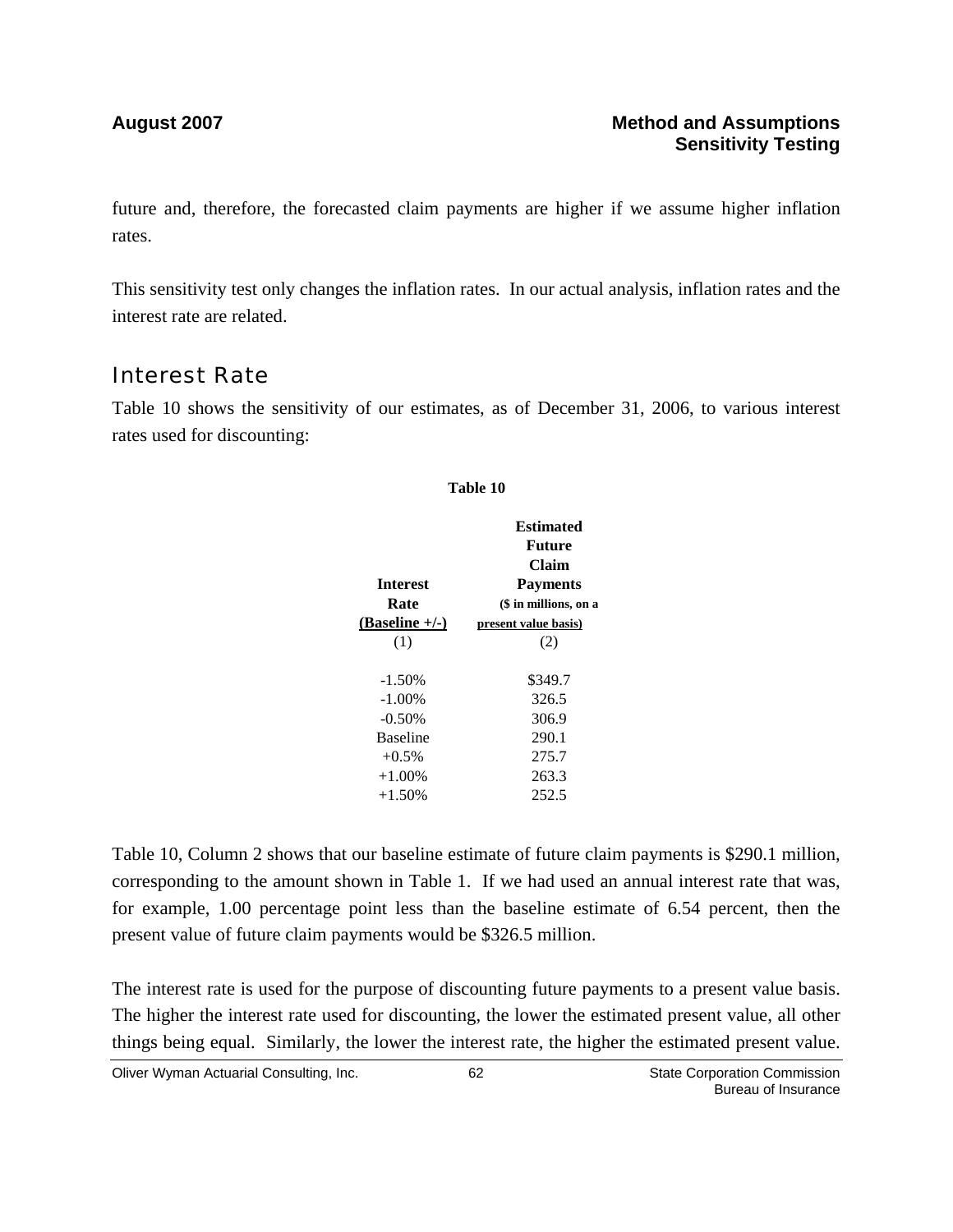future and, therefore, the forecasted claim payments are higher if we assume higher inflation rates.

This sensitivity test only changes the inflation rates. In our actual analysis, inflation rates and the interest rate are related.

### Interest Rate

Table 10 shows the sensitivity of our estimates, as of December 31, 2006, to various interest rates used for discounting:

# **Table 10**

|                  | <b>Estimated</b>      |
|------------------|-----------------------|
|                  | Future                |
|                  | Claim                 |
| <b>Interest</b>  | <b>Payments</b>       |
| Rate             | (\$ in millions, on a |
| $(Baseline +/-)$ | present value basis)  |
| (1)              | (2)                   |
|                  |                       |
| $-1.50%$         | \$349.7               |
| $-1.00\%$        | 326.5                 |
| $-0.50%$         | 306.9                 |
| <b>Baseline</b>  | 290.1                 |
| $+0.5\%$         | 275.7                 |
| $+1.00\%$        | 263.3                 |
| $+1.50\%$        | 252.5                 |
|                  |                       |

Table 10, Column 2 shows that our baseline estimate of future claim payments is \$290.1 million, corresponding to the amount shown in Table 1. If we had used an annual interest rate that was, for example, 1.00 percentage point less than the baseline estimate of 6.54 percent, then the present value of future claim payments would be \$326.5 million.

The interest rate is used for the purpose of discounting future payments to a present value basis. The higher the interest rate used for discounting, the lower the estimated present value, all other things being equal. Similarly, the lower the interest rate, the higher the estimated present value.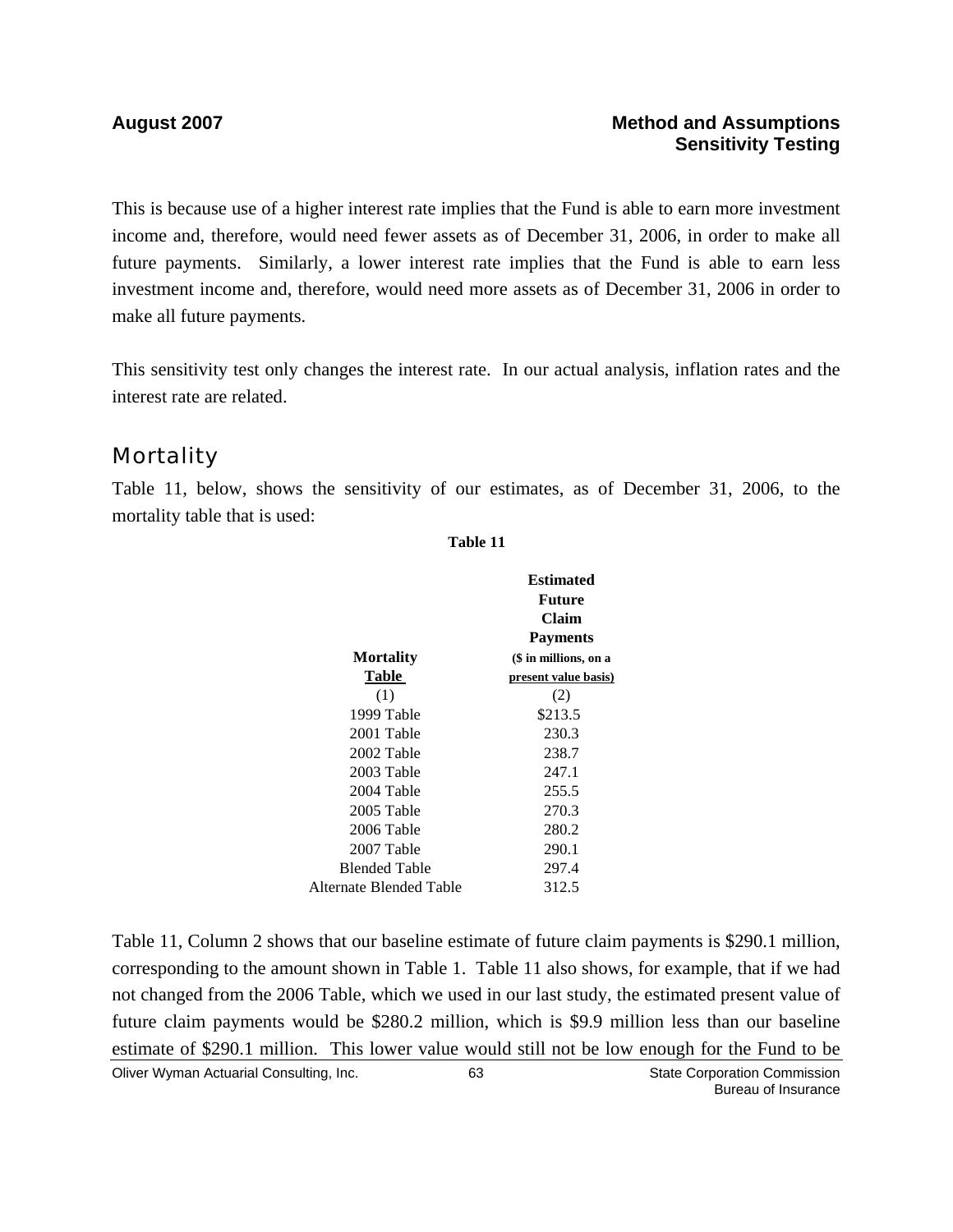#### **August 2007 Method and Assumptions Sensitivity Testing**

This is because use of a higher interest rate implies that the Fund is able to earn more investment income and, therefore, would need fewer assets as of December 31, 2006, in order to make all future payments. Similarly, a lower interest rate implies that the Fund is able to earn less investment income and, therefore, would need more assets as of December 31, 2006 in order to make all future payments.

This sensitivity test only changes the interest rate. In our actual analysis, inflation rates and the interest rate are related.

### **Mortality**

Table 11, below, shows the sensitivity of our estimates, as of December 31, 2006, to the mortality table that is used:

|                         | Estimated<br>Future<br>Claim<br><b>Payments</b> |
|-------------------------|-------------------------------------------------|
| <b>Mortality</b>        | (\$ in millions, on a                           |
| Table                   | present value basis)                            |
| (1)                     | (2)                                             |
| 1999 Table              | \$213.5                                         |
| 2001 Table              | 230.3                                           |
| 2002 Table              | 238.7                                           |
| 2003 Table              | 247.1                                           |
| 2004 Table              | 255.5                                           |
| 2005 Table              | 270.3                                           |
| 2006 Table              | 280.2                                           |
| 2007 Table              | 290.1                                           |
| <b>Blended Table</b>    | 297.4                                           |
| Alternate Blended Table | 312.5                                           |
|                         |                                                 |

**Table 11**

Table 11, Column 2 shows that our baseline estimate of future claim payments is \$290.1 million, corresponding to the amount shown in Table 1. Table 11 also shows, for example, that if we had not changed from the 2006 Table, which we used in our last study, the estimated present value of future claim payments would be \$280.2 million, which is \$9.9 million less than our baseline estimate of \$290.1 million. This lower value would still not be low enough for the Fund to be

Oliver Wyman Actuarial Consulting, Inc. 63 63 State Corporation Commission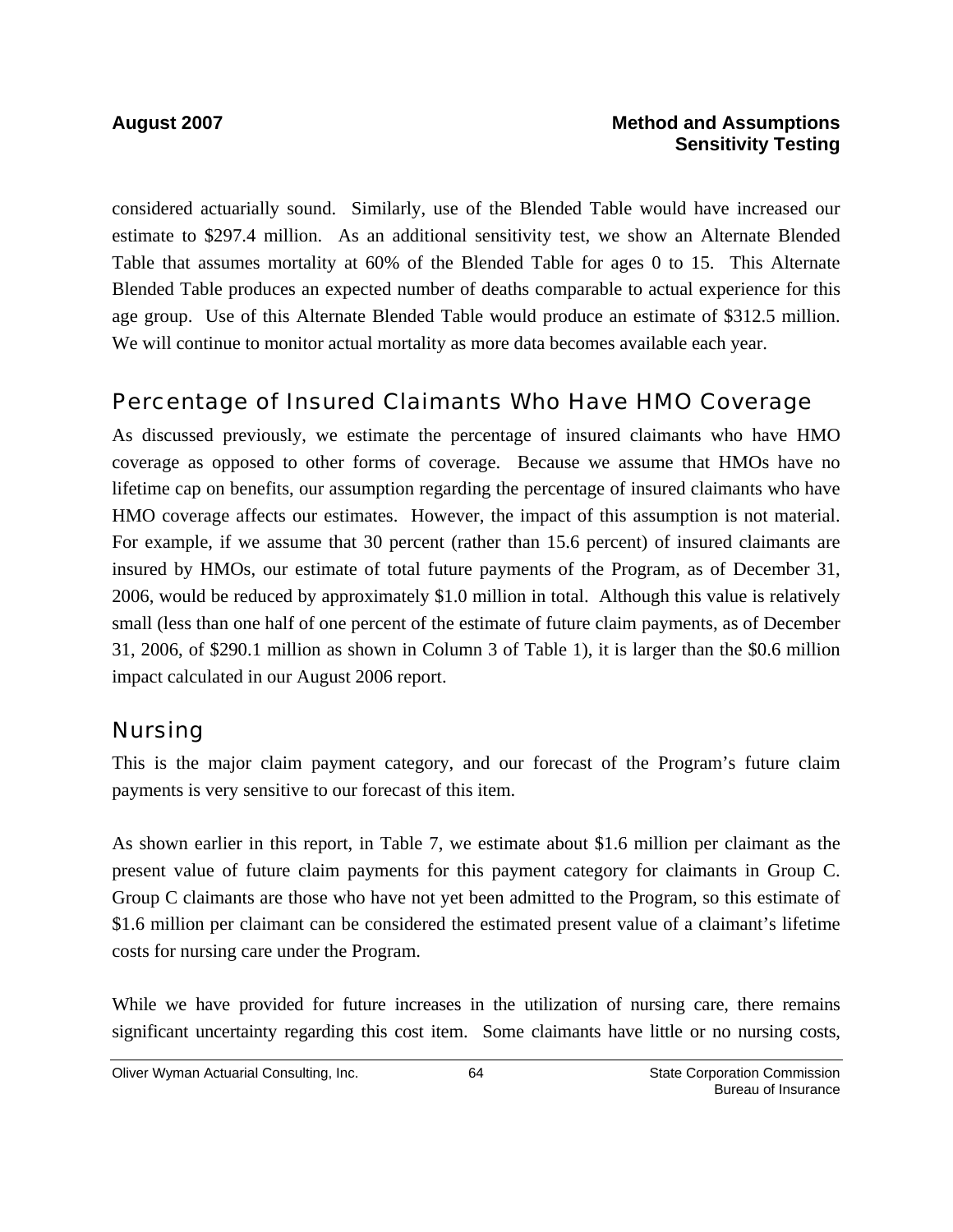#### **August 2007 Method and Assumptions Sensitivity Testing**

considered actuarially sound. Similarly, use of the Blended Table would have increased our estimate to \$297.4 million. As an additional sensitivity test, we show an Alternate Blended Table that assumes mortality at 60% of the Blended Table for ages 0 to 15. This Alternate Blended Table produces an expected number of deaths comparable to actual experience for this age group. Use of this Alternate Blended Table would produce an estimate of \$312.5 million. We will continue to monitor actual mortality as more data becomes available each year.

### Percentage of Insured Claimants Who Have HMO Coverage

As discussed previously, we estimate the percentage of insured claimants who have HMO coverage as opposed to other forms of coverage. Because we assume that HMOs have no lifetime cap on benefits, our assumption regarding the percentage of insured claimants who have HMO coverage affects our estimates. However, the impact of this assumption is not material. For example, if we assume that 30 percent (rather than 15.6 percent) of insured claimants are insured by HMOs, our estimate of total future payments of the Program, as of December 31, 2006, would be reduced by approximately \$1.0 million in total. Although this value is relatively small (less than one half of one percent of the estimate of future claim payments, as of December 31, 2006, of \$290.1 million as shown in Column 3 of Table 1), it is larger than the \$0.6 million impact calculated in our August 2006 report.

### Nursing

This is the major claim payment category, and our forecast of the Program's future claim payments is very sensitive to our forecast of this item.

As shown earlier in this report, in Table 7, we estimate about \$1.6 million per claimant as the present value of future claim payments for this payment category for claimants in Group C. Group C claimants are those who have not yet been admitted to the Program, so this estimate of \$1.6 million per claimant can be considered the estimated present value of a claimant's lifetime costs for nursing care under the Program.

While we have provided for future increases in the utilization of nursing care, there remains significant uncertainty regarding this cost item. Some claimants have little or no nursing costs,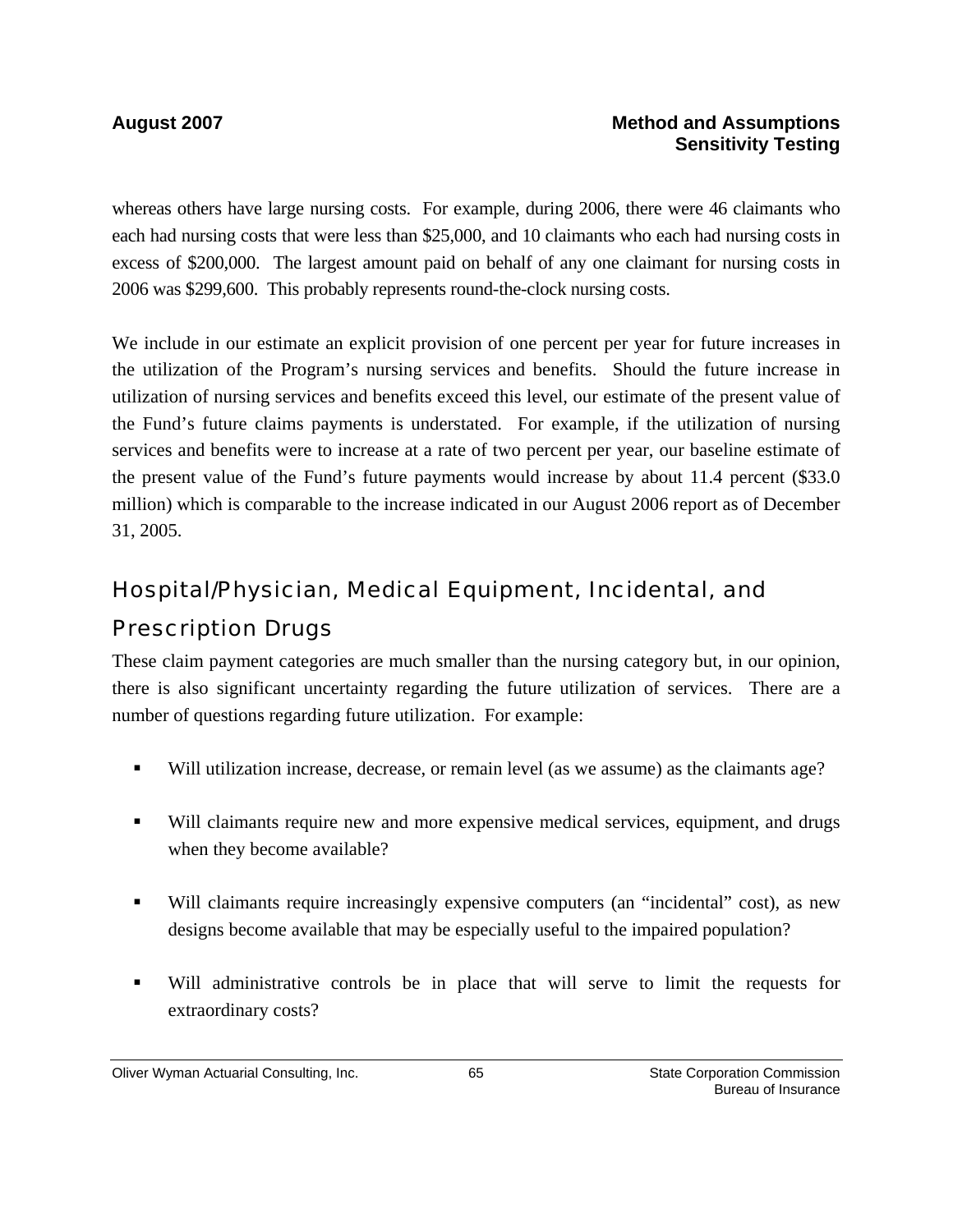whereas others have large nursing costs. For example, during 2006, there were 46 claimants who each had nursing costs that were less than \$25,000, and 10 claimants who each had nursing costs in excess of \$200,000. The largest amount paid on behalf of any one claimant for nursing costs in 2006 was \$299,600. This probably represents round-the-clock nursing costs.

We include in our estimate an explicit provision of one percent per year for future increases in the utilization of the Program's nursing services and benefits. Should the future increase in utilization of nursing services and benefits exceed this level, our estimate of the present value of the Fund's future claims payments is understated. For example, if the utilization of nursing services and benefits were to increase at a rate of two percent per year, our baseline estimate of the present value of the Fund's future payments would increase by about 11.4 percent (\$33.0 million) which is comparable to the increase indicated in our August 2006 report as of December 31, 2005.

# Hospital/Physician, Medical Equipment, Incidental, and

### Prescription Drugs

These claim payment categories are much smaller than the nursing category but, in our opinion, there is also significant uncertainty regarding the future utilization of services. There are a number of questions regarding future utilization. For example:

- Will utilization increase, decrease, or remain level (as we assume) as the claimants age?
- Will claimants require new and more expensive medical services, equipment, and drugs when they become available?
- Will claimants require increasingly expensive computers (an "incidental" cost), as new designs become available that may be especially useful to the impaired population?
- Will administrative controls be in place that will serve to limit the requests for extraordinary costs?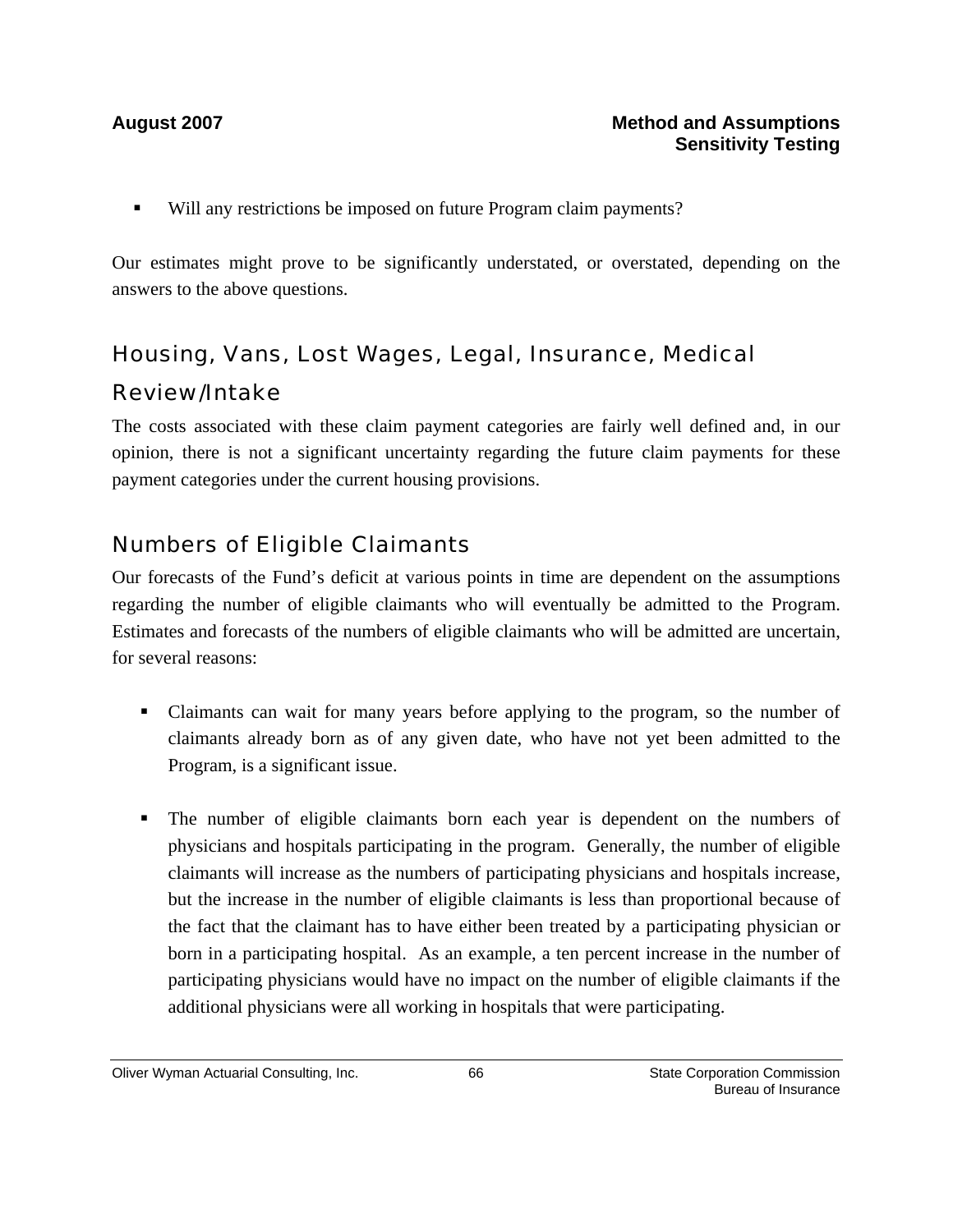Will any restrictions be imposed on future Program claim payments?

Our estimates might prove to be significantly understated, or overstated, depending on the answers to the above questions.

# Housing, Vans, Lost Wages, Legal, Insurance, Medical Review/Intake

The costs associated with these claim payment categories are fairly well defined and, in our opinion, there is not a significant uncertainty regarding the future claim payments for these payment categories under the current housing provisions.

### Numbers of Eligible Claimants

Our forecasts of the Fund's deficit at various points in time are dependent on the assumptions regarding the number of eligible claimants who will eventually be admitted to the Program. Estimates and forecasts of the numbers of eligible claimants who will be admitted are uncertain, for several reasons:

- Claimants can wait for many years before applying to the program, so the number of claimants already born as of any given date, who have not yet been admitted to the Program, is a significant issue.
- The number of eligible claimants born each year is dependent on the numbers of physicians and hospitals participating in the program. Generally, the number of eligible claimants will increase as the numbers of participating physicians and hospitals increase, but the increase in the number of eligible claimants is less than proportional because of the fact that the claimant has to have either been treated by a participating physician or born in a participating hospital. As an example, a ten percent increase in the number of participating physicians would have no impact on the number of eligible claimants if the additional physicians were all working in hospitals that were participating.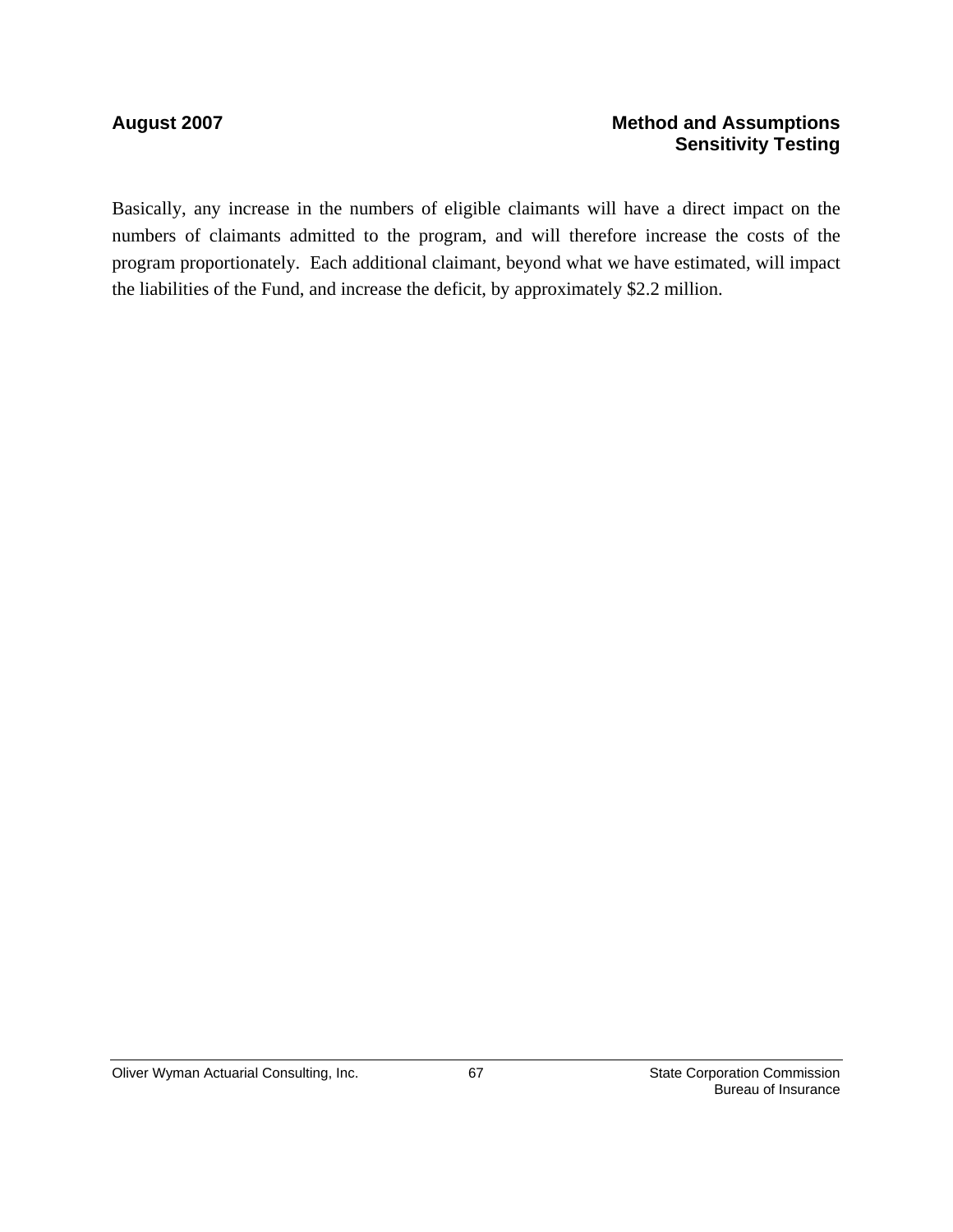#### August 2007 **Method and Assumptions Method and Assumptions Sensitivity Testing**

Basically, any increase in the numbers of eligible claimants will have a direct impact on the numbers of claimants admitted to the program, and will therefore increase the costs of the program proportionately. Each additional claimant, beyond what we have estimated, will impact the liabilities of the Fund, and increase the deficit, by approximately \$2.2 million.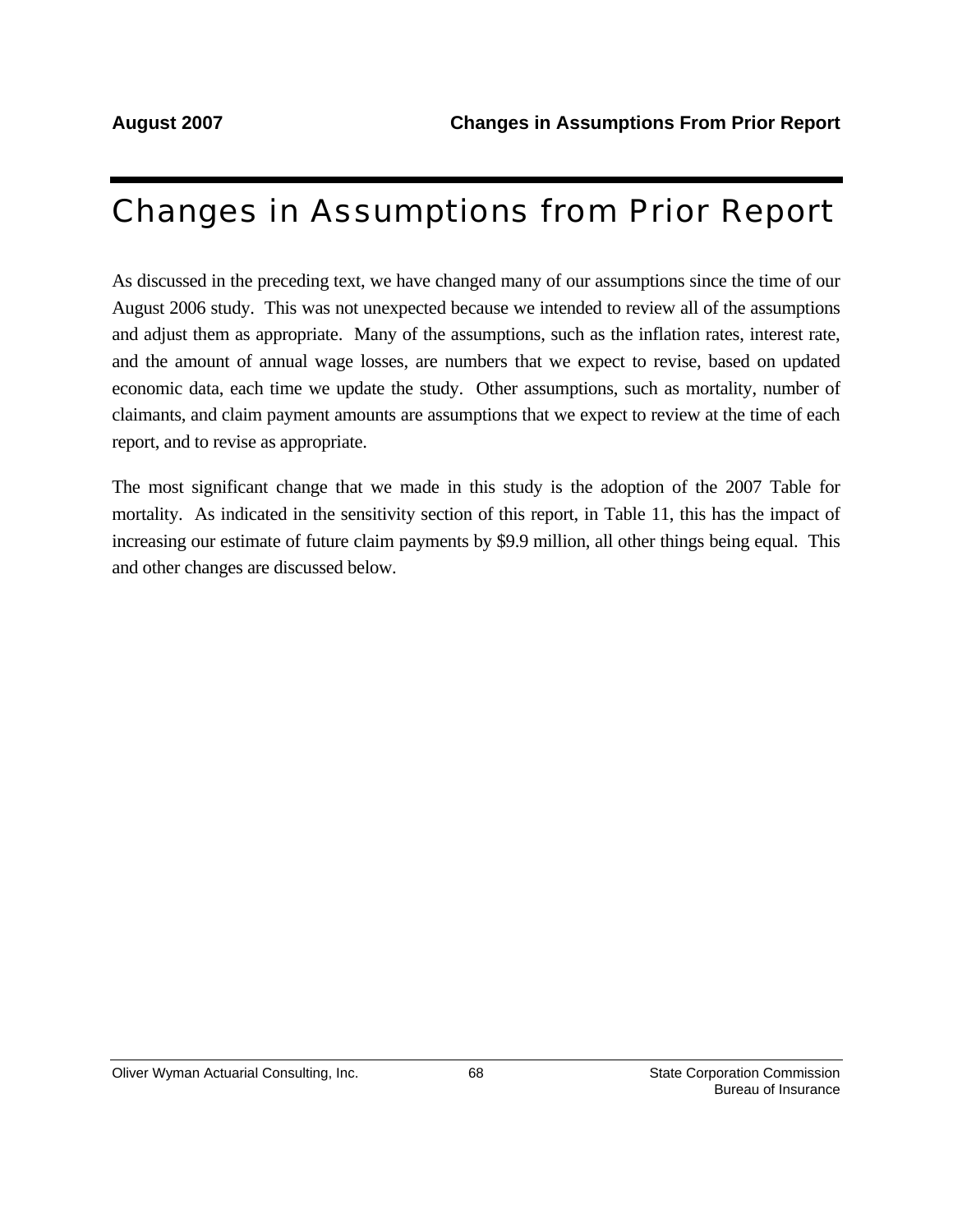# Changes in Assumptions from Prior Report

As discussed in the preceding text, we have changed many of our assumptions since the time of our August 2006 study. This was not unexpected because we intended to review all of the assumptions and adjust them as appropriate. Many of the assumptions, such as the inflation rates, interest rate, and the amount of annual wage losses, are numbers that we expect to revise, based on updated economic data, each time we update the study. Other assumptions, such as mortality, number of claimants, and claim payment amounts are assumptions that we expect to review at the time of each report, and to revise as appropriate.

The most significant change that we made in this study is the adoption of the 2007 Table for mortality. As indicated in the sensitivity section of this report, in Table 11, this has the impact of increasing our estimate of future claim payments by \$9.9 million, all other things being equal. This and other changes are discussed below.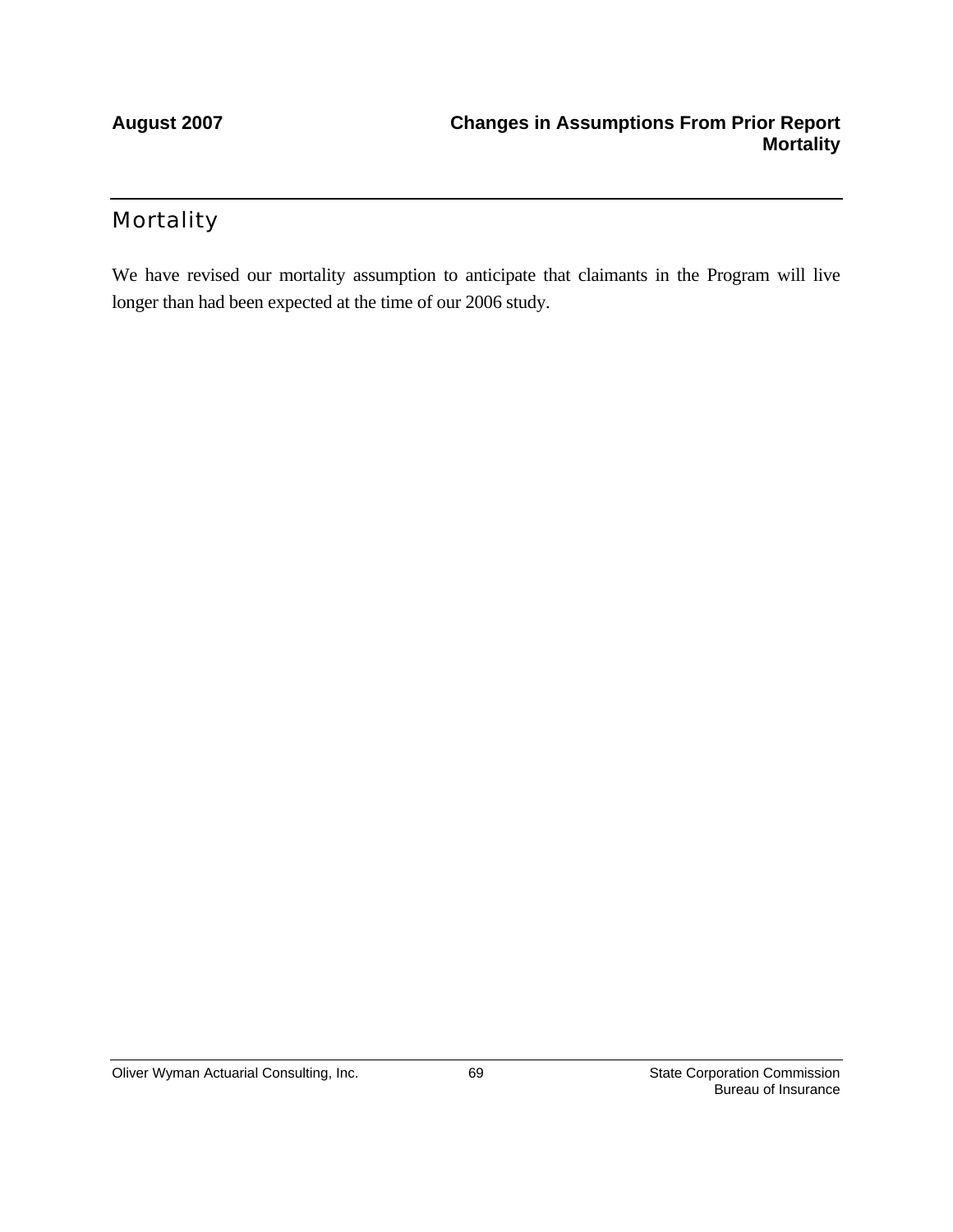## **Mortality**

We have revised our mortality assumption to anticipate that claimants in the Program will live longer than had been expected at the time of our 2006 study.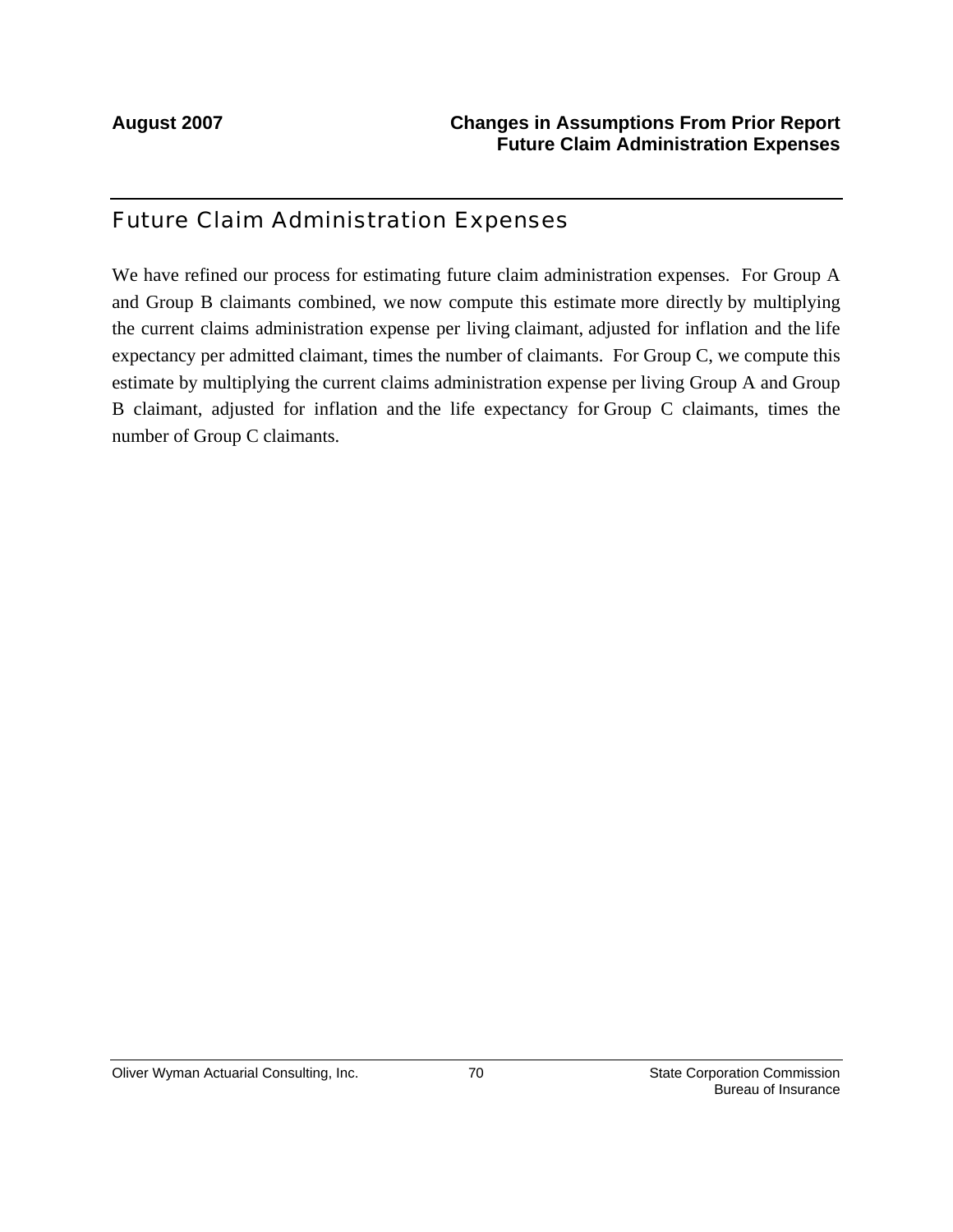## Future Claim Administration Expenses

We have refined our process for estimating future claim administration expenses. For Group A and Group B claimants combined, we now compute this estimate more directly by multiplying the current claims administration expense per living claimant, adjusted for inflation and the life expectancy per admitted claimant, times the number of claimants. For Group C, we compute this estimate by multiplying the current claims administration expense per living Group A and Group B claimant, adjusted for inflation and the life expectancy for Group C claimants, times the number of Group C claimants.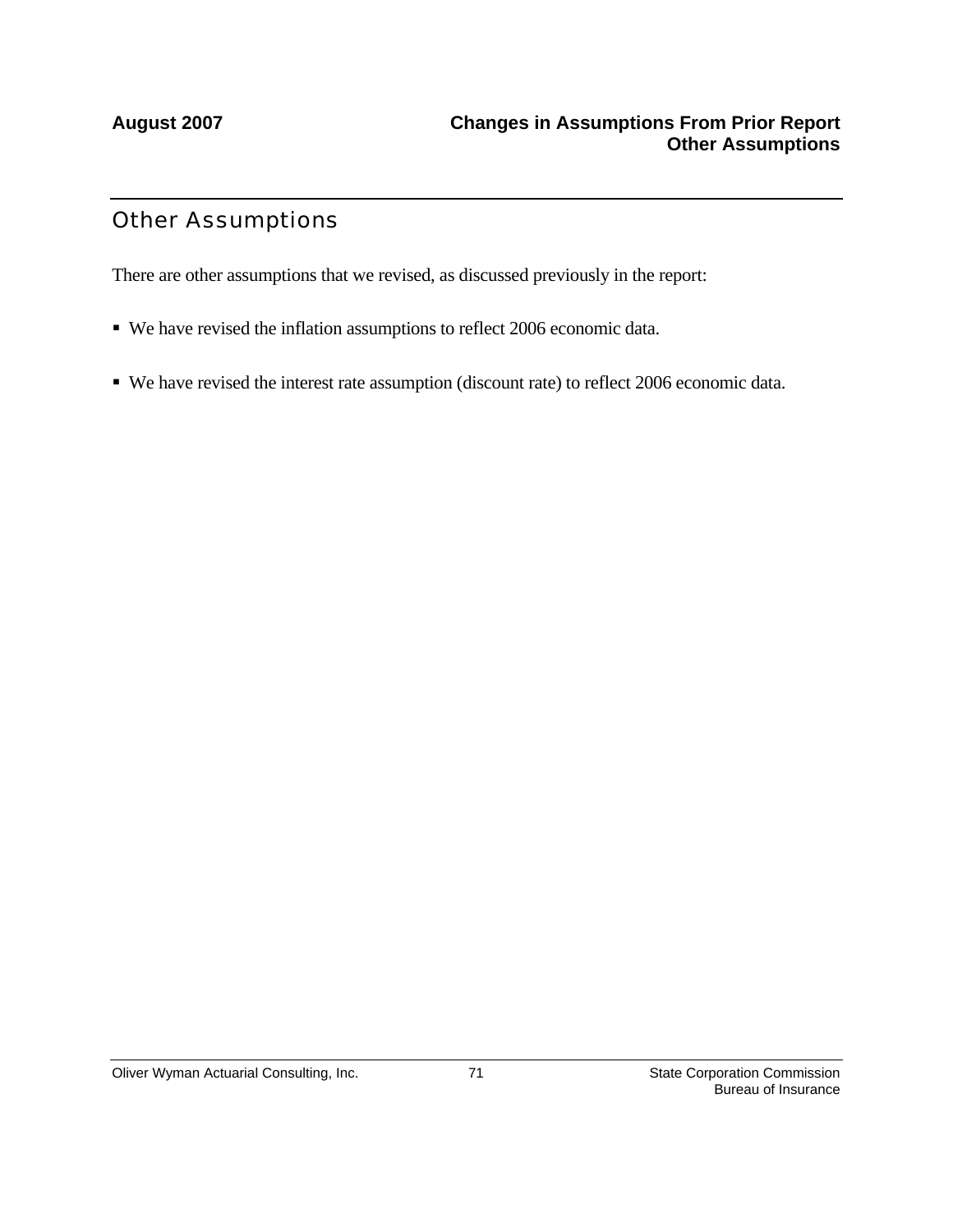## Other Assumptions

There are other assumptions that we revised, as discussed previously in the report:

- We have revised the inflation assumptions to reflect 2006 economic data.
- We have revised the interest rate assumption (discount rate) to reflect 2006 economic data.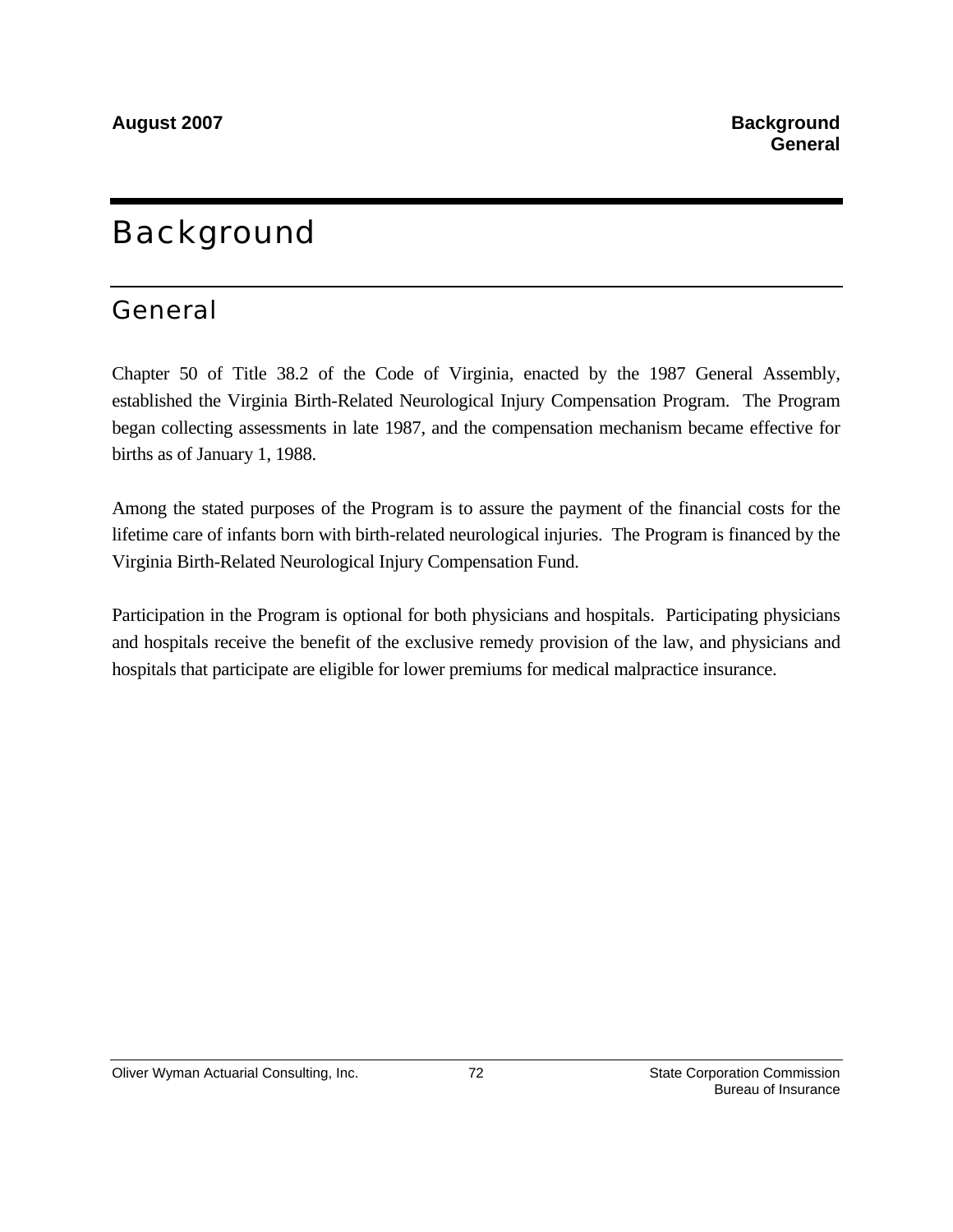# **Background**

# General

Chapter 50 of Title 38.2 of the Code of Virginia, enacted by the 1987 General Assembly, established the Virginia Birth-Related Neurological Injury Compensation Program. The Program began collecting assessments in late 1987, and the compensation mechanism became effective for births as of January 1, 1988.

Among the stated purposes of the Program is to assure the payment of the financial costs for the lifetime care of infants born with birth-related neurological injuries. The Program is financed by the Virginia Birth-Related Neurological Injury Compensation Fund.

Participation in the Program is optional for both physicians and hospitals. Participating physicians and hospitals receive the benefit of the exclusive remedy provision of the law, and physicians and hospitals that participate are eligible for lower premiums for medical malpractice insurance.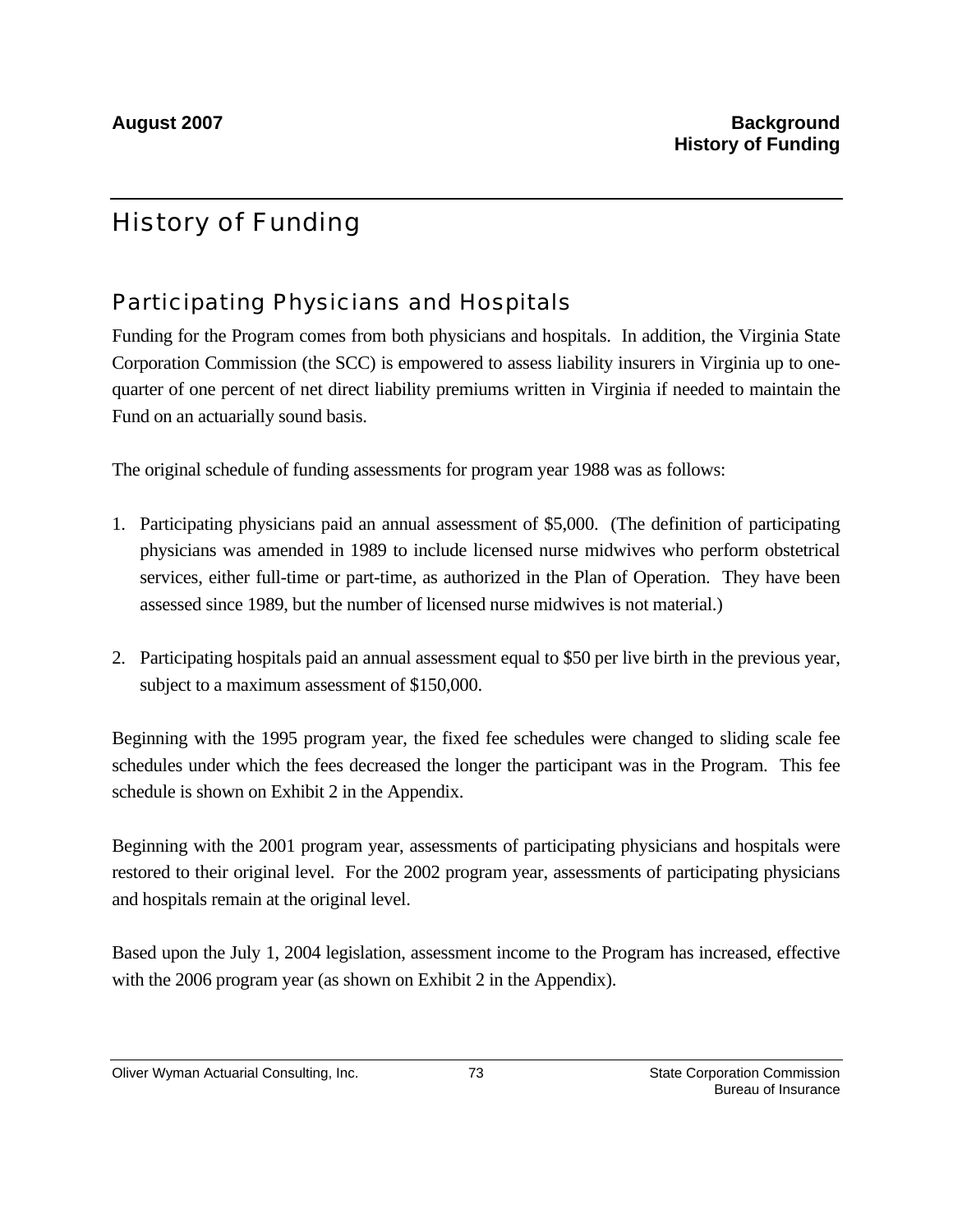# History of Funding

## Participating Physicians and Hospitals

Funding for the Program comes from both physicians and hospitals. In addition, the Virginia State Corporation Commission (the SCC) is empowered to assess liability insurers in Virginia up to onequarter of one percent of net direct liability premiums written in Virginia if needed to maintain the Fund on an actuarially sound basis.

The original schedule of funding assessments for program year 1988 was as follows:

- 1. Participating physicians paid an annual assessment of \$5,000. (The definition of participating physicians was amended in 1989 to include licensed nurse midwives who perform obstetrical services, either full-time or part-time, as authorized in the Plan of Operation. They have been assessed since 1989, but the number of licensed nurse midwives is not material.)
- 2. Participating hospitals paid an annual assessment equal to \$50 per live birth in the previous year, subject to a maximum assessment of \$150,000.

Beginning with the 1995 program year, the fixed fee schedules were changed to sliding scale fee schedules under which the fees decreased the longer the participant was in the Program. This fee schedule is shown on Exhibit 2 in the Appendix.

Beginning with the 2001 program year, assessments of participating physicians and hospitals were restored to their original level. For the 2002 program year, assessments of participating physicians and hospitals remain at the original level.

Based upon the July 1, 2004 legislation, assessment income to the Program has increased, effective with the 2006 program year (as shown on Exhibit 2 in the Appendix).

Oliver Wyman Actuarial Consulting, Inc.  $\overline{73}$  73 State Corporation Commission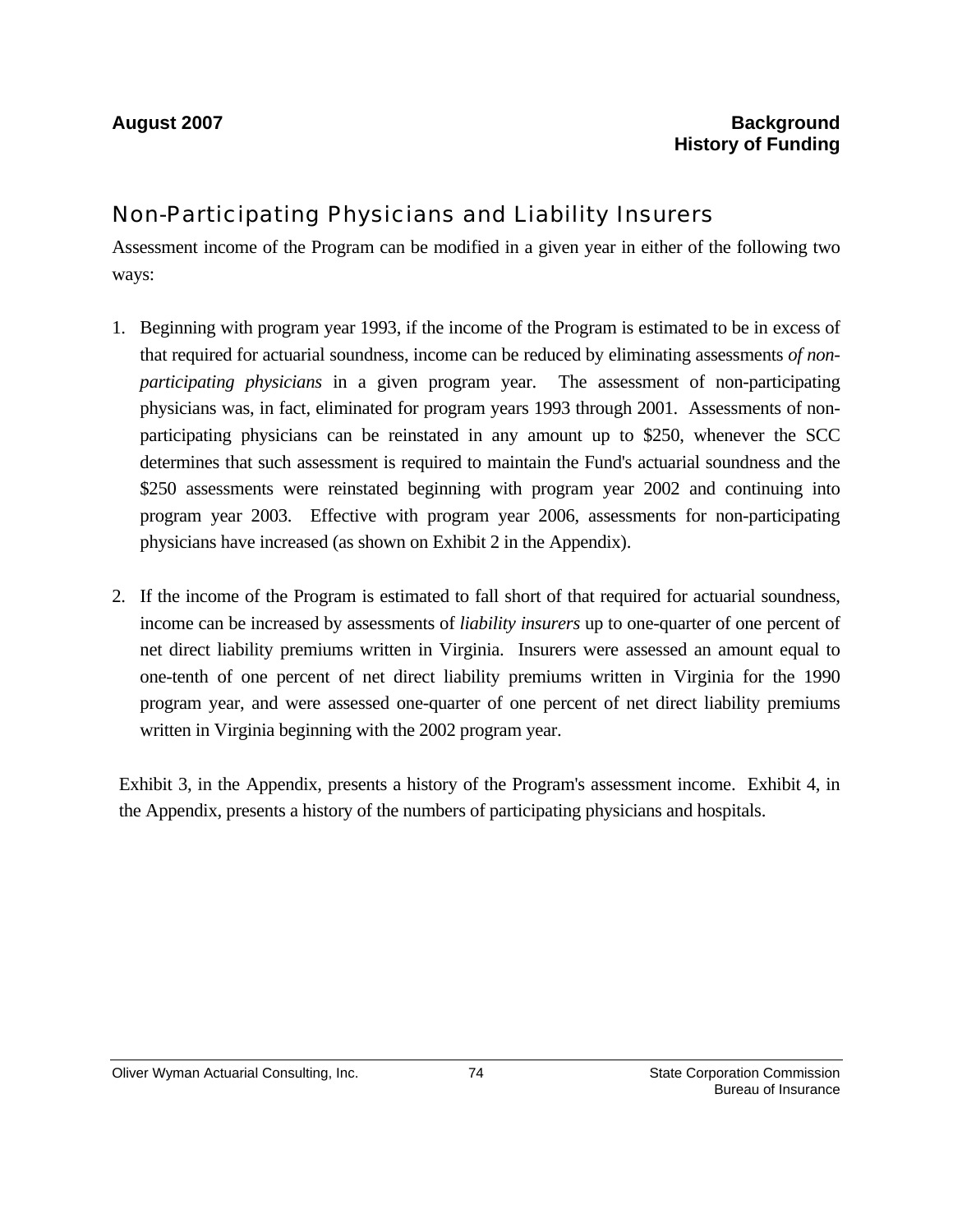## Non-Participating Physicians and Liability Insurers

Assessment income of the Program can be modified in a given year in either of the following two ways:

- 1. Beginning with program year 1993, if the income of the Program is estimated to be in excess of that required for actuarial soundness, income can be reduced by eliminating assessments *of nonparticipating physicians* in a given program year. The assessment of non-participating physicians was, in fact, eliminated for program years 1993 through 2001. Assessments of nonparticipating physicians can be reinstated in any amount up to \$250, whenever the SCC determines that such assessment is required to maintain the Fund's actuarial soundness and the \$250 assessments were reinstated beginning with program year 2002 and continuing into program year 2003. Effective with program year 2006, assessments for non-participating physicians have increased (as shown on Exhibit 2 in the Appendix).
- 2. If the income of the Program is estimated to fall short of that required for actuarial soundness, income can be increased by assessments of *liability insurers* up to one-quarter of one percent of net direct liability premiums written in Virginia. Insurers were assessed an amount equal to one-tenth of one percent of net direct liability premiums written in Virginia for the 1990 program year, and were assessed one-quarter of one percent of net direct liability premiums written in Virginia beginning with the 2002 program year.

Exhibit 3, in the Appendix, presents a history of the Program's assessment income. Exhibit 4, in the Appendix, presents a history of the numbers of participating physicians and hospitals.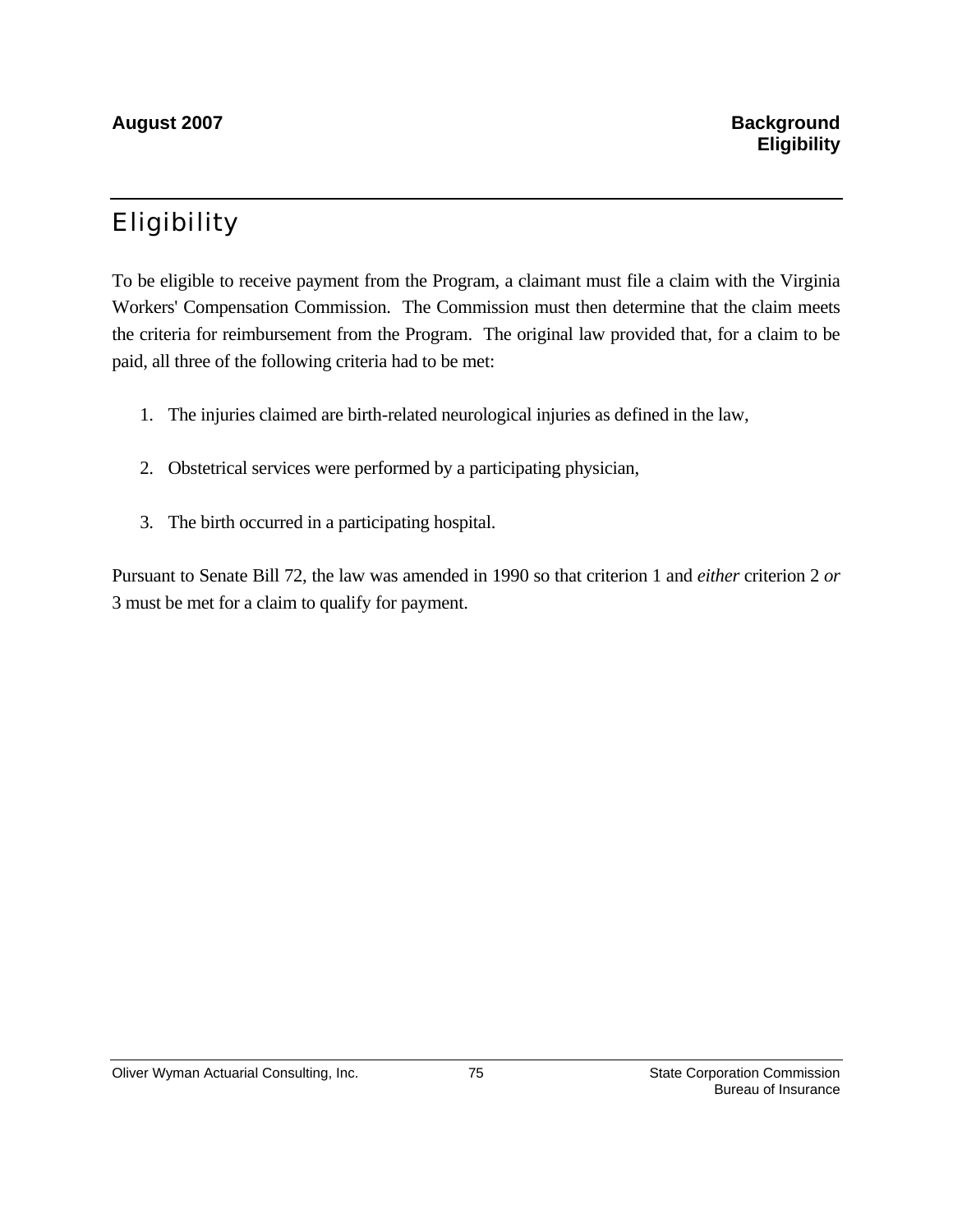# Eligibility

To be eligible to receive payment from the Program, a claimant must file a claim with the Virginia Workers' Compensation Commission. The Commission must then determine that the claim meets the criteria for reimbursement from the Program. The original law provided that, for a claim to be paid, all three of the following criteria had to be met:

- 1. The injuries claimed are birth-related neurological injuries as defined in the law,
- 2. Obstetrical services were performed by a participating physician,
- 3. The birth occurred in a participating hospital.

Pursuant to Senate Bill 72, the law was amended in 1990 so that criterion 1 and *either* criterion 2 *or* 3 must be met for a claim to qualify for payment.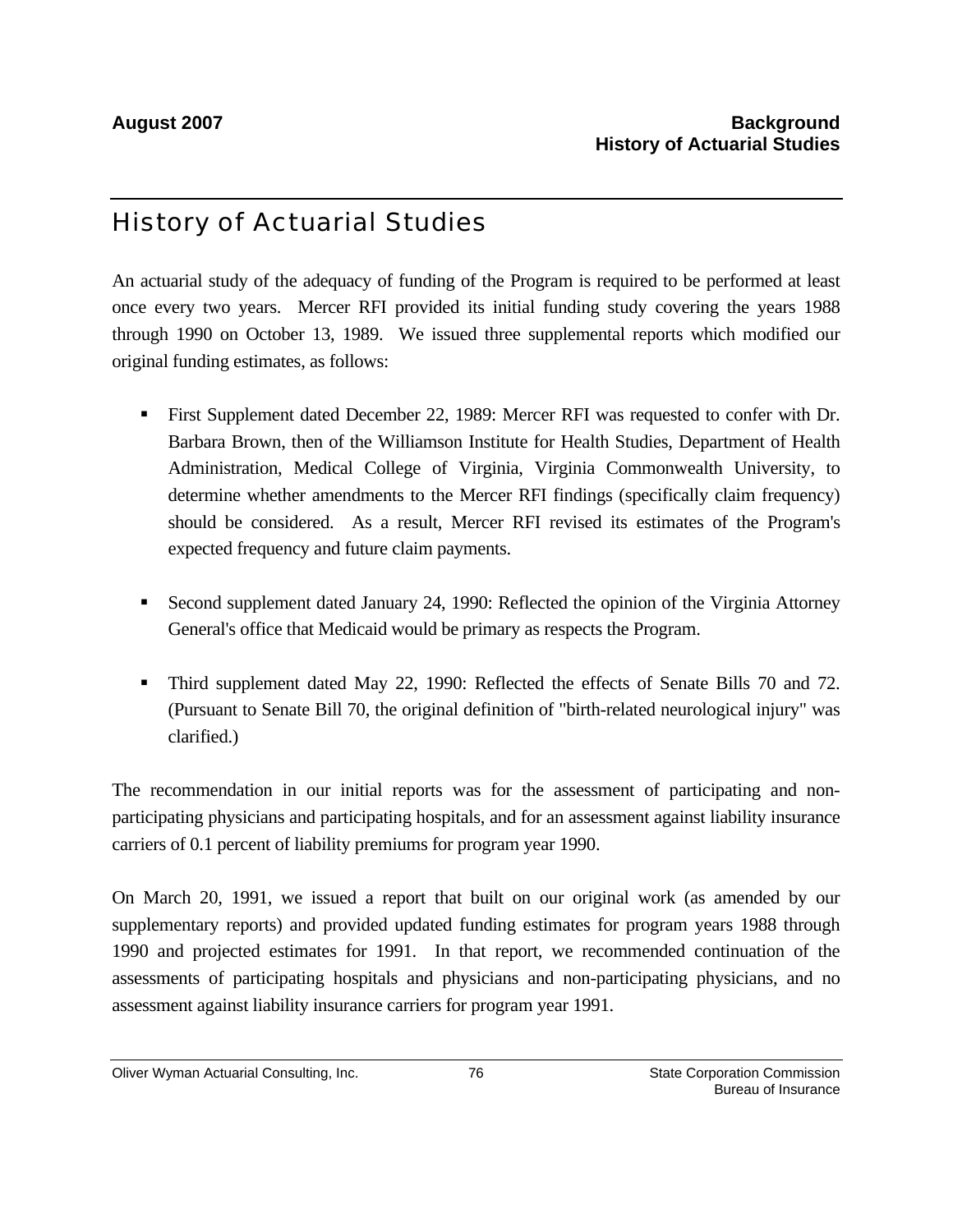# History of Actuarial Studies

An actuarial study of the adequacy of funding of the Program is required to be performed at least once every two years. Mercer RFI provided its initial funding study covering the years 1988 through 1990 on October 13, 1989. We issued three supplemental reports which modified our original funding estimates, as follows:

- First Supplement dated December 22, 1989: Mercer RFI was requested to confer with Dr. Barbara Brown, then of the Williamson Institute for Health Studies, Department of Health Administration, Medical College of Virginia, Virginia Commonwealth University, to determine whether amendments to the Mercer RFI findings (specifically claim frequency) should be considered. As a result, Mercer RFI revised its estimates of the Program's expected frequency and future claim payments.
- Second supplement dated January 24, 1990: Reflected the opinion of the Virginia Attorney General's office that Medicaid would be primary as respects the Program.
- Third supplement dated May 22, 1990: Reflected the effects of Senate Bills 70 and 72. (Pursuant to Senate Bill 70, the original definition of "birth-related neurological injury" was clarified.)

The recommendation in our initial reports was for the assessment of participating and nonparticipating physicians and participating hospitals, and for an assessment against liability insurance carriers of 0.1 percent of liability premiums for program year 1990.

On March 20, 1991, we issued a report that built on our original work (as amended by our supplementary reports) and provided updated funding estimates for program years 1988 through 1990 and projected estimates for 1991. In that report, we recommended continuation of the assessments of participating hospitals and physicians and non-participating physicians, and no assessment against liability insurance carriers for program year 1991.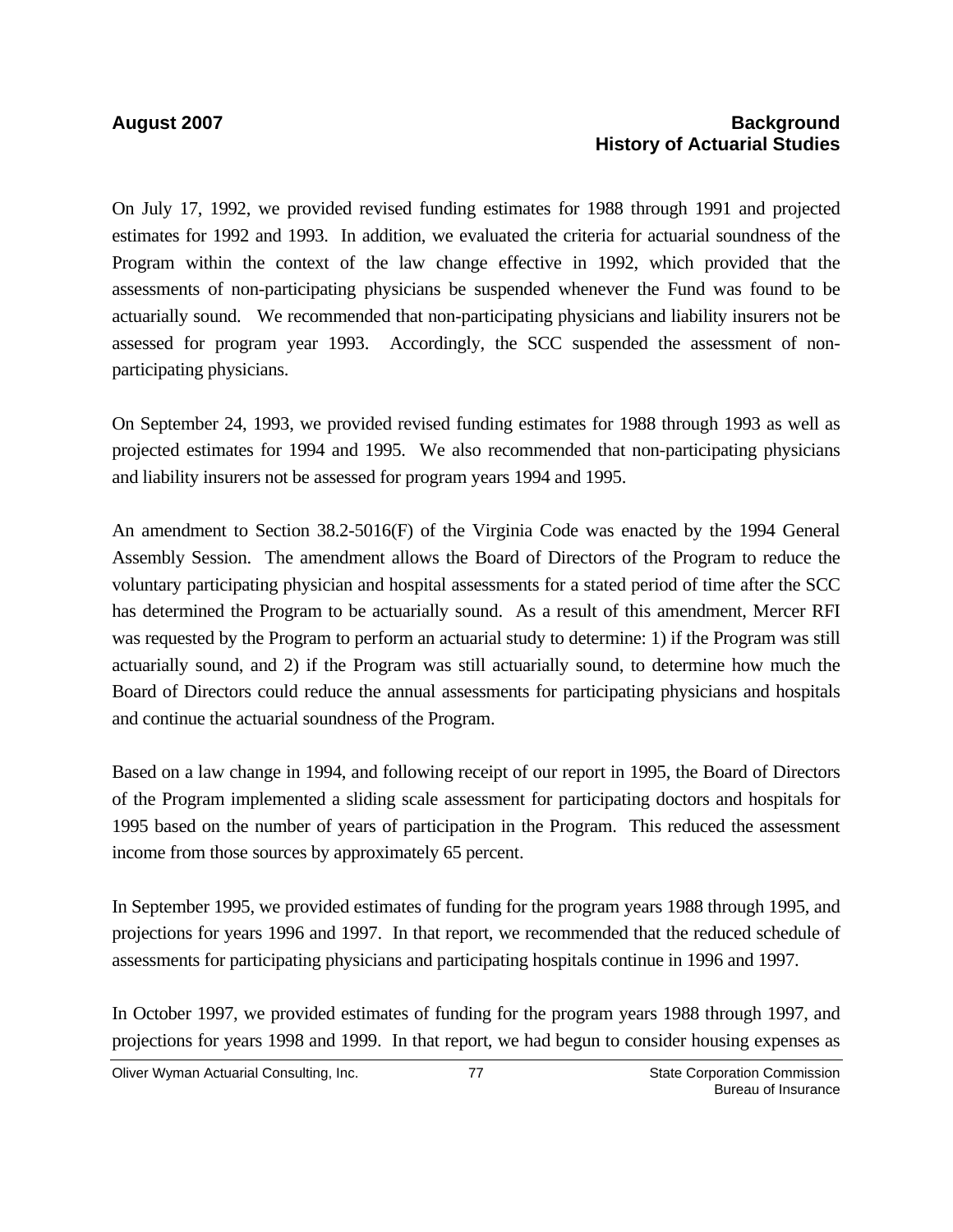## **August 2007 Background History of Actuarial Studies**

On July 17, 1992, we provided revised funding estimates for 1988 through 1991 and projected estimates for 1992 and 1993. In addition, we evaluated the criteria for actuarial soundness of the Program within the context of the law change effective in 1992, which provided that the assessments of non-participating physicians be suspended whenever the Fund was found to be actuarially sound. We recommended that non-participating physicians and liability insurers not be assessed for program year 1993. Accordingly, the SCC suspended the assessment of nonparticipating physicians.

On September 24, 1993, we provided revised funding estimates for 1988 through 1993 as well as projected estimates for 1994 and 1995. We also recommended that non-participating physicians and liability insurers not be assessed for program years 1994 and 1995.

An amendment to Section 38.2-5016(F) of the Virginia Code was enacted by the 1994 General Assembly Session. The amendment allows the Board of Directors of the Program to reduce the voluntary participating physician and hospital assessments for a stated period of time after the SCC has determined the Program to be actuarially sound. As a result of this amendment, Mercer RFI was requested by the Program to perform an actuarial study to determine: 1) if the Program was still actuarially sound, and 2) if the Program was still actuarially sound, to determine how much the Board of Directors could reduce the annual assessments for participating physicians and hospitals and continue the actuarial soundness of the Program.

Based on a law change in 1994, and following receipt of our report in 1995, the Board of Directors of the Program implemented a sliding scale assessment for participating doctors and hospitals for 1995 based on the number of years of participation in the Program. This reduced the assessment income from those sources by approximately 65 percent.

In September 1995, we provided estimates of funding for the program years 1988 through 1995, and projections for years 1996 and 1997. In that report, we recommended that the reduced schedule of assessments for participating physicians and participating hospitals continue in 1996 and 1997.

In October 1997, we provided estimates of funding for the program years 1988 through 1997, and projections for years 1998 and 1999. In that report, we had begun to consider housing expenses as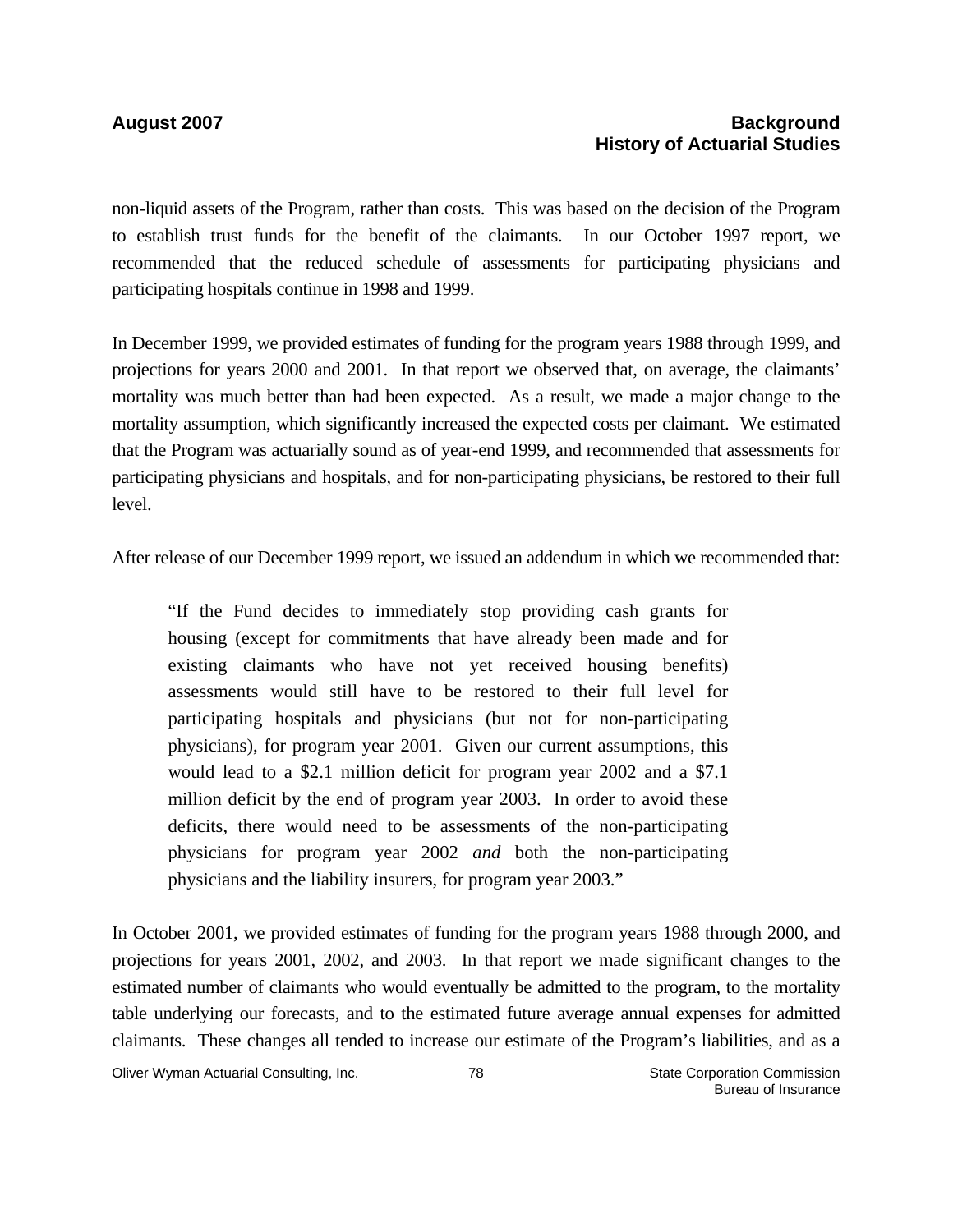### **August 2007 Background History of Actuarial Studies**

non-liquid assets of the Program, rather than costs. This was based on the decision of the Program to establish trust funds for the benefit of the claimants. In our October 1997 report, we recommended that the reduced schedule of assessments for participating physicians and participating hospitals continue in 1998 and 1999.

In December 1999, we provided estimates of funding for the program years 1988 through 1999, and projections for years 2000 and 2001. In that report we observed that, on average, the claimants' mortality was much better than had been expected. As a result, we made a major change to the mortality assumption, which significantly increased the expected costs per claimant. We estimated that the Program was actuarially sound as of year-end 1999, and recommended that assessments for participating physicians and hospitals, and for non-participating physicians, be restored to their full level.

After release of our December 1999 report, we issued an addendum in which we recommended that:

"If the Fund decides to immediately stop providing cash grants for housing (except for commitments that have already been made and for existing claimants who have not yet received housing benefits) assessments would still have to be restored to their full level for participating hospitals and physicians (but not for non-participating physicians), for program year 2001. Given our current assumptions, this would lead to a \$2.1 million deficit for program year 2002 and a \$7.1 million deficit by the end of program year 2003. In order to avoid these deficits, there would need to be assessments of the non-participating physicians for program year 2002 *and* both the non-participating physicians and the liability insurers, for program year 2003."

In October 2001, we provided estimates of funding for the program years 1988 through 2000, and projections for years 2001, 2002, and 2003. In that report we made significant changes to the estimated number of claimants who would eventually be admitted to the program, to the mortality table underlying our forecasts, and to the estimated future average annual expenses for admitted claimants. These changes all tended to increase our estimate of the Program's liabilities, and as a

Oliver Wyman Actuarial Consulting, Inc.  $\overline{8}$  78  $\overline{8}$  State Corporation Commission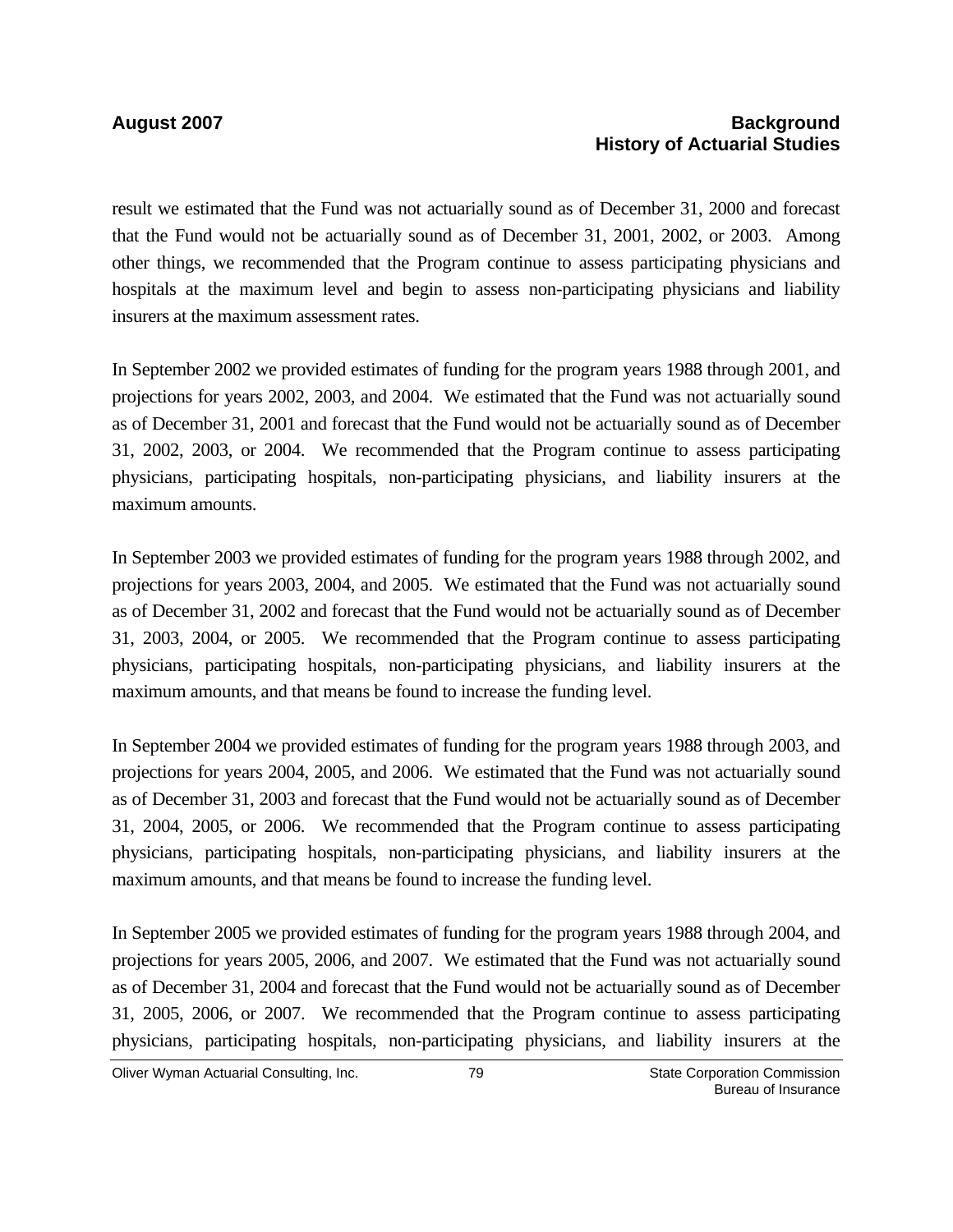#### **August 2007 Background History of Actuarial Studies**

result we estimated that the Fund was not actuarially sound as of December 31, 2000 and forecast that the Fund would not be actuarially sound as of December 31, 2001, 2002, or 2003. Among other things, we recommended that the Program continue to assess participating physicians and hospitals at the maximum level and begin to assess non-participating physicians and liability insurers at the maximum assessment rates.

In September 2002 we provided estimates of funding for the program years 1988 through 2001, and projections for years 2002, 2003, and 2004. We estimated that the Fund was not actuarially sound as of December 31, 2001 and forecast that the Fund would not be actuarially sound as of December 31, 2002, 2003, or 2004. We recommended that the Program continue to assess participating physicians, participating hospitals, non-participating physicians, and liability insurers at the maximum amounts.

In September 2003 we provided estimates of funding for the program years 1988 through 2002, and projections for years 2003, 2004, and 2005. We estimated that the Fund was not actuarially sound as of December 31, 2002 and forecast that the Fund would not be actuarially sound as of December 31, 2003, 2004, or 2005. We recommended that the Program continue to assess participating physicians, participating hospitals, non-participating physicians, and liability insurers at the maximum amounts, and that means be found to increase the funding level.

In September 2004 we provided estimates of funding for the program years 1988 through 2003, and projections for years 2004, 2005, and 2006. We estimated that the Fund was not actuarially sound as of December 31, 2003 and forecast that the Fund would not be actuarially sound as of December 31, 2004, 2005, or 2006. We recommended that the Program continue to assess participating physicians, participating hospitals, non-participating physicians, and liability insurers at the maximum amounts, and that means be found to increase the funding level.

In September 2005 we provided estimates of funding for the program years 1988 through 2004, and projections for years 2005, 2006, and 2007. We estimated that the Fund was not actuarially sound as of December 31, 2004 and forecast that the Fund would not be actuarially sound as of December 31, 2005, 2006, or 2007. We recommended that the Program continue to assess participating physicians, participating hospitals, non-participating physicians, and liability insurers at the

Oliver Wyman Actuarial Consulting, Inc.  $\overline{79}$  79 State Corporation Commission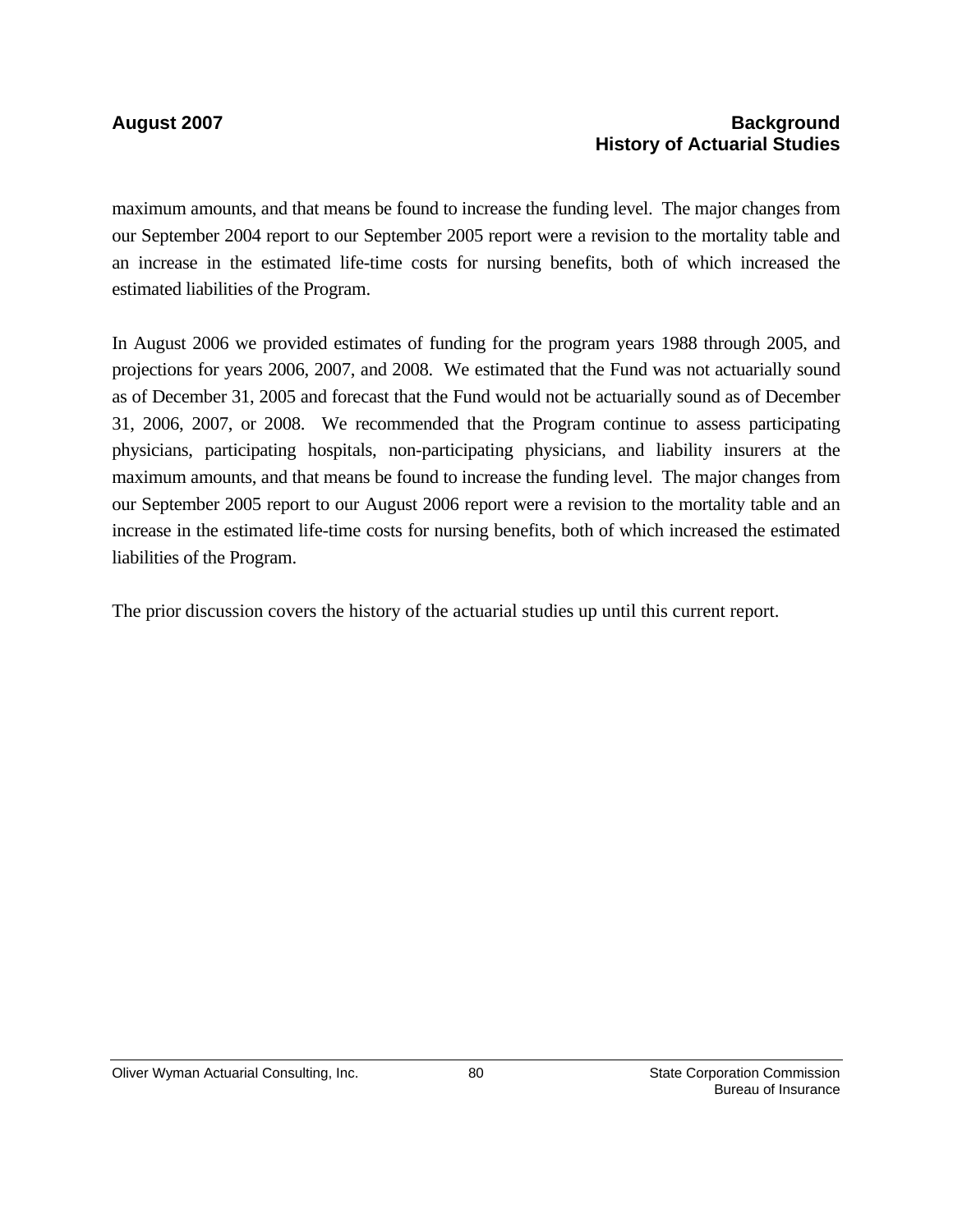## August 2007 **Background History of Actuarial Studies**

maximum amounts, and that means be found to increase the funding level. The major changes from our September 2004 report to our September 2005 report were a revision to the mortality table and an increase in the estimated life-time costs for nursing benefits, both of which increased the estimated liabilities of the Program.

In August 2006 we provided estimates of funding for the program years 1988 through 2005, and projections for years 2006, 2007, and 2008. We estimated that the Fund was not actuarially sound as of December 31, 2005 and forecast that the Fund would not be actuarially sound as of December 31, 2006, 2007, or 2008. We recommended that the Program continue to assess participating physicians, participating hospitals, non-participating physicians, and liability insurers at the maximum amounts, and that means be found to increase the funding level. The major changes from our September 2005 report to our August 2006 report were a revision to the mortality table and an increase in the estimated life-time costs for nursing benefits, both of which increased the estimated liabilities of the Program.

The prior discussion covers the history of the actuarial studies up until this current report.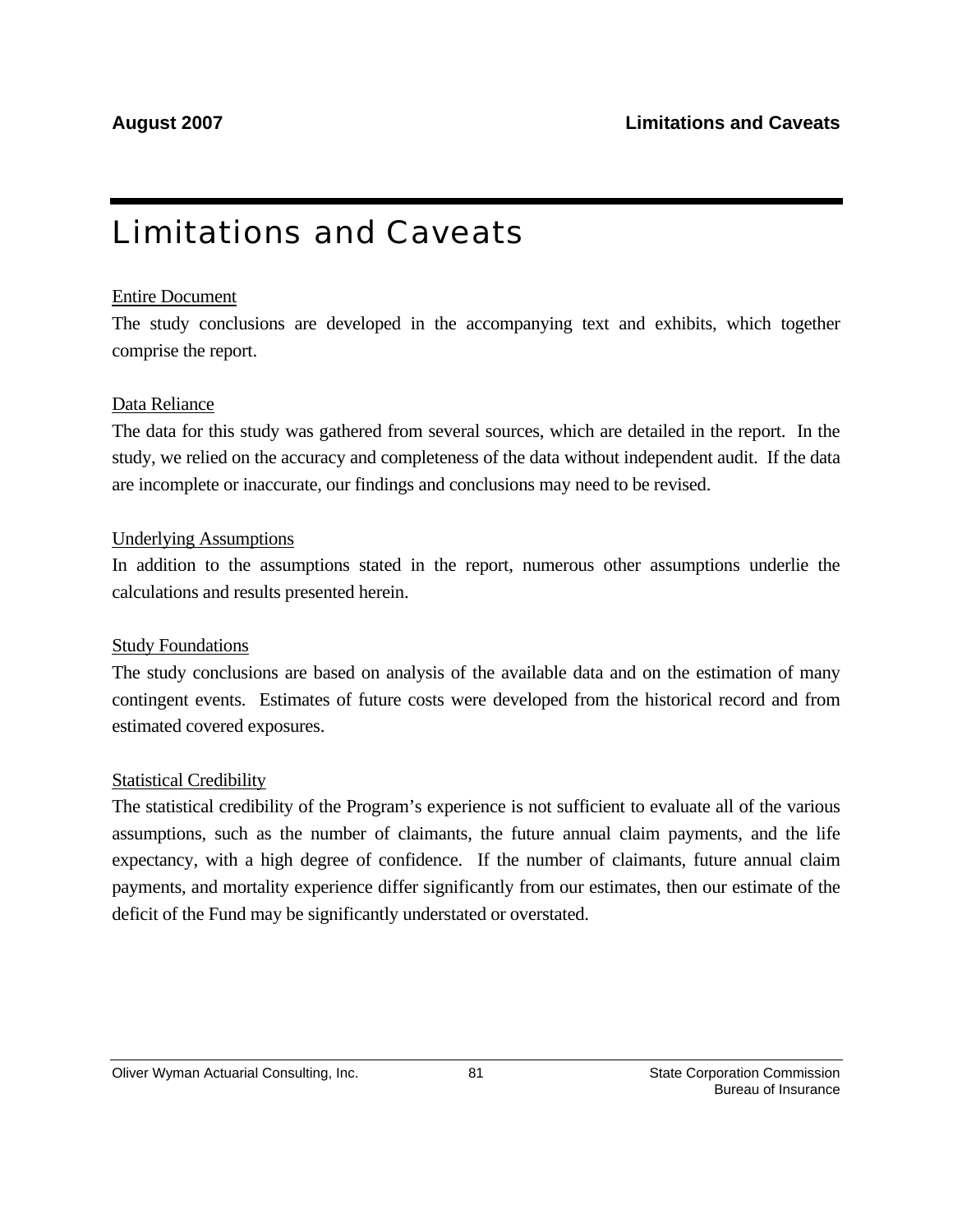# Limitations and Caveats

## Entire Document

The study conclusions are developed in the accompanying text and exhibits, which together comprise the report.

## Data Reliance

The data for this study was gathered from several sources, which are detailed in the report. In the study, we relied on the accuracy and completeness of the data without independent audit. If the data are incomplete or inaccurate, our findings and conclusions may need to be revised.

## Underlying Assumptions

In addition to the assumptions stated in the report, numerous other assumptions underlie the calculations and results presented herein.

## Study Foundations

The study conclusions are based on analysis of the available data and on the estimation of many contingent events. Estimates of future costs were developed from the historical record and from estimated covered exposures.

## Statistical Credibility

The statistical credibility of the Program's experience is not sufficient to evaluate all of the various assumptions, such as the number of claimants, the future annual claim payments, and the life expectancy, with a high degree of confidence. If the number of claimants, future annual claim payments, and mortality experience differ significantly from our estimates, then our estimate of the deficit of the Fund may be significantly understated or overstated.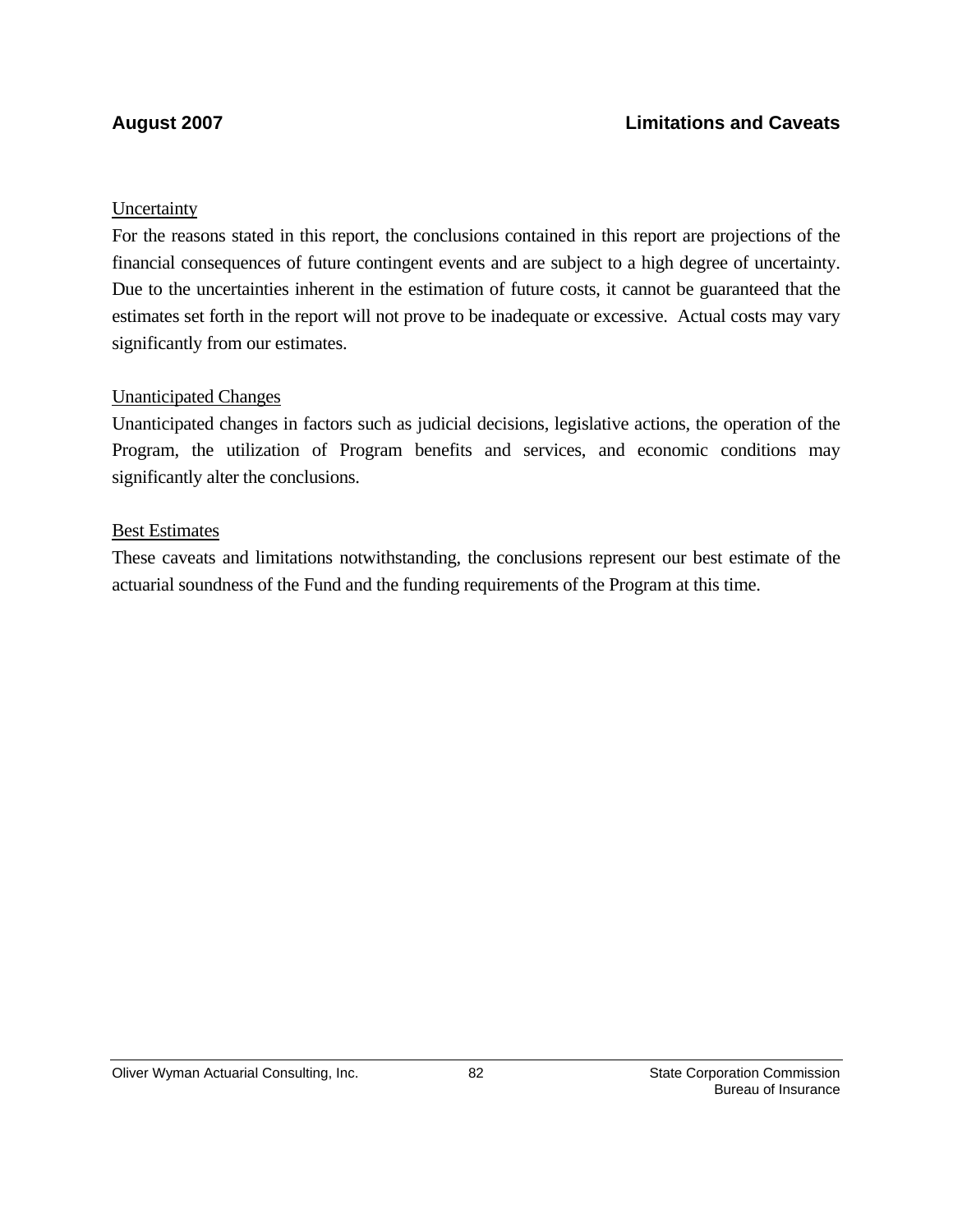## **Uncertainty**

For the reasons stated in this report, the conclusions contained in this report are projections of the financial consequences of future contingent events and are subject to a high degree of uncertainty. Due to the uncertainties inherent in the estimation of future costs, it cannot be guaranteed that the estimates set forth in the report will not prove to be inadequate or excessive. Actual costs may vary significantly from our estimates.

## Unanticipated Changes

Unanticipated changes in factors such as judicial decisions, legislative actions, the operation of the Program, the utilization of Program benefits and services, and economic conditions may significantly alter the conclusions.

### Best Estimates

These caveats and limitations notwithstanding, the conclusions represent our best estimate of the actuarial soundness of the Fund and the funding requirements of the Program at this time.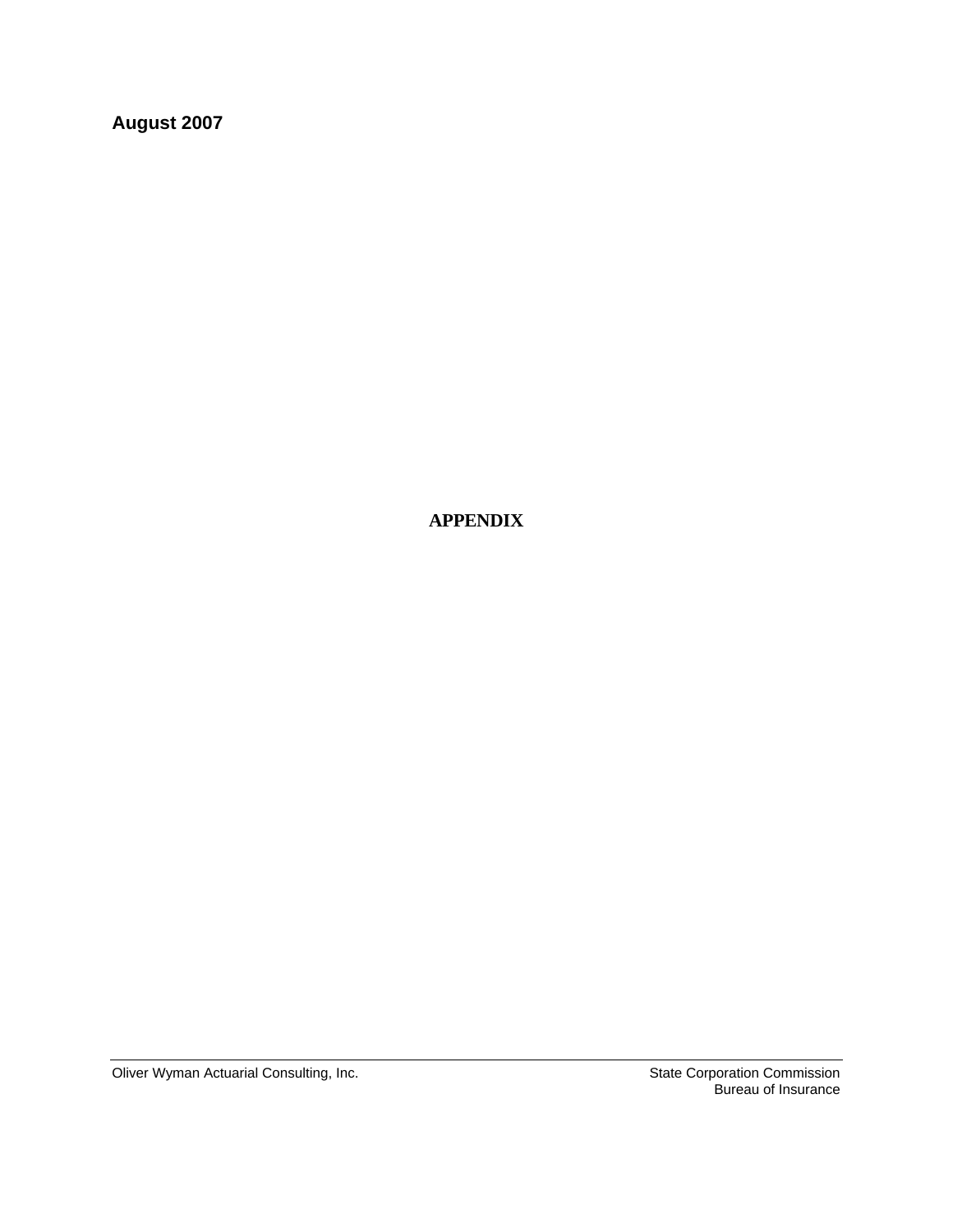**August 2007** 

 **APPENDIX**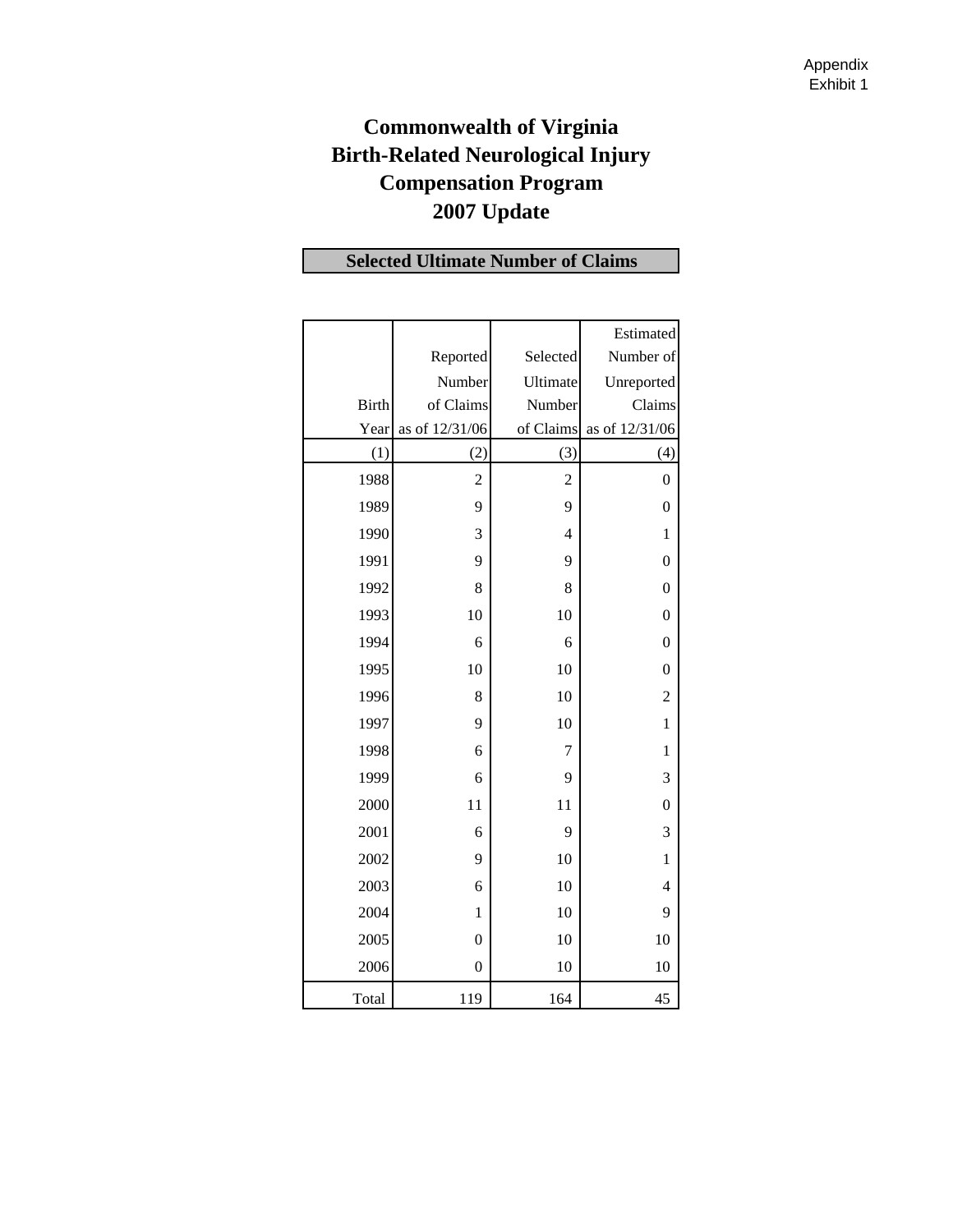## **Commonwealth of Virginia Birth-Related Neurological Injury Compensation Program 2007 Update**

## **Selected Ultimate Number of Claims**

|              |                  |                | Estimated        |
|--------------|------------------|----------------|------------------|
|              | Reported         | Selected       | Number of        |
|              | Number           | Ultimate       | Unreported       |
| <b>Birth</b> | of Claims        | Number         | Claims           |
| Year         | as of 12/31/06   | of Claims      | as of 12/31/06   |
| (1)          | (2)              | (3)            | (4)              |
| 1988         | $\overline{c}$   | $\overline{c}$ | $\boldsymbol{0}$ |
| 1989         | 9                | 9              | $\boldsymbol{0}$ |
| 1990         | 3                | 4              | $\mathbf{1}$     |
| 1991         | 9                | 9              | $\boldsymbol{0}$ |
| 1992         | 8                | 8              | $\mathbf{0}$     |
| 1993         | 10               | 10             | $\boldsymbol{0}$ |
| 1994         | 6                | 6              | $\boldsymbol{0}$ |
| 1995         | 10               | 10             | $\overline{0}$   |
| 1996         | 8                | 10             | $\overline{c}$   |
| 1997         | 9                | 10             | 1                |
| 1998         | 6                | 7              | 1                |
| 1999         | 6                | 9              | 3                |
| 2000         | 11               | 11             | $\mathbf{0}$     |
| 2001         | 6                | 9              | 3                |
| 2002         | 9                | 10             | $\mathbf{1}$     |
| 2003         | 6                | 10             | $\overline{4}$   |
| 2004         | $\mathbf{1}$     | 10             | 9                |
| 2005         | $\mathbf{0}$     | 10             | 10               |
| 2006         | $\boldsymbol{0}$ | 10             | 10               |
| Total        | 119              | 164            | 45               |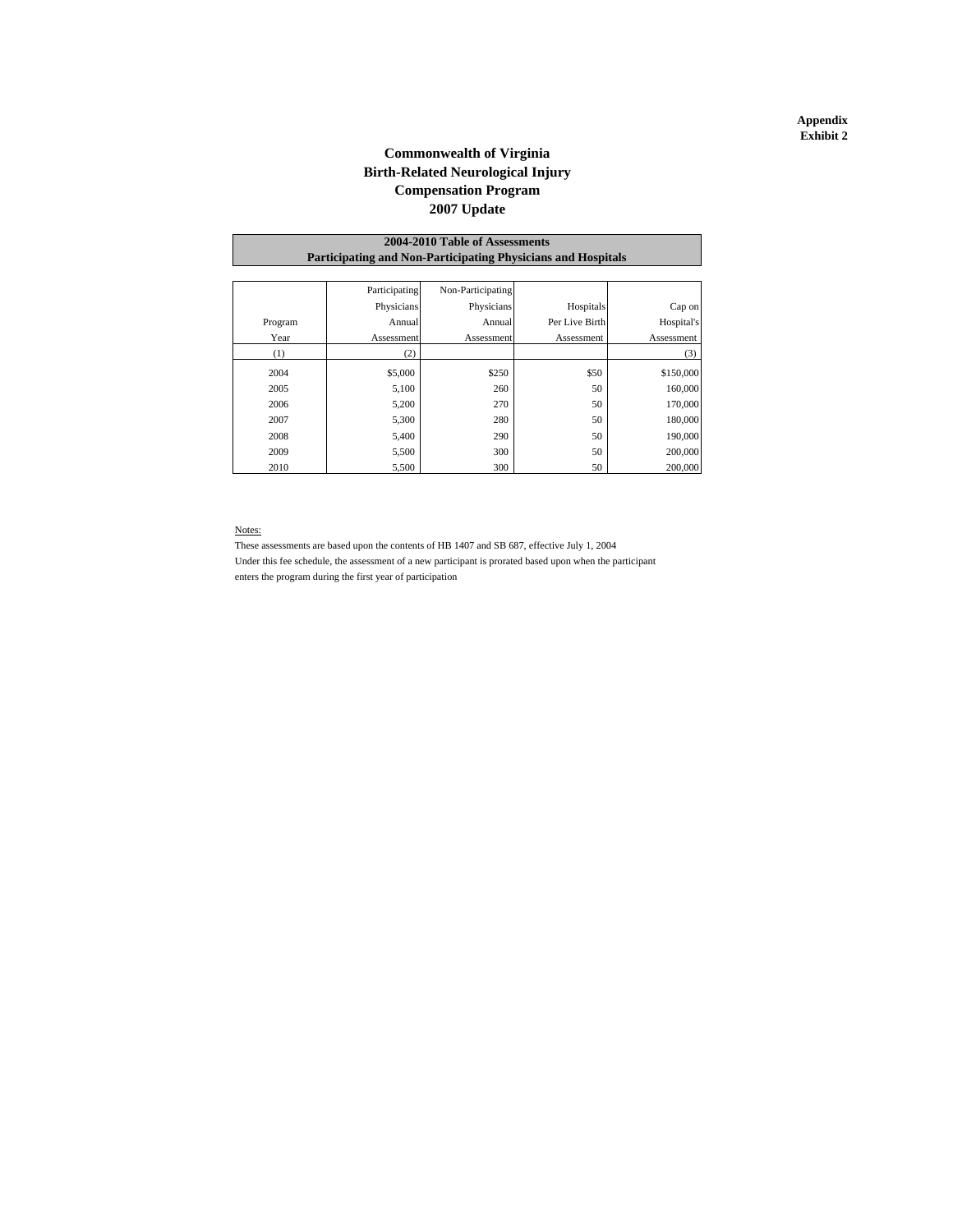#### **Commonwealth of Virginia Birth-Related Neurological Injury 2007 Update Compensation Program**

#### **Participating and Non-Participating Physicians and Hospitals 2004-2010 Table of Assessments**

|         | Participating | Non-Participating |                |            |
|---------|---------------|-------------------|----------------|------------|
|         | Physicians    | Physicians        | Hospitals      | Cap on     |
| Program | Annual        | Annual            | Per Live Birth | Hospital's |
| Year    | Assessment    | Assessment        | Assessment     | Assessment |
| (1)     | (2)           |                   |                | (3)        |
| 2004    | \$5,000       | \$250             | \$50           | \$150,000  |
| 2005    | 5,100         | 260               | 50             | 160,000    |
| 2006    | 5,200         | 270               | 50             | 170,000    |
| 2007    | 5,300         | 280               | 50             | 180,000    |
| 2008    | 5,400         | 290               | 50             | 190,000    |
| 2009    | 5,500         | 300               | 50             | 200,000    |
| 2010    | 5,500         | 300               | 50             | 200,000    |

#### Notes:

These assessments are based upon the contents of HB 1407 and SB 687, effective July 1, 2004 Under this fee schedule, the assessment of a new participant is prorated based upon when the participant enters the program during the first year of participation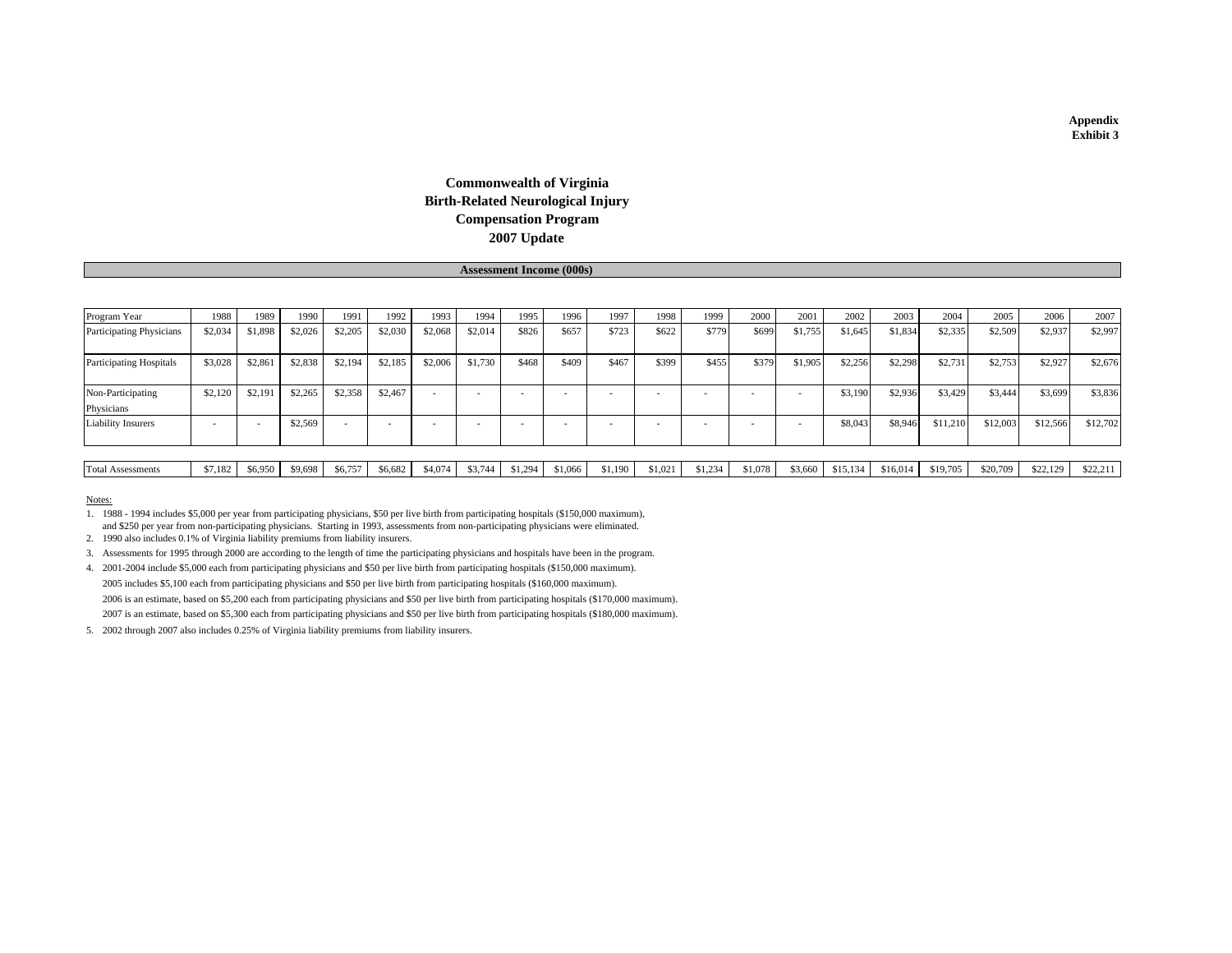#### **2007 Update Commonwealth of Virginia Birth-Related Neurological Injury Compensation Program**

**Assessment Income (000s)**

| Program Year                    | 1988    | 1989    | 1990    | 1991    | 1992    | 1993                     | 1994    | 1995    | 1996    | 1997    | 1998    | 1999    | 2000    | 2001    | 2002     | 2003     | 2004     | 2005     | 2006     | 2007     |
|---------------------------------|---------|---------|---------|---------|---------|--------------------------|---------|---------|---------|---------|---------|---------|---------|---------|----------|----------|----------|----------|----------|----------|
| <b>Participating Physicians</b> | \$2,034 | \$1,898 | \$2,026 | \$2,205 | \$2,030 | \$2,068                  | \$2,014 | \$826   | \$657   | \$723   | \$622   | \$779   | \$699   | \$1,755 | \$1,645  | \$1,834  | \$2,335  | \$2,509  | \$2,937  | \$2,997  |
| <b>Participating Hospitals</b>  | \$3,028 | \$2,861 | \$2,838 | \$2,194 | \$2,185 | \$2,006                  | \$1,730 | \$468   | \$409   | \$467   | \$399   | \$455   | \$379   | \$1,905 | \$2,256  | \$2,298  | \$2,731  | \$2,753  | \$2,927  | \$2,676  |
| Non-Participating<br>Physicians | \$2,120 | \$2,191 | \$2,265 | \$2,358 | \$2,467 | $\overline{\phantom{a}}$ |         |         |         |         |         |         |         |         | \$3,190  | \$2,936  | \$3,429  | \$3,444  | \$3,699  | \$3,836  |
| Liability Insurers              |         |         | \$2,569 |         |         |                          |         |         |         |         |         |         |         |         | \$8,043  | \$8,946  | \$11,210 | \$12,003 | \$12,566 | \$12,702 |
|                                 |         |         |         |         |         |                          |         |         |         |         |         |         |         |         |          |          |          |          |          |          |
| <b>Total Assessments</b>        | \$7,182 | \$6,950 | \$9,698 | \$6,757 | \$6,682 | \$4,074                  | \$3,744 | \$1,294 | \$1,066 | \$1.190 | \$1,021 | \$1,234 | \$1,078 | \$3,660 | \$15,134 | \$16,014 | \$19,705 | \$20,709 | \$22,129 | \$22,211 |

#### Notes:

1. 1988 - 1994 includes \$5,000 per year from participating physicians, \$50 per live birth from participating hospitals (\$150,000 maximum), and \$250 per year from non-participating physicians. Starting in 1993, assessments from non-participating physicians were eliminated.

2. 1990 also includes 0.1% of Virginia liability premiums from liability insurers.

3. Assessments for 1995 through 2000 are according to the length of time the participating physicians and hospitals have been in the program.

4. 2001-2004 include \$5,000 each from participating physicians and \$50 per live birth from participating hospitals (\$150,000 maximum). 2005 includes \$5,100 each from participating physicians and \$50 per live birth from participating hospitals (\$160,000 maximum). 2006 is an estimate, based on \$5,200 each from participating physicians and \$50 per live birth from participating hospitals (\$170,000 maximum). 2007 is an estimate, based on \$5,300 each from participating physicians and \$50 per live birth from participating hospitals (\$180,000 maximum).

5. 2002 through 2007 also includes 0.25% of Virginia liability premiums from liability insurers.

**Appendix Exhibit 3**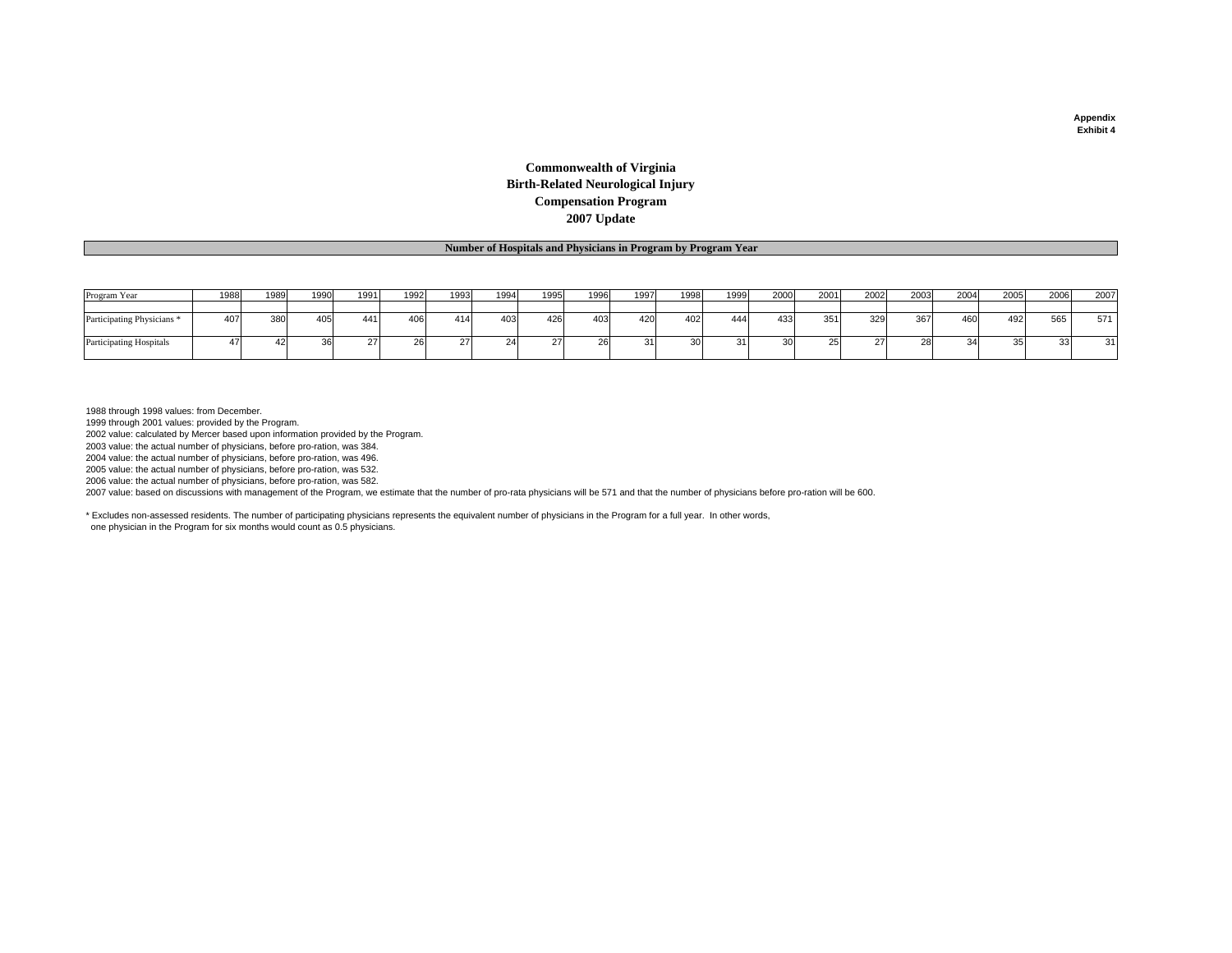#### **Commonwealth of Virginia Birth-Related Neurological Injury Compensation Program 2007 Update**

#### **Number of Hospitals and Physicians in Program by Program Year**

| Program Year                          | 1988 | 1989 | 1990 | 1991 | 1992 | 1993 | 1994 | 1995 | 1996 | 1997   | 1998 | 1999 | 2000 | 2001 | 2002 | 2003   | 2004 | 2005 | 2006     | 2007 |
|---------------------------------------|------|------|------|------|------|------|------|------|------|--------|------|------|------|------|------|--------|------|------|----------|------|
|                                       |      |      |      |      |      |      |      |      |      |        |      |      |      |      |      |        |      |      |          |      |
| Participating Physicians <sup>1</sup> | 407  | 380  | 405  | 441  | 406  | 414  | 403  | 426  | 403  | 420    | 402  | 444  | 433  | 351  | 329  | $\sim$ | 460  | 492  | 565      | 571  |
| <b>Participating Hospitals</b>        |      |      | 36   |      | zc   |      |      |      |      | $\sim$ | 30.  | اد   |      | -401 |      |        |      |      | $\Omega$ | 21   |

1988 through 1998 values: from December.

1999 through 2001 values: provided by the Program.

2002 value: calculated by Mercer based upon information provided by the Program.

2003 value: the actual number of physicians, before pro-ration, was 384.

2004 value: the actual number of physicians, before pro-ration, was 496.

2005 value: the actual number of physicians, before pro-ration, was 532.

2006 value: the actual number of physicians, before pro-ration, was 582.

2007 value: based on discussions with management of the Program, we estimate that the number of pro-rata physicians will be 571 and that the number of physicians before pro-ration will be 600.

\* Excludes non-assessed residents. The number of participating physicians represents the equivalent number of physicians in the Program for a full year. In other words, one physician in the Program for six months would count as 0.5 physicians.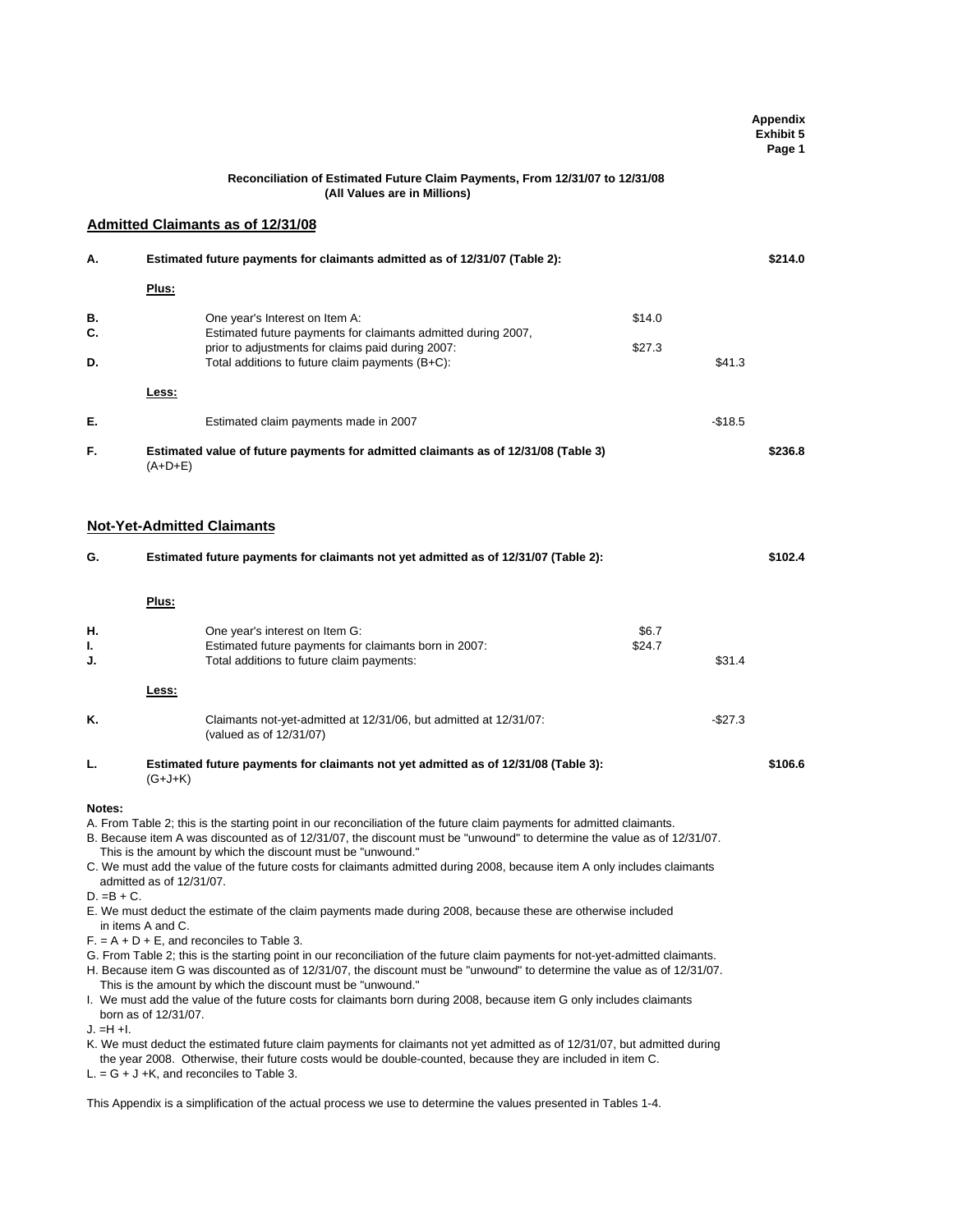|               |                                                                                                                                                                                                                                                                                                                                                                                                                                                                                                                                                                                                                                                            |          | Appendix<br><b>Exhibit 5</b><br>Page 1 |
|---------------|------------------------------------------------------------------------------------------------------------------------------------------------------------------------------------------------------------------------------------------------------------------------------------------------------------------------------------------------------------------------------------------------------------------------------------------------------------------------------------------------------------------------------------------------------------------------------------------------------------------------------------------------------------|----------|----------------------------------------|
|               | Reconciliation of Estimated Future Claim Payments, From 12/31/07 to 12/31/08<br>(All Values are in Millions)                                                                                                                                                                                                                                                                                                                                                                                                                                                                                                                                               |          |                                        |
|               | <b>Admitted Claimants as of 12/31/08</b>                                                                                                                                                                                                                                                                                                                                                                                                                                                                                                                                                                                                                   |          |                                        |
| Α.            | Estimated future payments for claimants admitted as of 12/31/07 (Table 2):                                                                                                                                                                                                                                                                                                                                                                                                                                                                                                                                                                                 |          | \$214.0                                |
|               | Plus:                                                                                                                                                                                                                                                                                                                                                                                                                                                                                                                                                                                                                                                      |          |                                        |
| в.            | \$14.0<br>One year's Interest on Item A:                                                                                                                                                                                                                                                                                                                                                                                                                                                                                                                                                                                                                   |          |                                        |
| C.<br>D.      | Estimated future payments for claimants admitted during 2007,<br>prior to adjustments for claims paid during 2007:<br>\$27.3<br>Total additions to future claim payments (B+C):                                                                                                                                                                                                                                                                                                                                                                                                                                                                            | \$41.3   |                                        |
|               | Less:                                                                                                                                                                                                                                                                                                                                                                                                                                                                                                                                                                                                                                                      |          |                                        |
| Е.            |                                                                                                                                                                                                                                                                                                                                                                                                                                                                                                                                                                                                                                                            |          |                                        |
|               | Estimated claim payments made in 2007                                                                                                                                                                                                                                                                                                                                                                                                                                                                                                                                                                                                                      | $-$18.5$ |                                        |
| F.            | Estimated value of future payments for admitted claimants as of 12/31/08 (Table 3)<br>$(A+D+E)$                                                                                                                                                                                                                                                                                                                                                                                                                                                                                                                                                            |          | \$236.8                                |
|               | <b>Not-Yet-Admitted Claimants</b>                                                                                                                                                                                                                                                                                                                                                                                                                                                                                                                                                                                                                          |          |                                        |
| G.            | Estimated future payments for claimants not yet admitted as of 12/31/07 (Table 2):                                                                                                                                                                                                                                                                                                                                                                                                                                                                                                                                                                         |          | \$102.4                                |
|               | Plus:                                                                                                                                                                                                                                                                                                                                                                                                                                                                                                                                                                                                                                                      |          |                                        |
| Н.            | One year's interest on Item G:                                                                                                                                                                                                                                                                                                                                                                                                                                                                                                                                                                                                                             | \$6.7    |                                        |
| ı.<br>J.      | Estimated future payments for claimants born in 2007:<br>\$24.7<br>Total additions to future claim payments:                                                                                                                                                                                                                                                                                                                                                                                                                                                                                                                                               | \$31.4   |                                        |
|               | Less:                                                                                                                                                                                                                                                                                                                                                                                                                                                                                                                                                                                                                                                      |          |                                        |
| Κ.            | Claimants not-yet-admitted at 12/31/06, but admitted at 12/31/07:<br>(valued as of 12/31/07)                                                                                                                                                                                                                                                                                                                                                                                                                                                                                                                                                               | $-$27.3$ |                                        |
| L.            | Estimated future payments for claimants not yet admitted as of 12/31/08 (Table 3):<br>$(G+J+K)$                                                                                                                                                                                                                                                                                                                                                                                                                                                                                                                                                            |          | \$106.6                                |
| Notes:        | A. From Table 2; this is the starting point in our reconciliation of the future claim payments for admitted claimants.<br>B. Because item A was discounted as of 12/31/07, the discount must be "unwound" to determine the value as of 12/31/07.<br>This is the amount by which the discount must be "unwound."<br>C. We must add the value of the future costs for claimants admitted during 2008, because item A only includes claimants<br>admitted as of 12/31/07.                                                                                                                                                                                     |          |                                        |
| $D. = B + C.$ | E. We must deduct the estimate of the claim payments made during 2008, because these are otherwise included<br>in items A and C.<br>$F = A + D + E$ , and reconciles to Table 3.<br>G. From Table 2; this is the starting point in our reconciliation of the future claim payments for not-yet-admitted claimants.<br>H. Because item G was discounted as of 12/31/07, the discount must be "unwound" to determine the value as of 12/31/07.<br>This is the amount by which the discount must be "unwound."<br>I. We must add the value of the future costs for claimants born during 2008, because item G only includes claimants<br>born as of 12/31/07. |          |                                        |
| J. =H +I.     | K. We must deduct the estimated future claim payments for claimants not yet admitted as of 12/31/07, but admitted during<br>the year 2008. Otherwise, their future costs would be double-counted, because they are included in item C.<br>$L = G + J + K$ , and reconciles to Table 3.                                                                                                                                                                                                                                                                                                                                                                     |          |                                        |
|               | This Appendix is a simplification of the actual process we use to determine the values presented in Tables 1-4.                                                                                                                                                                                                                                                                                                                                                                                                                                                                                                                                            |          |                                        |